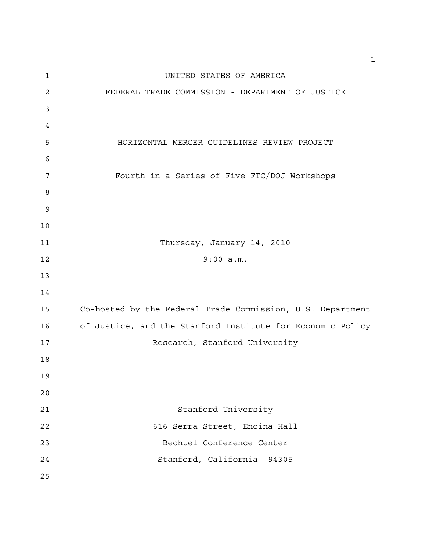| $\mathbf 1$ | UNITED STATES OF AMERICA                                   |
|-------------|------------------------------------------------------------|
| $\mathbf 2$ | FEDERAL TRADE COMMISSION - DEPARTMENT OF JUSTICE           |
| 3           |                                                            |
| 4           |                                                            |
| 5           | HORIZONTAL MERGER GUIDELINES REVIEW PROJECT                |
| 6           |                                                            |
| 7           | Fourth in a Series of Five FTC/DOJ Workshops               |
| 8           |                                                            |
| 9           |                                                            |
| 10          |                                                            |
| 11          | Thursday, January 14, 2010                                 |
| 12          | 9:00 a.m.                                                  |
| 13          |                                                            |
| 14          |                                                            |
| 15          | Co-hosted by the Federal Trade Commission, U.S. Department |
| 16          | of Justice, and the Stanford Institute for Economic Policy |
| 17          | Research, Stanford University                              |
| 18          |                                                            |
| 19          |                                                            |
| 20          |                                                            |
| 21          | Stanford University                                        |
| 22          | 616 Serra Street, Encina Hall                              |
| 23          | Bechtel Conference Center                                  |
| 24          | Stanford, California 94305                                 |
| 25          |                                                            |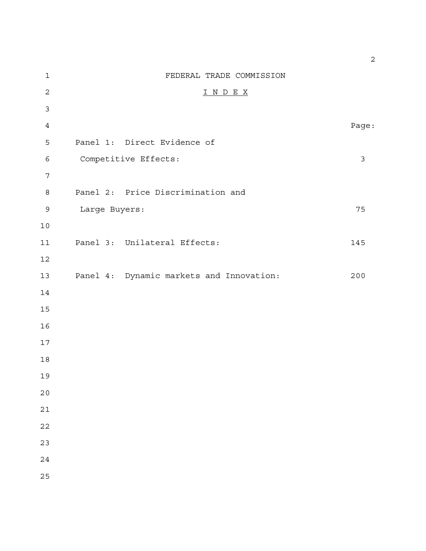| $\mathbf 1$    |               | FEDERAL TRADE COMMISSION                 |       |
|----------------|---------------|------------------------------------------|-------|
| $\overline{2}$ |               | I N D E X                                |       |
| $\mathfrak{Z}$ |               |                                          |       |
| $\overline{4}$ |               |                                          | Page: |
| 5              |               | Panel 1: Direct Evidence of              |       |
| $\epsilon$     |               | Competitive Effects:                     | 3     |
| $\overline{7}$ |               |                                          |       |
| $\,8\,$        |               | Panel 2: Price Discrimination and        |       |
| $\mathsf 9$    | Large Buyers: |                                          | 75    |
| $10$           |               |                                          |       |
| 11             |               | Panel 3: Unilateral Effects:             | 145   |
| 12             |               |                                          |       |
| 13             |               | Panel 4: Dynamic markets and Innovation: | 200   |
| 14             |               |                                          |       |
| 15             |               |                                          |       |
| 16             |               |                                          |       |
| $17$           |               |                                          |       |
| $18\,$         |               |                                          |       |
| 19             |               |                                          |       |
| 20             |               |                                          |       |
| 21             |               |                                          |       |
| 22             |               |                                          |       |
| 23             |               |                                          |       |
| 24             |               |                                          |       |
| 25             |               |                                          |       |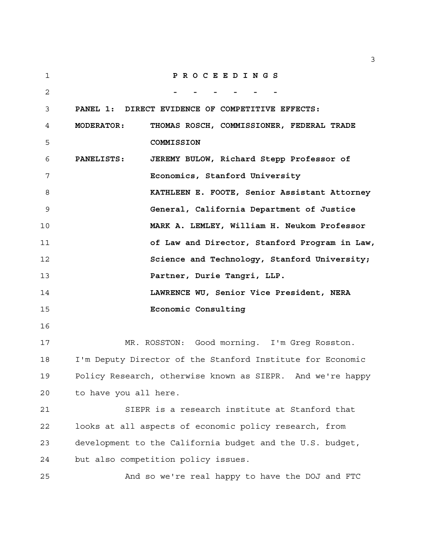| 1  | PROCEEDINGS                                                    |
|----|----------------------------------------------------------------|
| 2  |                                                                |
| 3  | PANEL 1: DIRECT EVIDENCE OF COMPETITIVE EFFECTS:               |
| 4  | THOMAS ROSCH, COMMISSIONER, FEDERAL TRADE<br><b>MODERATOR:</b> |
| 5  | COMMISSION                                                     |
| 6  | JEREMY BULOW, Richard Stepp Professor of<br><b>PANELISTS:</b>  |
| 7  | Economics, Stanford University                                 |
| 8  | KATHLEEN E. FOOTE, Senior Assistant Attorney                   |
| 9  | General, California Department of Justice                      |
| 10 | MARK A. LEMLEY, William H. Neukom Professor                    |
| 11 | of Law and Director, Stanford Program in Law,                  |
| 12 | Science and Technology, Stanford University;                   |
| 13 | Partner, Durie Tangri, LLP.                                    |
| 14 | LAWRENCE WU, Senior Vice President, NERA                       |
| 15 | Economic Consulting                                            |
| 16 |                                                                |
| 17 | MR. ROSSTON: Good morning. I'm Greg Rosston.                   |
| 18 | I'm Deputy Director of the Stanford Institute for Economic     |
| 19 | Policy Research, otherwise known as SIEPR. And we're happy     |
| 20 | to have you all here.                                          |
| 21 | SIEPR is a research institute at Stanford that                 |
| 22 | looks at all aspects of economic policy research, from         |
| 23 | development to the California budget and the U.S. budget,      |
| 24 | but also competition policy issues.                            |
| 25 | And so we're real happy to have the DOJ and FTC                |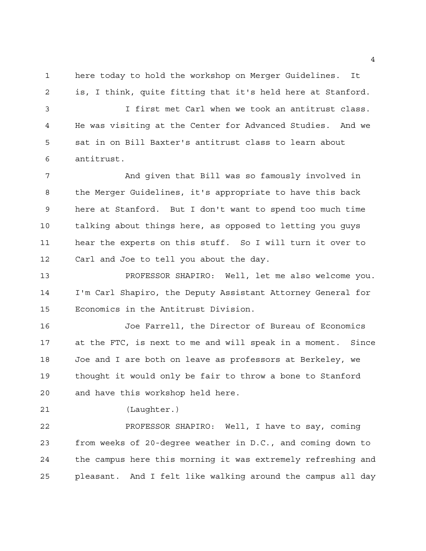here today to hold the workshop on Merger Guidelines. It is, I think, quite fitting that it's held here at Stanford.

 I first met Carl when we took an antitrust class. He was visiting at the Center for Advanced Studies. And we sat in on Bill Baxter's antitrust class to learn about antitrust.

 And given that Bill was so famously involved in the Merger Guidelines, it's appropriate to have this back here at Stanford. But I don't want to spend too much time talking about things here, as opposed to letting you guys hear the experts on this stuff. So I will turn it over to Carl and Joe to tell you about the day.

 PROFESSOR SHAPIRO: Well, let me also welcome you. I'm Carl Shapiro, the Deputy Assistant Attorney General for Economics in the Antitrust Division.

 Joe Farrell, the Director of Bureau of Economics at the FTC, is next to me and will speak in a moment. Since Joe and I are both on leave as professors at Berkeley, we thought it would only be fair to throw a bone to Stanford and have this workshop held here.

(Laughter.)

 PROFESSOR SHAPIRO: Well, I have to say, coming from weeks of 20-degree weather in D.C., and coming down to the campus here this morning it was extremely refreshing and pleasant. And I felt like walking around the campus all day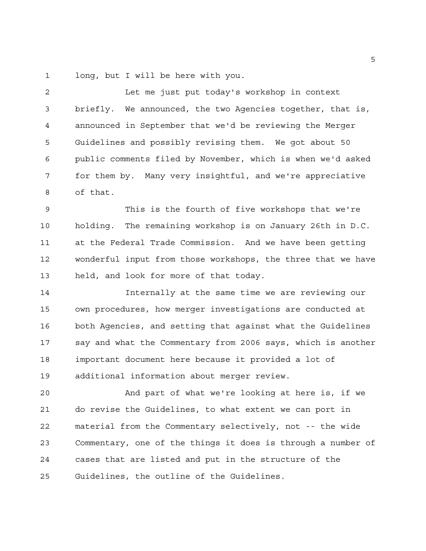long, but I will be here with you.

 Let me just put today's workshop in context briefly. We announced, the two Agencies together, that is, announced in September that we'd be reviewing the Merger Guidelines and possibly revising them. We got about 50 public comments filed by November, which is when we'd asked for them by. Many very insightful, and we're appreciative of that.

 This is the fourth of five workshops that we're holding. The remaining workshop is on January 26th in D.C. at the Federal Trade Commission. And we have been getting wonderful input from those workshops, the three that we have held, and look for more of that today.

 Internally at the same time we are reviewing our own procedures, how merger investigations are conducted at both Agencies, and setting that against what the Guidelines say and what the Commentary from 2006 says, which is another important document here because it provided a lot of additional information about merger review.

 And part of what we're looking at here is, if we do revise the Guidelines, to what extent we can port in material from the Commentary selectively, not -- the wide Commentary, one of the things it does is through a number of cases that are listed and put in the structure of the Guidelines, the outline of the Guidelines.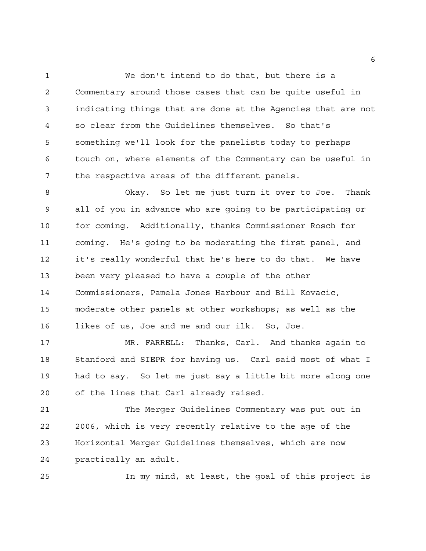We don't intend to do that, but there is a Commentary around those cases that can be quite useful in indicating things that are done at the Agencies that are not so clear from the Guidelines themselves. So that's something we'll look for the panelists today to perhaps touch on, where elements of the Commentary can be useful in the respective areas of the different panels.

 Okay. So let me just turn it over to Joe. Thank all of you in advance who are going to be participating or for coming. Additionally, thanks Commissioner Rosch for coming. He's going to be moderating the first panel, and it's really wonderful that he's here to do that. We have been very pleased to have a couple of the other Commissioners, Pamela Jones Harbour and Bill Kovacic, moderate other panels at other workshops; as well as the likes of us, Joe and me and our ilk. So, Joe.

 MR. FARRELL: Thanks, Carl. And thanks again to Stanford and SIEPR for having us. Carl said most of what I had to say. So let me just say a little bit more along one of the lines that Carl already raised.

 The Merger Guidelines Commentary was put out in 2006, which is very recently relative to the age of the Horizontal Merger Guidelines themselves, which are now practically an adult.

In my mind, at least, the goal of this project is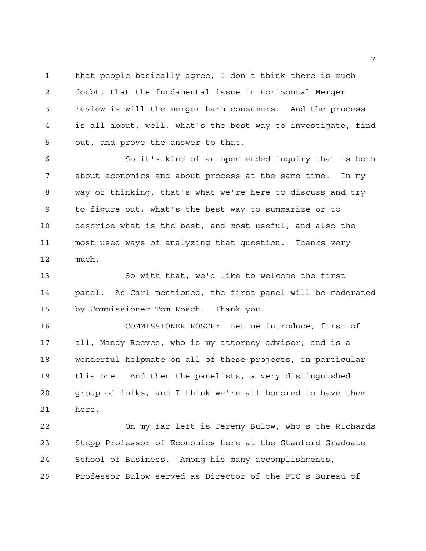that people basically agree, I don't think there is much doubt, that the fundamental issue in Horizontal Merger review is will the merger harm consumers. And the process is all about, well, what's the best way to investigate, find out, and prove the answer to that.

 So it's kind of an open-ended inquiry that is both about economics and about process at the same time. In my way of thinking, that's what we're here to discuss and try to figure out, what's the best way to summarize or to describe what is the best, and most useful, and also the most used ways of analyzing that question. Thanks very much.

 So with that, we'd like to welcome the first panel. As Carl mentioned, the first panel will be moderated by Commissioner Tom Rosch. Thank you.

 COMMISSIONER ROSCH: Let me introduce, first of all, Mandy Reeves, who is my attorney advisor, and is a wonderful helpmate on all of these projects, in particular this one. And then the panelists, a very distinguished group of folks, and I think we're all honored to have them here.

 On my far left is Jeremy Bulow, who's the Richards Stepp Professor of Economics here at the Stanford Graduate School of Business. Among his many accomplishments, Professor Bulow served as Director of the FTC's Bureau of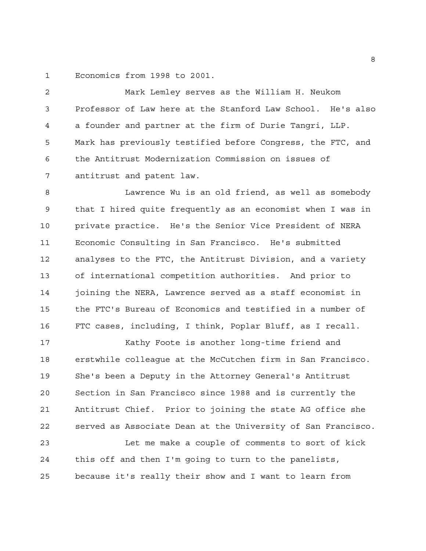Economics from 1998 to 2001.

 Mark Lemley serves as the William H. Neukom Professor of Law here at the Stanford Law School. He's also a founder and partner at the firm of Durie Tangri, LLP. Mark has previously testified before Congress, the FTC, and the Antitrust Modernization Commission on issues of antitrust and patent law.

 Lawrence Wu is an old friend, as well as somebody that I hired quite frequently as an economist when I was in private practice. He's the Senior Vice President of NERA Economic Consulting in San Francisco. He's submitted analyses to the FTC, the Antitrust Division, and a variety of international competition authorities. And prior to joining the NERA, Lawrence served as a staff economist in the FTC's Bureau of Economics and testified in a number of FTC cases, including, I think, Poplar Bluff, as I recall.

 Kathy Foote is another long-time friend and erstwhile colleague at the McCutchen firm in San Francisco. She's been a Deputy in the Attorney General's Antitrust Section in San Francisco since 1988 and is currently the Antitrust Chief. Prior to joining the state AG office she served as Associate Dean at the University of San Francisco. Let me make a couple of comments to sort of kick

 this off and then I'm going to turn to the panelists, because it's really their show and I want to learn from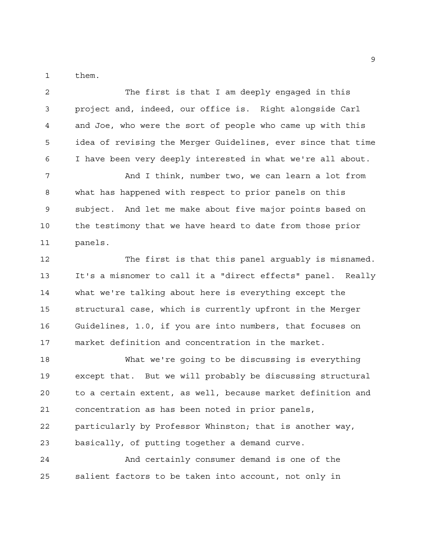them.

 The first is that I am deeply engaged in this project and, indeed, our office is. Right alongside Carl and Joe, who were the sort of people who came up with this idea of revising the Merger Guidelines, ever since that time I have been very deeply interested in what we're all about.

7 And I think, number two, we can learn a lot from what has happened with respect to prior panels on this subject. And let me make about five major points based on the testimony that we have heard to date from those prior panels.

 The first is that this panel arguably is misnamed. It's a misnomer to call it a "direct effects" panel. Really what we're talking about here is everything except the structural case, which is currently upfront in the Merger Guidelines, 1.0, if you are into numbers, that focuses on market definition and concentration in the market.

 What we're going to be discussing is everything except that. But we will probably be discussing structural to a certain extent, as well, because market definition and concentration as has been noted in prior panels, particularly by Professor Whinston; that is another way, basically, of putting together a demand curve. And certainly consumer demand is one of the

salient factors to be taken into account, not only in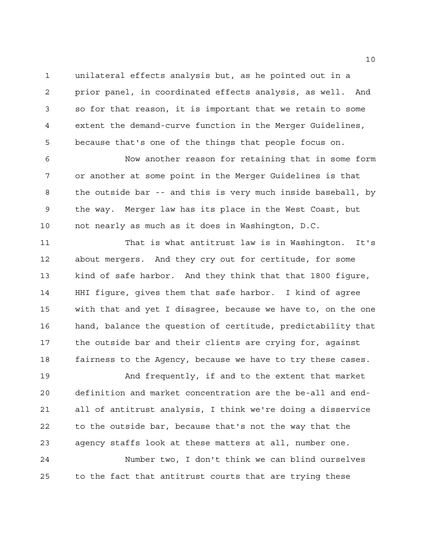unilateral effects analysis but, as he pointed out in a prior panel, in coordinated effects analysis, as well. And so for that reason, it is important that we retain to some extent the demand-curve function in the Merger Guidelines, because that's one of the things that people focus on.

 Now another reason for retaining that in some form or another at some point in the Merger Guidelines is that the outside bar -- and this is very much inside baseball, by the way. Merger law has its place in the West Coast, but not nearly as much as it does in Washington, D.C.

 That is what antitrust law is in Washington. It's about mergers. And they cry out for certitude, for some kind of safe harbor. And they think that that 1800 figure, HHI figure, gives them that safe harbor. I kind of agree with that and yet I disagree, because we have to, on the one hand, balance the question of certitude, predictability that the outside bar and their clients are crying for, against fairness to the Agency, because we have to try these cases.

 And frequently, if and to the extent that market definition and market concentration are the be-all and end- all of antitrust analysis, I think we're doing a disservice to the outside bar, because that's not the way that the agency staffs look at these matters at all, number one. Number two, I don't think we can blind ourselves

to the fact that antitrust courts that are trying these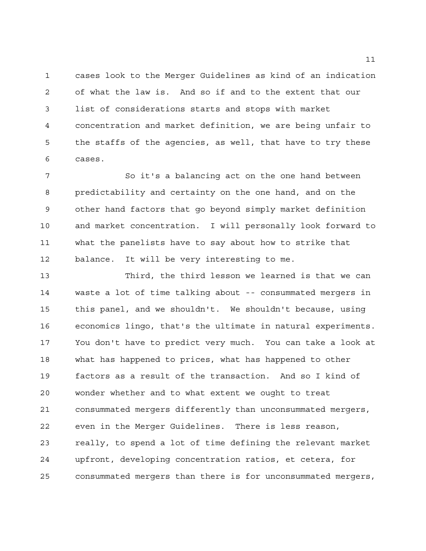cases look to the Merger Guidelines as kind of an indication of what the law is. And so if and to the extent that our list of considerations starts and stops with market concentration and market definition, we are being unfair to the staffs of the agencies, as well, that have to try these cases.

 So it's a balancing act on the one hand between predictability and certainty on the one hand, and on the other hand factors that go beyond simply market definition and market concentration. I will personally look forward to what the panelists have to say about how to strike that balance. It will be very interesting to me.

 Third, the third lesson we learned is that we can waste a lot of time talking about -- consummated mergers in this panel, and we shouldn't. We shouldn't because, using economics lingo, that's the ultimate in natural experiments. You don't have to predict very much. You can take a look at what has happened to prices, what has happened to other factors as a result of the transaction. And so I kind of wonder whether and to what extent we ought to treat consummated mergers differently than unconsummated mergers, even in the Merger Guidelines. There is less reason, really, to spend a lot of time defining the relevant market upfront, developing concentration ratios, et cetera, for consummated mergers than there is for unconsummated mergers,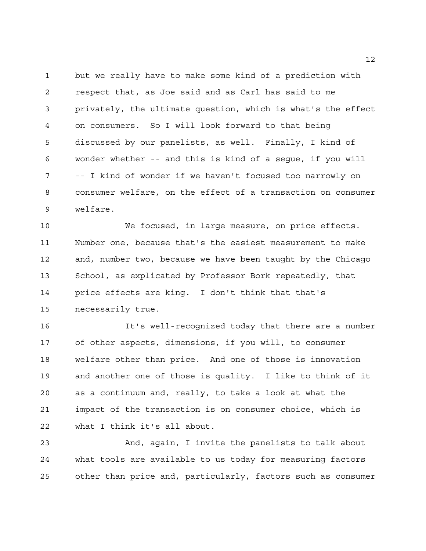but we really have to make some kind of a prediction with respect that, as Joe said and as Carl has said to me privately, the ultimate question, which is what's the effect on consumers. So I will look forward to that being discussed by our panelists, as well. Finally, I kind of wonder whether -- and this is kind of a segue, if you will -- I kind of wonder if we haven't focused too narrowly on consumer welfare, on the effect of a transaction on consumer welfare.

 We focused, in large measure, on price effects. Number one, because that's the easiest measurement to make and, number two, because we have been taught by the Chicago School, as explicated by Professor Bork repeatedly, that price effects are king. I don't think that that's necessarily true.

 It's well-recognized today that there are a number of other aspects, dimensions, if you will, to consumer welfare other than price. And one of those is innovation and another one of those is quality. I like to think of it as a continuum and, really, to take a look at what the impact of the transaction is on consumer choice, which is what I think it's all about.

 And, again, I invite the panelists to talk about what tools are available to us today for measuring factors other than price and, particularly, factors such as consumer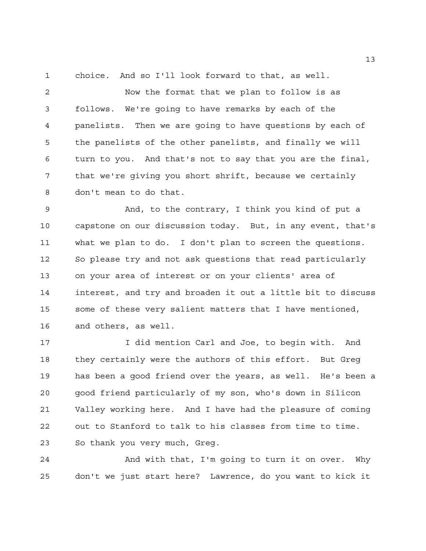choice. And so I'll look forward to that, as well.

 Now the format that we plan to follow is as follows. We're going to have remarks by each of the panelists. Then we are going to have questions by each of the panelists of the other panelists, and finally we will turn to you. And that's not to say that you are the final, that we're giving you short shrift, because we certainly don't mean to do that.

 And, to the contrary, I think you kind of put a capstone on our discussion today. But, in any event, that's what we plan to do. I don't plan to screen the questions. So please try and not ask questions that read particularly on your area of interest or on your clients' area of interest, and try and broaden it out a little bit to discuss some of these very salient matters that I have mentioned, and others, as well.

 I did mention Carl and Joe, to begin with. And they certainly were the authors of this effort. But Greg has been a good friend over the years, as well. He's been a good friend particularly of my son, who's down in Silicon Valley working here. And I have had the pleasure of coming out to Stanford to talk to his classes from time to time. So thank you very much, Greg.

 And with that, I'm going to turn it on over. Why don't we just start here? Lawrence, do you want to kick it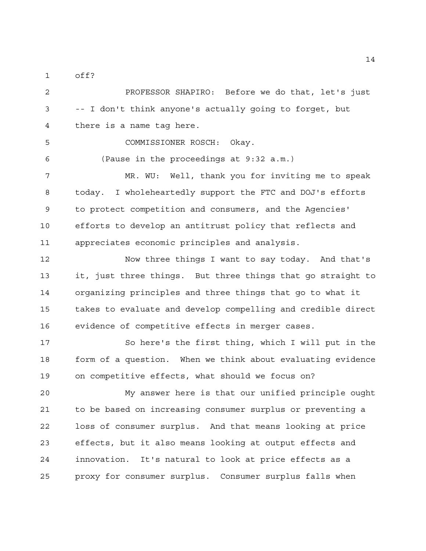off?

 PROFESSOR SHAPIRO: Before we do that, let's just -- I don't think anyone's actually going to forget, but there is a name tag here.

COMMISSIONER ROSCH: Okay.

(Pause in the proceedings at 9:32 a.m.)

 MR. WU: Well, thank you for inviting me to speak today. I wholeheartedly support the FTC and DOJ's efforts to protect competition and consumers, and the Agencies' efforts to develop an antitrust policy that reflects and appreciates economic principles and analysis.

 Now three things I want to say today. And that's it, just three things. But three things that go straight to organizing principles and three things that go to what it takes to evaluate and develop compelling and credible direct evidence of competitive effects in merger cases.

 So here's the first thing, which I will put in the form of a question. When we think about evaluating evidence on competitive effects, what should we focus on?

 My answer here is that our unified principle ought to be based on increasing consumer surplus or preventing a loss of consumer surplus. And that means looking at price effects, but it also means looking at output effects and innovation. It's natural to look at price effects as a proxy for consumer surplus. Consumer surplus falls when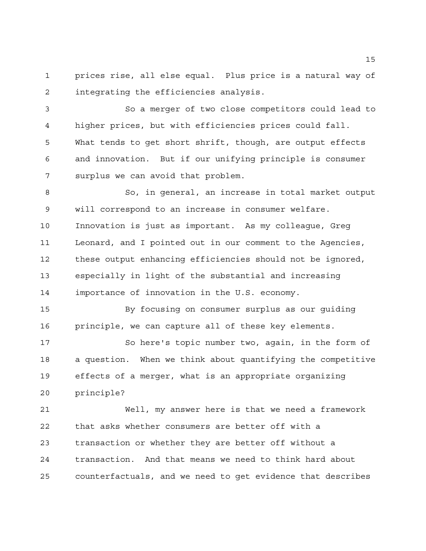prices rise, all else equal. Plus price is a natural way of integrating the efficiencies analysis.

 So a merger of two close competitors could lead to higher prices, but with efficiencies prices could fall. What tends to get short shrift, though, are output effects and innovation. But if our unifying principle is consumer surplus we can avoid that problem.

 So, in general, an increase in total market output will correspond to an increase in consumer welfare. Innovation is just as important. As my colleague, Greg Leonard, and I pointed out in our comment to the Agencies, these output enhancing efficiencies should not be ignored, especially in light of the substantial and increasing importance of innovation in the U.S. economy.

 By focusing on consumer surplus as our guiding principle, we can capture all of these key elements.

 So here's topic number two, again, in the form of a question. When we think about quantifying the competitive effects of a merger, what is an appropriate organizing principle?

 Well, my answer here is that we need a framework that asks whether consumers are better off with a transaction or whether they are better off without a transaction. And that means we need to think hard about counterfactuals, and we need to get evidence that describes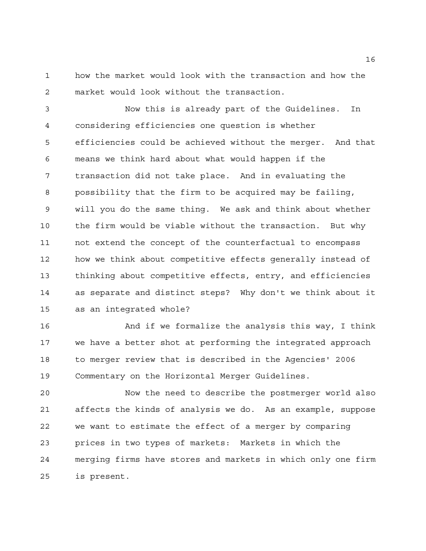how the market would look with the transaction and how the market would look without the transaction.

 Now this is already part of the Guidelines. In considering efficiencies one question is whether efficiencies could be achieved without the merger. And that means we think hard about what would happen if the transaction did not take place. And in evaluating the possibility that the firm to be acquired may be failing, will you do the same thing. We ask and think about whether the firm would be viable without the transaction. But why not extend the concept of the counterfactual to encompass how we think about competitive effects generally instead of thinking about competitive effects, entry, and efficiencies as separate and distinct steps? Why don't we think about it as an integrated whole?

16 And if we formalize the analysis this way, I think we have a better shot at performing the integrated approach to merger review that is described in the Agencies' 2006 Commentary on the Horizontal Merger Guidelines.

 Now the need to describe the postmerger world also affects the kinds of analysis we do. As an example, suppose we want to estimate the effect of a merger by comparing prices in two types of markets: Markets in which the merging firms have stores and markets in which only one firm is present.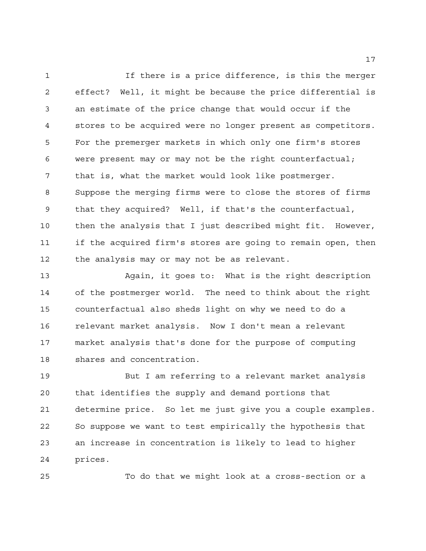If there is a price difference, is this the merger effect? Well, it might be because the price differential is an estimate of the price change that would occur if the stores to be acquired were no longer present as competitors. For the premerger markets in which only one firm's stores were present may or may not be the right counterfactual; that is, what the market would look like postmerger. Suppose the merging firms were to close the stores of firms that they acquired? Well, if that's the counterfactual, then the analysis that I just described might fit. However, if the acquired firm's stores are going to remain open, then the analysis may or may not be as relevant.

 Again, it goes to: What is the right description of the postmerger world. The need to think about the right counterfactual also sheds light on why we need to do a relevant market analysis. Now I don't mean a relevant market analysis that's done for the purpose of computing shares and concentration.

 But I am referring to a relevant market analysis that identifies the supply and demand portions that determine price. So let me just give you a couple examples. So suppose we want to test empirically the hypothesis that an increase in concentration is likely to lead to higher prices.

To do that we might look at a cross-section or a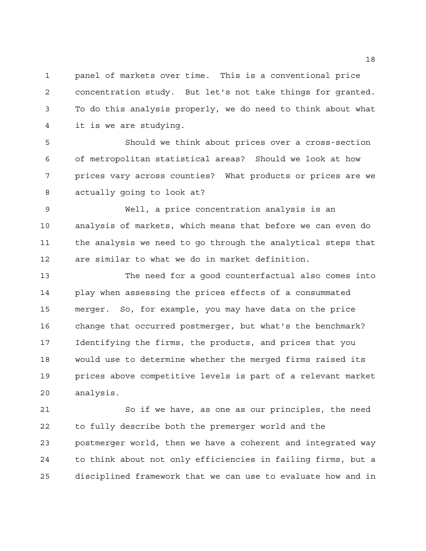panel of markets over time. This is a conventional price concentration study. But let's not take things for granted. To do this analysis properly, we do need to think about what it is we are studying.

 Should we think about prices over a cross-section of metropolitan statistical areas? Should we look at how prices vary across counties? What products or prices are we actually going to look at?

 Well, a price concentration analysis is an analysis of markets, which means that before we can even do the analysis we need to go through the analytical steps that are similar to what we do in market definition.

 The need for a good counterfactual also comes into play when assessing the prices effects of a consummated merger. So, for example, you may have data on the price change that occurred postmerger, but what's the benchmark? Identifying the firms, the products, and prices that you would use to determine whether the merged firms raised its prices above competitive levels is part of a relevant market analysis.

 So if we have, as one as our principles, the need to fully describe both the premerger world and the postmerger world, then we have a coherent and integrated way to think about not only efficiencies in failing firms, but a disciplined framework that we can use to evaluate how and in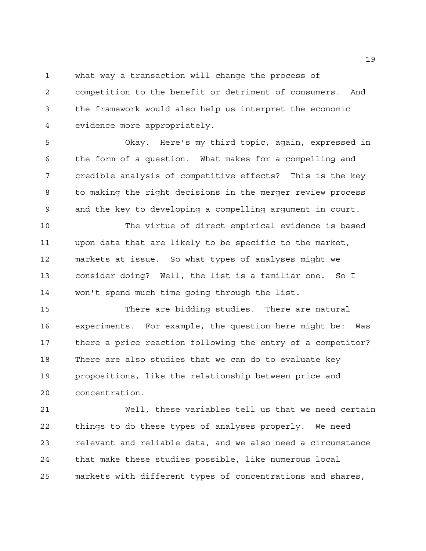what way a transaction will change the process of

 competition to the benefit or detriment of consumers. And the framework would also help us interpret the economic evidence more appropriately.

 Okay. Here's my third topic, again, expressed in the form of a question. What makes for a compelling and credible analysis of competitive effects? This is the key to making the right decisions in the merger review process and the key to developing a compelling argument in court.

 The virtue of direct empirical evidence is based upon data that are likely to be specific to the market, markets at issue. So what types of analyses might we consider doing? Well, the list is a familiar one. So I won't spend much time going through the list.

 There are bidding studies. There are natural experiments. For example, the question here might be: Was there a price reaction following the entry of a competitor? There are also studies that we can do to evaluate key propositions, like the relationship between price and concentration.

 Well, these variables tell us that we need certain things to do these types of analyses properly. We need relevant and reliable data, and we also need a circumstance that make these studies possible, like numerous local markets with different types of concentrations and shares,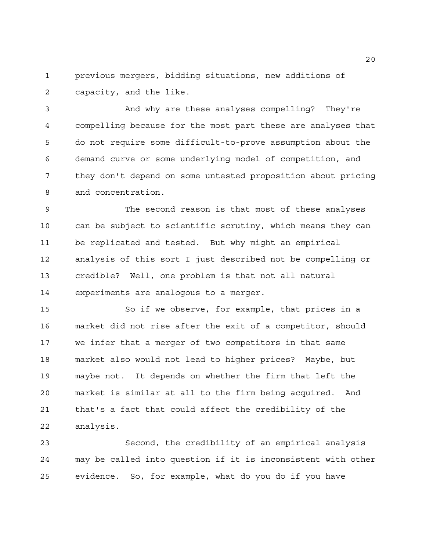previous mergers, bidding situations, new additions of capacity, and the like.

 And why are these analyses compelling? They're compelling because for the most part these are analyses that do not require some difficult-to-prove assumption about the demand curve or some underlying model of competition, and they don't depend on some untested proposition about pricing and concentration.

 The second reason is that most of these analyses can be subject to scientific scrutiny, which means they can be replicated and tested. But why might an empirical analysis of this sort I just described not be compelling or credible? Well, one problem is that not all natural experiments are analogous to a merger.

 So if we observe, for example, that prices in a market did not rise after the exit of a competitor, should we infer that a merger of two competitors in that same market also would not lead to higher prices? Maybe, but maybe not. It depends on whether the firm that left the market is similar at all to the firm being acquired. And that's a fact that could affect the credibility of the analysis.

 Second, the credibility of an empirical analysis may be called into question if it is inconsistent with other evidence. So, for example, what do you do if you have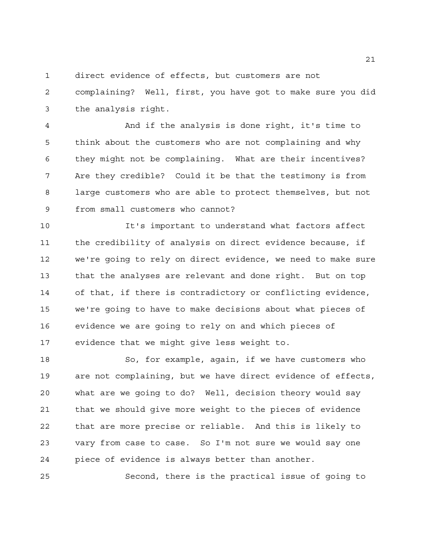direct evidence of effects, but customers are not

 complaining? Well, first, you have got to make sure you did the analysis right.

 And if the analysis is done right, it's time to think about the customers who are not complaining and why they might not be complaining. What are their incentives? Are they credible? Could it be that the testimony is from large customers who are able to protect themselves, but not from small customers who cannot?

 It's important to understand what factors affect the credibility of analysis on direct evidence because, if we're going to rely on direct evidence, we need to make sure that the analyses are relevant and done right. But on top of that, if there is contradictory or conflicting evidence, we're going to have to make decisions about what pieces of evidence we are going to rely on and which pieces of evidence that we might give less weight to.

 So, for example, again, if we have customers who are not complaining, but we have direct evidence of effects, what are we going to do? Well, decision theory would say that we should give more weight to the pieces of evidence that are more precise or reliable. And this is likely to vary from case to case. So I'm not sure we would say one piece of evidence is always better than another.

Second, there is the practical issue of going to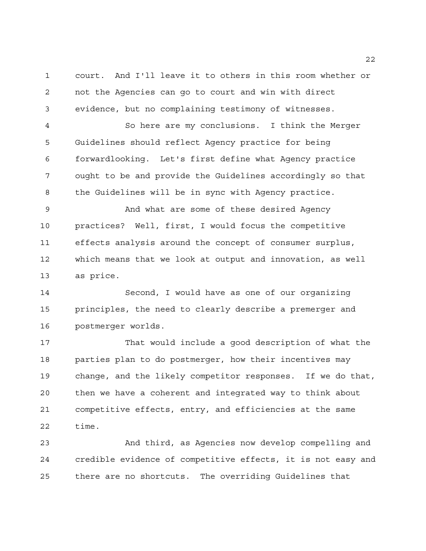court. And I'll leave it to others in this room whether or not the Agencies can go to court and win with direct evidence, but no complaining testimony of witnesses.

 So here are my conclusions. I think the Merger Guidelines should reflect Agency practice for being forwardlooking. Let's first define what Agency practice ought to be and provide the Guidelines accordingly so that the Guidelines will be in sync with Agency practice.

 And what are some of these desired Agency practices? Well, first, I would focus the competitive effects analysis around the concept of consumer surplus, which means that we look at output and innovation, as well as price.

 Second, I would have as one of our organizing principles, the need to clearly describe a premerger and postmerger worlds.

 That would include a good description of what the parties plan to do postmerger, how their incentives may change, and the likely competitor responses. If we do that, then we have a coherent and integrated way to think about competitive effects, entry, and efficiencies at the same time.

 And third, as Agencies now develop compelling and credible evidence of competitive effects, it is not easy and there are no shortcuts. The overriding Guidelines that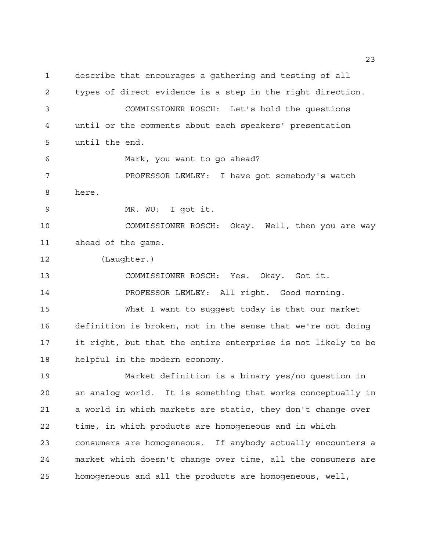describe that encourages a gathering and testing of all types of direct evidence is a step in the right direction. COMMISSIONER ROSCH: Let's hold the questions until or the comments about each speakers' presentation until the end. Mark, you want to go ahead? PROFESSOR LEMLEY: I have got somebody's watch here. MR. WU: I got it. COMMISSIONER ROSCH: Okay. Well, then you are way ahead of the game. (Laughter.) COMMISSIONER ROSCH: Yes. Okay. Got it. PROFESSOR LEMLEY: All right. Good morning. What I want to suggest today is that our market definition is broken, not in the sense that we're not doing it right, but that the entire enterprise is not likely to be helpful in the modern economy. Market definition is a binary yes/no question in an analog world. It is something that works conceptually in a world in which markets are static, they don't change over time, in which products are homogeneous and in which consumers are homogeneous. If anybody actually encounters a market which doesn't change over time, all the consumers are homogeneous and all the products are homogeneous, well,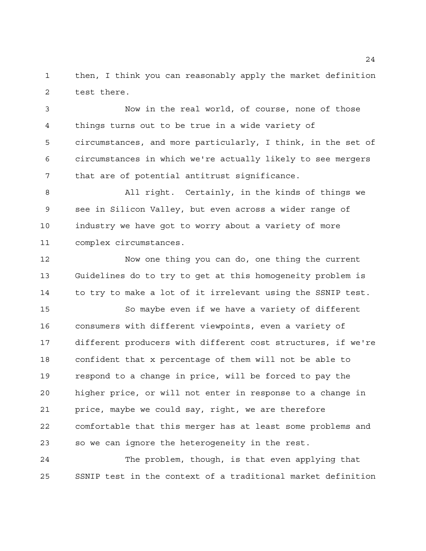then, I think you can reasonably apply the market definition test there.

 Now in the real world, of course, none of those things turns out to be true in a wide variety of circumstances, and more particularly, I think, in the set of circumstances in which we're actually likely to see mergers that are of potential antitrust significance.

 All right. Certainly, in the kinds of things we see in Silicon Valley, but even across a wider range of industry we have got to worry about a variety of more complex circumstances.

 Now one thing you can do, one thing the current Guidelines do to try to get at this homogeneity problem is to try to make a lot of it irrelevant using the SSNIP test.

 So maybe even if we have a variety of different consumers with different viewpoints, even a variety of different producers with different cost structures, if we're confident that x percentage of them will not be able to respond to a change in price, will be forced to pay the higher price, or will not enter in response to a change in price, maybe we could say, right, we are therefore comfortable that this merger has at least some problems and so we can ignore the heterogeneity in the rest.

 The problem, though, is that even applying that SSNIP test in the context of a traditional market definition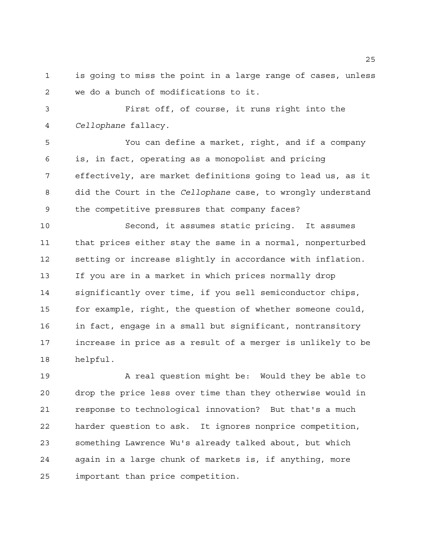is going to miss the point in a large range of cases, unless we do a bunch of modifications to it.

 First off, of course, it runs right into the *Cellophane* fallacy.

 You can define a market, right, and if a company is, in fact, operating as a monopolist and pricing effectively, are market definitions going to lead us, as it did the Court in the *Cellophane* case, to wrongly understand the competitive pressures that company faces?

 Second, it assumes static pricing. It assumes that prices either stay the same in a normal, nonperturbed setting or increase slightly in accordance with inflation. If you are in a market in which prices normally drop significantly over time, if you sell semiconductor chips, for example, right, the question of whether someone could, in fact, engage in a small but significant, nontransitory increase in price as a result of a merger is unlikely to be helpful.

19 A real question might be: Would they be able to drop the price less over time than they otherwise would in response to technological innovation? But that's a much harder question to ask. It ignores nonprice competition, something Lawrence Wu's already talked about, but which again in a large chunk of markets is, if anything, more important than price competition.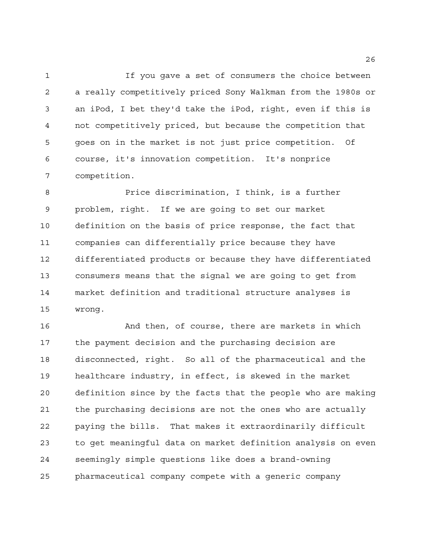If you gave a set of consumers the choice between a really competitively priced Sony Walkman from the 1980s or an iPod, I bet they'd take the iPod, right, even if this is not competitively priced, but because the competition that goes on in the market is not just price competition. Of course, it's innovation competition. It's nonprice competition.

 Price discrimination, I think, is a further problem, right. If we are going to set our market definition on the basis of price response, the fact that companies can differentially price because they have differentiated products or because they have differentiated consumers means that the signal we are going to get from market definition and traditional structure analyses is wrong.

 And then, of course, there are markets in which the payment decision and the purchasing decision are disconnected, right. So all of the pharmaceutical and the healthcare industry, in effect, is skewed in the market definition since by the facts that the people who are making the purchasing decisions are not the ones who are actually paying the bills. That makes it extraordinarily difficult to get meaningful data on market definition analysis on even seemingly simple questions like does a brand-owning pharmaceutical company compete with a generic company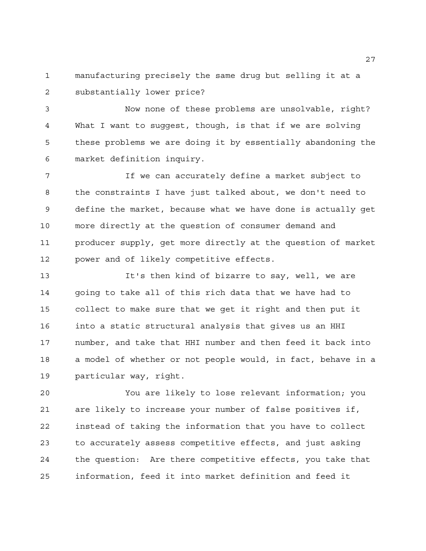manufacturing precisely the same drug but selling it at a substantially lower price?

 Now none of these problems are unsolvable, right? What I want to suggest, though, is that if we are solving these problems we are doing it by essentially abandoning the market definition inquiry.

 If we can accurately define a market subject to the constraints I have just talked about, we don't need to define the market, because what we have done is actually get more directly at the question of consumer demand and producer supply, get more directly at the question of market power and of likely competitive effects.

 It's then kind of bizarre to say, well, we are going to take all of this rich data that we have had to collect to make sure that we get it right and then put it into a static structural analysis that gives us an HHI number, and take that HHI number and then feed it back into a model of whether or not people would, in fact, behave in a particular way, right.

 You are likely to lose relevant information; you are likely to increase your number of false positives if, instead of taking the information that you have to collect to accurately assess competitive effects, and just asking the question: Are there competitive effects, you take that information, feed it into market definition and feed it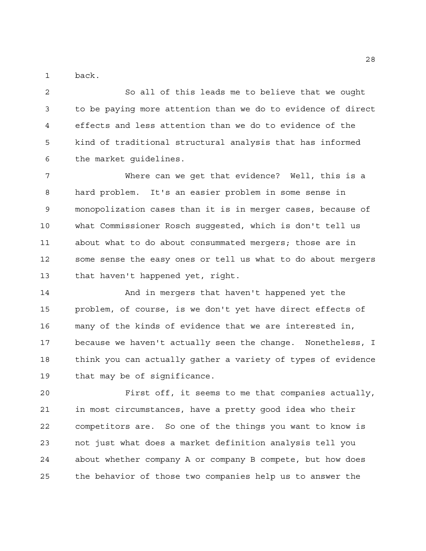back.

 So all of this leads me to believe that we ought to be paying more attention than we do to evidence of direct effects and less attention than we do to evidence of the kind of traditional structural analysis that has informed the market guidelines.

 Where can we get that evidence? Well, this is a hard problem. It's an easier problem in some sense in monopolization cases than it is in merger cases, because of what Commissioner Rosch suggested, which is don't tell us about what to do about consummated mergers; those are in some sense the easy ones or tell us what to do about mergers that haven't happened yet, right.

 And in mergers that haven't happened yet the problem, of course, is we don't yet have direct effects of many of the kinds of evidence that we are interested in, because we haven't actually seen the change. Nonetheless, I think you can actually gather a variety of types of evidence that may be of significance.

 First off, it seems to me that companies actually, in most circumstances, have a pretty good idea who their competitors are. So one of the things you want to know is not just what does a market definition analysis tell you about whether company A or company B compete, but how does the behavior of those two companies help us to answer the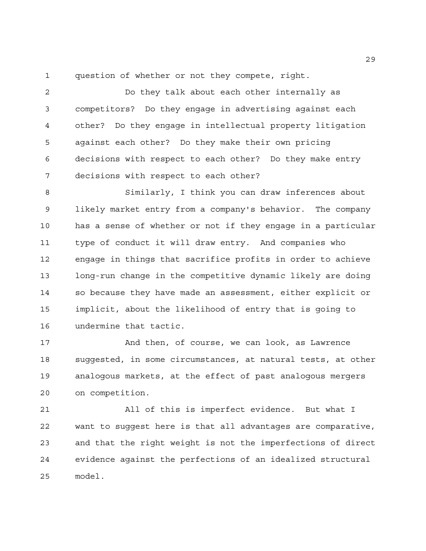question of whether or not they compete, right.

 Do they talk about each other internally as competitors? Do they engage in advertising against each other? Do they engage in intellectual property litigation against each other? Do they make their own pricing decisions with respect to each other? Do they make entry decisions with respect to each other?

 Similarly, I think you can draw inferences about likely market entry from a company's behavior. The company has a sense of whether or not if they engage in a particular type of conduct it will draw entry. And companies who engage in things that sacrifice profits in order to achieve long-run change in the competitive dynamic likely are doing so because they have made an assessment, either explicit or implicit, about the likelihood of entry that is going to undermine that tactic.

 And then, of course, we can look, as Lawrence suggested, in some circumstances, at natural tests, at other analogous markets, at the effect of past analogous mergers on competition.

 All of this is imperfect evidence. But what I want to suggest here is that all advantages are comparative, and that the right weight is not the imperfections of direct evidence against the perfections of an idealized structural model.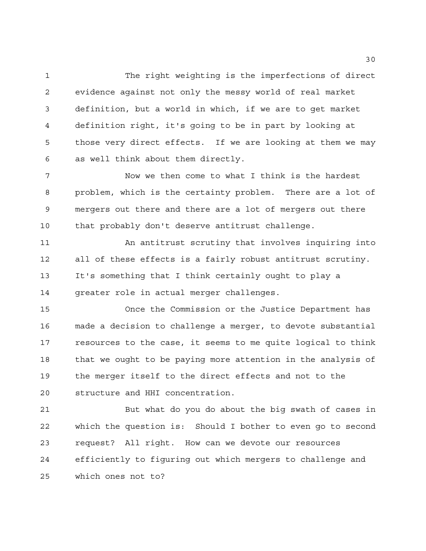The right weighting is the imperfections of direct evidence against not only the messy world of real market definition, but a world in which, if we are to get market definition right, it's going to be in part by looking at those very direct effects. If we are looking at them we may as well think about them directly.

 Now we then come to what I think is the hardest problem, which is the certainty problem. There are a lot of mergers out there and there are a lot of mergers out there that probably don't deserve antitrust challenge.

 An antitrust scrutiny that involves inquiring into all of these effects is a fairly robust antitrust scrutiny. It's something that I think certainly ought to play a greater role in actual merger challenges.

 Once the Commission or the Justice Department has made a decision to challenge a merger, to devote substantial resources to the case, it seems to me quite logical to think that we ought to be paying more attention in the analysis of the merger itself to the direct effects and not to the structure and HHI concentration.

 But what do you do about the big swath of cases in which the question is: Should I bother to even go to second request? All right. How can we devote our resources efficiently to figuring out which mergers to challenge and which ones not to?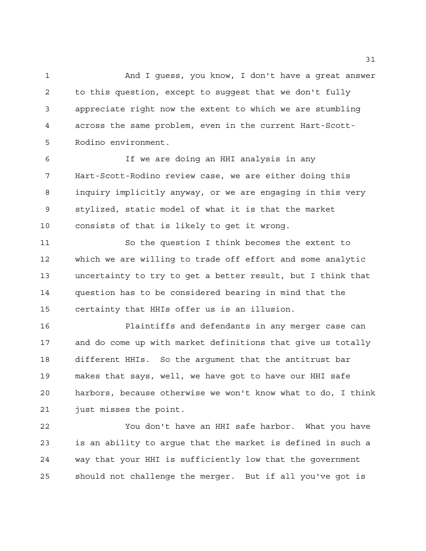And I guess, you know, I don't have a great answer to this question, except to suggest that we don't fully appreciate right now the extent to which we are stumbling across the same problem, even in the current Hart-Scott-Rodino environment.

 If we are doing an HHI analysis in any Hart-Scott-Rodino review case, we are either doing this inquiry implicitly anyway, or we are engaging in this very stylized, static model of what it is that the market consists of that is likely to get it wrong.

 So the question I think becomes the extent to which we are willing to trade off effort and some analytic uncertainty to try to get a better result, but I think that question has to be considered bearing in mind that the certainty that HHIs offer us is an illusion.

 Plaintiffs and defendants in any merger case can and do come up with market definitions that give us totally different HHIs. So the argument that the antitrust bar makes that says, well, we have got to have our HHI safe harbors, because otherwise we won't know what to do, I think just misses the point.

 You don't have an HHI safe harbor. What you have is an ability to argue that the market is defined in such a way that your HHI is sufficiently low that the government should not challenge the merger. But if all you've got is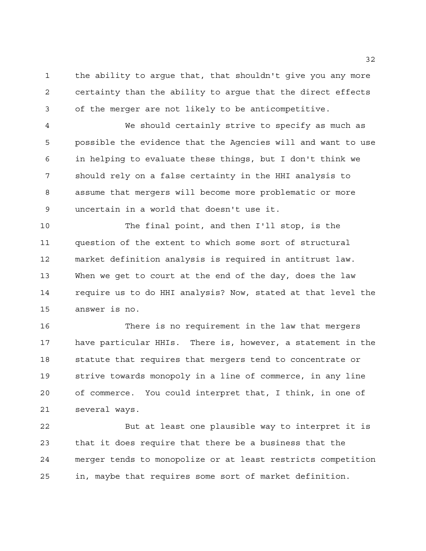the ability to argue that, that shouldn't give you any more certainty than the ability to argue that the direct effects of the merger are not likely to be anticompetitive.

 We should certainly strive to specify as much as possible the evidence that the Agencies will and want to use in helping to evaluate these things, but I don't think we should rely on a false certainty in the HHI analysis to assume that mergers will become more problematic or more uncertain in a world that doesn't use it.

 The final point, and then I'll stop, is the question of the extent to which some sort of structural market definition analysis is required in antitrust law. When we get to court at the end of the day, does the law require us to do HHI analysis? Now, stated at that level the answer is no.

 There is no requirement in the law that mergers have particular HHIs. There is, however, a statement in the statute that requires that mergers tend to concentrate or strive towards monopoly in a line of commerce, in any line of commerce. You could interpret that, I think, in one of several ways.

 But at least one plausible way to interpret it is that it does require that there be a business that the merger tends to monopolize or at least restricts competition in, maybe that requires some sort of market definition.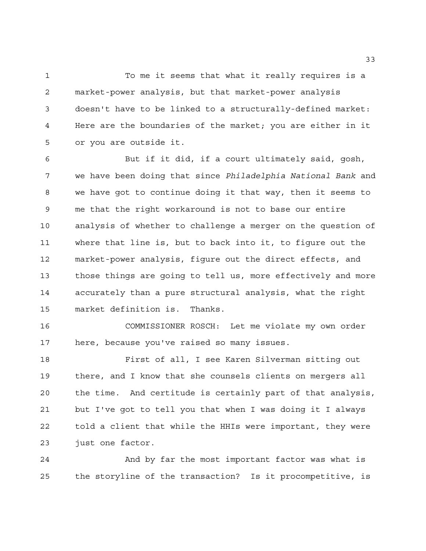To me it seems that what it really requires is a market-power analysis, but that market-power analysis doesn't have to be linked to a structurally-defined market: Here are the boundaries of the market; you are either in it or you are outside it.

 But if it did, if a court ultimately said, gosh, we have been doing that since *Philadelphia National Bank* and we have got to continue doing it that way, then it seems to me that the right workaround is not to base our entire analysis of whether to challenge a merger on the question of where that line is, but to back into it, to figure out the market-power analysis, figure out the direct effects, and those things are going to tell us, more effectively and more accurately than a pure structural analysis, what the right market definition is. Thanks.

 COMMISSIONER ROSCH: Let me violate my own order here, because you've raised so many issues.

 First of all, I see Karen Silverman sitting out there, and I know that she counsels clients on mergers all the time. And certitude is certainly part of that analysis, but I've got to tell you that when I was doing it I always told a client that while the HHIs were important, they were just one factor.

 And by far the most important factor was what is the storyline of the transaction? Is it procompetitive, is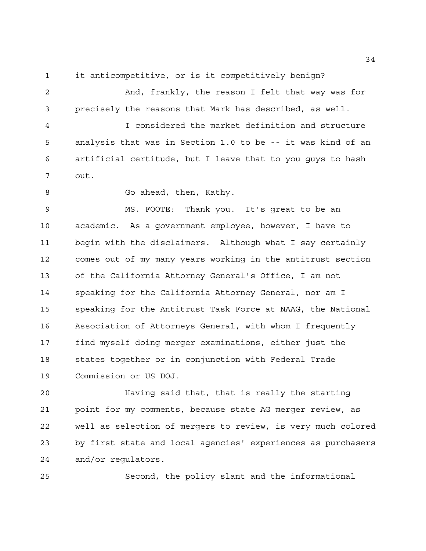it anticompetitive, or is it competitively benign?

 And, frankly, the reason I felt that way was for precisely the reasons that Mark has described, as well.

 I considered the market definition and structure analysis that was in Section 1.0 to be -- it was kind of an artificial certitude, but I leave that to you guys to hash out.

8 Go ahead, then, Kathy.

 MS. FOOTE: Thank you. It's great to be an academic. As a government employee, however, I have to begin with the disclaimers. Although what I say certainly comes out of my many years working in the antitrust section of the California Attorney General's Office, I am not speaking for the California Attorney General, nor am I speaking for the Antitrust Task Force at NAAG, the National Association of Attorneys General, with whom I frequently find myself doing merger examinations, either just the states together or in conjunction with Federal Trade Commission or US DOJ.

 Having said that, that is really the starting point for my comments, because state AG merger review, as well as selection of mergers to review, is very much colored by first state and local agencies' experiences as purchasers and/or regulators.

Second, the policy slant and the informational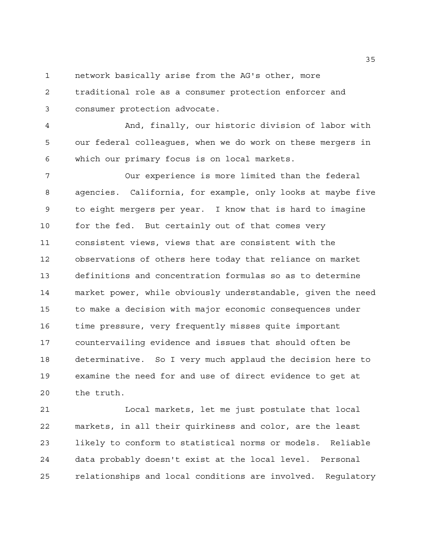network basically arise from the AG's other, more

 traditional role as a consumer protection enforcer and consumer protection advocate.

 And, finally, our historic division of labor with our federal colleagues, when we do work on these mergers in which our primary focus is on local markets.

 Our experience is more limited than the federal agencies. California, for example, only looks at maybe five to eight mergers per year. I know that is hard to imagine for the fed. But certainly out of that comes very consistent views, views that are consistent with the observations of others here today that reliance on market definitions and concentration formulas so as to determine market power, while obviously understandable, given the need to make a decision with major economic consequences under time pressure, very frequently misses quite important countervailing evidence and issues that should often be determinative. So I very much applaud the decision here to examine the need for and use of direct evidence to get at the truth.

 Local markets, let me just postulate that local markets, in all their quirkiness and color, are the least likely to conform to statistical norms or models. Reliable data probably doesn't exist at the local level. Personal relationships and local conditions are involved. Regulatory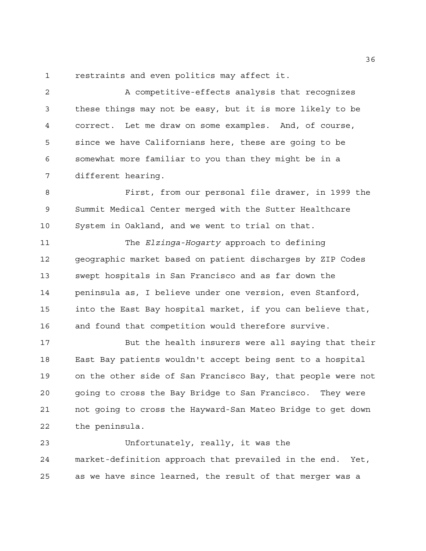restraints and even politics may affect it.

 A competitive-effects analysis that recognizes these things may not be easy, but it is more likely to be correct. Let me draw on some examples. And, of course, since we have Californians here, these are going to be somewhat more familiar to you than they might be in a different hearing.

 First, from our personal file drawer, in 1999 the Summit Medical Center merged with the Sutter Healthcare System in Oakland, and we went to trial on that.

 The *Elzinga-Hogarty* approach to defining geographic market based on patient discharges by ZIP Codes swept hospitals in San Francisco and as far down the peninsula as, I believe under one version, even Stanford, into the East Bay hospital market, if you can believe that, and found that competition would therefore survive.

 But the health insurers were all saying that their East Bay patients wouldn't accept being sent to a hospital on the other side of San Francisco Bay, that people were not going to cross the Bay Bridge to San Francisco. They were not going to cross the Hayward-San Mateo Bridge to get down the peninsula.

 Unfortunately, really, it was the market-definition approach that prevailed in the end. Yet, as we have since learned, the result of that merger was a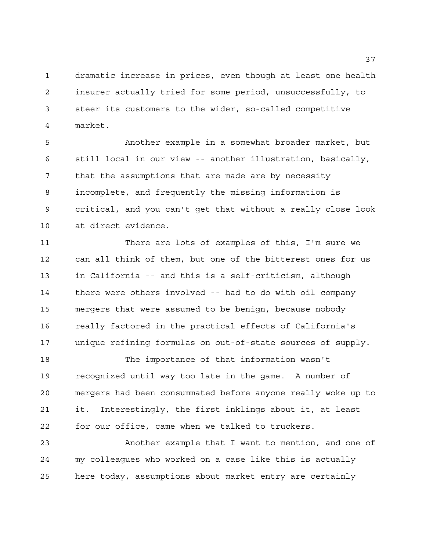dramatic increase in prices, even though at least one health insurer actually tried for some period, unsuccessfully, to steer its customers to the wider, so-called competitive market.

 Another example in a somewhat broader market, but still local in our view -- another illustration, basically, that the assumptions that are made are by necessity incomplete, and frequently the missing information is critical, and you can't get that without a really close look at direct evidence.

 There are lots of examples of this, I'm sure we can all think of them, but one of the bitterest ones for us in California -- and this is a self-criticism, although there were others involved -- had to do with oil company mergers that were assumed to be benign, because nobody really factored in the practical effects of California's unique refining formulas on out-of-state sources of supply.

 The importance of that information wasn't recognized until way too late in the game. A number of mergers had been consummated before anyone really woke up to it. Interestingly, the first inklings about it, at least for our office, came when we talked to truckers.

 Another example that I want to mention, and one of my colleagues who worked on a case like this is actually here today, assumptions about market entry are certainly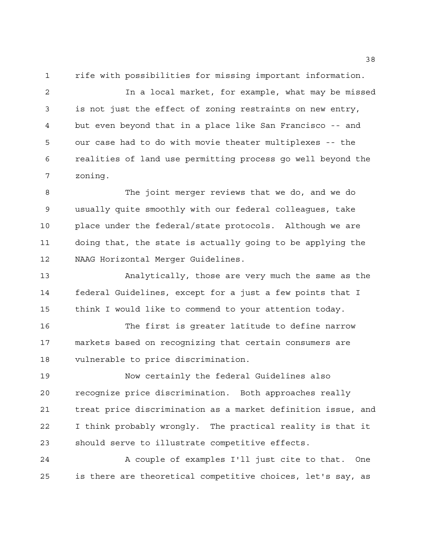rife with possibilities for missing important information.

 In a local market, for example, what may be missed is not just the effect of zoning restraints on new entry, but even beyond that in a place like San Francisco -- and our case had to do with movie theater multiplexes -- the realities of land use permitting process go well beyond the zoning.

 The joint merger reviews that we do, and we do usually quite smoothly with our federal colleagues, take place under the federal/state protocols. Although we are doing that, the state is actually going to be applying the NAAG Horizontal Merger Guidelines.

 Analytically, those are very much the same as the federal Guidelines, except for a just a few points that I think I would like to commend to your attention today.

 The first is greater latitude to define narrow markets based on recognizing that certain consumers are vulnerable to price discrimination.

 Now certainly the federal Guidelines also recognize price discrimination. Both approaches really treat price discrimination as a market definition issue, and I think probably wrongly. The practical reality is that it should serve to illustrate competitive effects.

 A couple of examples I'll just cite to that. One is there are theoretical competitive choices, let's say, as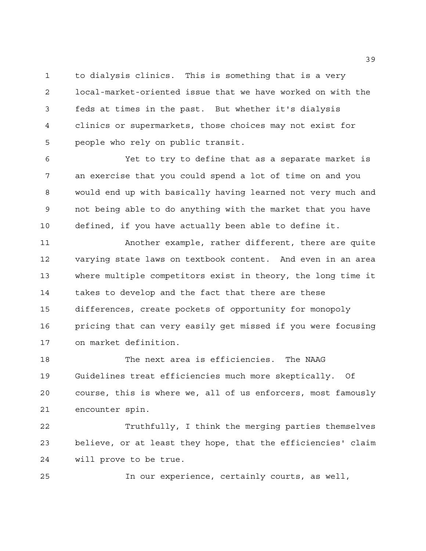to dialysis clinics. This is something that is a very local-market-oriented issue that we have worked on with the feds at times in the past. But whether it's dialysis clinics or supermarkets, those choices may not exist for people who rely on public transit.

 Yet to try to define that as a separate market is an exercise that you could spend a lot of time on and you would end up with basically having learned not very much and not being able to do anything with the market that you have defined, if you have actually been able to define it.

 Another example, rather different, there are quite varying state laws on textbook content. And even in an area where multiple competitors exist in theory, the long time it takes to develop and the fact that there are these differences, create pockets of opportunity for monopoly pricing that can very easily get missed if you were focusing on market definition.

 The next area is efficiencies. The NAAG Guidelines treat efficiencies much more skeptically. Of course, this is where we, all of us enforcers, most famously encounter spin.

 Truthfully, I think the merging parties themselves believe, or at least they hope, that the efficiencies' claim will prove to be true.

In our experience, certainly courts, as well,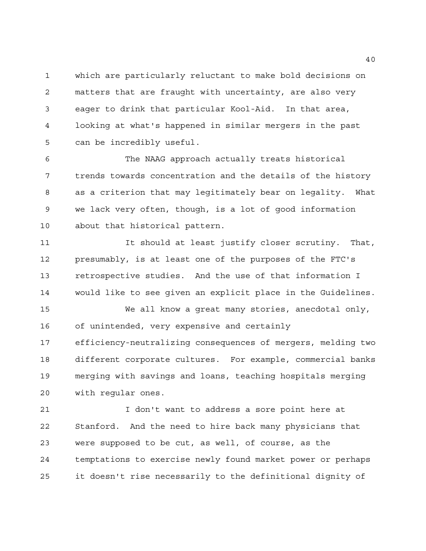which are particularly reluctant to make bold decisions on matters that are fraught with uncertainty, are also very eager to drink that particular Kool-Aid. In that area, looking at what's happened in similar mergers in the past can be incredibly useful.

 The NAAG approach actually treats historical trends towards concentration and the details of the history as a criterion that may legitimately bear on legality. What we lack very often, though, is a lot of good information about that historical pattern.

 It should at least justify closer scrutiny. That, presumably, is at least one of the purposes of the FTC's retrospective studies. And the use of that information I would like to see given an explicit place in the Guidelines.

 We all know a great many stories, anecdotal only, of unintended, very expensive and certainly efficiency-neutralizing consequences of mergers, melding two different corporate cultures. For example, commercial banks merging with savings and loans, teaching hospitals merging with regular ones.

21 1 I don't want to address a sore point here at Stanford. And the need to hire back many physicians that were supposed to be cut, as well, of course, as the temptations to exercise newly found market power or perhaps it doesn't rise necessarily to the definitional dignity of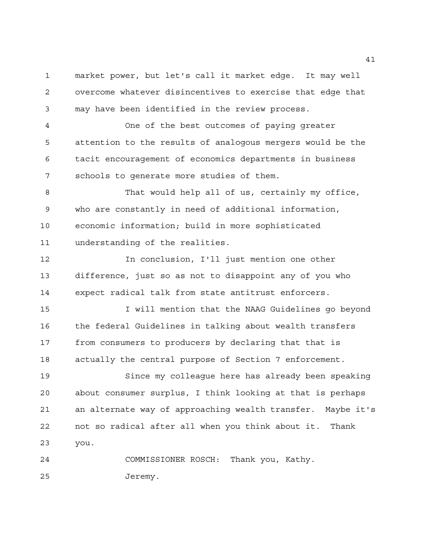market power, but let's call it market edge. It may well overcome whatever disincentives to exercise that edge that may have been identified in the review process.

 One of the best outcomes of paying greater attention to the results of analogous mergers would be the tacit encouragement of economics departments in business schools to generate more studies of them.

 That would help all of us, certainly my office, who are constantly in need of additional information, economic information; build in more sophisticated understanding of the realities.

 In conclusion, I'll just mention one other difference, just so as not to disappoint any of you who expect radical talk from state antitrust enforcers.

**I I will mention that the NAAG Guidelines go beyond**  the federal Guidelines in talking about wealth transfers from consumers to producers by declaring that that is actually the central purpose of Section 7 enforcement.

 Since my colleague here has already been speaking about consumer surplus, I think looking at that is perhaps an alternate way of approaching wealth transfer. Maybe it's not so radical after all when you think about it. Thank you.

 COMMISSIONER ROSCH: Thank you, Kathy. Jeremy.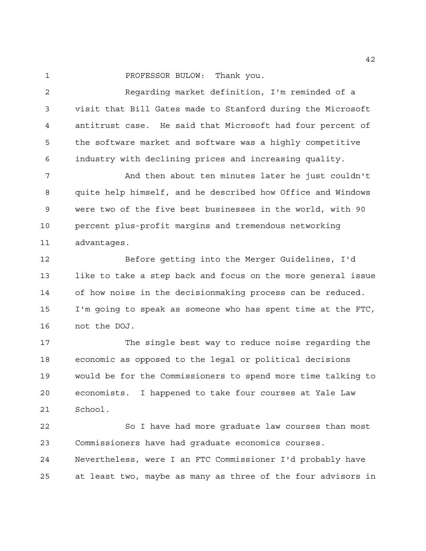1 PROFESSOR BULOW: Thank you.

 Regarding market definition, I'm reminded of a visit that Bill Gates made to Stanford during the Microsoft antitrust case. He said that Microsoft had four percent of the software market and software was a highly competitive industry with declining prices and increasing quality.

7 And then about ten minutes later he just couldn't quite help himself, and he described how Office and Windows were two of the five best businesses in the world, with 90 percent plus-profit margins and tremendous networking advantages.

 Before getting into the Merger Guidelines, I'd like to take a step back and focus on the more general issue of how noise in the decisionmaking process can be reduced. I'm going to speak as someone who has spent time at the FTC, not the DOJ.

 The single best way to reduce noise regarding the economic as opposed to the legal or political decisions would be for the Commissioners to spend more time talking to economists. I happened to take four courses at Yale Law School.

 So I have had more graduate law courses than most Commissioners have had graduate economics courses. Nevertheless, were I an FTC Commissioner I'd probably have at least two, maybe as many as three of the four advisors in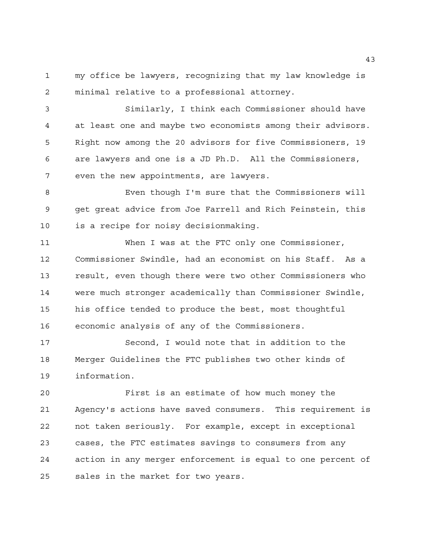my office be lawyers, recognizing that my law knowledge is minimal relative to a professional attorney.

 Similarly, I think each Commissioner should have at least one and maybe two economists among their advisors. Right now among the 20 advisors for five Commissioners, 19 are lawyers and one is a JD Ph.D. All the Commissioners, even the new appointments, are lawyers.

 Even though I'm sure that the Commissioners will get great advice from Joe Farrell and Rich Feinstein, this is a recipe for noisy decisionmaking.

 When I was at the FTC only one Commissioner, Commissioner Swindle, had an economist on his Staff. As a result, even though there were two other Commissioners who were much stronger academically than Commissioner Swindle, his office tended to produce the best, most thoughtful economic analysis of any of the Commissioners.

 Second, I would note that in addition to the Merger Guidelines the FTC publishes two other kinds of information.

 First is an estimate of how much money the Agency's actions have saved consumers. This requirement is not taken seriously. For example, except in exceptional cases, the FTC estimates savings to consumers from any action in any merger enforcement is equal to one percent of sales in the market for two years.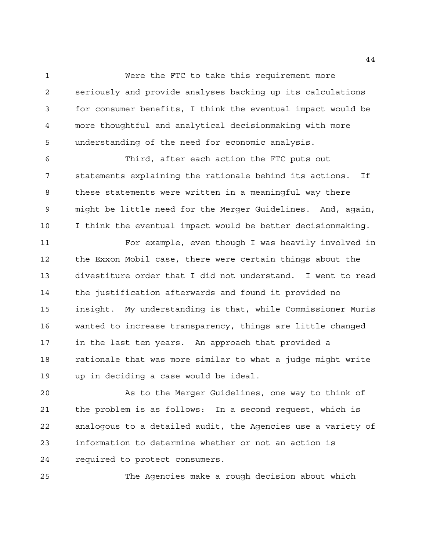Were the FTC to take this requirement more seriously and provide analyses backing up its calculations for consumer benefits, I think the eventual impact would be more thoughtful and analytical decisionmaking with more understanding of the need for economic analysis.

 Third, after each action the FTC puts out statements explaining the rationale behind its actions. If these statements were written in a meaningful way there might be little need for the Merger Guidelines. And, again, I think the eventual impact would be better decisionmaking.

 For example, even though I was heavily involved in the Exxon Mobil case, there were certain things about the divestiture order that I did not understand. I went to read the justification afterwards and found it provided no insight. My understanding is that, while Commissioner Muris wanted to increase transparency, things are little changed in the last ten years. An approach that provided a rationale that was more similar to what a judge might write up in deciding a case would be ideal.

 As to the Merger Guidelines, one way to think of the problem is as follows: In a second request, which is analogous to a detailed audit, the Agencies use a variety of information to determine whether or not an action is required to protect consumers.

The Agencies make a rough decision about which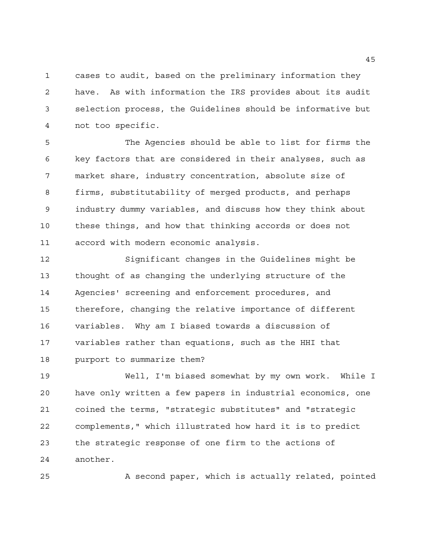cases to audit, based on the preliminary information they have. As with information the IRS provides about its audit selection process, the Guidelines should be informative but not too specific.

 The Agencies should be able to list for firms the key factors that are considered in their analyses, such as market share, industry concentration, absolute size of firms, substitutability of merged products, and perhaps industry dummy variables, and discuss how they think about these things, and how that thinking accords or does not accord with modern economic analysis.

 Significant changes in the Guidelines might be thought of as changing the underlying structure of the Agencies' screening and enforcement procedures, and therefore, changing the relative importance of different variables. Why am I biased towards a discussion of variables rather than equations, such as the HHI that purport to summarize them?

 Well, I'm biased somewhat by my own work. While I have only written a few papers in industrial economics, one coined the terms, "strategic substitutes" and "strategic complements," which illustrated how hard it is to predict the strategic response of one firm to the actions of another.

A second paper, which is actually related, pointed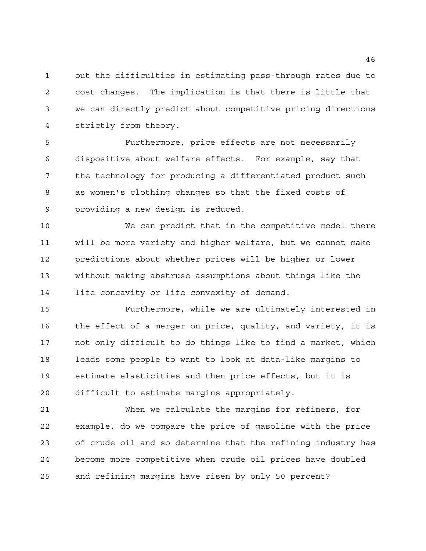out the difficulties in estimating pass-through rates due to cost changes. The implication is that there is little that we can directly predict about competitive pricing directions strictly from theory.

 Furthermore, price effects are not necessarily dispositive about welfare effects. For example, say that the technology for producing a differentiated product such as women's clothing changes so that the fixed costs of providing a new design is reduced.

 We can predict that in the competitive model there will be more variety and higher welfare, but we cannot make predictions about whether prices will be higher or lower without making abstruse assumptions about things like the life concavity or life convexity of demand.

 Furthermore, while we are ultimately interested in the effect of a merger on price, quality, and variety, it is not only difficult to do things like to find a market, which leads some people to want to look at data-like margins to estimate elasticities and then price effects, but it is difficult to estimate margins appropriately.

 When we calculate the margins for refiners, for example, do we compare the price of gasoline with the price of crude oil and so determine that the refining industry has become more competitive when crude oil prices have doubled and refining margins have risen by only 50 percent?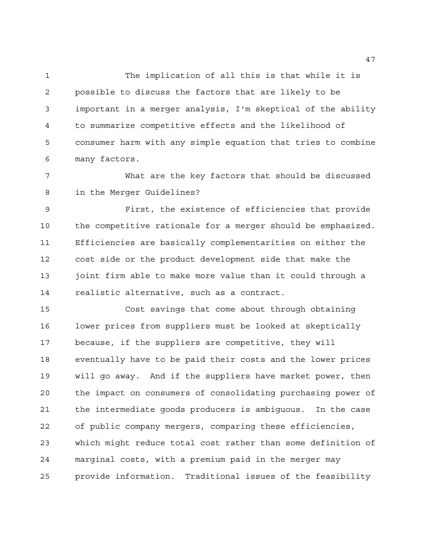The implication of all this is that while it is possible to discuss the factors that are likely to be important in a merger analysis, I'm skeptical of the ability to summarize competitive effects and the likelihood of consumer harm with any simple equation that tries to combine many factors.

 What are the key factors that should be discussed in the Merger Guidelines?

 First, the existence of efficiencies that provide the competitive rationale for a merger should be emphasized. Efficiencies are basically complementarities on either the cost side or the product development side that make the 13 joint firm able to make more value than it could through a realistic alternative, such as a contract.

 Cost savings that come about through obtaining lower prices from suppliers must be looked at skeptically because, if the suppliers are competitive, they will eventually have to be paid their costs and the lower prices will go away. And if the suppliers have market power, then the impact on consumers of consolidating purchasing power of the intermediate goods producers is ambiguous. In the case of public company mergers, comparing these efficiencies, which might reduce total cost rather than some definition of marginal costs, with a premium paid in the merger may provide information. Traditional issues of the feasibility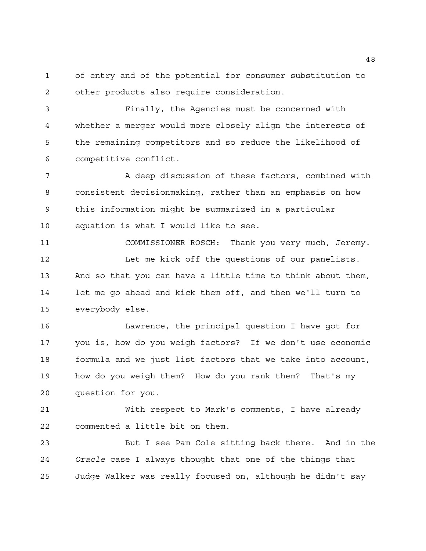of entry and of the potential for consumer substitution to other products also require consideration.

 Finally, the Agencies must be concerned with whether a merger would more closely align the interests of the remaining competitors and so reduce the likelihood of competitive conflict.

7 A deep discussion of these factors, combined with consistent decisionmaking, rather than an emphasis on how this information might be summarized in a particular equation is what I would like to see.

 COMMISSIONER ROSCH: Thank you very much, Jeremy. Let me kick off the questions of our panelists. And so that you can have a little time to think about them, let me go ahead and kick them off, and then we'll turn to everybody else.

 Lawrence, the principal question I have got for you is, how do you weigh factors? If we don't use economic formula and we just list factors that we take into account, how do you weigh them? How do you rank them? That's my question for you.

 With respect to Mark's comments, I have already commented a little bit on them.

 But I see Pam Cole sitting back there. And in the *Oracle* case I always thought that one of the things that Judge Walker was really focused on, although he didn't say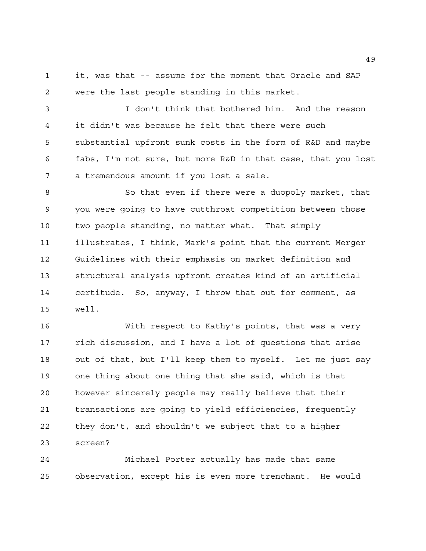it, was that -- assume for the moment that Oracle and SAP were the last people standing in this market.

 I don't think that bothered him. And the reason it didn't was because he felt that there were such substantial upfront sunk costs in the form of R&D and maybe fabs, I'm not sure, but more R&D in that case, that you lost a tremendous amount if you lost a sale.

 So that even if there were a duopoly market, that you were going to have cutthroat competition between those two people standing, no matter what. That simply illustrates, I think, Mark's point that the current Merger Guidelines with their emphasis on market definition and structural analysis upfront creates kind of an artificial certitude. So, anyway, I throw that out for comment, as well.

 With respect to Kathy's points, that was a very rich discussion, and I have a lot of questions that arise out of that, but I'll keep them to myself. Let me just say one thing about one thing that she said, which is that however sincerely people may really believe that their transactions are going to yield efficiencies, frequently they don't, and shouldn't we subject that to a higher screen?

 Michael Porter actually has made that same observation, except his is even more trenchant. He would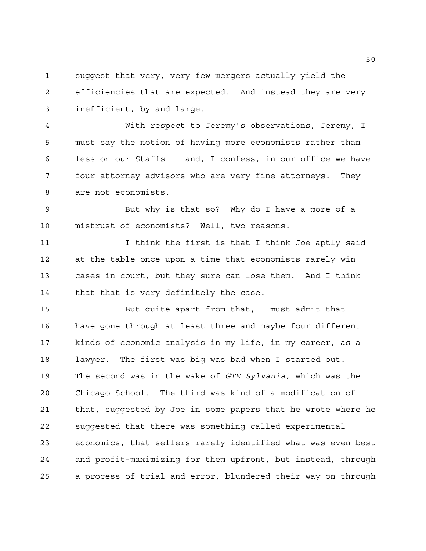suggest that very, very few mergers actually yield the efficiencies that are expected. And instead they are very inefficient, by and large.

 With respect to Jeremy's observations, Jeremy, I must say the notion of having more economists rather than less on our Staffs -- and, I confess, in our office we have four attorney advisors who are very fine attorneys. They are not economists.

 But why is that so? Why do I have a more of a mistrust of economists? Well, two reasons.

11 11 I think the first is that I think Joe aptly said at the table once upon a time that economists rarely win cases in court, but they sure can lose them. And I think that that is very definitely the case.

 But quite apart from that, I must admit that I have gone through at least three and maybe four different kinds of economic analysis in my life, in my career, as a lawyer. The first was big was bad when I started out. The second was in the wake of *GTE Sylvania*, which was the Chicago School. The third was kind of a modification of that, suggested by Joe in some papers that he wrote where he suggested that there was something called experimental economics, that sellers rarely identified what was even best and profit-maximizing for them upfront, but instead, through a process of trial and error, blundered their way on through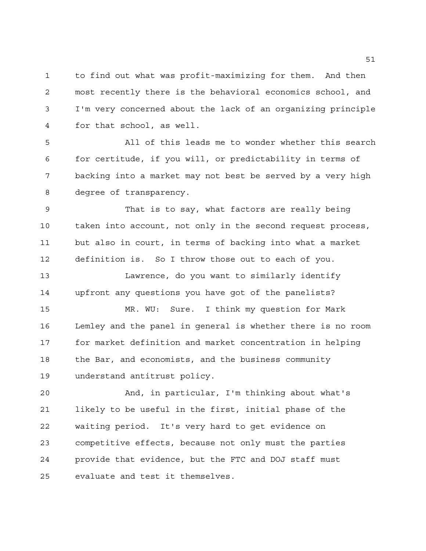to find out what was profit-maximizing for them. And then most recently there is the behavioral economics school, and I'm very concerned about the lack of an organizing principle for that school, as well.

 All of this leads me to wonder whether this search for certitude, if you will, or predictability in terms of backing into a market may not best be served by a very high degree of transparency.

 That is to say, what factors are really being taken into account, not only in the second request process, but also in court, in terms of backing into what a market definition is. So I throw those out to each of you.

 Lawrence, do you want to similarly identify upfront any questions you have got of the panelists?

 MR. WU: Sure. I think my question for Mark Lemley and the panel in general is whether there is no room for market definition and market concentration in helping the Bar, and economists, and the business community understand antitrust policy.

 And, in particular, I'm thinking about what's likely to be useful in the first, initial phase of the waiting period. It's very hard to get evidence on competitive effects, because not only must the parties provide that evidence, but the FTC and DOJ staff must evaluate and test it themselves.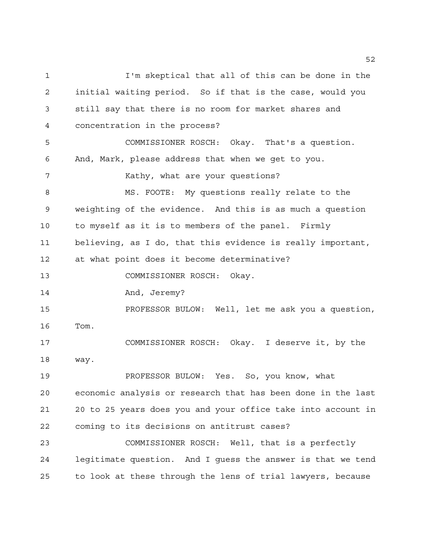I'm skeptical that all of this can be done in the initial waiting period. So if that is the case, would you still say that there is no room for market shares and concentration in the process? COMMISSIONER ROSCH: Okay. That's a question. And, Mark, please address that when we get to you. 7 Kathy, what are your questions? MS. FOOTE: My questions really relate to the weighting of the evidence. And this is as much a question to myself as it is to members of the panel. Firmly believing, as I do, that this evidence is really important, at what point does it become determinative? COMMISSIONER ROSCH: Okay. And, Jeremy? PROFESSOR BULOW: Well, let me ask you a question, Tom. COMMISSIONER ROSCH: Okay. I deserve it, by the way. PROFESSOR BULOW: Yes. So, you know, what economic analysis or research that has been done in the last 20 to 25 years does you and your office take into account in coming to its decisions on antitrust cases? COMMISSIONER ROSCH: Well, that is a perfectly legitimate question. And I guess the answer is that we tend to look at these through the lens of trial lawyers, because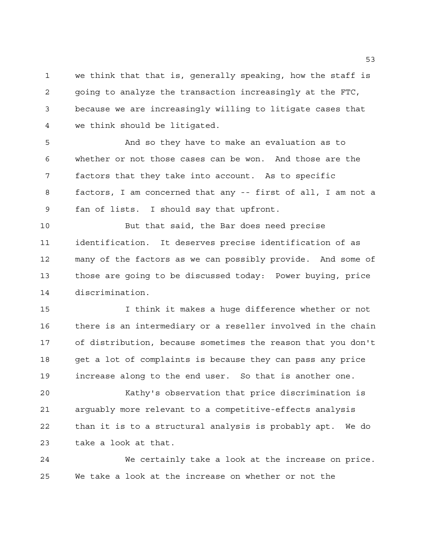we think that that is, generally speaking, how the staff is going to analyze the transaction increasingly at the FTC, because we are increasingly willing to litigate cases that we think should be litigated.

 And so they have to make an evaluation as to whether or not those cases can be won. And those are the factors that they take into account. As to specific factors, I am concerned that any -- first of all, I am not a fan of lists. I should say that upfront.

 But that said, the Bar does need precise identification. It deserves precise identification of as many of the factors as we can possibly provide. And some of those are going to be discussed today: Power buying, price discrimination.

 I think it makes a huge difference whether or not there is an intermediary or a reseller involved in the chain of distribution, because sometimes the reason that you don't get a lot of complaints is because they can pass any price increase along to the end user. So that is another one.

 Kathy's observation that price discrimination is arguably more relevant to a competitive-effects analysis than it is to a structural analysis is probably apt. We do take a look at that.

 We certainly take a look at the increase on price. We take a look at the increase on whether or not the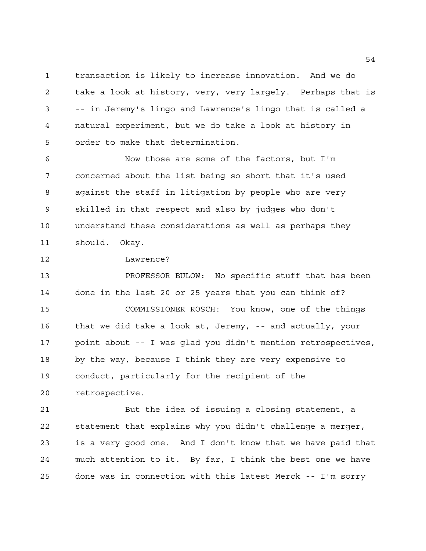transaction is likely to increase innovation. And we do take a look at history, very, very largely. Perhaps that is -- in Jeremy's lingo and Lawrence's lingo that is called a natural experiment, but we do take a look at history in order to make that determination.

 Now those are some of the factors, but I'm concerned about the list being so short that it's used against the staff in litigation by people who are very skilled in that respect and also by judges who don't understand these considerations as well as perhaps they should. Okay.

Lawrence?

 PROFESSOR BULOW: No specific stuff that has been done in the last 20 or 25 years that you can think of? COMMISSIONER ROSCH: You know, one of the things that we did take a look at, Jeremy, -- and actually, your point about -- I was glad you didn't mention retrospectives, by the way, because I think they are very expensive to conduct, particularly for the recipient of the retrospective.

 But the idea of issuing a closing statement, a statement that explains why you didn't challenge a merger, is a very good one. And I don't know that we have paid that much attention to it. By far, I think the best one we have done was in connection with this latest Merck -- I'm sorry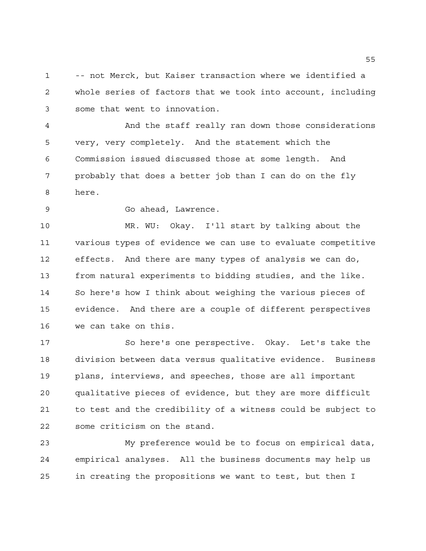-- not Merck, but Kaiser transaction where we identified a whole series of factors that we took into account, including some that went to innovation.

 And the staff really ran down those considerations very, very completely. And the statement which the Commission issued discussed those at some length. And probably that does a better job than I can do on the fly here.

Go ahead, Lawrence.

 MR. WU: Okay. I'll start by talking about the various types of evidence we can use to evaluate competitive effects. And there are many types of analysis we can do, from natural experiments to bidding studies, and the like. So here's how I think about weighing the various pieces of evidence. And there are a couple of different perspectives we can take on this.

 So here's one perspective. Okay. Let's take the division between data versus qualitative evidence. Business plans, interviews, and speeches, those are all important qualitative pieces of evidence, but they are more difficult to test and the credibility of a witness could be subject to some criticism on the stand.

 My preference would be to focus on empirical data, empirical analyses. All the business documents may help us in creating the propositions we want to test, but then I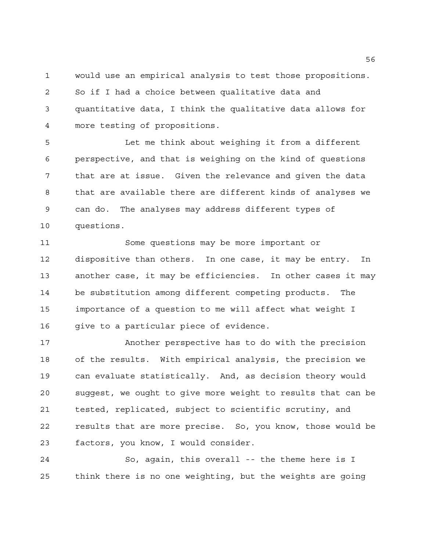would use an empirical analysis to test those propositions. So if I had a choice between qualitative data and quantitative data, I think the qualitative data allows for more testing of propositions.

 Let me think about weighing it from a different perspective, and that is weighing on the kind of questions that are at issue. Given the relevance and given the data that are available there are different kinds of analyses we can do. The analyses may address different types of questions.

 Some questions may be more important or dispositive than others. In one case, it may be entry. In another case, it may be efficiencies. In other cases it may be substitution among different competing products. The importance of a question to me will affect what weight I 16 give to a particular piece of evidence.

 Another perspective has to do with the precision of the results. With empirical analysis, the precision we can evaluate statistically. And, as decision theory would suggest, we ought to give more weight to results that can be tested, replicated, subject to scientific scrutiny, and results that are more precise. So, you know, those would be factors, you know, I would consider.

 So, again, this overall -- the theme here is I think there is no one weighting, but the weights are going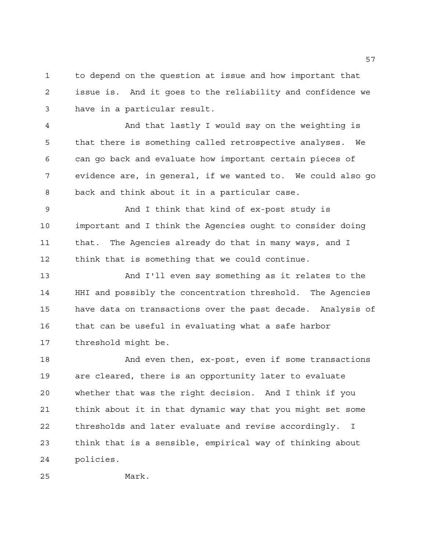to depend on the question at issue and how important that issue is. And it goes to the reliability and confidence we have in a particular result.

 And that lastly I would say on the weighting is that there is something called retrospective analyses. We can go back and evaluate how important certain pieces of evidence are, in general, if we wanted to. We could also go back and think about it in a particular case.

 And I think that kind of ex-post study is important and I think the Agencies ought to consider doing that. The Agencies already do that in many ways, and I think that is something that we could continue.

 And I'll even say something as it relates to the HHI and possibly the concentration threshold. The Agencies have data on transactions over the past decade. Analysis of that can be useful in evaluating what a safe harbor threshold might be.

18 And even then, ex-post, even if some transactions are cleared, there is an opportunity later to evaluate whether that was the right decision. And I think if you think about it in that dynamic way that you might set some thresholds and later evaluate and revise accordingly. I think that is a sensible, empirical way of thinking about policies.

Mark.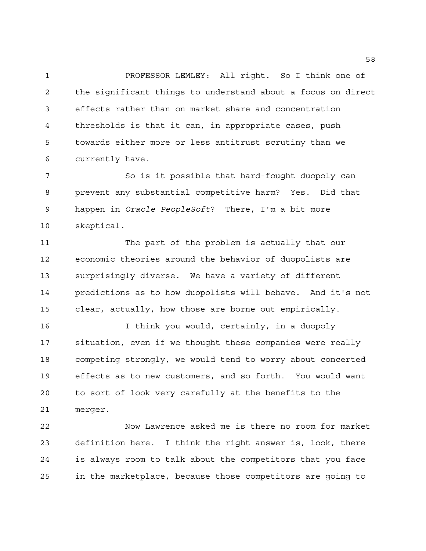PROFESSOR LEMLEY: All right. So I think one of the significant things to understand about a focus on direct effects rather than on market share and concentration thresholds is that it can, in appropriate cases, push towards either more or less antitrust scrutiny than we currently have.

 So is it possible that hard-fought duopoly can prevent any substantial competitive harm? Yes. Did that happen in *Oracle PeopleSoft*? There, I'm a bit more skeptical.

 The part of the problem is actually that our economic theories around the behavior of duopolists are surprisingly diverse. We have a variety of different predictions as to how duopolists will behave. And it's not clear, actually, how those are borne out empirically.

 I think you would, certainly, in a duopoly situation, even if we thought these companies were really competing strongly, we would tend to worry about concerted effects as to new customers, and so forth. You would want to sort of look very carefully at the benefits to the merger.

 Now Lawrence asked me is there no room for market definition here. I think the right answer is, look, there is always room to talk about the competitors that you face in the marketplace, because those competitors are going to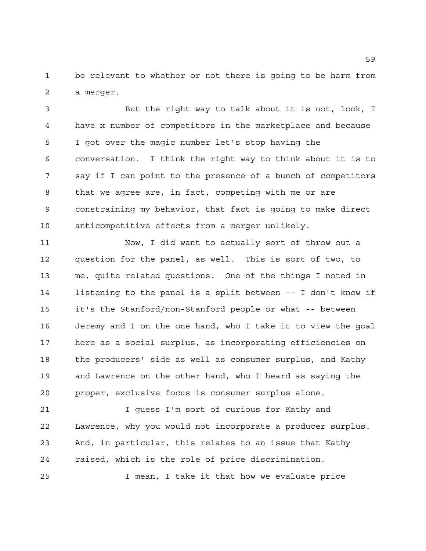be relevant to whether or not there is going to be harm from a merger.

 But the right way to talk about it is not, look, I have x number of competitors in the marketplace and because I got over the magic number let's stop having the conversation. I think the right way to think about it is to say if I can point to the presence of a bunch of competitors that we agree are, in fact, competing with me or are constraining my behavior, that fact is going to make direct anticompetitive effects from a merger unlikely.

 Now, I did want to actually sort of throw out a question for the panel, as well. This is sort of two, to me, quite related questions. One of the things I noted in listening to the panel is a split between -- I don't know if it's the Stanford/non-Stanford people or what -- between Jeremy and I on the one hand, who I take it to view the goal here as a social surplus, as incorporating efficiencies on the producers' side as well as consumer surplus, and Kathy and Lawrence on the other hand, who I heard as saying the proper, exclusive focus is consumer surplus alone.

21 I guess I'm sort of curious for Kathy and Lawrence, why you would not incorporate a producer surplus. And, in particular, this relates to an issue that Kathy raised, which is the role of price discrimination.

I mean, I take it that how we evaluate price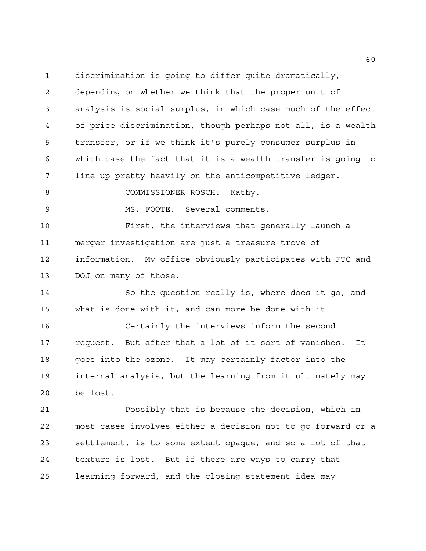discrimination is going to differ quite dramatically, depending on whether we think that the proper unit of analysis is social surplus, in which case much of the effect of price discrimination, though perhaps not all, is a wealth transfer, or if we think it's purely consumer surplus in which case the fact that it is a wealth transfer is going to line up pretty heavily on the anticompetitive ledger.

8 COMMISSIONER ROSCH: Kathy.

MS. FOOTE: Several comments.

 First, the interviews that generally launch a merger investigation are just a treasure trove of information. My office obviously participates with FTC and DOJ on many of those.

 So the question really is, where does it go, and what is done with it, and can more be done with it.

 Certainly the interviews inform the second request. But after that a lot of it sort of vanishes. It goes into the ozone. It may certainly factor into the internal analysis, but the learning from it ultimately may be lost.

 Possibly that is because the decision, which in most cases involves either a decision not to go forward or a settlement, is to some extent opaque, and so a lot of that texture is lost. But if there are ways to carry that learning forward, and the closing statement idea may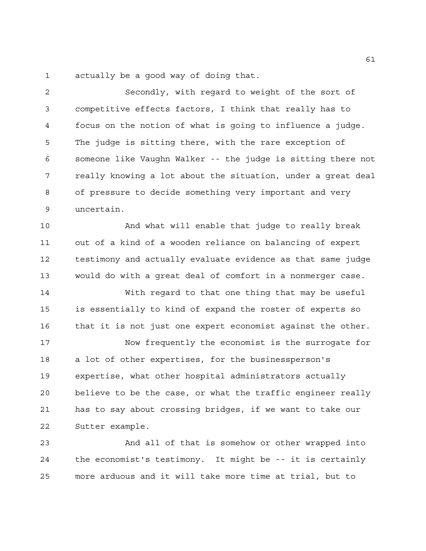actually be a good way of doing that.

 Secondly, with regard to weight of the sort of competitive effects factors, I think that really has to focus on the notion of what is going to influence a judge. The judge is sitting there, with the rare exception of someone like Vaughn Walker -- the judge is sitting there not really knowing a lot about the situation, under a great deal of pressure to decide something very important and very uncertain.

 And what will enable that judge to really break out of a kind of a wooden reliance on balancing of expert testimony and actually evaluate evidence as that same judge would do with a great deal of comfort in a nonmerger case.

 With regard to that one thing that may be useful is essentially to kind of expand the roster of experts so that it is not just one expert economist against the other.

 Now frequently the economist is the surrogate for a lot of other expertises, for the businessperson's expertise, what other hospital administrators actually believe to be the case, or what the traffic engineer really has to say about crossing bridges, if we want to take our Sutter example.

 And all of that is somehow or other wrapped into the economist's testimony. It might be -- it is certainly more arduous and it will take more time at trial, but to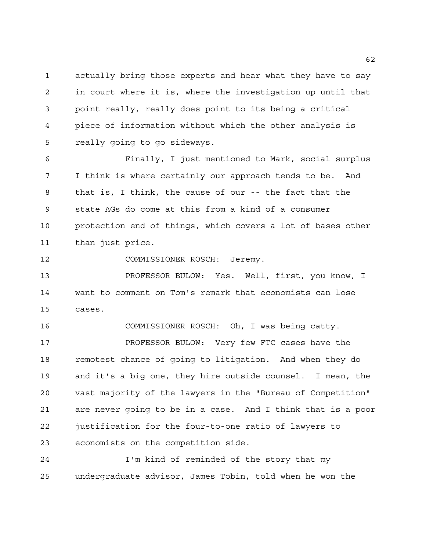actually bring those experts and hear what they have to say in court where it is, where the investigation up until that point really, really does point to its being a critical piece of information without which the other analysis is really going to go sideways.

 Finally, I just mentioned to Mark, social surplus I think is where certainly our approach tends to be. And that is, I think, the cause of our -- the fact that the state AGs do come at this from a kind of a consumer protection end of things, which covers a lot of bases other than just price.

COMMISSIONER ROSCH: Jeremy.

 PROFESSOR BULOW: Yes. Well, first, you know, I want to comment on Tom's remark that economists can lose cases.

 COMMISSIONER ROSCH: Oh, I was being catty. PROFESSOR BULOW: Very few FTC cases have the remotest chance of going to litigation. And when they do and it's a big one, they hire outside counsel. I mean, the vast majority of the lawyers in the "Bureau of Competition" are never going to be in a case. And I think that is a poor justification for the four-to-one ratio of lawyers to economists on the competition side.

 I'm kind of reminded of the story that my undergraduate advisor, James Tobin, told when he won the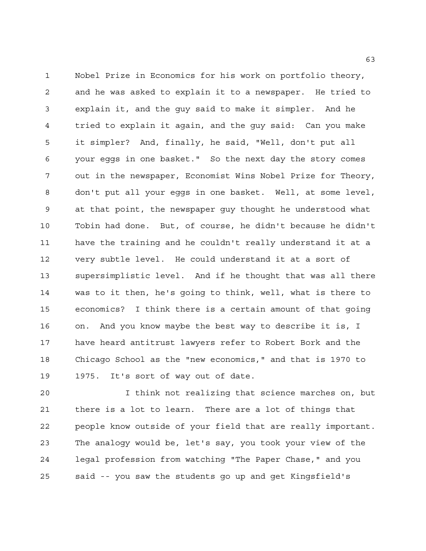Nobel Prize in Economics for his work on portfolio theory, and he was asked to explain it to a newspaper. He tried to explain it, and the guy said to make it simpler. And he tried to explain it again, and the guy said: Can you make it simpler? And, finally, he said, "Well, don't put all your eggs in one basket." So the next day the story comes out in the newspaper, Economist Wins Nobel Prize for Theory, don't put all your eggs in one basket. Well, at some level, at that point, the newspaper guy thought he understood what Tobin had done. But, of course, he didn't because he didn't have the training and he couldn't really understand it at a very subtle level. He could understand it at a sort of supersimplistic level. And if he thought that was all there was to it then, he's going to think, well, what is there to economics? I think there is a certain amount of that going on. And you know maybe the best way to describe it is, I have heard antitrust lawyers refer to Robert Bork and the Chicago School as the "new economics," and that is 1970 to 1975. It's sort of way out of date.

 I think not realizing that science marches on, but there is a lot to learn. There are a lot of things that people know outside of your field that are really important. The analogy would be, let's say, you took your view of the legal profession from watching "The Paper Chase," and you said -- you saw the students go up and get Kingsfield's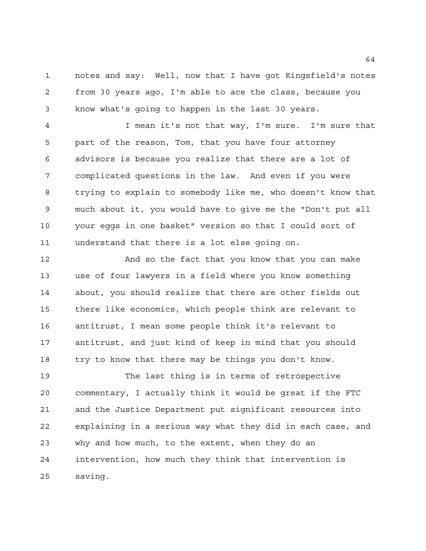notes and say: Well, now that I have got Kingsfield's notes from 30 years ago, I'm able to ace the class, because you know what's going to happen in the last 30 years.

 I mean it's not that way, I'm sure. I'm sure that part of the reason, Tom, that you have four attorney advisors is because you realize that there are a lot of complicated questions in the law. And even if you were trying to explain to somebody like me, who doesn't know that much about it, you would have to give me the "Don't put all your eggs in one basket" version so that I could sort of understand that there is a lot else going on.

 And so the fact that you know that you can make use of four lawyers in a field where you know something about, you should realize that there are other fields out there like economics, which people think are relevant to antitrust, I mean some people think it's relevant to antitrust, and just kind of keep in mind that you should try to know that there may be things you don't know.

 The last thing is in terms of retrospective commentary, I actually think it would be great if the FTC and the Justice Department put significant resources into explaining in a serious way what they did in each case, and why and how much, to the extent, when they do an intervention, how much they think that intervention is saving.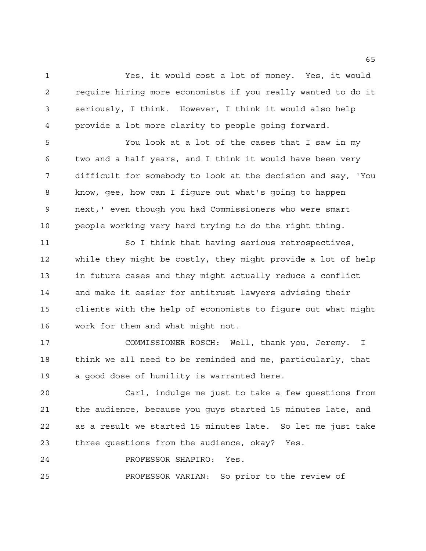Yes, it would cost a lot of money. Yes, it would require hiring more economists if you really wanted to do it seriously, I think. However, I think it would also help provide a lot more clarity to people going forward.

 You look at a lot of the cases that I saw in my two and a half years, and I think it would have been very difficult for somebody to look at the decision and say, 'You know, gee, how can I figure out what's going to happen next,' even though you had Commissioners who were smart people working very hard trying to do the right thing.

 So I think that having serious retrospectives, while they might be costly, they might provide a lot of help in future cases and they might actually reduce a conflict and make it easier for antitrust lawyers advising their clients with the help of economists to figure out what might work for them and what might not.

 COMMISSIONER ROSCH: Well, thank you, Jeremy. I think we all need to be reminded and me, particularly, that a good dose of humility is warranted here.

 Carl, indulge me just to take a few questions from the audience, because you guys started 15 minutes late, and as a result we started 15 minutes late. So let me just take three questions from the audience, okay? Yes.

PROFESSOR SHAPIRO: Yes.

PROFESSOR VARIAN: So prior to the review of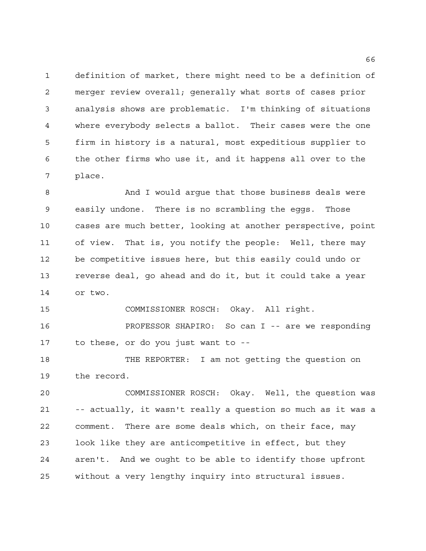definition of market, there might need to be a definition of merger review overall; generally what sorts of cases prior analysis shows are problematic. I'm thinking of situations where everybody selects a ballot. Their cases were the one firm in history is a natural, most expeditious supplier to the other firms who use it, and it happens all over to the place.

8 And I would arque that those business deals were easily undone. There is no scrambling the eggs. Those cases are much better, looking at another perspective, point of view. That is, you notify the people: Well, there may be competitive issues here, but this easily could undo or reverse deal, go ahead and do it, but it could take a year or two.

COMMISSIONER ROSCH: Okay. All right.

 PROFESSOR SHAPIRO: So can I -- are we responding to these, or do you just want to --

 THE REPORTER: I am not getting the question on the record.

 COMMISSIONER ROSCH: Okay. Well, the question was -- actually, it wasn't really a question so much as it was a comment. There are some deals which, on their face, may look like they are anticompetitive in effect, but they aren't. And we ought to be able to identify those upfront without a very lengthy inquiry into structural issues.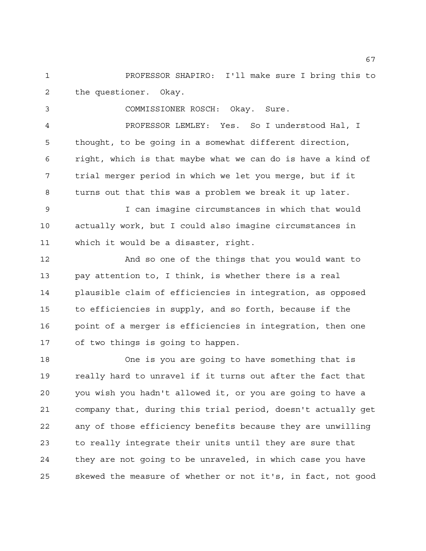PROFESSOR SHAPIRO: I'll make sure I bring this to the questioner. Okay.

COMMISSIONER ROSCH: Okay. Sure.

 PROFESSOR LEMLEY: Yes. So I understood Hal, I thought, to be going in a somewhat different direction, right, which is that maybe what we can do is have a kind of trial merger period in which we let you merge, but if it turns out that this was a problem we break it up later.

 I can imagine circumstances in which that would actually work, but I could also imagine circumstances in which it would be a disaster, right.

 And so one of the things that you would want to pay attention to, I think, is whether there is a real plausible claim of efficiencies in integration, as opposed to efficiencies in supply, and so forth, because if the point of a merger is efficiencies in integration, then one of two things is going to happen.

 One is you are going to have something that is really hard to unravel if it turns out after the fact that you wish you hadn't allowed it, or you are going to have a company that, during this trial period, doesn't actually get any of those efficiency benefits because they are unwilling to really integrate their units until they are sure that they are not going to be unraveled, in which case you have skewed the measure of whether or not it's, in fact, not good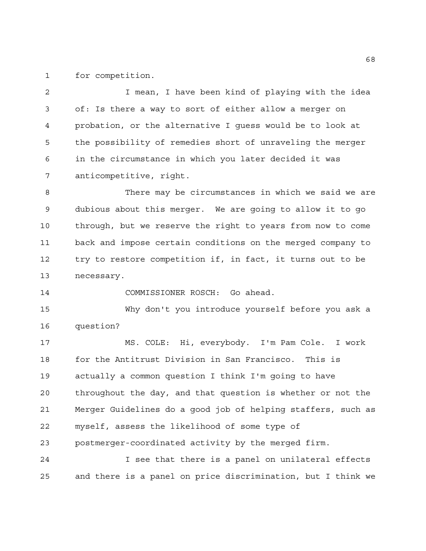for competition.

 I mean, I have been kind of playing with the idea of: Is there a way to sort of either allow a merger on probation, or the alternative I guess would be to look at the possibility of remedies short of unraveling the merger in the circumstance in which you later decided it was anticompetitive, right.

 There may be circumstances in which we said we are dubious about this merger. We are going to allow it to go through, but we reserve the right to years from now to come back and impose certain conditions on the merged company to try to restore competition if, in fact, it turns out to be necessary.

COMMISSIONER ROSCH: Go ahead.

 Why don't you introduce yourself before you ask a question?

 MS. COLE: Hi, everybody. I'm Pam Cole. I work for the Antitrust Division in San Francisco. This is actually a common question I think I'm going to have throughout the day, and that question is whether or not the Merger Guidelines do a good job of helping staffers, such as myself, assess the likelihood of some type of postmerger-coordinated activity by the merged firm. I see that there is a panel on unilateral effects

and there is a panel on price discrimination, but I think we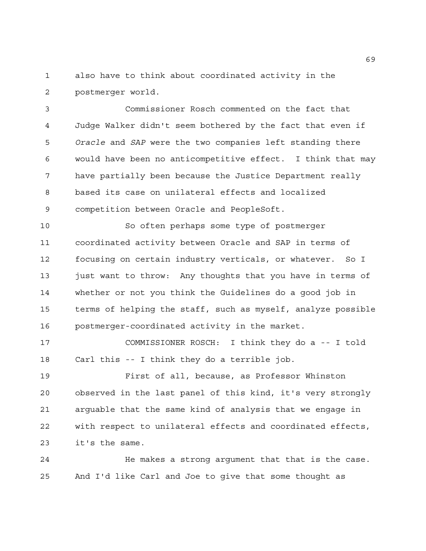also have to think about coordinated activity in the postmerger world.

 Commissioner Rosch commented on the fact that Judge Walker didn't seem bothered by the fact that even if *Oracle* and *SAP* were the two companies left standing there would have been no anticompetitive effect. I think that may have partially been because the Justice Department really based its case on unilateral effects and localized competition between Oracle and PeopleSoft.

 So often perhaps some type of postmerger coordinated activity between Oracle and SAP in terms of focusing on certain industry verticals, or whatever. So I 13 just want to throw: Any thoughts that you have in terms of whether or not you think the Guidelines do a good job in terms of helping the staff, such as myself, analyze possible postmerger-coordinated activity in the market.

 COMMISSIONER ROSCH: I think they do a -- I told Carl this -- I think they do a terrible job.

 First of all, because, as Professor Whinston observed in the last panel of this kind, it's very strongly arguable that the same kind of analysis that we engage in with respect to unilateral effects and coordinated effects, it's the same.

 He makes a strong argument that that is the case. And I'd like Carl and Joe to give that some thought as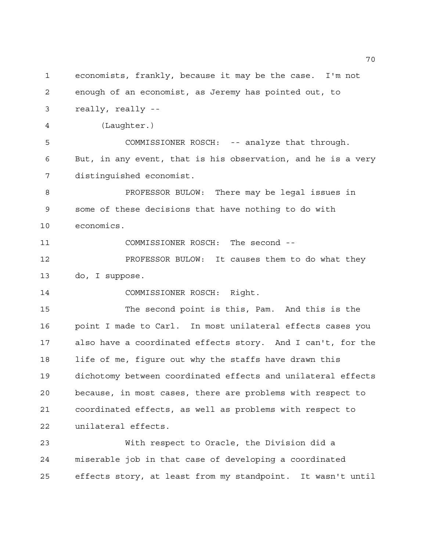economists, frankly, because it may be the case. I'm not enough of an economist, as Jeremy has pointed out, to really, really -- (Laughter.) COMMISSIONER ROSCH: -- analyze that through. But, in any event, that is his observation, and he is a very distinguished economist. PROFESSOR BULOW: There may be legal issues in some of these decisions that have nothing to do with economics. COMMISSIONER ROSCH: The second -- PROFESSOR BULOW: It causes them to do what they do, I suppose. COMMISSIONER ROSCH: Right. The second point is this, Pam. And this is the point I made to Carl. In most unilateral effects cases you also have a coordinated effects story. And I can't, for the life of me, figure out why the staffs have drawn this dichotomy between coordinated effects and unilateral effects because, in most cases, there are problems with respect to coordinated effects, as well as problems with respect to unilateral effects. With respect to Oracle, the Division did a miserable job in that case of developing a coordinated effects story, at least from my standpoint. It wasn't until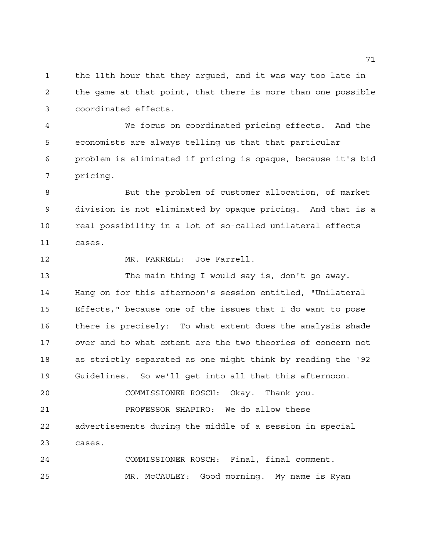the 11th hour that they argued, and it was way too late in the game at that point, that there is more than one possible coordinated effects.

 We focus on coordinated pricing effects. And the economists are always telling us that that particular problem is eliminated if pricing is opaque, because it's bid pricing.

 But the problem of customer allocation, of market division is not eliminated by opaque pricing. And that is a real possibility in a lot of so-called unilateral effects cases.

MR. FARRELL: Joe Farrell.

 The main thing I would say is, don't go away. Hang on for this afternoon's session entitled, "Unilateral Effects," because one of the issues that I do want to pose there is precisely: To what extent does the analysis shade over and to what extent are the two theories of concern not as strictly separated as one might think by reading the '92 Guidelines. So we'll get into all that this afternoon.

COMMISSIONER ROSCH: Okay. Thank you.

 PROFESSOR SHAPIRO: We do allow these advertisements during the middle of a session in special cases.

 COMMISSIONER ROSCH: Final, final comment. MR. McCAULEY: Good morning. My name is Ryan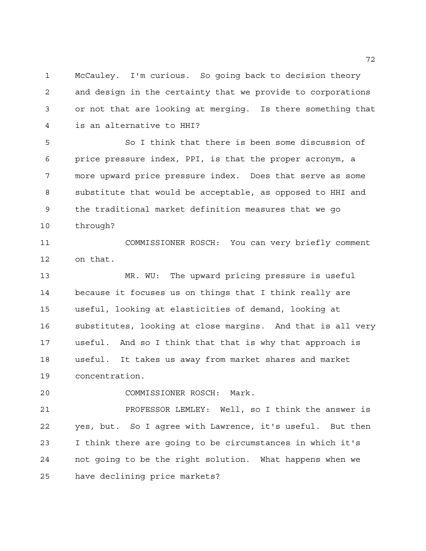McCauley. I'm curious. So going back to decision theory and design in the certainty that we provide to corporations or not that are looking at merging. Is there something that is an alternative to HHI?

 So I think that there is been some discussion of price pressure index, PPI, is that the proper acronym, a more upward price pressure index. Does that serve as some substitute that would be acceptable, as opposed to HHI and the traditional market definition measures that we go through?

 COMMISSIONER ROSCH: You can very briefly comment on that.

 MR. WU: The upward pricing pressure is useful because it focuses us on things that I think really are useful, looking at elasticities of demand, looking at substitutes, looking at close margins. And that is all very useful. And so I think that that is why that approach is useful. It takes us away from market shares and market concentration.

COMMISSIONER ROSCH: Mark.

 PROFESSOR LEMLEY: Well, so I think the answer is yes, but. So I agree with Lawrence, it's useful. But then I think there are going to be circumstances in which it's not going to be the right solution. What happens when we have declining price markets?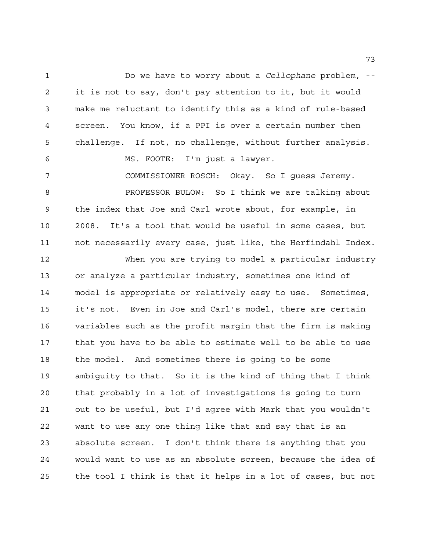Do we have to worry about a *Cellophane* problem, -- it is not to say, don't pay attention to it, but it would make me reluctant to identify this as a kind of rule-based screen. You know, if a PPI is over a certain number then challenge. If not, no challenge, without further analysis. MS. FOOTE: I'm just a lawyer.

 COMMISSIONER ROSCH: Okay. So I guess Jeremy. PROFESSOR BULOW: So I think we are talking about the index that Joe and Carl wrote about, for example, in 2008. It's a tool that would be useful in some cases, but not necessarily every case, just like, the Herfindahl Index.

 When you are trying to model a particular industry or analyze a particular industry, sometimes one kind of model is appropriate or relatively easy to use. Sometimes, it's not. Even in Joe and Carl's model, there are certain variables such as the profit margin that the firm is making that you have to be able to estimate well to be able to use the model. And sometimes there is going to be some ambiguity to that. So it is the kind of thing that I think that probably in a lot of investigations is going to turn out to be useful, but I'd agree with Mark that you wouldn't want to use any one thing like that and say that is an absolute screen. I don't think there is anything that you would want to use as an absolute screen, because the idea of the tool I think is that it helps in a lot of cases, but not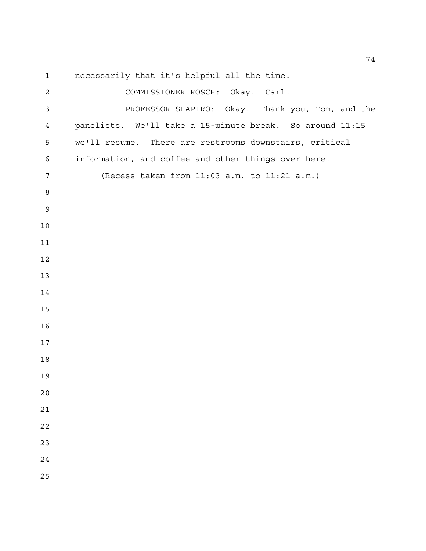necessarily that it's helpful all the time. COMMISSIONER ROSCH: Okay. Carl. PROFESSOR SHAPIRO: Okay. Thank you, Tom, and the panelists. We'll take a 15-minute break. So around 11:15 we'll resume. There are restrooms downstairs, critical information, and coffee and other things over here.

(Recess taken from 11:03 a.m. to 11:21 a.m.)

- 
- 

 

 

- 
-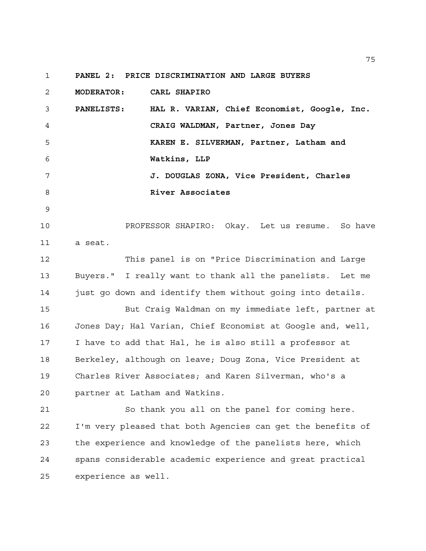**PANEL 2: PRICE DISCRIMINATION AND LARGE BUYERS**

 **MODERATOR: CARL SHAPIRO PANELISTS: HAL R. VARIAN, Chief Economist, Google, Inc. CRAIG WALDMAN, Partner, Jones Day KAREN E. SILVERMAN, Partner, Latham and Watkins, LLP J. DOUGLAS ZONA, Vice President, Charles River Associates** PROFESSOR SHAPIRO: Okay. Let us resume. So have a seat. This panel is on "Price Discrimination and Large Buyers." I really want to thank all the panelists. Let me just go down and identify them without going into details. But Craig Waldman on my immediate left, partner at Jones Day; Hal Varian, Chief Economist at Google and, well, I have to add that Hal, he is also still a professor at Berkeley, although on leave; Doug Zona, Vice President at Charles River Associates; and Karen Silverman, who's a partner at Latham and Watkins. So thank you all on the panel for coming here.

 I'm very pleased that both Agencies can get the benefits of the experience and knowledge of the panelists here, which spans considerable academic experience and great practical experience as well.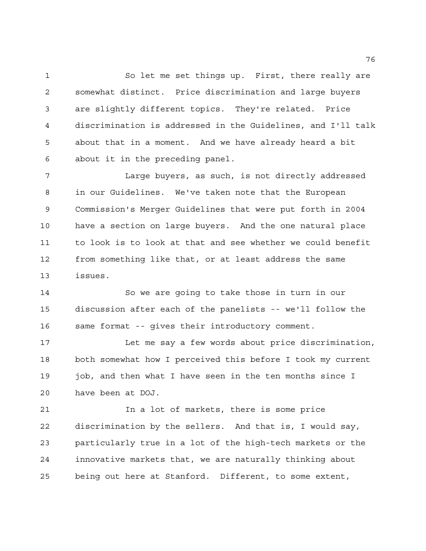So let me set things up. First, there really are somewhat distinct. Price discrimination and large buyers are slightly different topics. They're related. Price discrimination is addressed in the Guidelines, and I'll talk about that in a moment. And we have already heard a bit about it in the preceding panel.

 Large buyers, as such, is not directly addressed in our Guidelines. We've taken note that the European Commission's Merger Guidelines that were put forth in 2004 have a section on large buyers. And the one natural place to look is to look at that and see whether we could benefit from something like that, or at least address the same issues.

 So we are going to take those in turn in our discussion after each of the panelists -- we'll follow the same format -- gives their introductory comment.

 Let me say a few words about price discrimination, both somewhat how I perceived this before I took my current job, and then what I have seen in the ten months since I have been at DOJ.

 In a lot of markets, there is some price discrimination by the sellers. And that is, I would say, particularly true in a lot of the high-tech markets or the innovative markets that, we are naturally thinking about being out here at Stanford. Different, to some extent,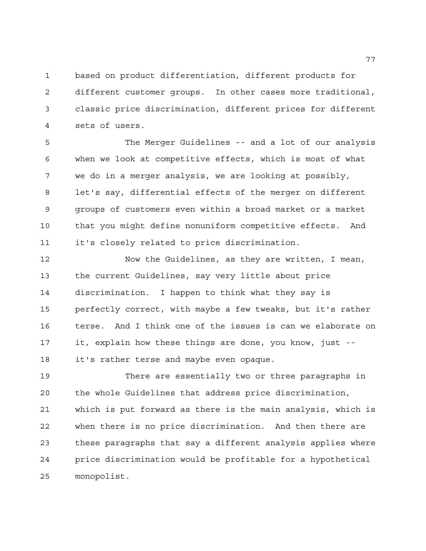based on product differentiation, different products for different customer groups. In other cases more traditional, classic price discrimination, different prices for different sets of users.

 The Merger Guidelines -- and a lot of our analysis when we look at competitive effects, which is most of what we do in a merger analysis, we are looking at possibly, let's say, differential effects of the merger on different groups of customers even within a broad market or a market that you might define nonuniform competitive effects. And it's closely related to price discrimination.

 Now the Guidelines, as they are written, I mean, the current Guidelines, say very little about price discrimination. I happen to think what they say is perfectly correct, with maybe a few tweaks, but it's rather terse. And I think one of the issues is can we elaborate on it, explain how these things are done, you know, just -- 18 it's rather terse and maybe even opaque.

 There are essentially two or three paragraphs in the whole Guidelines that address price discrimination, which is put forward as there is the main analysis, which is when there is no price discrimination. And then there are these paragraphs that say a different analysis applies where price discrimination would be profitable for a hypothetical monopolist.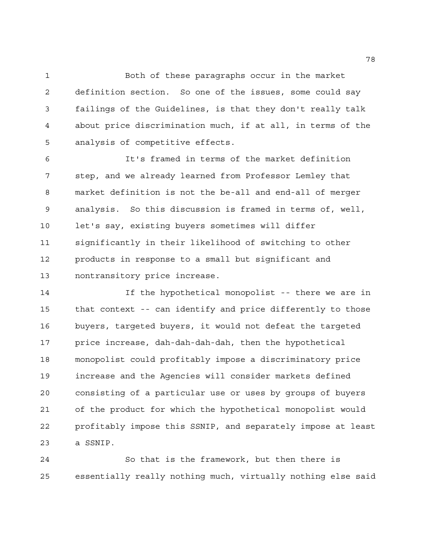Both of these paragraphs occur in the market definition section. So one of the issues, some could say failings of the Guidelines, is that they don't really talk about price discrimination much, if at all, in terms of the analysis of competitive effects.

 It's framed in terms of the market definition step, and we already learned from Professor Lemley that market definition is not the be-all and end-all of merger analysis. So this discussion is framed in terms of, well, let's say, existing buyers sometimes will differ significantly in their likelihood of switching to other products in response to a small but significant and nontransitory price increase.

 If the hypothetical monopolist -- there we are in that context -- can identify and price differently to those buyers, targeted buyers, it would not defeat the targeted price increase, dah-dah-dah-dah, then the hypothetical monopolist could profitably impose a discriminatory price increase and the Agencies will consider markets defined consisting of a particular use or uses by groups of buyers of the product for which the hypothetical monopolist would profitably impose this SSNIP, and separately impose at least a SSNIP.

 So that is the framework, but then there is essentially really nothing much, virtually nothing else said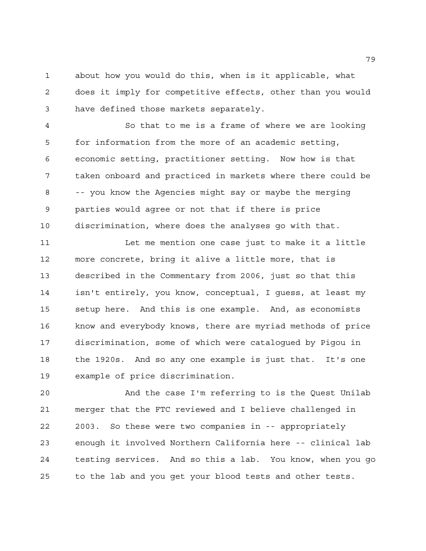about how you would do this, when is it applicable, what does it imply for competitive effects, other than you would have defined those markets separately.

 So that to me is a frame of where we are looking for information from the more of an academic setting, economic setting, practitioner setting. Now how is that taken onboard and practiced in markets where there could be -- you know the Agencies might say or maybe the merging parties would agree or not that if there is price discrimination, where does the analyses go with that.

 Let me mention one case just to make it a little more concrete, bring it alive a little more, that is described in the Commentary from 2006, just so that this isn't entirely, you know, conceptual, I guess, at least my setup here. And this is one example. And, as economists know and everybody knows, there are myriad methods of price discrimination, some of which were catalogued by Pigou in the 1920s. And so any one example is just that. It's one example of price discrimination.

 And the case I'm referring to is the Quest Unilab merger that the FTC reviewed and I believe challenged in 2003. So these were two companies in -- appropriately enough it involved Northern California here -- clinical lab testing services. And so this a lab. You know, when you go to the lab and you get your blood tests and other tests.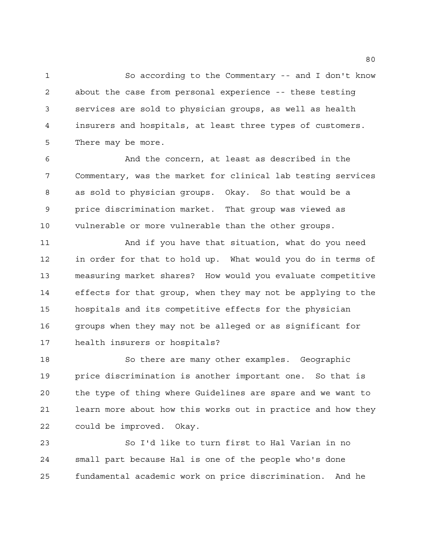So according to the Commentary -- and I don't know about the case from personal experience -- these testing services are sold to physician groups, as well as health insurers and hospitals, at least three types of customers. There may be more.

 And the concern, at least as described in the Commentary, was the market for clinical lab testing services as sold to physician groups. Okay. So that would be a price discrimination market. That group was viewed as vulnerable or more vulnerable than the other groups.

 And if you have that situation, what do you need in order for that to hold up. What would you do in terms of measuring market shares? How would you evaluate competitive effects for that group, when they may not be applying to the hospitals and its competitive effects for the physician 16 groups when they may not be alleged or as significant for health insurers or hospitals?

 So there are many other examples. Geographic price discrimination is another important one. So that is the type of thing where Guidelines are spare and we want to learn more about how this works out in practice and how they could be improved. Okay.

 So I'd like to turn first to Hal Varian in no small part because Hal is one of the people who's done fundamental academic work on price discrimination. And he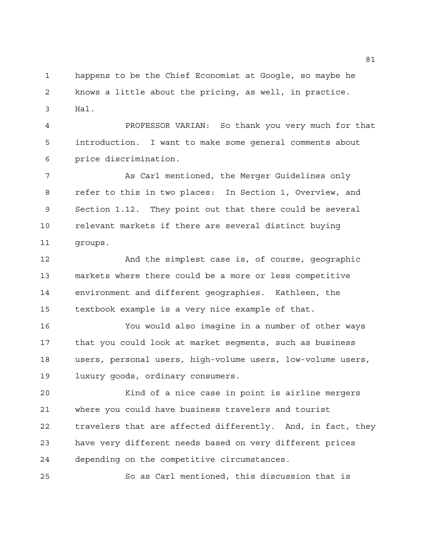happens to be the Chief Economist at Google, so maybe he knows a little about the pricing, as well, in practice. Hal.

 PROFESSOR VARIAN: So thank you very much for that introduction. I want to make some general comments about price discrimination.

 As Carl mentioned, the Merger Guidelines only refer to this in two places: In Section 1, Overview, and Section 1.12. They point out that there could be several relevant markets if there are several distinct buying groups.

 And the simplest case is, of course, geographic markets where there could be a more or less competitive environment and different geographies. Kathleen, the textbook example is a very nice example of that.

 You would also imagine in a number of other ways that you could look at market segments, such as business users, personal users, high-volume users, low-volume users, luxury goods, ordinary consumers.

 Kind of a nice case in point is airline mergers where you could have business travelers and tourist travelers that are affected differently. And, in fact, they have very different needs based on very different prices depending on the competitive circumstances.

So as Carl mentioned, this discussion that is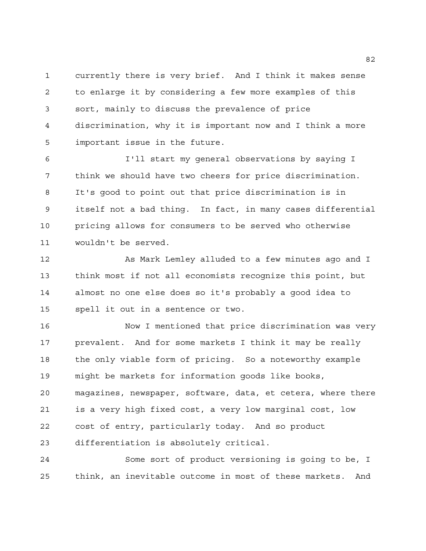currently there is very brief. And I think it makes sense to enlarge it by considering a few more examples of this sort, mainly to discuss the prevalence of price discrimination, why it is important now and I think a more important issue in the future.

 I'll start my general observations by saying I think we should have two cheers for price discrimination. It's good to point out that price discrimination is in itself not a bad thing. In fact, in many cases differential pricing allows for consumers to be served who otherwise wouldn't be served.

 As Mark Lemley alluded to a few minutes ago and I think most if not all economists recognize this point, but almost no one else does so it's probably a good idea to spell it out in a sentence or two.

 Now I mentioned that price discrimination was very prevalent. And for some markets I think it may be really the only viable form of pricing. So a noteworthy example might be markets for information goods like books, magazines, newspaper, software, data, et cetera, where there is a very high fixed cost, a very low marginal cost, low cost of entry, particularly today. And so product differentiation is absolutely critical.

 Some sort of product versioning is going to be, I think, an inevitable outcome in most of these markets. And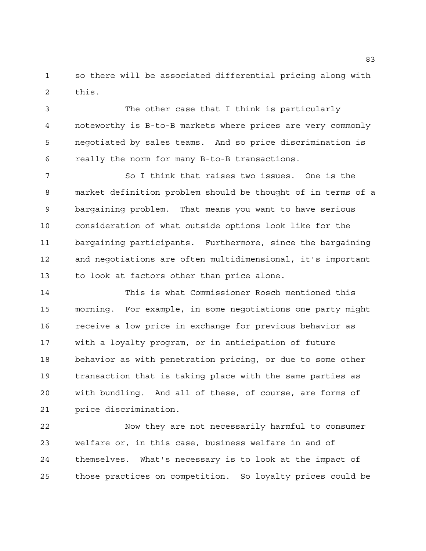so there will be associated differential pricing along with this.

 The other case that I think is particularly noteworthy is B-to-B markets where prices are very commonly negotiated by sales teams. And so price discrimination is really the norm for many B-to-B transactions.

 So I think that raises two issues. One is the market definition problem should be thought of in terms of a bargaining problem. That means you want to have serious consideration of what outside options look like for the bargaining participants. Furthermore, since the bargaining and negotiations are often multidimensional, it's important to look at factors other than price alone.

 This is what Commissioner Rosch mentioned this morning. For example, in some negotiations one party might receive a low price in exchange for previous behavior as with a loyalty program, or in anticipation of future behavior as with penetration pricing, or due to some other transaction that is taking place with the same parties as with bundling. And all of these, of course, are forms of price discrimination.

 Now they are not necessarily harmful to consumer welfare or, in this case, business welfare in and of themselves. What's necessary is to look at the impact of those practices on competition. So loyalty prices could be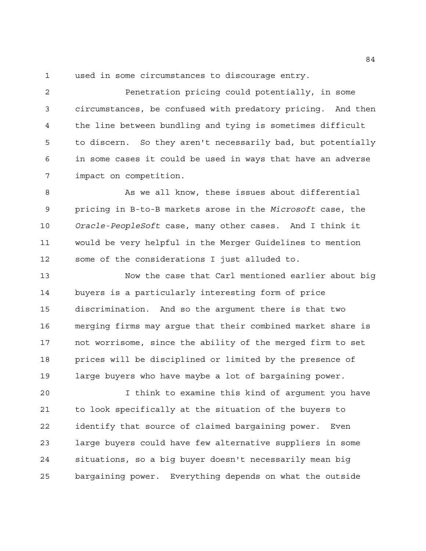used in some circumstances to discourage entry.

 Penetration pricing could potentially, in some circumstances, be confused with predatory pricing. And then the line between bundling and tying is sometimes difficult to discern. So they aren't necessarily bad, but potentially in some cases it could be used in ways that have an adverse impact on competition.

8 As we all know, these issues about differential pricing in B-to-B markets arose in the *Microsoft* case, the *Oracle-PeopleSoft* case, many other cases. And I think it would be very helpful in the Merger Guidelines to mention some of the considerations I just alluded to.

 Now the case that Carl mentioned earlier about big buyers is a particularly interesting form of price discrimination. And so the argument there is that two merging firms may argue that their combined market share is not worrisome, since the ability of the merged firm to set prices will be disciplined or limited by the presence of large buyers who have maybe a lot of bargaining power.

 I think to examine this kind of argument you have to look specifically at the situation of the buyers to identify that source of claimed bargaining power. Even large buyers could have few alternative suppliers in some situations, so a big buyer doesn't necessarily mean big bargaining power. Everything depends on what the outside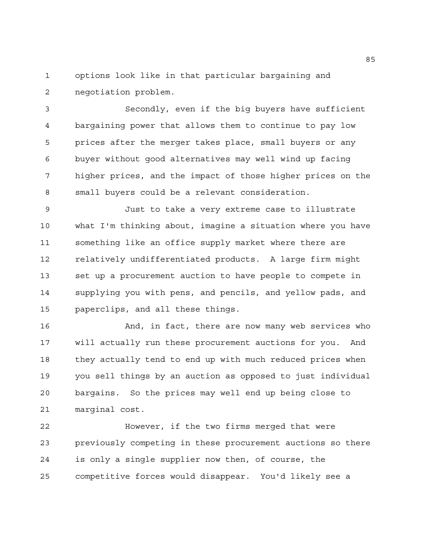options look like in that particular bargaining and negotiation problem.

 Secondly, even if the big buyers have sufficient bargaining power that allows them to continue to pay low prices after the merger takes place, small buyers or any buyer without good alternatives may well wind up facing higher prices, and the impact of those higher prices on the small buyers could be a relevant consideration.

 Just to take a very extreme case to illustrate what I'm thinking about, imagine a situation where you have something like an office supply market where there are relatively undifferentiated products. A large firm might set up a procurement auction to have people to compete in supplying you with pens, and pencils, and yellow pads, and paperclips, and all these things.

 And, in fact, there are now many web services who will actually run these procurement auctions for you. And they actually tend to end up with much reduced prices when you sell things by an auction as opposed to just individual bargains. So the prices may well end up being close to marginal cost.

 However, if the two firms merged that were previously competing in these procurement auctions so there is only a single supplier now then, of course, the competitive forces would disappear. You'd likely see a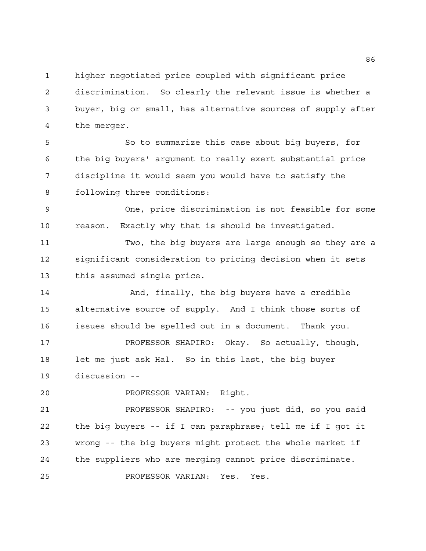higher negotiated price coupled with significant price

 discrimination. So clearly the relevant issue is whether a buyer, big or small, has alternative sources of supply after the merger.

 So to summarize this case about big buyers, for the big buyers' argument to really exert substantial price discipline it would seem you would have to satisfy the following three conditions:

 One, price discrimination is not feasible for some reason. Exactly why that is should be investigated.

 Two, the big buyers are large enough so they are a significant consideration to pricing decision when it sets this assumed single price.

14 And, finally, the big buyers have a credible alternative source of supply. And I think those sorts of issues should be spelled out in a document. Thank you.

 PROFESSOR SHAPIRO: Okay. So actually, though, let me just ask Hal. So in this last, the big buyer discussion --

PROFESSOR VARIAN: Right.

 PROFESSOR SHAPIRO: -- you just did, so you said the big buyers -- if I can paraphrase; tell me if I got it wrong -- the big buyers might protect the whole market if the suppliers who are merging cannot price discriminate. PROFESSOR VARIAN: Yes. Yes.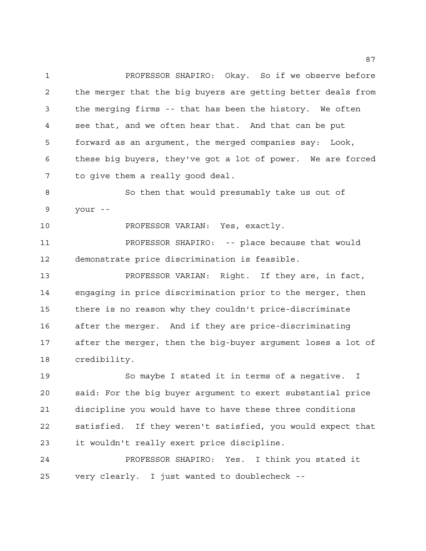PROFESSOR SHAPIRO: Okay. So if we observe before the merger that the big buyers are getting better deals from the merging firms -- that has been the history. We often see that, and we often hear that. And that can be put forward as an argument, the merged companies say: Look, these big buyers, they've got a lot of power. We are forced to give them a really good deal.

 So then that would presumably take us out of your --

PROFESSOR VARIAN: Yes, exactly.

 PROFESSOR SHAPIRO: -- place because that would demonstrate price discrimination is feasible.

 PROFESSOR VARIAN: Right. If they are, in fact, engaging in price discrimination prior to the merger, then there is no reason why they couldn't price-discriminate after the merger. And if they are price-discriminating after the merger, then the big-buyer argument loses a lot of credibility.

 So maybe I stated it in terms of a negative. I said: For the big buyer argument to exert substantial price discipline you would have to have these three conditions satisfied. If they weren't satisfied, you would expect that it wouldn't really exert price discipline.

 PROFESSOR SHAPIRO: Yes. I think you stated it very clearly. I just wanted to doublecheck --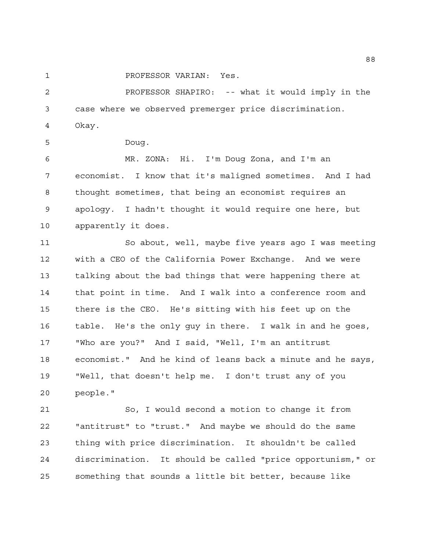PROFESSOR VARIAN: Yes.

 PROFESSOR SHAPIRO: -- what it would imply in the case where we observed premerger price discrimination. Okay.

Doug.

 MR. ZONA: Hi. I'm Doug Zona, and I'm an economist. I know that it's maligned sometimes. And I had thought sometimes, that being an economist requires an apology. I hadn't thought it would require one here, but apparently it does.

 So about, well, maybe five years ago I was meeting with a CEO of the California Power Exchange. And we were talking about the bad things that were happening there at that point in time. And I walk into a conference room and there is the CEO. He's sitting with his feet up on the table. He's the only guy in there. I walk in and he goes, "Who are you?" And I said, "Well, I'm an antitrust economist." And he kind of leans back a minute and he says, "Well, that doesn't help me. I don't trust any of you people."

 So, I would second a motion to change it from "antitrust" to "trust." And maybe we should do the same thing with price discrimination. It shouldn't be called discrimination. It should be called "price opportunism," or something that sounds a little bit better, because like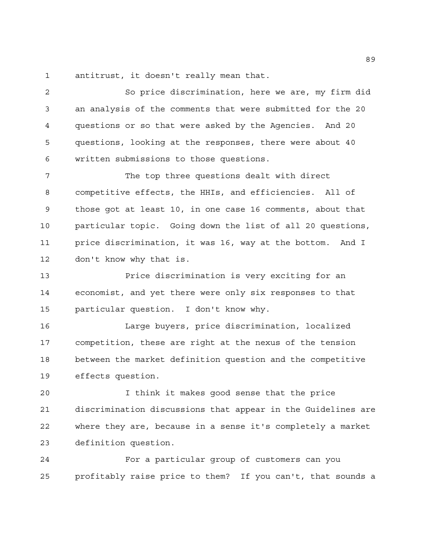antitrust, it doesn't really mean that.

 So price discrimination, here we are, my firm did an analysis of the comments that were submitted for the 20 questions or so that were asked by the Agencies. And 20 questions, looking at the responses, there were about 40 written submissions to those questions.

7 The top three questions dealt with direct competitive effects, the HHIs, and efficiencies. All of those got at least 10, in one case 16 comments, about that particular topic. Going down the list of all 20 questions, price discrimination, it was 16, way at the bottom. And I don't know why that is.

 Price discrimination is very exciting for an economist, and yet there were only six responses to that particular question. I don't know why.

 Large buyers, price discrimination, localized competition, these are right at the nexus of the tension between the market definition question and the competitive effects question.

 I think it makes good sense that the price discrimination discussions that appear in the Guidelines are where they are, because in a sense it's completely a market definition question.

 For a particular group of customers can you profitably raise price to them? If you can't, that sounds a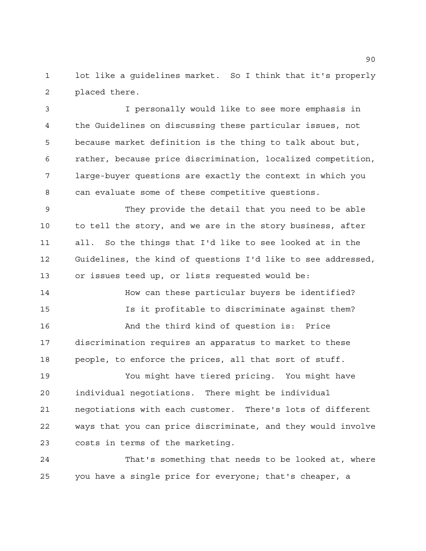lot like a guidelines market. So I think that it's properly placed there.

 I personally would like to see more emphasis in the Guidelines on discussing these particular issues, not because market definition is the thing to talk about but, rather, because price discrimination, localized competition, large-buyer questions are exactly the context in which you can evaluate some of these competitive questions.

 They provide the detail that you need to be able to tell the story, and we are in the story business, after all. So the things that I'd like to see looked at in the Guidelines, the kind of questions I'd like to see addressed, or issues teed up, or lists requested would be:

 How can these particular buyers be identified? Is it profitable to discriminate against them? And the third kind of question is: Price discrimination requires an apparatus to market to these people, to enforce the prices, all that sort of stuff.

 You might have tiered pricing. You might have individual negotiations. There might be individual negotiations with each customer. There's lots of different ways that you can price discriminate, and they would involve costs in terms of the marketing.

 That's something that needs to be looked at, where you have a single price for everyone; that's cheaper, a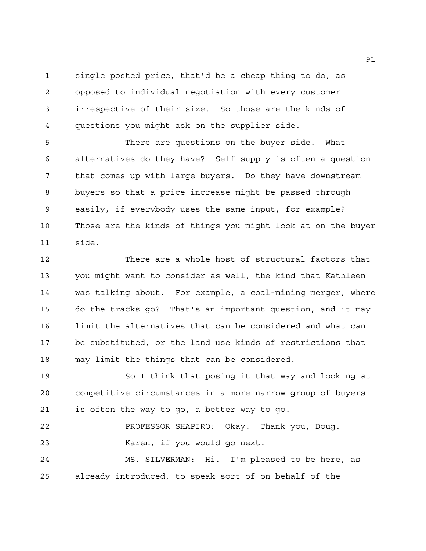single posted price, that'd be a cheap thing to do, as opposed to individual negotiation with every customer irrespective of their size. So those are the kinds of questions you might ask on the supplier side.

 There are questions on the buyer side. What alternatives do they have? Self-supply is often a question that comes up with large buyers. Do they have downstream buyers so that a price increase might be passed through easily, if everybody uses the same input, for example? Those are the kinds of things you might look at on the buyer side.

 There are a whole host of structural factors that you might want to consider as well, the kind that Kathleen was talking about. For example, a coal-mining merger, where do the tracks go? That's an important question, and it may limit the alternatives that can be considered and what can be substituted, or the land use kinds of restrictions that may limit the things that can be considered.

 So I think that posing it that way and looking at competitive circumstances in a more narrow group of buyers is often the way to go, a better way to go.

 PROFESSOR SHAPIRO: Okay. Thank you, Doug. Karen, if you would go next.

 MS. SILVERMAN: Hi. I'm pleased to be here, as already introduced, to speak sort of on behalf of the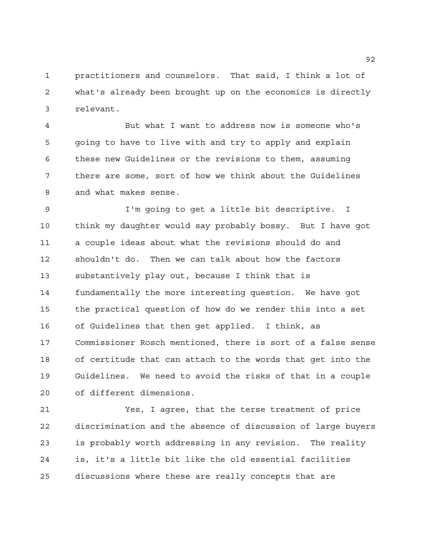practitioners and counselors. That said, I think a lot of what's already been brought up on the economics is directly relevant.

 But what I want to address now is someone who's going to have to live with and try to apply and explain these new Guidelines or the revisions to them, assuming there are some, sort of how we think about the Guidelines and what makes sense.

 I'm going to get a little bit descriptive. I think my daughter would say probably bossy. But I have got a couple ideas about what the revisions should do and shouldn't do. Then we can talk about how the factors substantively play out, because I think that is fundamentally the more interesting question. We have got the practical question of how do we render this into a set of Guidelines that then get applied. I think, as Commissioner Rosch mentioned, there is sort of a false sense of certitude that can attach to the words that get into the Guidelines. We need to avoid the risks of that in a couple of different dimensions.

 Yes, I agree, that the terse treatment of price discrimination and the absence of discussion of large buyers is probably worth addressing in any revision. The reality is, it's a little bit like the old essential facilities discussions where these are really concepts that are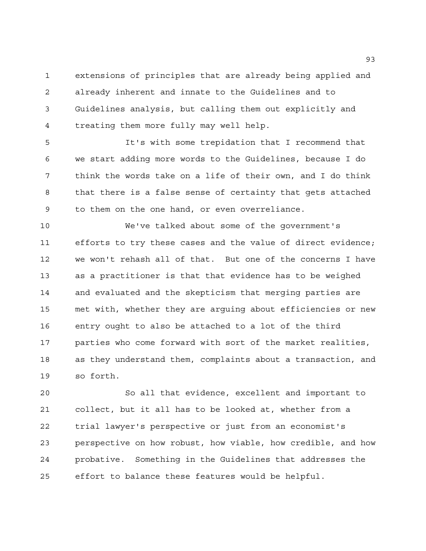extensions of principles that are already being applied and already inherent and innate to the Guidelines and to Guidelines analysis, but calling them out explicitly and treating them more fully may well help.

 It's with some trepidation that I recommend that we start adding more words to the Guidelines, because I do think the words take on a life of their own, and I do think that there is a false sense of certainty that gets attached to them on the one hand, or even overreliance.

 We've talked about some of the government's efforts to try these cases and the value of direct evidence; we won't rehash all of that. But one of the concerns I have as a practitioner is that that evidence has to be weighed and evaluated and the skepticism that merging parties are met with, whether they are arguing about efficiencies or new entry ought to also be attached to a lot of the third parties who come forward with sort of the market realities, as they understand them, complaints about a transaction, and so forth.

 So all that evidence, excellent and important to collect, but it all has to be looked at, whether from a trial lawyer's perspective or just from an economist's perspective on how robust, how viable, how credible, and how probative. Something in the Guidelines that addresses the effort to balance these features would be helpful.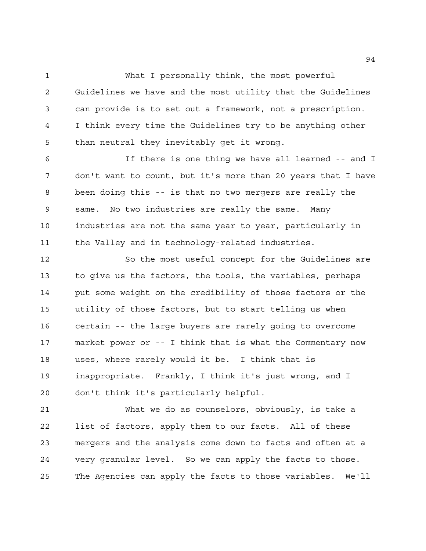What I personally think, the most powerful Guidelines we have and the most utility that the Guidelines can provide is to set out a framework, not a prescription. I think every time the Guidelines try to be anything other than neutral they inevitably get it wrong.

 If there is one thing we have all learned -- and I don't want to count, but it's more than 20 years that I have been doing this -- is that no two mergers are really the same. No two industries are really the same. Many industries are not the same year to year, particularly in the Valley and in technology-related industries.

 So the most useful concept for the Guidelines are to give us the factors, the tools, the variables, perhaps put some weight on the credibility of those factors or the utility of those factors, but to start telling us when certain -- the large buyers are rarely going to overcome market power or -- I think that is what the Commentary now uses, where rarely would it be. I think that is inappropriate. Frankly, I think it's just wrong, and I don't think it's particularly helpful.

 What we do as counselors, obviously, is take a list of factors, apply them to our facts. All of these mergers and the analysis come down to facts and often at a very granular level. So we can apply the facts to those. The Agencies can apply the facts to those variables. We'll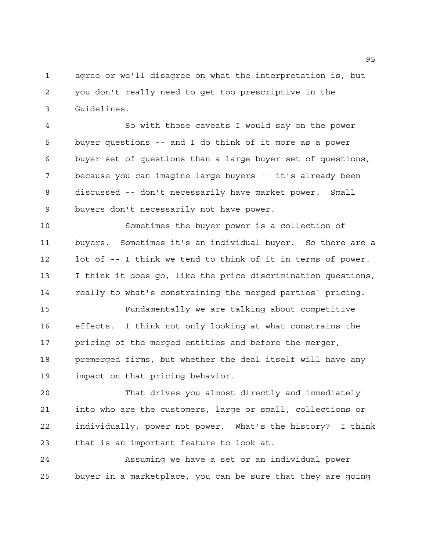agree or we'll disagree on what the interpretation is, but you don't really need to get too prescriptive in the Guidelines.

 So with those caveats I would say on the power buyer questions -- and I do think of it more as a power buyer set of questions than a large buyer set of questions, because you can imagine large buyers -- it's already been discussed -- don't necessarily have market power. Small buyers don't necessarily not have power.

 Sometimes the buyer power is a collection of buyers. Sometimes it's an individual buyer. So there are a lot of -- I think we tend to think of it in terms of power. I think it does go, like the price discrimination questions, really to what's constraining the merged parties' pricing.

 Fundamentally we are talking about competitive effects. I think not only looking at what constrains the pricing of the merged entities and before the merger, premerged firms, but whether the deal itself will have any impact on that pricing behavior.

 That drives you almost directly and immediately into who are the customers, large or small, collections or individually, power not power. What's the history? I think that is an important feature to look at.

 Assuming we have a set or an individual power buyer in a marketplace, you can be sure that they are going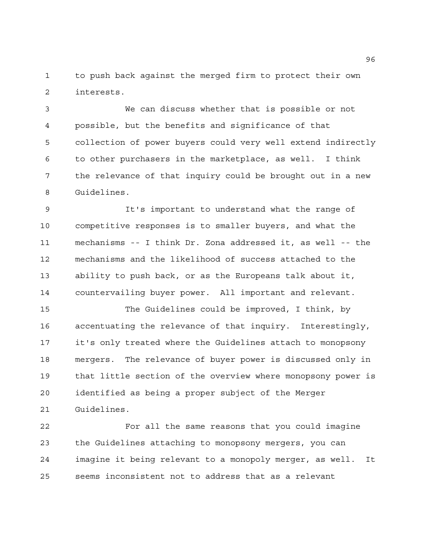to push back against the merged firm to protect their own interests.

 We can discuss whether that is possible or not possible, but the benefits and significance of that collection of power buyers could very well extend indirectly to other purchasers in the marketplace, as well. I think the relevance of that inquiry could be brought out in a new Guidelines.

 It's important to understand what the range of competitive responses is to smaller buyers, and what the mechanisms -- I think Dr. Zona addressed it, as well -- the mechanisms and the likelihood of success attached to the ability to push back, or as the Europeans talk about it, countervailing buyer power. All important and relevant.

 The Guidelines could be improved, I think, by accentuating the relevance of that inquiry. Interestingly, it's only treated where the Guidelines attach to monopsony mergers. The relevance of buyer power is discussed only in that little section of the overview where monopsony power is identified as being a proper subject of the Merger Guidelines.

 For all the same reasons that you could imagine the Guidelines attaching to monopsony mergers, you can imagine it being relevant to a monopoly merger, as well. It seems inconsistent not to address that as a relevant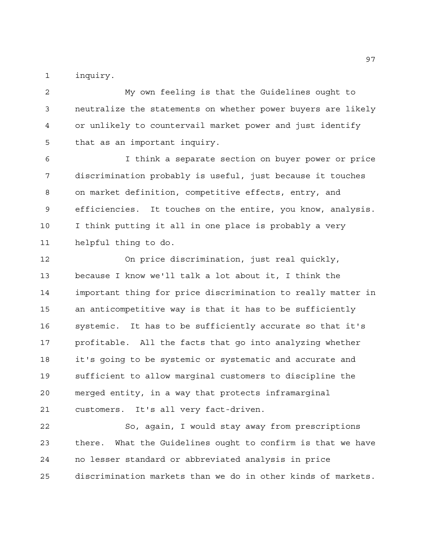inquiry.

 My own feeling is that the Guidelines ought to neutralize the statements on whether power buyers are likely or unlikely to countervail market power and just identify that as an important inquiry.

 I think a separate section on buyer power or price discrimination probably is useful, just because it touches on market definition, competitive effects, entry, and efficiencies. It touches on the entire, you know, analysis. I think putting it all in one place is probably a very helpful thing to do.

 On price discrimination, just real quickly, because I know we'll talk a lot about it, I think the important thing for price discrimination to really matter in an anticompetitive way is that it has to be sufficiently systemic. It has to be sufficiently accurate so that it's profitable. All the facts that go into analyzing whether it's going to be systemic or systematic and accurate and sufficient to allow marginal customers to discipline the merged entity, in a way that protects inframarginal customers. It's all very fact-driven.

 So, again, I would stay away from prescriptions there. What the Guidelines ought to confirm is that we have no lesser standard or abbreviated analysis in price discrimination markets than we do in other kinds of markets.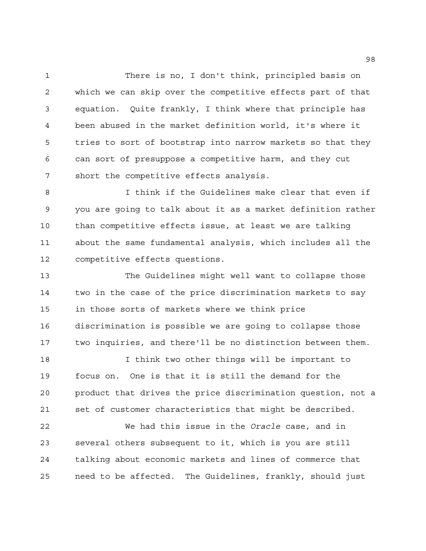There is no, I don't think, principled basis on which we can skip over the competitive effects part of that equation. Quite frankly, I think where that principle has been abused in the market definition world, it's where it tries to sort of bootstrap into narrow markets so that they can sort of presuppose a competitive harm, and they cut short the competitive effects analysis.

 I think if the Guidelines make clear that even if you are going to talk about it as a market definition rather than competitive effects issue, at least we are talking about the same fundamental analysis, which includes all the competitive effects questions.

 The Guidelines might well want to collapse those two in the case of the price discrimination markets to say in those sorts of markets where we think price discrimination is possible we are going to collapse those two inquiries, and there'll be no distinction between them.

 I think two other things will be important to focus on. One is that it is still the demand for the product that drives the price discrimination question, not a set of customer characteristics that might be described.

 We had this issue in the *Oracle* case, and in several others subsequent to it, which is you are still talking about economic markets and lines of commerce that need to be affected. The Guidelines, frankly, should just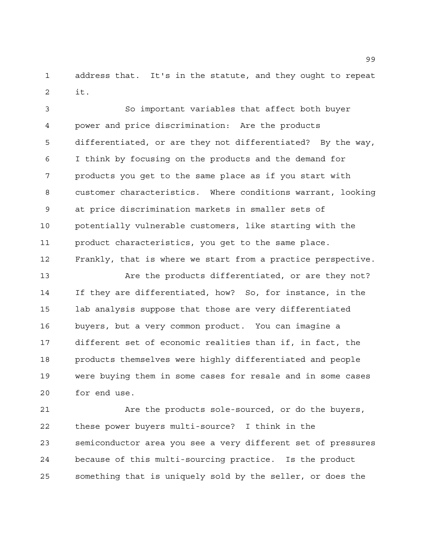address that. It's in the statute, and they ought to repeat it.

 So important variables that affect both buyer power and price discrimination: Are the products differentiated, or are they not differentiated? By the way, I think by focusing on the products and the demand for products you get to the same place as if you start with customer characteristics. Where conditions warrant, looking at price discrimination markets in smaller sets of potentially vulnerable customers, like starting with the product characteristics, you get to the same place. Frankly, that is where we start from a practice perspective.

 Are the products differentiated, or are they not? If they are differentiated, how? So, for instance, in the lab analysis suppose that those are very differentiated buyers, but a very common product. You can imagine a different set of economic realities than if, in fact, the products themselves were highly differentiated and people were buying them in some cases for resale and in some cases for end use.

 Are the products sole-sourced, or do the buyers, these power buyers multi-source? I think in the semiconductor area you see a very different set of pressures because of this multi-sourcing practice. Is the product something that is uniquely sold by the seller, or does the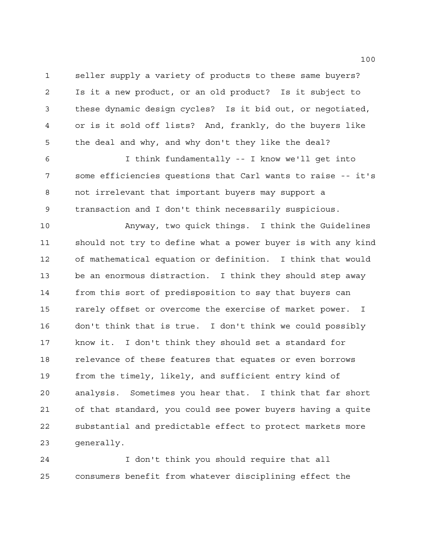seller supply a variety of products to these same buyers? Is it a new product, or an old product? Is it subject to these dynamic design cycles? Is it bid out, or negotiated, or is it sold off lists? And, frankly, do the buyers like the deal and why, and why don't they like the deal?

 I think fundamentally -- I know we'll get into some efficiencies questions that Carl wants to raise -- it's not irrelevant that important buyers may support a transaction and I don't think necessarily suspicious.

 Anyway, two quick things. I think the Guidelines should not try to define what a power buyer is with any kind of mathematical equation or definition. I think that would be an enormous distraction. I think they should step away from this sort of predisposition to say that buyers can rarely offset or overcome the exercise of market power. I don't think that is true. I don't think we could possibly know it. I don't think they should set a standard for relevance of these features that equates or even borrows from the timely, likely, and sufficient entry kind of analysis. Sometimes you hear that. I think that far short of that standard, you could see power buyers having a quite substantial and predictable effect to protect markets more generally.

 I don't think you should require that all consumers benefit from whatever disciplining effect the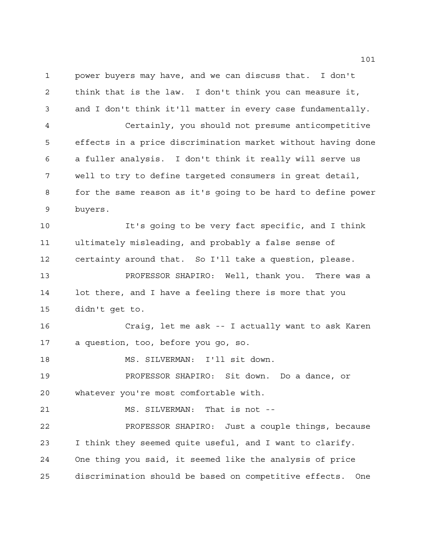power buyers may have, and we can discuss that. I don't think that is the law. I don't think you can measure it, and I don't think it'll matter in every case fundamentally.

 Certainly, you should not presume anticompetitive effects in a price discrimination market without having done a fuller analysis. I don't think it really will serve us well to try to define targeted consumers in great detail, for the same reason as it's going to be hard to define power buyers.

 It's going to be very fact specific, and I think ultimately misleading, and probably a false sense of certainty around that. So I'll take a question, please.

 PROFESSOR SHAPIRO: Well, thank you. There was a lot there, and I have a feeling there is more that you didn't get to.

 Craig, let me ask -- I actually want to ask Karen a question, too, before you go, so.

18 MS. SILVERMAN: I'll sit down.

 PROFESSOR SHAPIRO: Sit down. Do a dance, or whatever you're most comfortable with.

MS. SILVERMAN: That is not --

 PROFESSOR SHAPIRO: Just a couple things, because I think they seemed quite useful, and I want to clarify. One thing you said, it seemed like the analysis of price discrimination should be based on competitive effects. One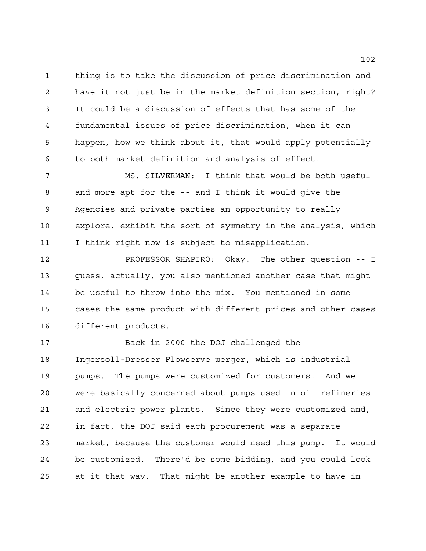thing is to take the discussion of price discrimination and have it not just be in the market definition section, right? It could be a discussion of effects that has some of the fundamental issues of price discrimination, when it can happen, how we think about it, that would apply potentially to both market definition and analysis of effect.

 MS. SILVERMAN: I think that would be both useful and more apt for the -- and I think it would give the Agencies and private parties an opportunity to really explore, exhibit the sort of symmetry in the analysis, which I think right now is subject to misapplication.

 PROFESSOR SHAPIRO: Okay. The other question -- I guess, actually, you also mentioned another case that might be useful to throw into the mix. You mentioned in some cases the same product with different prices and other cases different products.

 Back in 2000 the DOJ challenged the Ingersoll-Dresser Flowserve merger, which is industrial pumps. The pumps were customized for customers. And we were basically concerned about pumps used in oil refineries and electric power plants. Since they were customized and, in fact, the DOJ said each procurement was a separate market, because the customer would need this pump. It would be customized. There'd be some bidding, and you could look at it that way. That might be another example to have in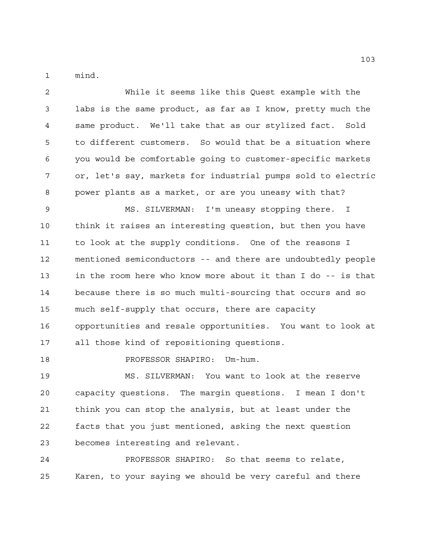mind.

 While it seems like this Quest example with the labs is the same product, as far as I know, pretty much the same product. We'll take that as our stylized fact. Sold to different customers. So would that be a situation where you would be comfortable going to customer-specific markets or, let's say, markets for industrial pumps sold to electric power plants as a market, or are you uneasy with that? MS. SILVERMAN: I'm uneasy stopping there. I think it raises an interesting question, but then you have to look at the supply conditions. One of the reasons I mentioned semiconductors -- and there are undoubtedly people in the room here who know more about it than I do -- is that because there is so much multi-sourcing that occurs and so much self-supply that occurs, there are capacity opportunities and resale opportunities. You want to look at all those kind of repositioning questions. 18 PROFESSOR SHAPIRO: Um-hum. MS. SILVERMAN: You want to look at the reserve capacity questions. The margin questions. I mean I don't think you can stop the analysis, but at least under the facts that you just mentioned, asking the next question becomes interesting and relevant. PROFESSOR SHAPIRO: So that seems to relate, Karen, to your saying we should be very careful and there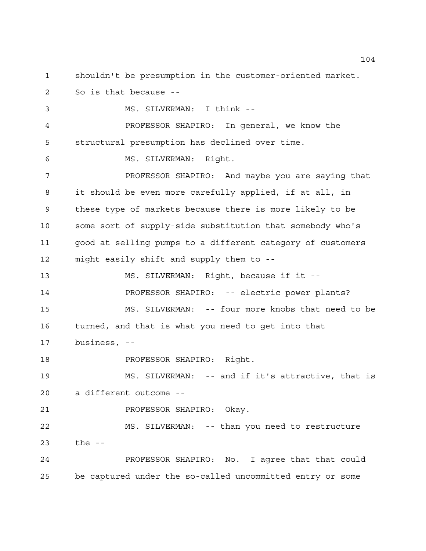shouldn't be presumption in the customer-oriented market. So is that because -- MS. SILVERMAN: I think -- PROFESSOR SHAPIRO: In general, we know the structural presumption has declined over time. MS. SILVERMAN: Right. PROFESSOR SHAPIRO: And maybe you are saying that it should be even more carefully applied, if at all, in these type of markets because there is more likely to be some sort of supply-side substitution that somebody who's good at selling pumps to a different category of customers might easily shift and supply them to -- MS. SILVERMAN: Right, because if it -- PROFESSOR SHAPIRO: -- electric power plants? MS. SILVERMAN: -- four more knobs that need to be turned, and that is what you need to get into that business, -- **PROFESSOR SHAPIRO:** Right. MS. SILVERMAN: -- and if it's attractive, that is a different outcome -- PROFESSOR SHAPIRO: Okay. MS. SILVERMAN: -- than you need to restructure

 PROFESSOR SHAPIRO: No. I agree that that could be captured under the so-called uncommitted entry or some

the --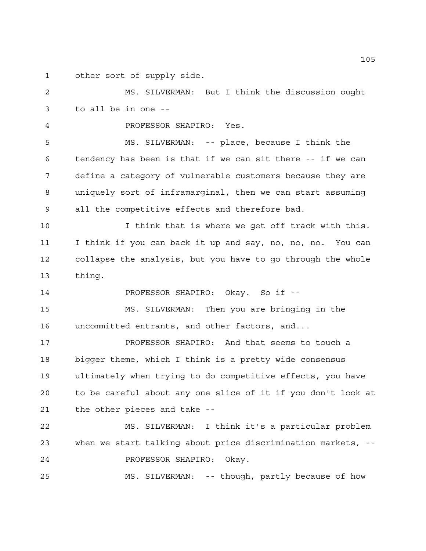other sort of supply side.

 MS. SILVERMAN: But I think the discussion ought to all be in one --

PROFESSOR SHAPIRO: Yes.

 MS. SILVERMAN: -- place, because I think the tendency has been is that if we can sit there -- if we can define a category of vulnerable customers because they are uniquely sort of inframarginal, then we can start assuming all the competitive effects and therefore bad.

10 10 I think that is where we get off track with this. I think if you can back it up and say, no, no, no. You can collapse the analysis, but you have to go through the whole thing.

PROFESSOR SHAPIRO: Okay. So if --

 MS. SILVERMAN: Then you are bringing in the uncommitted entrants, and other factors, and...

 PROFESSOR SHAPIRO: And that seems to touch a bigger theme, which I think is a pretty wide consensus ultimately when trying to do competitive effects, you have to be careful about any one slice of it if you don't look at the other pieces and take --

 MS. SILVERMAN: I think it's a particular problem when we start talking about price discrimination markets, -- PROFESSOR SHAPIRO: Okay.

MS. SILVERMAN: -- though, partly because of how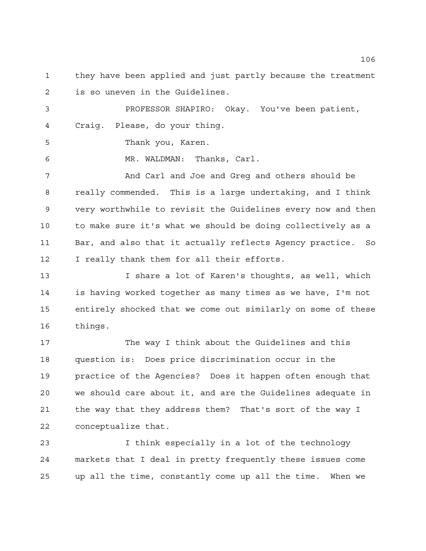they have been applied and just partly because the treatment is so uneven in the Guidelines.

 PROFESSOR SHAPIRO: Okay. You've been patient, Craig. Please, do your thing.

Thank you, Karen.

MR. WALDMAN: Thanks, Carl.

 And Carl and Joe and Greg and others should be really commended. This is a large undertaking, and I think very worthwhile to revisit the Guidelines every now and then to make sure it's what we should be doing collectively as a Bar, and also that it actually reflects Agency practice. So I really thank them for all their efforts.

 I share a lot of Karen's thoughts, as well, which is having worked together as many times as we have, I'm not entirely shocked that we come out similarly on some of these things.

 The way I think about the Guidelines and this question is: Does price discrimination occur in the practice of the Agencies? Does it happen often enough that we should care about it, and are the Guidelines adequate in the way that they address them? That's sort of the way I conceptualize that.

 I think especially in a lot of the technology markets that I deal in pretty frequently these issues come up all the time, constantly come up all the time. When we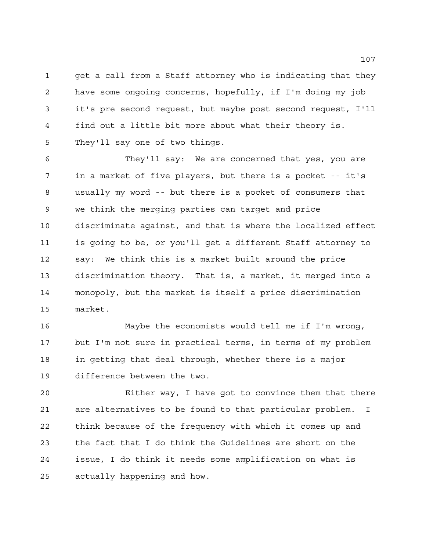get a call from a Staff attorney who is indicating that they have some ongoing concerns, hopefully, if I'm doing my job it's pre second request, but maybe post second request, I'll find out a little bit more about what their theory is. They'll say one of two things.

 They'll say: We are concerned that yes, you are in a market of five players, but there is a pocket -- it's usually my word -- but there is a pocket of consumers that we think the merging parties can target and price discriminate against, and that is where the localized effect is going to be, or you'll get a different Staff attorney to say: We think this is a market built around the price discrimination theory. That is, a market, it merged into a monopoly, but the market is itself a price discrimination market.

 Maybe the economists would tell me if I'm wrong, but I'm not sure in practical terms, in terms of my problem in getting that deal through, whether there is a major difference between the two.

 Either way, I have got to convince them that there are alternatives to be found to that particular problem. I think because of the frequency with which it comes up and the fact that I do think the Guidelines are short on the issue, I do think it needs some amplification on what is actually happening and how.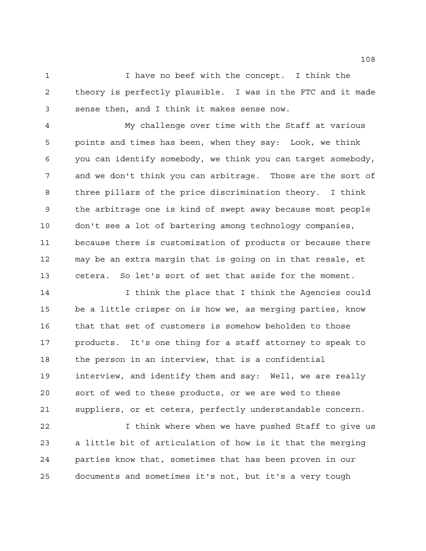I have no beef with the concept. I think the theory is perfectly plausible. I was in the FTC and it made sense then, and I think it makes sense now.

 My challenge over time with the Staff at various points and times has been, when they say: Look, we think you can identify somebody, we think you can target somebody, and we don't think you can arbitrage. Those are the sort of three pillars of the price discrimination theory. I think the arbitrage one is kind of swept away because most people don't see a lot of bartering among technology companies, because there is customization of products or because there may be an extra margin that is going on in that resale, et cetera. So let's sort of set that aside for the moment.

14 14 I think the place that I think the Agencies could be a little crisper on is how we, as merging parties, know that that set of customers is somehow beholden to those products. It's one thing for a staff attorney to speak to the person in an interview, that is a confidential interview, and identify them and say: Well, we are really sort of wed to these products, or we are wed to these suppliers, or et cetera, perfectly understandable concern.

 I think where when we have pushed Staff to give us a little bit of articulation of how is it that the merging parties know that, sometimes that has been proven in our documents and sometimes it's not, but it's a very tough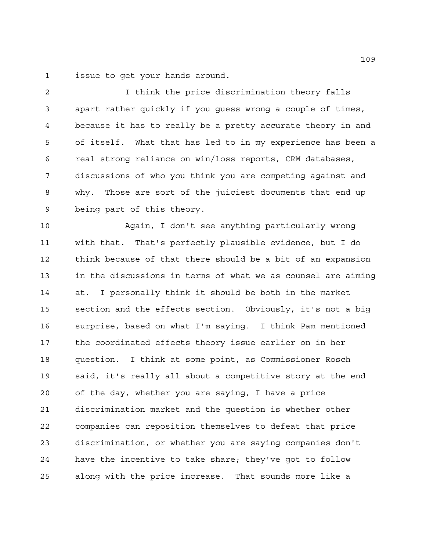issue to get your hands around.

 I think the price discrimination theory falls apart rather quickly if you guess wrong a couple of times, because it has to really be a pretty accurate theory in and of itself. What that has led to in my experience has been a real strong reliance on win/loss reports, CRM databases, discussions of who you think you are competing against and why. Those are sort of the juiciest documents that end up being part of this theory.

 Again, I don't see anything particularly wrong with that. That's perfectly plausible evidence, but I do think because of that there should be a bit of an expansion in the discussions in terms of what we as counsel are aiming at. I personally think it should be both in the market section and the effects section. Obviously, it's not a big surprise, based on what I'm saying. I think Pam mentioned the coordinated effects theory issue earlier on in her question. I think at some point, as Commissioner Rosch said, it's really all about a competitive story at the end of the day, whether you are saying, I have a price discrimination market and the question is whether other companies can reposition themselves to defeat that price discrimination, or whether you are saying companies don't have the incentive to take share; they've got to follow along with the price increase. That sounds more like a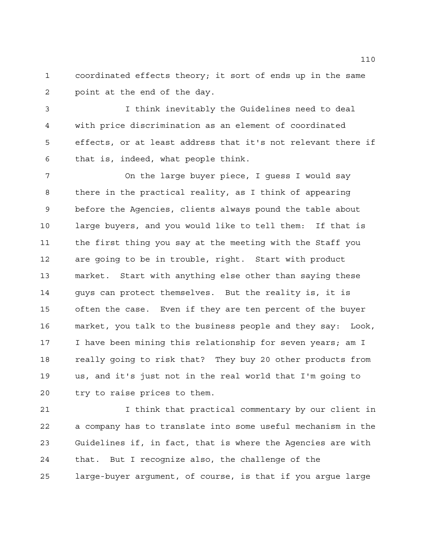coordinated effects theory; it sort of ends up in the same point at the end of the day.

 I think inevitably the Guidelines need to deal with price discrimination as an element of coordinated effects, or at least address that it's not relevant there if that is, indeed, what people think.

 On the large buyer piece, I guess I would say there in the practical reality, as I think of appearing before the Agencies, clients always pound the table about large buyers, and you would like to tell them: If that is the first thing you say at the meeting with the Staff you are going to be in trouble, right. Start with product market. Start with anything else other than saying these guys can protect themselves. But the reality is, it is often the case. Even if they are ten percent of the buyer market, you talk to the business people and they say: Look, I have been mining this relationship for seven years; am I really going to risk that? They buy 20 other products from us, and it's just not in the real world that I'm going to try to raise prices to them.

21 Think that practical commentary by our client in a company has to translate into some useful mechanism in the Guidelines if, in fact, that is where the Agencies are with that. But I recognize also, the challenge of the large-buyer argument, of course, is that if you argue large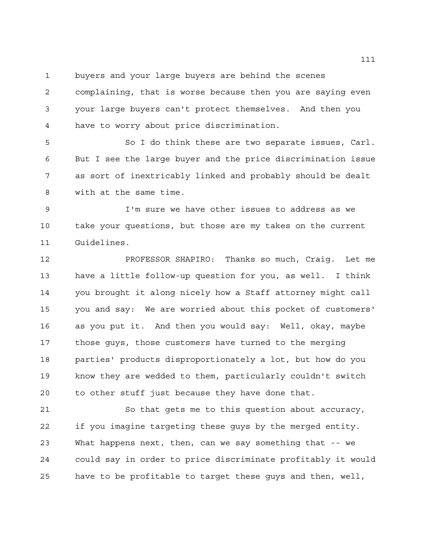buyers and your large buyers are behind the scenes

 complaining, that is worse because then you are saying even your large buyers can't protect themselves. And then you have to worry about price discrimination.

 So I do think these are two separate issues, Carl. But I see the large buyer and the price discrimination issue as sort of inextricably linked and probably should be dealt with at the same time.

 I'm sure we have other issues to address as we take your questions, but those are my takes on the current Guidelines.

 PROFESSOR SHAPIRO: Thanks so much, Craig. Let me have a little follow-up question for you, as well. I think you brought it along nicely how a Staff attorney might call you and say: We are worried about this pocket of customers' as you put it. And then you would say: Well, okay, maybe those guys, those customers have turned to the merging parties' products disproportionately a lot, but how do you know they are wedded to them, particularly couldn't switch to other stuff just because they have done that.

 So that gets me to this question about accuracy, if you imagine targeting these guys by the merged entity. What happens next, then, can we say something that -- we could say in order to price discriminate profitably it would have to be profitable to target these guys and then, well,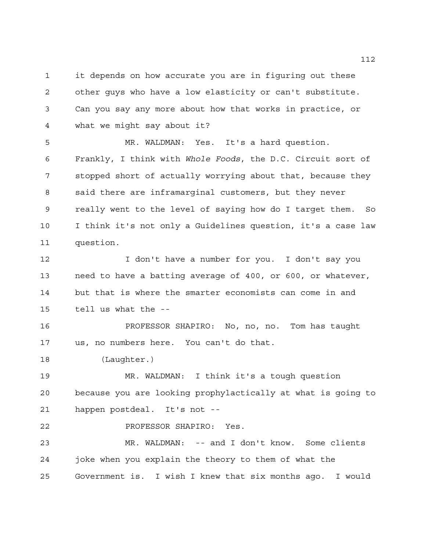it depends on how accurate you are in figuring out these other guys who have a low elasticity or can't substitute. Can you say any more about how that works in practice, or what we might say about it?

 MR. WALDMAN: Yes. It's a hard question. Frankly, I think with *Whole Foods*, the D.C. Circuit sort of stopped short of actually worrying about that, because they said there are inframarginal customers, but they never really went to the level of saying how do I target them. So I think it's not only a Guidelines question, it's a case law question.

 I don't have a number for you. I don't say you need to have a batting average of 400, or 600, or whatever, but that is where the smarter economists can come in and tell us what the --

 PROFESSOR SHAPIRO: No, no, no. Tom has taught us, no numbers here. You can't do that.

(Laughter.)

 MR. WALDMAN: I think it's a tough question because you are looking prophylactically at what is going to happen postdeal. It's not --

PROFESSOR SHAPIRO: Yes.

 MR. WALDMAN: -- and I don't know. Some clients joke when you explain the theory to them of what the Government is. I wish I knew that six months ago. I would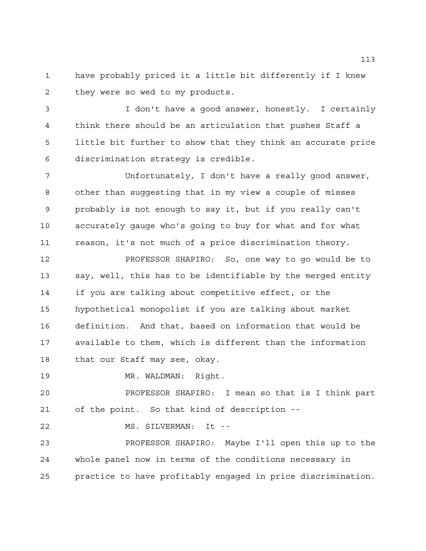have probably priced it a little bit differently if I knew they were so wed to my products.

 I don't have a good answer, honestly. I certainly think there should be an articulation that pushes Staff a little bit further to show that they think an accurate price discrimination strategy is credible.

 Unfortunately, I don't have a really good answer, other than suggesting that in my view a couple of misses probably is not enough to say it, but if you really can't accurately gauge who's going to buy for what and for what reason, it's not much of a price discrimination theory.

 PROFESSOR SHAPIRO: So, one way to go would be to say, well, this has to be identifiable by the merged entity if you are talking about competitive effect, or the hypothetical monopolist if you are talking about market definition. And that, based on information that would be available to them, which is different than the information that our Staff may see, okay.

MR. WALDMAN: Right.

 PROFESSOR SHAPIRO: I mean so that is I think part of the point. So that kind of description --

MS. SILVERMAN: It --

 PROFESSOR SHAPIRO: Maybe I'll open this up to the whole panel now in terms of the conditions necessary in practice to have profitably engaged in price discrimination.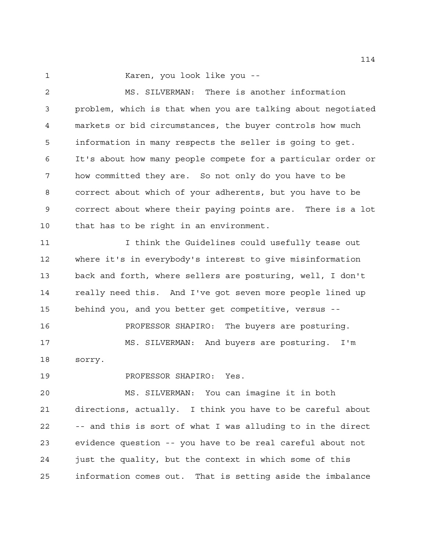Karen, you look like you --

 MS. SILVERMAN: There is another information problem, which is that when you are talking about negotiated markets or bid circumstances, the buyer controls how much information in many respects the seller is going to get. It's about how many people compete for a particular order or how committed they are. So not only do you have to be correct about which of your adherents, but you have to be correct about where their paying points are. There is a lot that has to be right in an environment.

 I think the Guidelines could usefully tease out where it's in everybody's interest to give misinformation back and forth, where sellers are posturing, well, I don't really need this. And I've got seven more people lined up behind you, and you better get competitive, versus --

 PROFESSOR SHAPIRO: The buyers are posturing. MS. SILVERMAN: And buyers are posturing. I'm sorry.

PROFESSOR SHAPIRO: Yes.

 MS. SILVERMAN: You can imagine it in both directions, actually. I think you have to be careful about -- and this is sort of what I was alluding to in the direct evidence question -- you have to be real careful about not just the quality, but the context in which some of this information comes out. That is setting aside the imbalance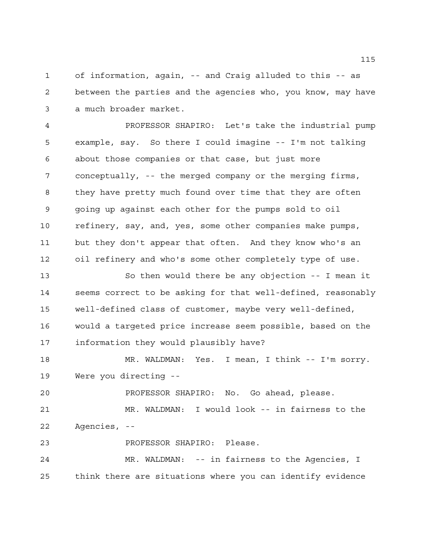of information, again, -- and Craig alluded to this -- as between the parties and the agencies who, you know, may have a much broader market.

 PROFESSOR SHAPIRO: Let's take the industrial pump example, say. So there I could imagine -- I'm not talking about those companies or that case, but just more conceptually, -- the merged company or the merging firms, they have pretty much found over time that they are often going up against each other for the pumps sold to oil refinery, say, and, yes, some other companies make pumps, but they don't appear that often. And they know who's an oil refinery and who's some other completely type of use.

 So then would there be any objection -- I mean it seems correct to be asking for that well-defined, reasonably well-defined class of customer, maybe very well-defined, would a targeted price increase seem possible, based on the information they would plausibly have?

 MR. WALDMAN: Yes. I mean, I think -- I'm sorry. Were you directing --

 PROFESSOR SHAPIRO: No. Go ahead, please. MR. WALDMAN: I would look -- in fairness to the Agencies, --

PROFESSOR SHAPIRO: Please.

 MR. WALDMAN: -- in fairness to the Agencies, I think there are situations where you can identify evidence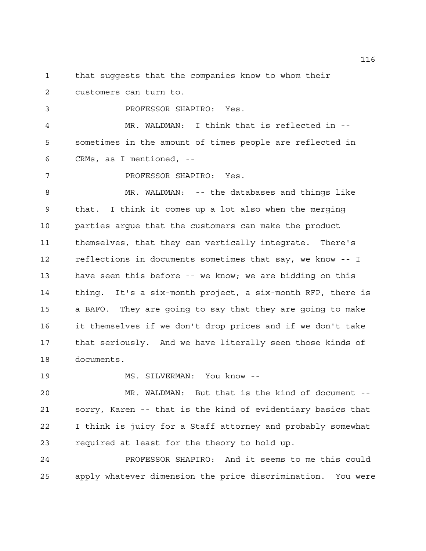that suggests that the companies know to whom their

customers can turn to.

PROFESSOR SHAPIRO: Yes.

 MR. WALDMAN: I think that is reflected in -- sometimes in the amount of times people are reflected in CRMs, as I mentioned, --

PROFESSOR SHAPIRO: Yes.

 MR. WALDMAN: -- the databases and things like that. I think it comes up a lot also when the merging parties argue that the customers can make the product themselves, that they can vertically integrate. There's reflections in documents sometimes that say, we know -- I have seen this before -- we know; we are bidding on this thing. It's a six-month project, a six-month RFP, there is a BAFO. They are going to say that they are going to make it themselves if we don't drop prices and if we don't take that seriously. And we have literally seen those kinds of documents.

MS. SILVERMAN: You know --

 MR. WALDMAN: But that is the kind of document -- sorry, Karen -- that is the kind of evidentiary basics that I think is juicy for a Staff attorney and probably somewhat required at least for the theory to hold up.

 PROFESSOR SHAPIRO: And it seems to me this could apply whatever dimension the price discrimination. You were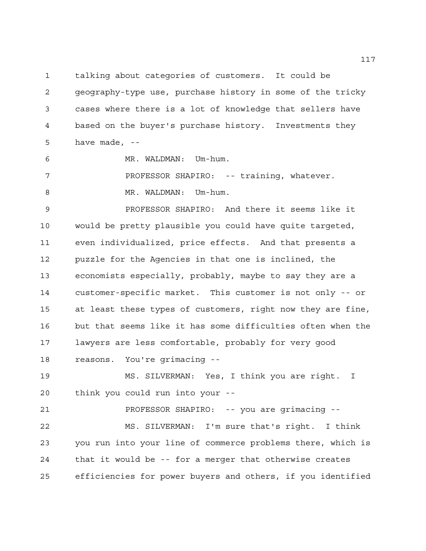talking about categories of customers. It could be geography-type use, purchase history in some of the tricky cases where there is a lot of knowledge that sellers have based on the buyer's purchase history. Investments they have made, --

MR. WALDMAN: Um-hum.

7 PROFESSOR SHAPIRO: -- training, whatever. 8 MR. WALDMAN: Um-hum.

 PROFESSOR SHAPIRO: And there it seems like it would be pretty plausible you could have quite targeted, even individualized, price effects. And that presents a puzzle for the Agencies in that one is inclined, the economists especially, probably, maybe to say they are a customer-specific market. This customer is not only -- or at least these types of customers, right now they are fine, but that seems like it has some difficulties often when the lawyers are less comfortable, probably for very good reasons. You're grimacing --

 MS. SILVERMAN: Yes, I think you are right. I think you could run into your --

PROFESSOR SHAPIRO: -- you are grimacing --

 MS. SILVERMAN: I'm sure that's right. I think you run into your line of commerce problems there, which is that it would be -- for a merger that otherwise creates efficiencies for power buyers and others, if you identified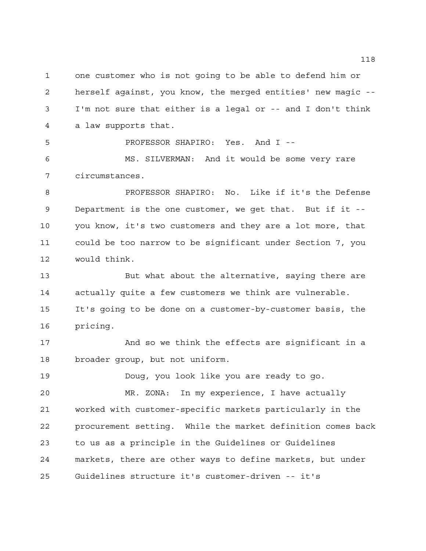one customer who is not going to be able to defend him or herself against, you know, the merged entities' new magic -- I'm not sure that either is a legal or -- and I don't think a law supports that.

PROFESSOR SHAPIRO: Yes. And I --

 MS. SILVERMAN: And it would be some very rare circumstances.

 PROFESSOR SHAPIRO: No. Like if it's the Defense Department is the one customer, we get that. But if it -- you know, it's two customers and they are a lot more, that could be too narrow to be significant under Section 7, you would think.

 But what about the alternative, saying there are actually quite a few customers we think are vulnerable. It's going to be done on a customer-by-customer basis, the pricing.

 And so we think the effects are significant in a broader group, but not uniform.

Doug, you look like you are ready to go.

 MR. ZONA: In my experience, I have actually worked with customer-specific markets particularly in the procurement setting. While the market definition comes back to us as a principle in the Guidelines or Guidelines markets, there are other ways to define markets, but under Guidelines structure it's customer-driven -- it's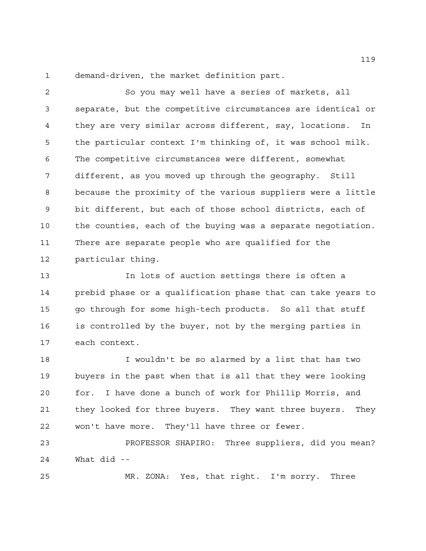demand-driven, the market definition part.

 So you may well have a series of markets, all separate, but the competitive circumstances are identical or they are very similar across different, say, locations. In the particular context I'm thinking of, it was school milk. The competitive circumstances were different, somewhat different, as you moved up through the geography. Still because the proximity of the various suppliers were a little bit different, but each of those school districts, each of the counties, each of the buying was a separate negotiation. There are separate people who are qualified for the particular thing.

 In lots of auction settings there is often a prebid phase or a qualification phase that can take years to go through for some high-tech products. So all that stuff is controlled by the buyer, not by the merging parties in each context.

 I wouldn't be so alarmed by a list that has two buyers in the past when that is all that they were looking for. I have done a bunch of work for Phillip Morris, and they looked for three buyers. They want three buyers. They won't have more. They'll have three or fewer.

 PROFESSOR SHAPIRO: Three suppliers, did you mean? What did --

MR. ZONA: Yes, that right. I'm sorry. Three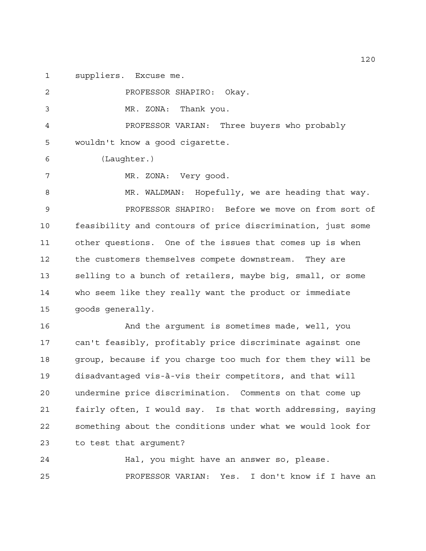suppliers. Excuse me.

 PROFESSOR SHAPIRO: Okay. MR. ZONA: Thank you. PROFESSOR VARIAN: Three buyers who probably wouldn't know a good cigarette. (Laughter.) MR. ZONA: Very good. 8 MR. WALDMAN: Hopefully, we are heading that way. PROFESSOR SHAPIRO: Before we move on from sort of feasibility and contours of price discrimination, just some other questions. One of the issues that comes up is when the customers themselves compete downstream. They are selling to a bunch of retailers, maybe big, small, or some who seem like they really want the product or immediate goods generally. And the argument is sometimes made, well, you can't feasibly, profitably price discriminate against one group, because if you charge too much for them they will be disadvantaged vis-à-vis their competitors, and that will undermine price discrimination. Comments on that come up fairly often, I would say. Is that worth addressing, saying something about the conditions under what we would look for to test that argument? Hal, you might have an answer so, please.

PROFESSOR VARIAN: Yes. I don't know if I have an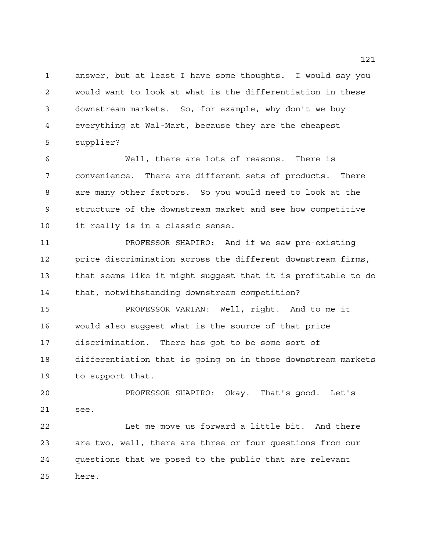answer, but at least I have some thoughts. I would say you would want to look at what is the differentiation in these downstream markets. So, for example, why don't we buy everything at Wal-Mart, because they are the cheapest supplier?

 Well, there are lots of reasons. There is convenience. There are different sets of products. There are many other factors. So you would need to look at the structure of the downstream market and see how competitive it really is in a classic sense.

 PROFESSOR SHAPIRO: And if we saw pre-existing price discrimination across the different downstream firms, that seems like it might suggest that it is profitable to do that, notwithstanding downstream competition?

 PROFESSOR VARIAN: Well, right. And to me it would also suggest what is the source of that price discrimination. There has got to be some sort of differentiation that is going on in those downstream markets to support that.

 PROFESSOR SHAPIRO: Okay. That's good. Let's see.

 Let me move us forward a little bit. And there are two, well, there are three or four questions from our questions that we posed to the public that are relevant here.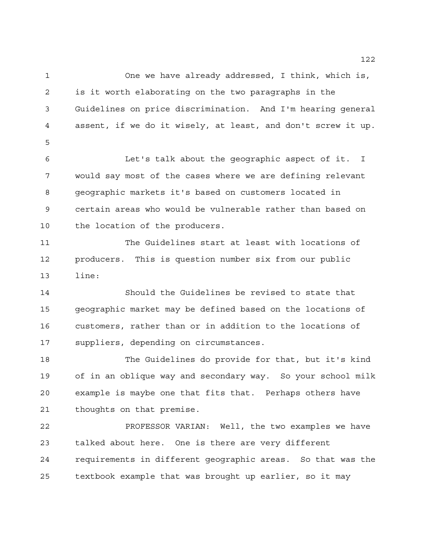One we have already addressed, I think, which is, is it worth elaborating on the two paragraphs in the Guidelines on price discrimination. And I'm hearing general assent, if we do it wisely, at least, and don't screw it up. Let's talk about the geographic aspect of it. I would say most of the cases where we are defining relevant geographic markets it's based on customers located in certain areas who would be vulnerable rather than based on the location of the producers.

 The Guidelines start at least with locations of producers. This is question number six from our public line:

 Should the Guidelines be revised to state that geographic market may be defined based on the locations of customers, rather than or in addition to the locations of suppliers, depending on circumstances.

 The Guidelines do provide for that, but it's kind of in an oblique way and secondary way. So your school milk example is maybe one that fits that. Perhaps others have thoughts on that premise.

 PROFESSOR VARIAN: Well, the two examples we have talked about here. One is there are very different requirements in different geographic areas. So that was the textbook example that was brought up earlier, so it may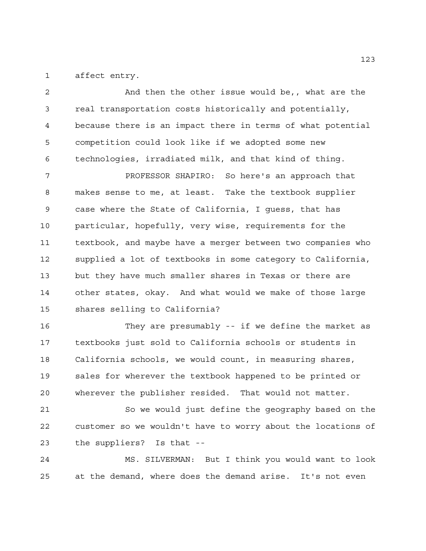affect entry.

 And then the other issue would be,, what are the real transportation costs historically and potentially, because there is an impact there in terms of what potential competition could look like if we adopted some new technologies, irradiated milk, and that kind of thing.

 PROFESSOR SHAPIRO: So here's an approach that makes sense to me, at least. Take the textbook supplier case where the State of California, I guess, that has particular, hopefully, very wise, requirements for the textbook, and maybe have a merger between two companies who supplied a lot of textbooks in some category to California, but they have much smaller shares in Texas or there are other states, okay. And what would we make of those large shares selling to California?

 They are presumably -- if we define the market as textbooks just sold to California schools or students in California schools, we would count, in measuring shares, sales for wherever the textbook happened to be printed or wherever the publisher resided. That would not matter.

 So we would just define the geography based on the customer so we wouldn't have to worry about the locations of the suppliers? Is that --

 MS. SILVERMAN: But I think you would want to look at the demand, where does the demand arise. It's not even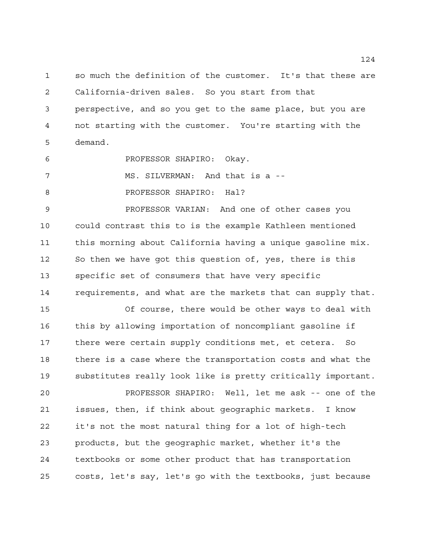so much the definition of the customer. It's that these are California-driven sales. So you start from that perspective, and so you get to the same place, but you are not starting with the customer. You're starting with the demand.

PROFESSOR SHAPIRO: Okay.

MS. SILVERMAN: And that is a --

**PROFESSOR SHAPIRO: Hal?** 

 PROFESSOR VARIAN: And one of other cases you could contrast this to is the example Kathleen mentioned this morning about California having a unique gasoline mix. So then we have got this question of, yes, there is this specific set of consumers that have very specific requirements, and what are the markets that can supply that.

 Of course, there would be other ways to deal with this by allowing importation of noncompliant gasoline if there were certain supply conditions met, et cetera. So there is a case where the transportation costs and what the substitutes really look like is pretty critically important.

 PROFESSOR SHAPIRO: Well, let me ask -- one of the issues, then, if think about geographic markets. I know it's not the most natural thing for a lot of high-tech products, but the geographic market, whether it's the textbooks or some other product that has transportation costs, let's say, let's go with the textbooks, just because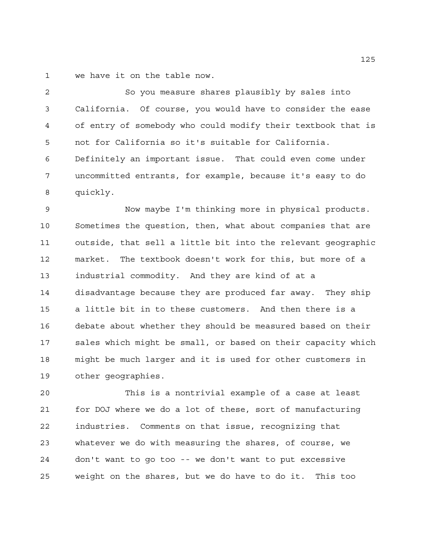we have it on the table now.

 So you measure shares plausibly by sales into California. Of course, you would have to consider the ease of entry of somebody who could modify their textbook that is not for California so it's suitable for California. Definitely an important issue. That could even come under uncommitted entrants, for example, because it's easy to do quickly.

 Now maybe I'm thinking more in physical products. Sometimes the question, then, what about companies that are outside, that sell a little bit into the relevant geographic market. The textbook doesn't work for this, but more of a industrial commodity. And they are kind of at a disadvantage because they are produced far away. They ship a little bit in to these customers. And then there is a debate about whether they should be measured based on their sales which might be small, or based on their capacity which might be much larger and it is used for other customers in other geographies.

 This is a nontrivial example of a case at least for DOJ where we do a lot of these, sort of manufacturing industries. Comments on that issue, recognizing that whatever we do with measuring the shares, of course, we don't want to go too -- we don't want to put excessive weight on the shares, but we do have to do it. This too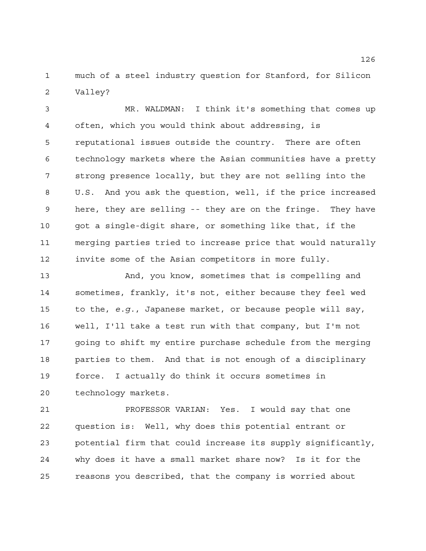much of a steel industry question for Stanford, for Silicon Valley?

 MR. WALDMAN: I think it's something that comes up often, which you would think about addressing, is reputational issues outside the country. There are often technology markets where the Asian communities have a pretty strong presence locally, but they are not selling into the U.S. And you ask the question, well, if the price increased here, they are selling -- they are on the fringe. They have got a single-digit share, or something like that, if the merging parties tried to increase price that would naturally invite some of the Asian competitors in more fully.

 And, you know, sometimes that is compelling and sometimes, frankly, it's not, either because they feel wed to the, *e.g.*, Japanese market, or because people will say, well, I'll take a test run with that company, but I'm not going to shift my entire purchase schedule from the merging parties to them. And that is not enough of a disciplinary force. I actually do think it occurs sometimes in technology markets.

 PROFESSOR VARIAN: Yes. I would say that one question is: Well, why does this potential entrant or potential firm that could increase its supply significantly, why does it have a small market share now? Is it for the reasons you described, that the company is worried about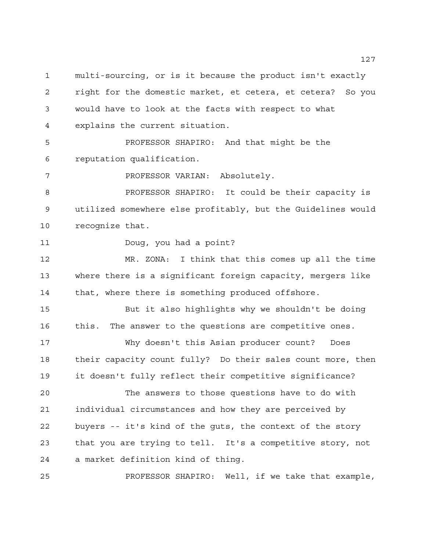multi-sourcing, or is it because the product isn't exactly right for the domestic market, et cetera, et cetera? So you would have to look at the facts with respect to what explains the current situation.

 PROFESSOR SHAPIRO: And that might be the reputation qualification.

7 PROFESSOR VARIAN: Absolutely.

 PROFESSOR SHAPIRO: It could be their capacity is utilized somewhere else profitably, but the Guidelines would recognize that.

Doug, you had a point?

 MR. ZONA: I think that this comes up all the time where there is a significant foreign capacity, mergers like that, where there is something produced offshore.

 But it also highlights why we shouldn't be doing this. The answer to the questions are competitive ones.

 Why doesn't this Asian producer count? Does their capacity count fully? Do their sales count more, then it doesn't fully reflect their competitive significance?

 The answers to those questions have to do with individual circumstances and how they are perceived by buyers -- it's kind of the guts, the context of the story that you are trying to tell. It's a competitive story, not a market definition kind of thing.

PROFESSOR SHAPIRO: Well, if we take that example,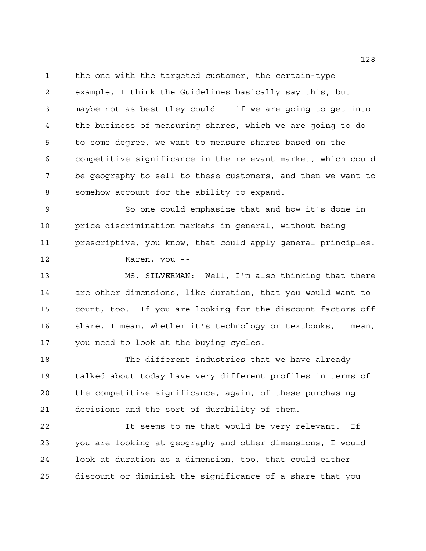the one with the targeted customer, the certain-type example, I think the Guidelines basically say this, but maybe not as best they could -- if we are going to get into the business of measuring shares, which we are going to do to some degree, we want to measure shares based on the competitive significance in the relevant market, which could be geography to sell to these customers, and then we want to somehow account for the ability to expand.

 So one could emphasize that and how it's done in price discrimination markets in general, without being prescriptive, you know, that could apply general principles. Karen, you --

 MS. SILVERMAN: Well, I'm also thinking that there are other dimensions, like duration, that you would want to count, too. If you are looking for the discount factors off share, I mean, whether it's technology or textbooks, I mean, you need to look at the buying cycles.

 The different industries that we have already talked about today have very different profiles in terms of the competitive significance, again, of these purchasing decisions and the sort of durability of them.

 It seems to me that would be very relevant. If you are looking at geography and other dimensions, I would look at duration as a dimension, too, that could either discount or diminish the significance of a share that you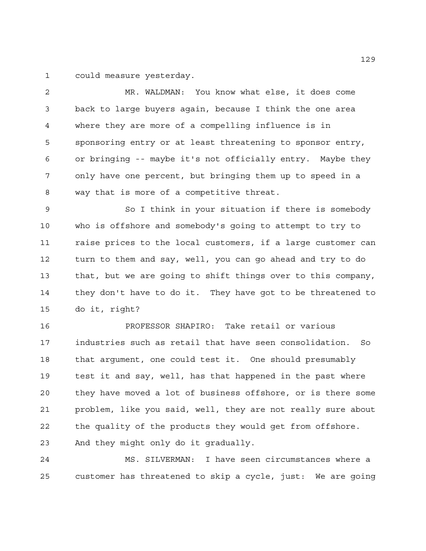could measure yesterday.

 MR. WALDMAN: You know what else, it does come back to large buyers again, because I think the one area where they are more of a compelling influence is in sponsoring entry or at least threatening to sponsor entry, or bringing -- maybe it's not officially entry. Maybe they only have one percent, but bringing them up to speed in a way that is more of a competitive threat.

 So I think in your situation if there is somebody who is offshore and somebody's going to attempt to try to raise prices to the local customers, if a large customer can turn to them and say, well, you can go ahead and try to do that, but we are going to shift things over to this company, they don't have to do it. They have got to be threatened to do it, right?

 PROFESSOR SHAPIRO: Take retail or various industries such as retail that have seen consolidation. So that argument, one could test it. One should presumably test it and say, well, has that happened in the past where they have moved a lot of business offshore, or is there some problem, like you said, well, they are not really sure about the quality of the products they would get from offshore. And they might only do it gradually.

 MS. SILVERMAN: I have seen circumstances where a customer has threatened to skip a cycle, just: We are going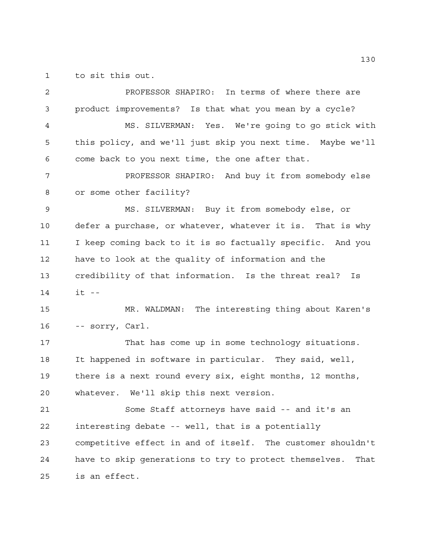to sit this out.

 PROFESSOR SHAPIRO: In terms of where there are product improvements? Is that what you mean by a cycle? MS. SILVERMAN: Yes. We're going to go stick with this policy, and we'll just skip you next time. Maybe we'll come back to you next time, the one after that. PROFESSOR SHAPIRO: And buy it from somebody else or some other facility? MS. SILVERMAN: Buy it from somebody else, or defer a purchase, or whatever, whatever it is. That is why I keep coming back to it is so factually specific. And you have to look at the quality of information and the credibility of that information. Is the threat real? Is it -- MR. WALDMAN: The interesting thing about Karen's -- sorry, Carl. That has come up in some technology situations. It happened in software in particular. They said, well, there is a next round every six, eight months, 12 months, whatever. We'll skip this next version. Some Staff attorneys have said -- and it's an interesting debate -- well, that is a potentially competitive effect in and of itself. The customer shouldn't have to skip generations to try to protect themselves. That is an effect.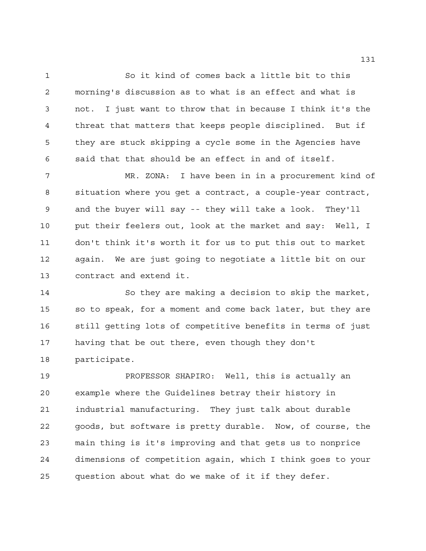So it kind of comes back a little bit to this morning's discussion as to what is an effect and what is not. I just want to throw that in because I think it's the threat that matters that keeps people disciplined. But if they are stuck skipping a cycle some in the Agencies have said that that should be an effect in and of itself.

 MR. ZONA: I have been in in a procurement kind of situation where you get a contract, a couple-year contract, and the buyer will say -- they will take a look. They'll put their feelers out, look at the market and say: Well, I don't think it's worth it for us to put this out to market again. We are just going to negotiate a little bit on our contract and extend it.

 So they are making a decision to skip the market, so to speak, for a moment and come back later, but they are still getting lots of competitive benefits in terms of just having that be out there, even though they don't participate.

 PROFESSOR SHAPIRO: Well, this is actually an example where the Guidelines betray their history in industrial manufacturing. They just talk about durable goods, but software is pretty durable. Now, of course, the main thing is it's improving and that gets us to nonprice dimensions of competition again, which I think goes to your question about what do we make of it if they defer.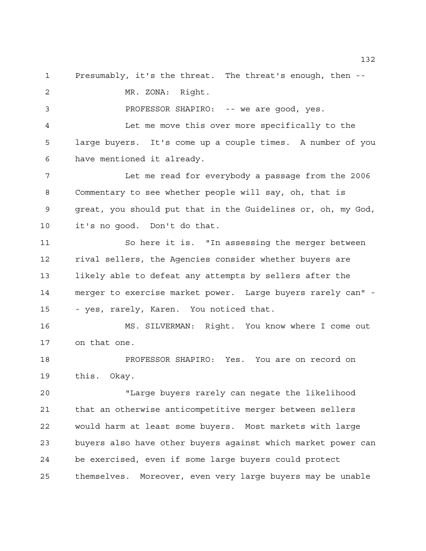Presumably, it's the threat. The threat's enough, then --

MR. ZONA: Right.

PROFESSOR SHAPIRO: -- we are good, yes.

 Let me move this over more specifically to the large buyers. It's come up a couple times. A number of you have mentioned it already.

 Let me read for everybody a passage from the 2006 Commentary to see whether people will say, oh, that is great, you should put that in the Guidelines or, oh, my God, it's no good. Don't do that.

 So here it is. "In assessing the merger between rival sellers, the Agencies consider whether buyers are likely able to defeat any attempts by sellers after the merger to exercise market power. Large buyers rarely can" - - yes, rarely, Karen. You noticed that.

 MS. SILVERMAN: Right. You know where I come out on that one.

 PROFESSOR SHAPIRO: Yes. You are on record on this. Okay.

 "Large buyers rarely can negate the likelihood that an otherwise anticompetitive merger between sellers would harm at least some buyers. Most markets with large buyers also have other buyers against which market power can be exercised, even if some large buyers could protect themselves. Moreover, even very large buyers may be unable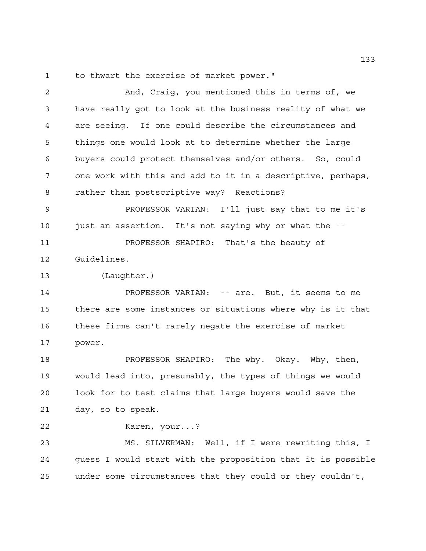to thwart the exercise of market power."

 And, Craig, you mentioned this in terms of, we have really got to look at the business reality of what we are seeing. If one could describe the circumstances and things one would look at to determine whether the large buyers could protect themselves and/or others. So, could one work with this and add to it in a descriptive, perhaps, rather than postscriptive way? Reactions? PROFESSOR VARIAN: I'll just say that to me it's just an assertion. It's not saying why or what the -- PROFESSOR SHAPIRO: That's the beauty of Guidelines. (Laughter.) PROFESSOR VARIAN: -- are. But, it seems to me there are some instances or situations where why is it that these firms can't rarely negate the exercise of market power. PROFESSOR SHAPIRO: The why. Okay. Why, then, would lead into, presumably, the types of things we would look for to test claims that large buyers would save the day, so to speak. Karen, your...? MS. SILVERMAN: Well, if I were rewriting this, I guess I would start with the proposition that it is possible under some circumstances that they could or they couldn't,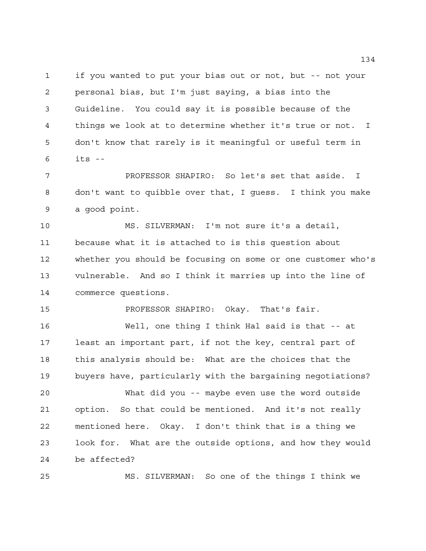if you wanted to put your bias out or not, but -- not your personal bias, but I'm just saying, a bias into the Guideline. You could say it is possible because of the things we look at to determine whether it's true or not. I don't know that rarely is it meaningful or useful term in its --

 PROFESSOR SHAPIRO: So let's set that aside. I don't want to quibble over that, I guess. I think you make a good point.

 MS. SILVERMAN: I'm not sure it's a detail, because what it is attached to is this question about whether you should be focusing on some or one customer who's vulnerable. And so I think it marries up into the line of commerce questions.

PROFESSOR SHAPIRO: Okay. That's fair.

 Well, one thing I think Hal said is that -- at least an important part, if not the key, central part of this analysis should be: What are the choices that the buyers have, particularly with the bargaining negotiations?

 What did you -- maybe even use the word outside option. So that could be mentioned. And it's not really mentioned here. Okay. I don't think that is a thing we look for. What are the outside options, and how they would be affected?

MS. SILVERMAN: So one of the things I think we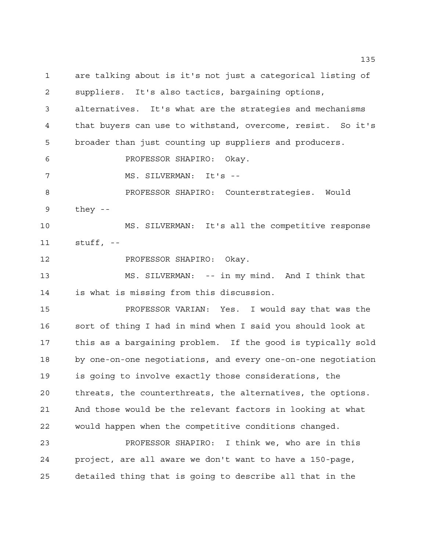are talking about is it's not just a categorical listing of suppliers. It's also tactics, bargaining options, alternatives. It's what are the strategies and mechanisms that buyers can use to withstand, overcome, resist. So it's broader than just counting up suppliers and producers. PROFESSOR SHAPIRO: Okay. 7 MS. SILVERMAN: It's -- PROFESSOR SHAPIRO: Counterstrategies. Would they -- MS. SILVERMAN: It's all the competitive response stuff, -- PROFESSOR SHAPIRO: Okay. MS. SILVERMAN: -- in my mind. And I think that is what is missing from this discussion. PROFESSOR VARIAN: Yes. I would say that was the sort of thing I had in mind when I said you should look at this as a bargaining problem. If the good is typically sold by one-on-one negotiations, and every one-on-one negotiation is going to involve exactly those considerations, the threats, the counterthreats, the alternatives, the options. And those would be the relevant factors in looking at what would happen when the competitive conditions changed. PROFESSOR SHAPIRO: I think we, who are in this project, are all aware we don't want to have a 150-page, detailed thing that is going to describe all that in the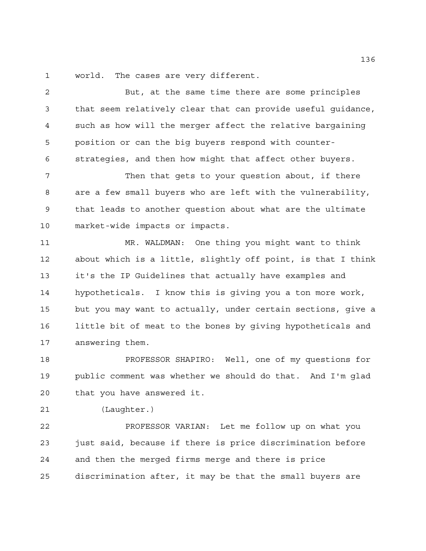world. The cases are very different.

 But, at the same time there are some principles that seem relatively clear that can provide useful guidance, such as how will the merger affect the relative bargaining position or can the big buyers respond with counter-strategies, and then how might that affect other buyers.

7 Then that gets to your question about, if there are a few small buyers who are left with the vulnerability, that leads to another question about what are the ultimate market-wide impacts or impacts.

 MR. WALDMAN: One thing you might want to think about which is a little, slightly off point, is that I think it's the IP Guidelines that actually have examples and hypotheticals. I know this is giving you a ton more work, but you may want to actually, under certain sections, give a little bit of meat to the bones by giving hypotheticals and answering them.

 PROFESSOR SHAPIRO: Well, one of my questions for public comment was whether we should do that. And I'm glad that you have answered it.

(Laughter.)

 PROFESSOR VARIAN: Let me follow up on what you just said, because if there is price discrimination before and then the merged firms merge and there is price discrimination after, it may be that the small buyers are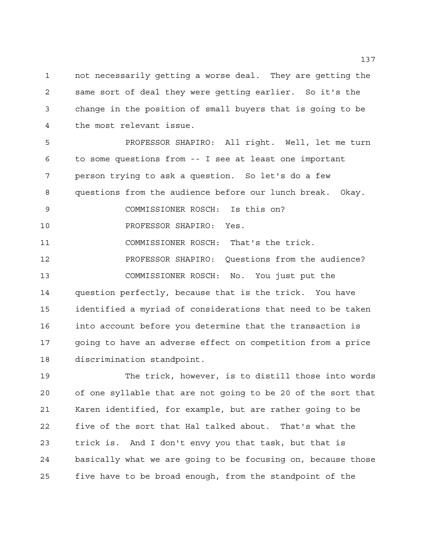not necessarily getting a worse deal. They are getting the same sort of deal they were getting earlier. So it's the change in the position of small buyers that is going to be the most relevant issue.

 PROFESSOR SHAPIRO: All right. Well, let me turn to some questions from -- I see at least one important person trying to ask a question. So let's do a few questions from the audience before our lunch break. Okay. COMMISSIONER ROSCH: Is this on? PROFESSOR SHAPIRO: Yes. COMMISSIONER ROSCH: That's the trick. PROFESSOR SHAPIRO: Questions from the audience? COMMISSIONER ROSCH: No. You just put the question perfectly, because that is the trick. You have identified a myriad of considerations that need to be taken into account before you determine that the transaction is going to have an adverse effect on competition from a price

discrimination standpoint.

 The trick, however, is to distill those into words of one syllable that are not going to be 20 of the sort that Karen identified, for example, but are rather going to be five of the sort that Hal talked about. That's what the trick is. And I don't envy you that task, but that is basically what we are going to be focusing on, because those five have to be broad enough, from the standpoint of the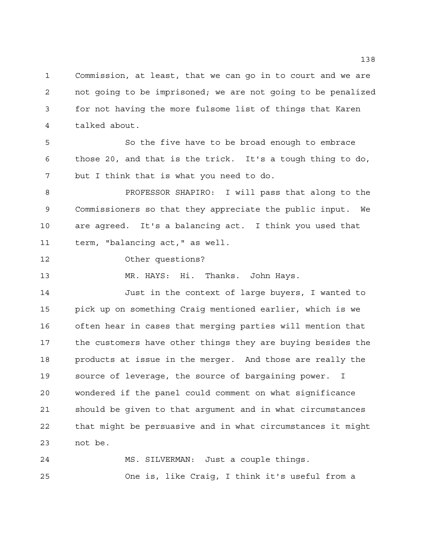Commission, at least, that we can go in to court and we are not going to be imprisoned; we are not going to be penalized for not having the more fulsome list of things that Karen talked about.

 So the five have to be broad enough to embrace those 20, and that is the trick. It's a tough thing to do, but I think that is what you need to do.

 PROFESSOR SHAPIRO: I will pass that along to the Commissioners so that they appreciate the public input. We are agreed. It's a balancing act. I think you used that term, "balancing act," as well.

Other questions?

MR. HAYS: Hi. Thanks. John Hays.

 Just in the context of large buyers, I wanted to pick up on something Craig mentioned earlier, which is we often hear in cases that merging parties will mention that the customers have other things they are buying besides the products at issue in the merger. And those are really the source of leverage, the source of bargaining power. I wondered if the panel could comment on what significance should be given to that argument and in what circumstances that might be persuasive and in what circumstances it might not be.

 MS. SILVERMAN: Just a couple things. One is, like Craig, I think it's useful from a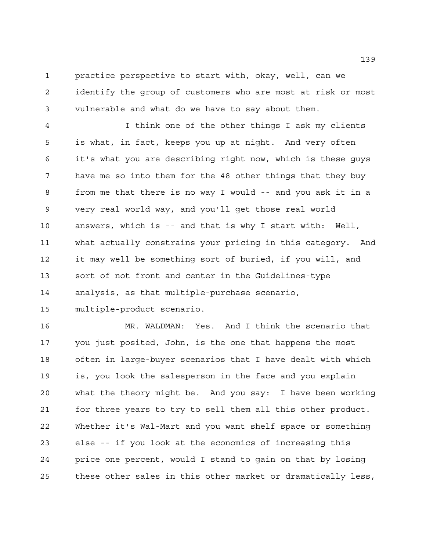practice perspective to start with, okay, well, can we identify the group of customers who are most at risk or most vulnerable and what do we have to say about them.

 I think one of the other things I ask my clients is what, in fact, keeps you up at night. And very often it's what you are describing right now, which is these guys have me so into them for the 48 other things that they buy from me that there is no way I would -- and you ask it in a very real world way, and you'll get those real world answers, which is -- and that is why I start with: Well, what actually constrains your pricing in this category. And it may well be something sort of buried, if you will, and sort of not front and center in the Guidelines-type analysis, as that multiple-purchase scenario, multiple-product scenario.

 MR. WALDMAN: Yes. And I think the scenario that you just posited, John, is the one that happens the most often in large-buyer scenarios that I have dealt with which is, you look the salesperson in the face and you explain what the theory might be. And you say: I have been working for three years to try to sell them all this other product. Whether it's Wal-Mart and you want shelf space or something else -- if you look at the economics of increasing this price one percent, would I stand to gain on that by losing these other sales in this other market or dramatically less,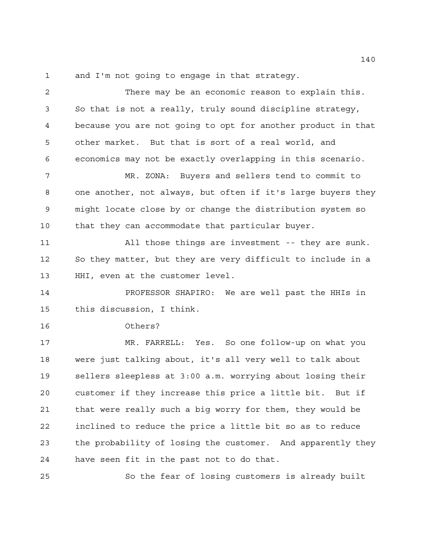and I'm not going to engage in that strategy.

 There may be an economic reason to explain this. So that is not a really, truly sound discipline strategy, because you are not going to opt for another product in that other market. But that is sort of a real world, and economics may not be exactly overlapping in this scenario. MR. ZONA: Buyers and sellers tend to commit to one another, not always, but often if it's large buyers they might locate close by or change the distribution system so that they can accommodate that particular buyer. All those things are investment -- they are sunk. So they matter, but they are very difficult to include in a HHI, even at the customer level. PROFESSOR SHAPIRO: We are well past the HHIs in this discussion, I think. Others? MR. FARRELL: Yes. So one follow-up on what you were just talking about, it's all very well to talk about sellers sleepless at 3:00 a.m. worrying about losing their customer if they increase this price a little bit. But if that were really such a big worry for them, they would be inclined to reduce the price a little bit so as to reduce the probability of losing the customer. And apparently they have seen fit in the past not to do that.

So the fear of losing customers is already built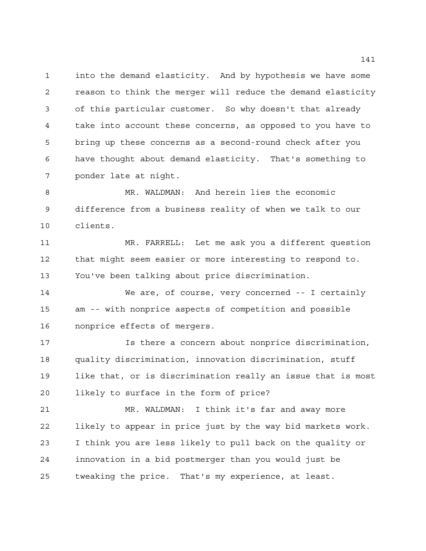into the demand elasticity. And by hypothesis we have some reason to think the merger will reduce the demand elasticity of this particular customer. So why doesn't that already take into account these concerns, as opposed to you have to bring up these concerns as a second-round check after you have thought about demand elasticity. That's something to ponder late at night.

 MR. WALDMAN: And herein lies the economic difference from a business reality of when we talk to our clients.

 MR. FARRELL: Let me ask you a different question that might seem easier or more interesting to respond to. You've been talking about price discrimination.

 We are, of course, very concerned -- I certainly am -- with nonprice aspects of competition and possible nonprice effects of mergers.

 Is there a concern about nonprice discrimination, quality discrimination, innovation discrimination, stuff like that, or is discrimination really an issue that is most likely to surface in the form of price?

 MR. WALDMAN: I think it's far and away more likely to appear in price just by the way bid markets work. I think you are less likely to pull back on the quality or innovation in a bid postmerger than you would just be tweaking the price. That's my experience, at least.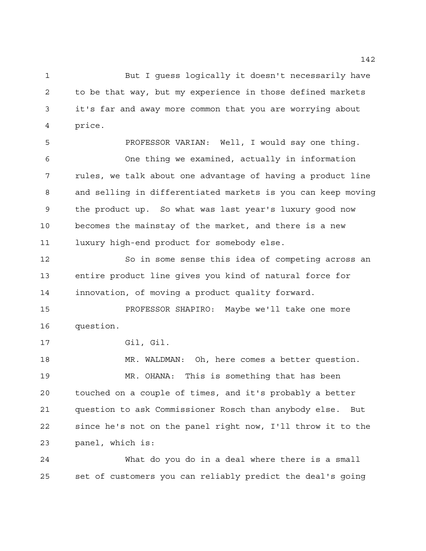But I guess logically it doesn't necessarily have to be that way, but my experience in those defined markets it's far and away more common that you are worrying about price.

 PROFESSOR VARIAN: Well, I would say one thing. One thing we examined, actually in information rules, we talk about one advantage of having a product line and selling in differentiated markets is you can keep moving the product up. So what was last year's luxury good now becomes the mainstay of the market, and there is a new luxury high-end product for somebody else.

 So in some sense this idea of competing across an entire product line gives you kind of natural force for innovation, of moving a product quality forward.

 PROFESSOR SHAPIRO: Maybe we'll take one more question.

Gil, Gil.

 MR. WALDMAN: Oh, here comes a better question. MR. OHANA: This is something that has been touched on a couple of times, and it's probably a better question to ask Commissioner Rosch than anybody else. But since he's not on the panel right now, I'll throw it to the panel, which is:

 What do you do in a deal where there is a small set of customers you can reliably predict the deal's going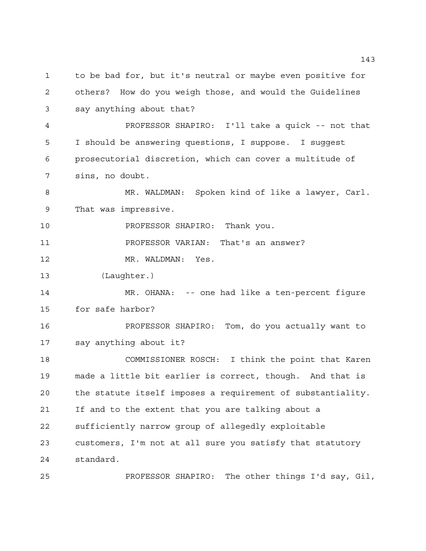to be bad for, but it's neutral or maybe even positive for others? How do you weigh those, and would the Guidelines say anything about that? PROFESSOR SHAPIRO: I'll take a quick -- not that I should be answering questions, I suppose. I suggest prosecutorial discretion, which can cover a multitude of sins, no doubt. MR. WALDMAN: Spoken kind of like a lawyer, Carl. That was impressive. PROFESSOR SHAPIRO: Thank you. PROFESSOR VARIAN: That's an answer? MR. WALDMAN: Yes. (Laughter.) MR. OHANA: -- one had like a ten-percent figure for safe harbor? PROFESSOR SHAPIRO: Tom, do you actually want to say anything about it? COMMISSIONER ROSCH: I think the point that Karen made a little bit earlier is correct, though. And that is the statute itself imposes a requirement of substantiality. If and to the extent that you are talking about a sufficiently narrow group of allegedly exploitable customers, I'm not at all sure you satisfy that statutory standard. PROFESSOR SHAPIRO: The other things I'd say, Gil,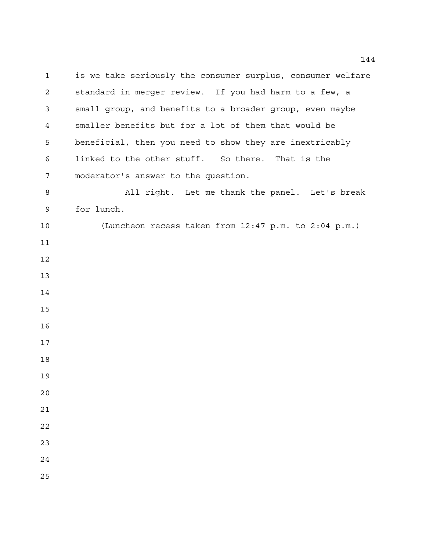is we take seriously the consumer surplus, consumer welfare standard in merger review. If you had harm to a few, a small group, and benefits to a broader group, even maybe smaller benefits but for a lot of them that would be beneficial, then you need to show they are inextricably linked to the other stuff. So there. That is the moderator's answer to the question. All right. Let me thank the panel. Let's break for lunch. (Luncheon recess taken from 12:47 p.m. to 2:04 p.m.)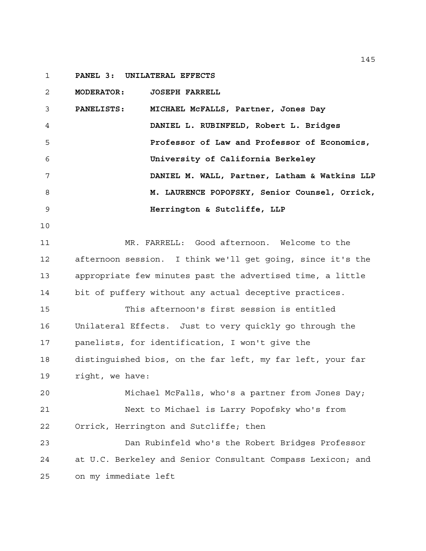**PANEL 3: UNILATERAL EFFECTS** 

**MODERATOR: JOSEPH FARRELL**

 **PANELISTS: MICHAEL McFALLS, Partner, Jones Day DANIEL L. RUBINFELD, Robert L. Bridges Professor of Law and Professor of Economics, University of California Berkeley DANIEL M. WALL, Partner, Latham & Watkins LLP M. LAURENCE POPOFSKY, Senior Counsel, Orrick, Herrington & Sutcliffe, LLP**

 MR. FARRELL: Good afternoon. Welcome to the afternoon session. I think we'll get going, since it's the appropriate few minutes past the advertised time, a little bit of puffery without any actual deceptive practices.

 This afternoon's first session is entitled Unilateral Effects. Just to very quickly go through the panelists, for identification, I won't give the distinguished bios, on the far left, my far left, your far right, we have:

 Michael McFalls, who's a partner from Jones Day; Next to Michael is Larry Popofsky who's from Orrick, Herrington and Sutcliffe; then

 Dan Rubinfeld who's the Robert Bridges Professor at U.C. Berkeley and Senior Consultant Compass Lexicon; and on my immediate left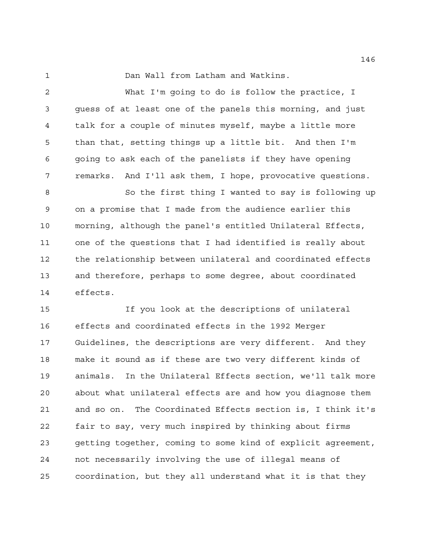Dan Wall from Latham and Watkins.

 What I'm going to do is follow the practice, I guess of at least one of the panels this morning, and just talk for a couple of minutes myself, maybe a little more than that, setting things up a little bit. And then I'm going to ask each of the panelists if they have opening remarks. And I'll ask them, I hope, provocative questions.

 So the first thing I wanted to say is following up on a promise that I made from the audience earlier this morning, although the panel's entitled Unilateral Effects, one of the questions that I had identified is really about the relationship between unilateral and coordinated effects and therefore, perhaps to some degree, about coordinated effects.

 If you look at the descriptions of unilateral effects and coordinated effects in the 1992 Merger Guidelines, the descriptions are very different. And they make it sound as if these are two very different kinds of animals. In the Unilateral Effects section, we'll talk more about what unilateral effects are and how you diagnose them and so on. The Coordinated Effects section is, I think it's fair to say, very much inspired by thinking about firms getting together, coming to some kind of explicit agreement, not necessarily involving the use of illegal means of coordination, but they all understand what it is that they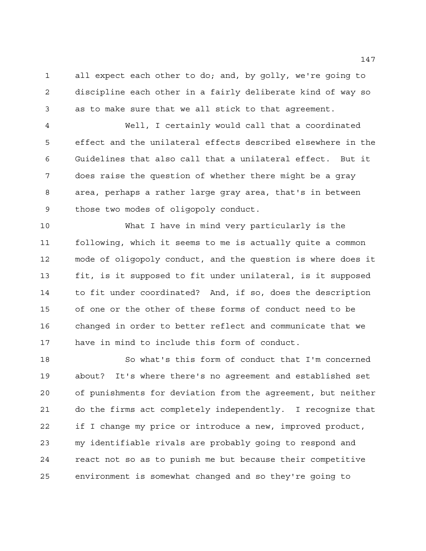all expect each other to do; and, by golly, we're going to discipline each other in a fairly deliberate kind of way so as to make sure that we all stick to that agreement.

 Well, I certainly would call that a coordinated effect and the unilateral effects described elsewhere in the Guidelines that also call that a unilateral effect. But it does raise the question of whether there might be a gray area, perhaps a rather large gray area, that's in between those two modes of oligopoly conduct.

 What I have in mind very particularly is the following, which it seems to me is actually quite a common mode of oligopoly conduct, and the question is where does it fit, is it supposed to fit under unilateral, is it supposed to fit under coordinated? And, if so, does the description of one or the other of these forms of conduct need to be changed in order to better reflect and communicate that we have in mind to include this form of conduct.

 So what's this form of conduct that I'm concerned about? It's where there's no agreement and established set of punishments for deviation from the agreement, but neither do the firms act completely independently. I recognize that if I change my price or introduce a new, improved product, my identifiable rivals are probably going to respond and react not so as to punish me but because their competitive environment is somewhat changed and so they're going to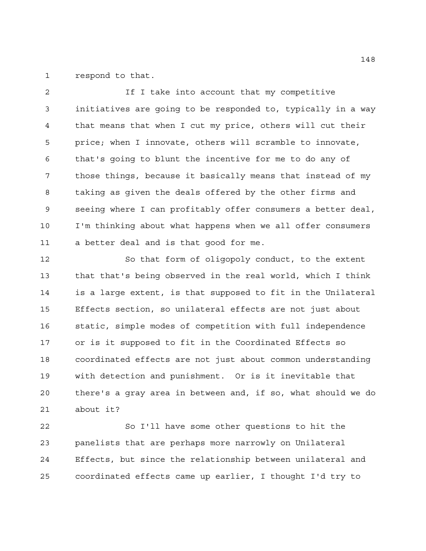respond to that.

 If I take into account that my competitive initiatives are going to be responded to, typically in a way that means that when I cut my price, others will cut their price; when I innovate, others will scramble to innovate, that's going to blunt the incentive for me to do any of those things, because it basically means that instead of my taking as given the deals offered by the other firms and seeing where I can profitably offer consumers a better deal, I'm thinking about what happens when we all offer consumers a better deal and is that good for me.

 So that form of oligopoly conduct, to the extent that that's being observed in the real world, which I think is a large extent, is that supposed to fit in the Unilateral Effects section, so unilateral effects are not just about static, simple modes of competition with full independence or is it supposed to fit in the Coordinated Effects so coordinated effects are not just about common understanding with detection and punishment. Or is it inevitable that there's a gray area in between and, if so, what should we do about it?

 So I'll have some other questions to hit the panelists that are perhaps more narrowly on Unilateral Effects, but since the relationship between unilateral and coordinated effects came up earlier, I thought I'd try to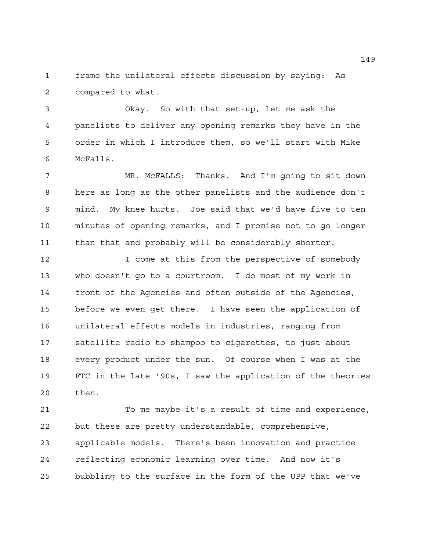frame the unilateral effects discussion by saying: As compared to what.

 Okay. So with that set-up, let me ask the panelists to deliver any opening remarks they have in the order in which I introduce them, so we'll start with Mike McFalls.

 MR. McFALLS: Thanks. And I'm going to sit down here as long as the other panelists and the audience don't mind. My knee hurts. Joe said that we'd have five to ten minutes of opening remarks, and I promise not to go longer than that and probably will be considerably shorter.

12 12 I come at this from the perspective of somebody who doesn't go to a courtroom. I do most of my work in front of the Agencies and often outside of the Agencies, before we even get there. I have seen the application of unilateral effects models in industries, ranging from satellite radio to shampoo to cigarettes, to just about every product under the sun. Of course when I was at the FTC in the late '90s, I saw the application of the theories then.

 To me maybe it's a result of time and experience, but these are pretty understandable, comprehensive, applicable models. There's been innovation and practice reflecting economic learning over time. And now it's bubbling to the surface in the form of the UPP that we've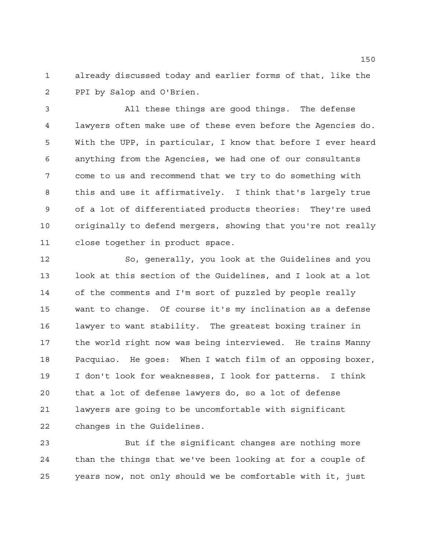already discussed today and earlier forms of that, like the PPI by Salop and O'Brien.

 All these things are good things. The defense lawyers often make use of these even before the Agencies do. With the UPP, in particular, I know that before I ever heard anything from the Agencies, we had one of our consultants come to us and recommend that we try to do something with this and use it affirmatively. I think that's largely true of a lot of differentiated products theories: They're used originally to defend mergers, showing that you're not really close together in product space.

 So, generally, you look at the Guidelines and you look at this section of the Guidelines, and I look at a lot of the comments and I'm sort of puzzled by people really want to change. Of course it's my inclination as a defense lawyer to want stability. The greatest boxing trainer in the world right now was being interviewed. He trains Manny Pacquiao. He goes: When I watch film of an opposing boxer, I don't look for weaknesses, I look for patterns. I think that a lot of defense lawyers do, so a lot of defense lawyers are going to be uncomfortable with significant changes in the Guidelines.

 But if the significant changes are nothing more than the things that we've been looking at for a couple of years now, not only should we be comfortable with it, just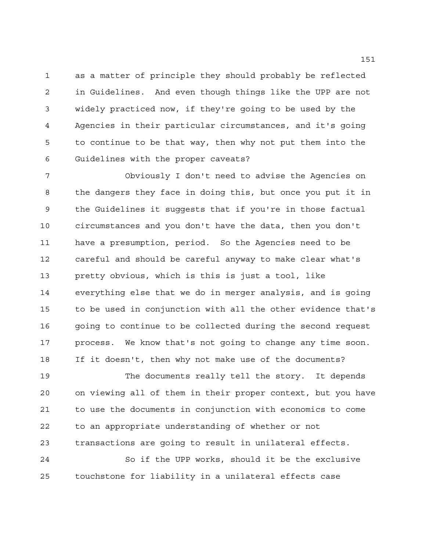as a matter of principle they should probably be reflected in Guidelines. And even though things like the UPP are not widely practiced now, if they're going to be used by the Agencies in their particular circumstances, and it's going to continue to be that way, then why not put them into the Guidelines with the proper caveats?

 Obviously I don't need to advise the Agencies on the dangers they face in doing this, but once you put it in the Guidelines it suggests that if you're in those factual circumstances and you don't have the data, then you don't have a presumption, period. So the Agencies need to be careful and should be careful anyway to make clear what's pretty obvious, which is this is just a tool, like everything else that we do in merger analysis, and is going to be used in conjunction with all the other evidence that's 16 going to continue to be collected during the second request process. We know that's not going to change any time soon. If it doesn't, then why not make use of the documents?

 The documents really tell the story. It depends on viewing all of them in their proper context, but you have to use the documents in conjunction with economics to come to an appropriate understanding of whether or not transactions are going to result in unilateral effects. So if the UPP works, should it be the exclusive touchstone for liability in a unilateral effects case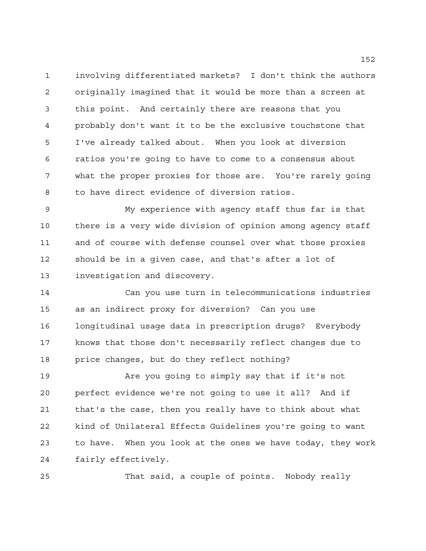involving differentiated markets? I don't think the authors originally imagined that it would be more than a screen at this point. And certainly there are reasons that you probably don't want it to be the exclusive touchstone that I've already talked about. When you look at diversion ratios you're going to have to come to a consensus about what the proper proxies for those are. You're rarely going to have direct evidence of diversion ratios.

 My experience with agency staff thus far is that there is a very wide division of opinion among agency staff and of course with defense counsel over what those proxies should be in a given case, and that's after a lot of investigation and discovery.

 Can you use turn in telecommunications industries as an indirect proxy for diversion? Can you use longitudinal usage data in prescription drugs? Everybody knows that those don't necessarily reflect changes due to price changes, but do they reflect nothing?

 Are you going to simply say that if it's not perfect evidence we're not going to use it all? And if that's the case, then you really have to think about what kind of Unilateral Effects Guidelines you're going to want to have. When you look at the ones we have today, they work fairly effectively.

That said, a couple of points. Nobody really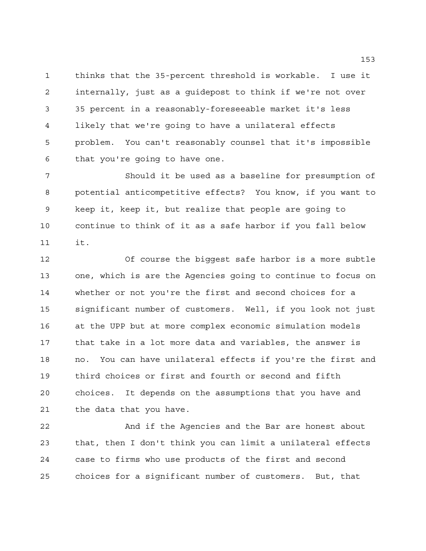thinks that the 35-percent threshold is workable. I use it internally, just as a guidepost to think if we're not over 35 percent in a reasonably-foreseeable market it's less likely that we're going to have a unilateral effects problem. You can't reasonably counsel that it's impossible that you're going to have one.

 Should it be used as a baseline for presumption of potential anticompetitive effects? You know, if you want to keep it, keep it, but realize that people are going to continue to think of it as a safe harbor if you fall below it.

 Of course the biggest safe harbor is a more subtle one, which is are the Agencies going to continue to focus on whether or not you're the first and second choices for a significant number of customers. Well, if you look not just at the UPP but at more complex economic simulation models that take in a lot more data and variables, the answer is no. You can have unilateral effects if you're the first and third choices or first and fourth or second and fifth choices. It depends on the assumptions that you have and the data that you have.

 And if the Agencies and the Bar are honest about that, then I don't think you can limit a unilateral effects case to firms who use products of the first and second choices for a significant number of customers. But, that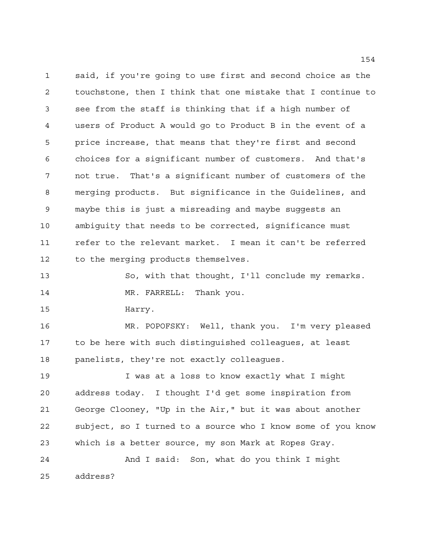said, if you're going to use first and second choice as the touchstone, then I think that one mistake that I continue to see from the staff is thinking that if a high number of users of Product A would go to Product B in the event of a price increase, that means that they're first and second choices for a significant number of customers. And that's not true. That's a significant number of customers of the merging products. But significance in the Guidelines, and maybe this is just a misreading and maybe suggests an ambiguity that needs to be corrected, significance must refer to the relevant market. I mean it can't be referred to the merging products themselves.

 So, with that thought, I'll conclude my remarks. 14 MR. FARRELL: Thank you.

Harry.

 MR. POPOFSKY: Well, thank you. I'm very pleased to be here with such distinguished colleagues, at least panelists, they're not exactly colleagues.

 I was at a loss to know exactly what I might address today. I thought I'd get some inspiration from George Clooney, "Up in the Air," but it was about another subject, so I turned to a source who I know some of you know which is a better source, my son Mark at Ropes Gray. And I said: Son, what do you think I might

address?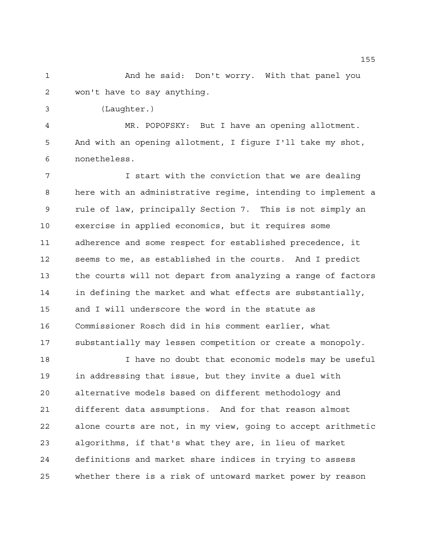And he said: Don't worry. With that panel you won't have to say anything.

(Laughter.)

 MR. POPOFSKY: But I have an opening allotment. And with an opening allotment, I figure I'll take my shot, nonetheless.

**I** start with the conviction that we are dealing here with an administrative regime, intending to implement a rule of law, principally Section 7. This is not simply an exercise in applied economics, but it requires some adherence and some respect for established precedence, it seems to me, as established in the courts. And I predict the courts will not depart from analyzing a range of factors in defining the market and what effects are substantially, and I will underscore the word in the statute as Commissioner Rosch did in his comment earlier, what substantially may lessen competition or create a monopoly.

 I have no doubt that economic models may be useful in addressing that issue, but they invite a duel with alternative models based on different methodology and different data assumptions. And for that reason almost alone courts are not, in my view, going to accept arithmetic algorithms, if that's what they are, in lieu of market definitions and market share indices in trying to assess whether there is a risk of untoward market power by reason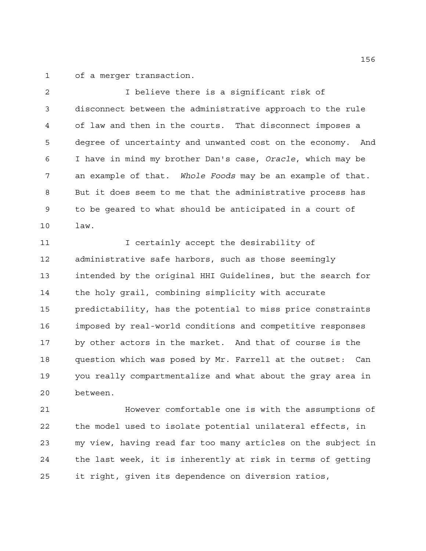of a merger transaction.

 I believe there is a significant risk of disconnect between the administrative approach to the rule of law and then in the courts. That disconnect imposes a degree of uncertainty and unwanted cost on the economy. And I have in mind my brother Dan's case, *Oracle*, which may be an example of that. *Whole Foods* may be an example of that. But it does seem to me that the administrative process has to be geared to what should be anticipated in a court of law.

11 11 I certainly accept the desirability of administrative safe harbors, such as those seemingly intended by the original HHI Guidelines, but the search for the holy grail, combining simplicity with accurate predictability, has the potential to miss price constraints imposed by real-world conditions and competitive responses by other actors in the market. And that of course is the question which was posed by Mr. Farrell at the outset: Can you really compartmentalize and what about the gray area in between.

 However comfortable one is with the assumptions of the model used to isolate potential unilateral effects, in my view, having read far too many articles on the subject in the last week, it is inherently at risk in terms of getting it right, given its dependence on diversion ratios,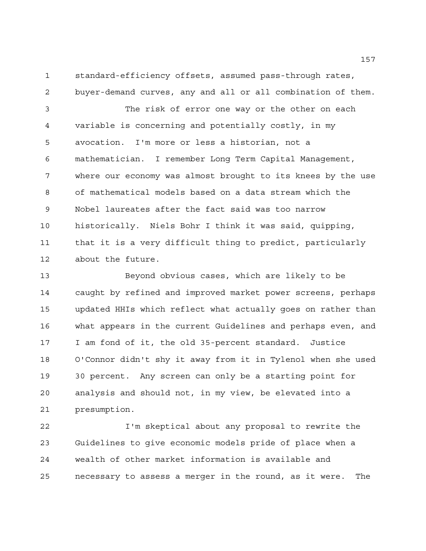standard-efficiency offsets, assumed pass-through rates, buyer-demand curves, any and all or all combination of them.

 The risk of error one way or the other on each variable is concerning and potentially costly, in my avocation. I'm more or less a historian, not a mathematician. I remember Long Term Capital Management, where our economy was almost brought to its knees by the use of mathematical models based on a data stream which the Nobel laureates after the fact said was too narrow historically. Niels Bohr I think it was said, quipping, that it is a very difficult thing to predict, particularly about the future.

 Beyond obvious cases, which are likely to be caught by refined and improved market power screens, perhaps updated HHIs which reflect what actually goes on rather than what appears in the current Guidelines and perhaps even, and I am fond of it, the old 35-percent standard. Justice O'Connor didn't shy it away from it in Tylenol when she used 30 percent. Any screen can only be a starting point for analysis and should not, in my view, be elevated into a presumption.

 I'm skeptical about any proposal to rewrite the Guidelines to give economic models pride of place when a wealth of other market information is available and necessary to assess a merger in the round, as it were. The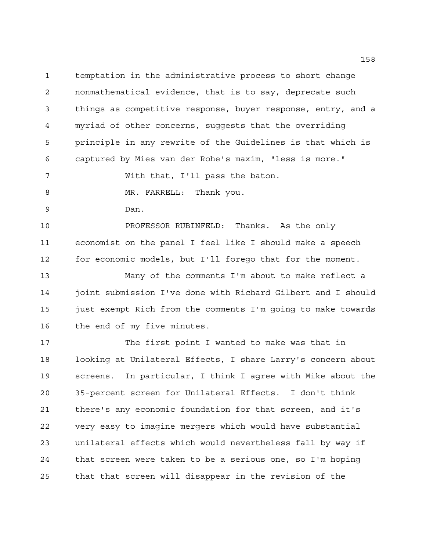temptation in the administrative process to short change nonmathematical evidence, that is to say, deprecate such things as competitive response, buyer response, entry, and a myriad of other concerns, suggests that the overriding principle in any rewrite of the Guidelines is that which is captured by Mies van der Rohe's maxim, "less is more."

With that, I'll pass the baton.

8 MR. FARRELL: Thank you.

Dan.

 PROFESSOR RUBINFELD: Thanks. As the only economist on the panel I feel like I should make a speech for economic models, but I'll forego that for the moment.

 Many of the comments I'm about to make reflect a joint submission I've done with Richard Gilbert and I should just exempt Rich from the comments I'm going to make towards the end of my five minutes.

 The first point I wanted to make was that in looking at Unilateral Effects, I share Larry's concern about screens. In particular, I think I agree with Mike about the 35-percent screen for Unilateral Effects. I don't think there's any economic foundation for that screen, and it's very easy to imagine mergers which would have substantial unilateral effects which would nevertheless fall by way if that screen were taken to be a serious one, so I'm hoping that that screen will disappear in the revision of the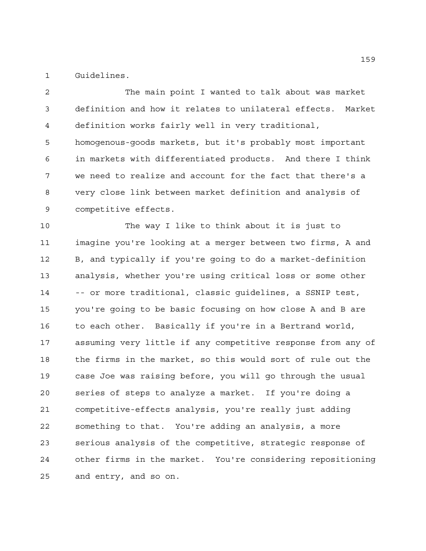Guidelines.

 The main point I wanted to talk about was market definition and how it relates to unilateral effects. Market definition works fairly well in very traditional, homogenous-goods markets, but it's probably most important in markets with differentiated products. And there I think we need to realize and account for the fact that there's a very close link between market definition and analysis of competitive effects.

 The way I like to think about it is just to imagine you're looking at a merger between two firms, A and B, and typically if you're going to do a market-definition analysis, whether you're using critical loss or some other -- or more traditional, classic guidelines, a SSNIP test, you're going to be basic focusing on how close A and B are to each other. Basically if you're in a Bertrand world, assuming very little if any competitive response from any of the firms in the market, so this would sort of rule out the case Joe was raising before, you will go through the usual series of steps to analyze a market. If you're doing a competitive-effects analysis, you're really just adding something to that. You're adding an analysis, a more serious analysis of the competitive, strategic response of other firms in the market. You're considering repositioning and entry, and so on.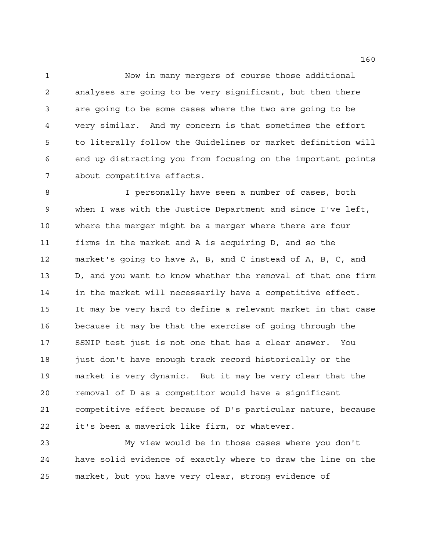Now in many mergers of course those additional analyses are going to be very significant, but then there are going to be some cases where the two are going to be very similar. And my concern is that sometimes the effort to literally follow the Guidelines or market definition will end up distracting you from focusing on the important points about competitive effects.

 I personally have seen a number of cases, both when I was with the Justice Department and since I've left, where the merger might be a merger where there are four firms in the market and A is acquiring D, and so the market's going to have A, B, and C instead of A, B, C, and D, and you want to know whether the removal of that one firm in the market will necessarily have a competitive effect. It may be very hard to define a relevant market in that case because it may be that the exercise of going through the SSNIP test just is not one that has a clear answer. You just don't have enough track record historically or the market is very dynamic. But it may be very clear that the removal of D as a competitor would have a significant competitive effect because of D's particular nature, because it's been a maverick like firm, or whatever.

 My view would be in those cases where you don't have solid evidence of exactly where to draw the line on the market, but you have very clear, strong evidence of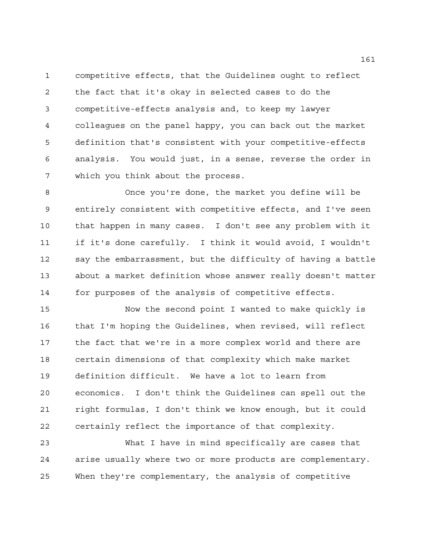competitive effects, that the Guidelines ought to reflect the fact that it's okay in selected cases to do the competitive-effects analysis and, to keep my lawyer colleagues on the panel happy, you can back out the market definition that's consistent with your competitive-effects analysis. You would just, in a sense, reverse the order in which you think about the process.

 Once you're done, the market you define will be entirely consistent with competitive effects, and I've seen that happen in many cases. I don't see any problem with it if it's done carefully. I think it would avoid, I wouldn't say the embarrassment, but the difficulty of having a battle about a market definition whose answer really doesn't matter for purposes of the analysis of competitive effects.

 Now the second point I wanted to make quickly is that I'm hoping the Guidelines, when revised, will reflect the fact that we're in a more complex world and there are certain dimensions of that complexity which make market definition difficult. We have a lot to learn from economics. I don't think the Guidelines can spell out the right formulas, I don't think we know enough, but it could certainly reflect the importance of that complexity.

 What I have in mind specifically are cases that arise usually where two or more products are complementary. When they're complementary, the analysis of competitive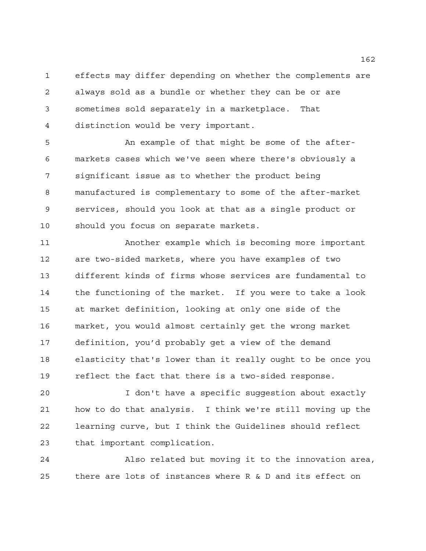effects may differ depending on whether the complements are always sold as a bundle or whether they can be or are sometimes sold separately in a marketplace. That distinction would be very important.

 An example of that might be some of the after- markets cases which we've seen where there's obviously a significant issue as to whether the product being manufactured is complementary to some of the after-market services, should you look at that as a single product or should you focus on separate markets.

 Another example which is becoming more important are two-sided markets, where you have examples of two different kinds of firms whose services are fundamental to the functioning of the market. If you were to take a look at market definition, looking at only one side of the market, you would almost certainly get the wrong market definition, you'd probably get a view of the demand elasticity that's lower than it really ought to be once you reflect the fact that there is a two-sided response.

 I don't have a specific suggestion about exactly how to do that analysis. I think we're still moving up the learning curve, but I think the Guidelines should reflect that important complication.

 Also related but moving it to the innovation area, there are lots of instances where R & D and its effect on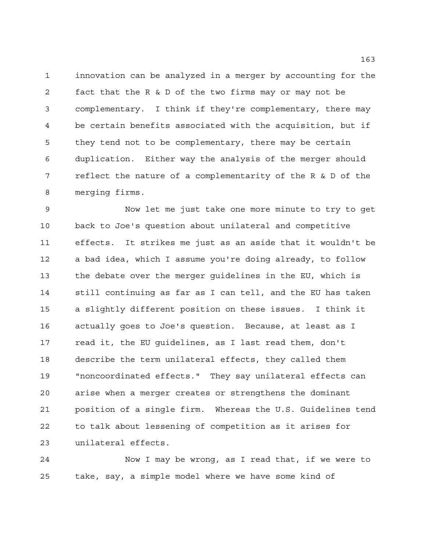innovation can be analyzed in a merger by accounting for the fact that the R & D of the two firms may or may not be complementary. I think if they're complementary, there may be certain benefits associated with the acquisition, but if they tend not to be complementary, there may be certain duplication. Either way the analysis of the merger should reflect the nature of a complementarity of the R & D of the merging firms.

 Now let me just take one more minute to try to get back to Joe's question about unilateral and competitive effects. It strikes me just as an aside that it wouldn't be a bad idea, which I assume you're doing already, to follow the debate over the merger guidelines in the EU, which is still continuing as far as I can tell, and the EU has taken a slightly different position on these issues. I think it actually goes to Joe's question. Because, at least as I read it, the EU guidelines, as I last read them, don't describe the term unilateral effects, they called them "noncoordinated effects." They say unilateral effects can arise when a merger creates or strengthens the dominant position of a single firm. Whereas the U.S. Guidelines tend to talk about lessening of competition as it arises for unilateral effects.

 Now I may be wrong, as I read that, if we were to take, say, a simple model where we have some kind of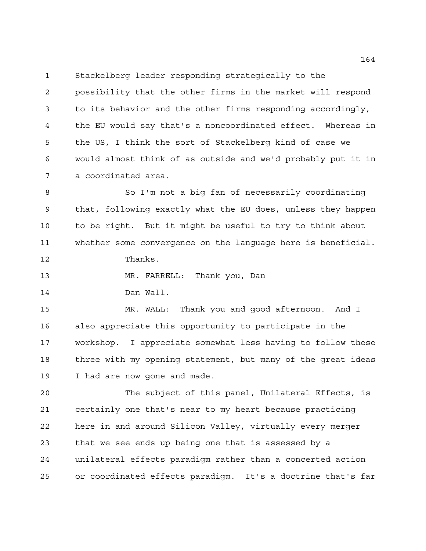Stackelberg leader responding strategically to the

 possibility that the other firms in the market will respond to its behavior and the other firms responding accordingly, the EU would say that's a noncoordinated effect. Whereas in the US, I think the sort of Stackelberg kind of case we would almost think of as outside and we'd probably put it in a coordinated area.

 So I'm not a big fan of necessarily coordinating that, following exactly what the EU does, unless they happen to be right. But it might be useful to try to think about whether some convergence on the language here is beneficial. Thanks.

MR. FARRELL: Thank you, Dan

Dan Wall.

 MR. WALL: Thank you and good afternoon. And I also appreciate this opportunity to participate in the workshop. I appreciate somewhat less having to follow these three with my opening statement, but many of the great ideas I had are now gone and made.

 The subject of this panel, Unilateral Effects, is certainly one that's near to my heart because practicing here in and around Silicon Valley, virtually every merger that we see ends up being one that is assessed by a unilateral effects paradigm rather than a concerted action or coordinated effects paradigm. It's a doctrine that's far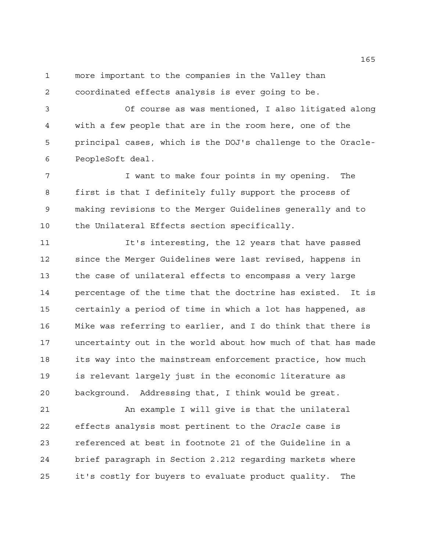more important to the companies in the Valley than coordinated effects analysis is ever going to be.

 Of course as was mentioned, I also litigated along with a few people that are in the room here, one of the principal cases, which is the DOJ's challenge to the Oracle-PeopleSoft deal.

7 T want to make four points in my opening. The first is that I definitely fully support the process of making revisions to the Merger Guidelines generally and to the Unilateral Effects section specifically.

11 It's interesting, the 12 years that have passed since the Merger Guidelines were last revised, happens in the case of unilateral effects to encompass a very large percentage of the time that the doctrine has existed. It is certainly a period of time in which a lot has happened, as Mike was referring to earlier, and I do think that there is uncertainty out in the world about how much of that has made its way into the mainstream enforcement practice, how much is relevant largely just in the economic literature as background. Addressing that, I think would be great.

 An example I will give is that the unilateral effects analysis most pertinent to the *Oracle* case is referenced at best in footnote 21 of the Guideline in a brief paragraph in Section 2.212 regarding markets where it's costly for buyers to evaluate product quality. The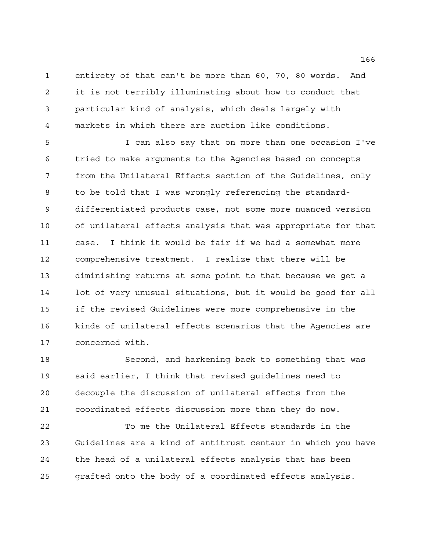entirety of that can't be more than 60, 70, 80 words. And it is not terribly illuminating about how to conduct that particular kind of analysis, which deals largely with markets in which there are auction like conditions.

 I can also say that on more than one occasion I've tried to make arguments to the Agencies based on concepts from the Unilateral Effects section of the Guidelines, only to be told that I was wrongly referencing the standard- differentiated products case, not some more nuanced version of unilateral effects analysis that was appropriate for that case. I think it would be fair if we had a somewhat more comprehensive treatment. I realize that there will be diminishing returns at some point to that because we get a lot of very unusual situations, but it would be good for all if the revised Guidelines were more comprehensive in the kinds of unilateral effects scenarios that the Agencies are concerned with.

 Second, and harkening back to something that was said earlier, I think that revised guidelines need to decouple the discussion of unilateral effects from the coordinated effects discussion more than they do now.

 To me the Unilateral Effects standards in the Guidelines are a kind of antitrust centaur in which you have the head of a unilateral effects analysis that has been grafted onto the body of a coordinated effects analysis.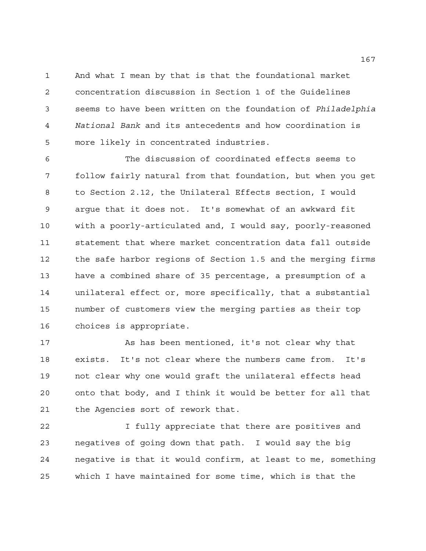And what I mean by that is that the foundational market concentration discussion in Section 1 of the Guidelines seems to have been written on the foundation of *Philadelphia National Bank* and its antecedents and how coordination is more likely in concentrated industries.

 The discussion of coordinated effects seems to follow fairly natural from that foundation, but when you get to Section 2.12, the Unilateral Effects section, I would argue that it does not. It's somewhat of an awkward fit with a poorly-articulated and, I would say, poorly-reasoned statement that where market concentration data fall outside the safe harbor regions of Section 1.5 and the merging firms have a combined share of 35 percentage, a presumption of a unilateral effect or, more specifically, that a substantial number of customers view the merging parties as their top choices is appropriate.

 As has been mentioned, it's not clear why that exists. It's not clear where the numbers came from. It's not clear why one would graft the unilateral effects head onto that body, and I think it would be better for all that the Agencies sort of rework that.

 I fully appreciate that there are positives and negatives of going down that path. I would say the big negative is that it would confirm, at least to me, something which I have maintained for some time, which is that the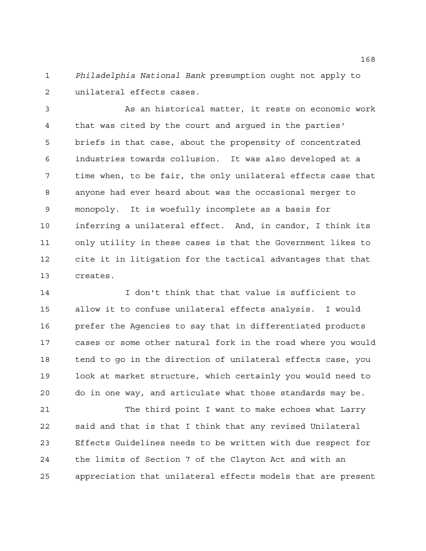*Philadelphia National Bank* presumption ought not apply to unilateral effects cases.

 As an historical matter, it rests on economic work that was cited by the court and argued in the parties' briefs in that case, about the propensity of concentrated industries towards collusion. It was also developed at a time when, to be fair, the only unilateral effects case that anyone had ever heard about was the occasional merger to monopoly. It is woefully incomplete as a basis for inferring a unilateral effect. And, in candor, I think its only utility in these cases is that the Government likes to cite it in litigation for the tactical advantages that that creates.

 I don't think that that value is sufficient to allow it to confuse unilateral effects analysis. I would prefer the Agencies to say that in differentiated products cases or some other natural fork in the road where you would tend to go in the direction of unilateral effects case, you look at market structure, which certainly you would need to do in one way, and articulate what those standards may be.

21 The third point I want to make echoes what Larry said and that is that I think that any revised Unilateral Effects Guidelines needs to be written with due respect for the limits of Section 7 of the Clayton Act and with an appreciation that unilateral effects models that are present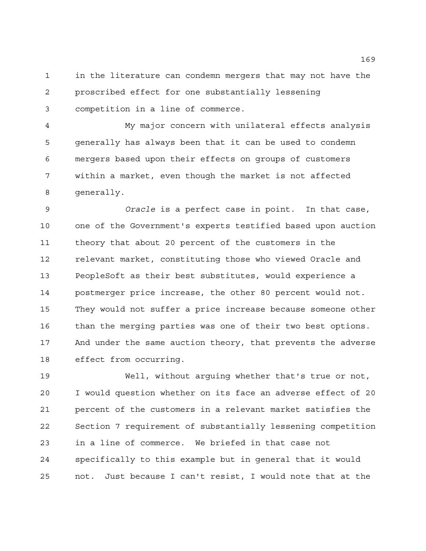in the literature can condemn mergers that may not have the proscribed effect for one substantially lessening competition in a line of commerce.

 My major concern with unilateral effects analysis generally has always been that it can be used to condemn mergers based upon their effects on groups of customers within a market, even though the market is not affected generally.

 *Oracle* is a perfect case in point. In that case, one of the Government's experts testified based upon auction theory that about 20 percent of the customers in the relevant market, constituting those who viewed Oracle and PeopleSoft as their best substitutes, would experience a postmerger price increase, the other 80 percent would not. They would not suffer a price increase because someone other than the merging parties was one of their two best options. And under the same auction theory, that prevents the adverse effect from occurring.

 Well, without arguing whether that's true or not, I would question whether on its face an adverse effect of 20 percent of the customers in a relevant market satisfies the Section 7 requirement of substantially lessening competition in a line of commerce. We briefed in that case not specifically to this example but in general that it would not. Just because I can't resist, I would note that at the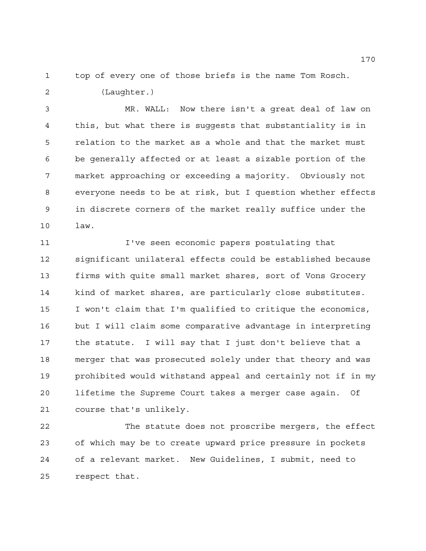top of every one of those briefs is the name Tom Rosch.

(Laughter.)

 MR. WALL: Now there isn't a great deal of law on this, but what there is suggests that substantiality is in relation to the market as a whole and that the market must be generally affected or at least a sizable portion of the market approaching or exceeding a majority. Obviously not everyone needs to be at risk, but I question whether effects in discrete corners of the market really suffice under the law.

 I've seen economic papers postulating that significant unilateral effects could be established because firms with quite small market shares, sort of Vons Grocery kind of market shares, are particularly close substitutes. I won't claim that I'm qualified to critique the economics, but I will claim some comparative advantage in interpreting the statute. I will say that I just don't believe that a merger that was prosecuted solely under that theory and was prohibited would withstand appeal and certainly not if in my lifetime the Supreme Court takes a merger case again. Of course that's unlikely.

 The statute does not proscribe mergers, the effect of which may be to create upward price pressure in pockets of a relevant market. New Guidelines, I submit, need to respect that.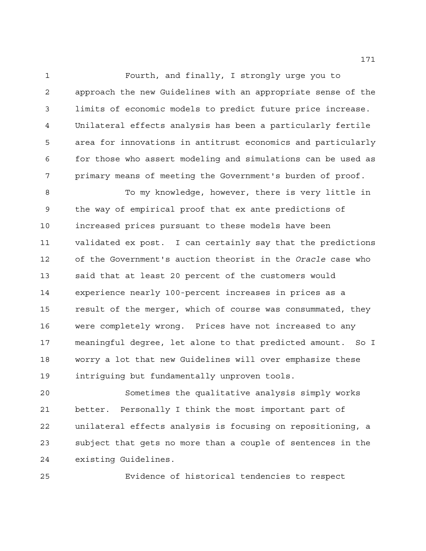Fourth, and finally, I strongly urge you to approach the new Guidelines with an appropriate sense of the limits of economic models to predict future price increase. Unilateral effects analysis has been a particularly fertile area for innovations in antitrust economics and particularly for those who assert modeling and simulations can be used as primary means of meeting the Government's burden of proof.

 To my knowledge, however, there is very little in the way of empirical proof that ex ante predictions of increased prices pursuant to these models have been validated ex post. I can certainly say that the predictions of the Government's auction theorist in the *Oracle* case who said that at least 20 percent of the customers would experience nearly 100-percent increases in prices as a result of the merger, which of course was consummated, they were completely wrong. Prices have not increased to any meaningful degree, let alone to that predicted amount. So I worry a lot that new Guidelines will over emphasize these intriguing but fundamentally unproven tools.

 Sometimes the qualitative analysis simply works better. Personally I think the most important part of unilateral effects analysis is focusing on repositioning, a subject that gets no more than a couple of sentences in the existing Guidelines.

Evidence of historical tendencies to respect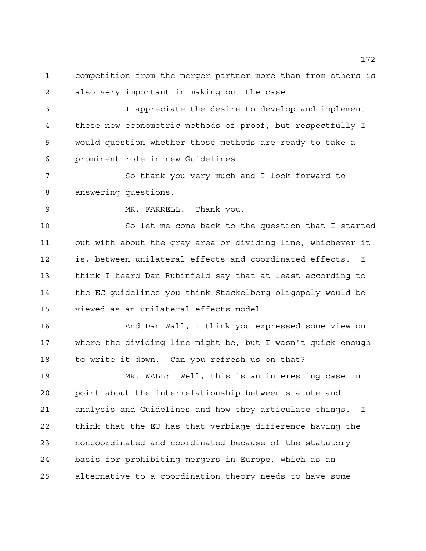competition from the merger partner more than from others is also very important in making out the case.

 I appreciate the desire to develop and implement these new econometric methods of proof, but respectfully I would question whether those methods are ready to take a prominent role in new Guidelines.

 So thank you very much and I look forward to answering questions.

MR. FARRELL: Thank you.

 So let me come back to the question that I started out with about the gray area or dividing line, whichever it is, between unilateral effects and coordinated effects. I think I heard Dan Rubinfeld say that at least according to the EC guidelines you think Stackelberg oligopoly would be viewed as an unilateral effects model.

 And Dan Wall, I think you expressed some view on where the dividing line might be, but I wasn't quick enough to write it down. Can you refresh us on that?

 MR. WALL: Well, this is an interesting case in point about the interrelationship between statute and analysis and Guidelines and how they articulate things. I think that the EU has that verbiage difference having the noncoordinated and coordinated because of the statutory basis for prohibiting mergers in Europe, which as an alternative to a coordination theory needs to have some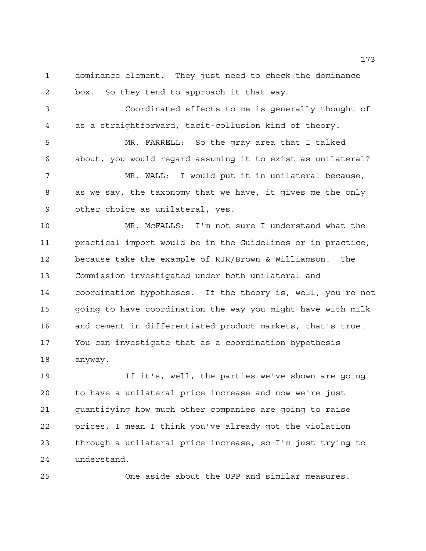dominance element. They just need to check the dominance box. So they tend to approach it that way.

 Coordinated effects to me is generally thought of as a straightforward, tacit-collusion kind of theory.

 MR. FARRELL: So the gray area that I talked about, you would regard assuming it to exist as unilateral?

 MR. WALL: I would put it in unilateral because, as we say, the taxonomy that we have, it gives me the only other choice as unilateral, yes.

 MR. McFALLS: I'm not sure I understand what the practical import would be in the Guidelines or in practice, because take the example of RJR/Brown & Williamson. The Commission investigated under both unilateral and coordination hypotheses. If the theory is, well, you're not going to have coordination the way you might have with milk and cement in differentiated product markets, that's true. You can investigate that as a coordination hypothesis anyway.

 If it's, well, the parties we've shown are going to have a unilateral price increase and now we're just quantifying how much other companies are going to raise prices, I mean I think you've already got the violation through a unilateral price increase, so I'm just trying to understand.

One aside about the UPP and similar measures.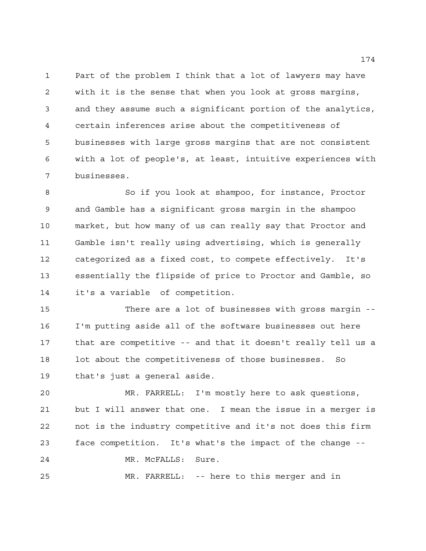Part of the problem I think that a lot of lawyers may have with it is the sense that when you look at gross margins, and they assume such a significant portion of the analytics, certain inferences arise about the competitiveness of businesses with large gross margins that are not consistent with a lot of people's, at least, intuitive experiences with businesses.

 So if you look at shampoo, for instance, Proctor and Gamble has a significant gross margin in the shampoo market, but how many of us can really say that Proctor and Gamble isn't really using advertising, which is generally categorized as a fixed cost, to compete effectively. It's essentially the flipside of price to Proctor and Gamble, so it's a variable of competition.

 There are a lot of businesses with gross margin -- I'm putting aside all of the software businesses out here that are competitive -- and that it doesn't really tell us a lot about the competitiveness of those businesses. So that's just a general aside.

 MR. FARRELL: I'm mostly here to ask questions, but I will answer that one. I mean the issue in a merger is not is the industry competitive and it's not does this firm face competition. It's what's the impact of the change -- MR. McFALLS: Sure.

MR. FARRELL: -- here to this merger and in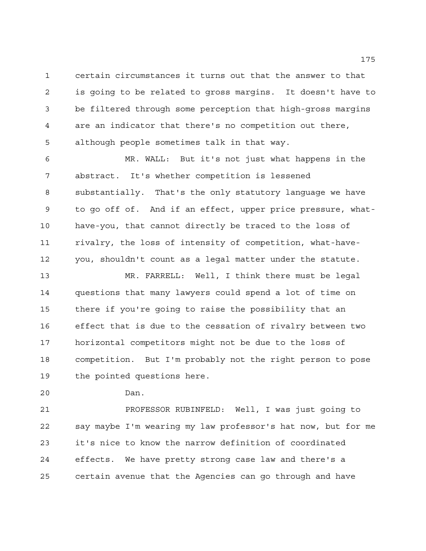certain circumstances it turns out that the answer to that is going to be related to gross margins. It doesn't have to be filtered through some perception that high-gross margins are an indicator that there's no competition out there, although people sometimes talk in that way.

 MR. WALL: But it's not just what happens in the abstract. It's whether competition is lessened substantially. That's the only statutory language we have to go off of. And if an effect, upper price pressure, what- have-you, that cannot directly be traced to the loss of rivalry, the loss of intensity of competition, what-have- you, shouldn't count as a legal matter under the statute. MR. FARRELL: Well, I think there must be legal questions that many lawyers could spend a lot of time on

 there if you're going to raise the possibility that an effect that is due to the cessation of rivalry between two horizontal competitors might not be due to the loss of competition. But I'm probably not the right person to pose the pointed questions here.

Dan.

 PROFESSOR RUBINFELD: Well, I was just going to say maybe I'm wearing my law professor's hat now, but for me it's nice to know the narrow definition of coordinated effects. We have pretty strong case law and there's a certain avenue that the Agencies can go through and have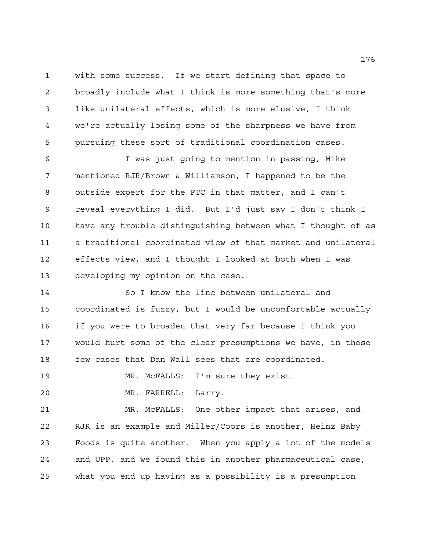with some success. If we start defining that space to broadly include what I think is more something that's more like unilateral effects, which is more elusive, I think we're actually losing some of the sharpness we have from pursuing these sort of traditional coordination cases.

 I was just going to mention in passing, Mike mentioned RJR/Brown & Williamson, I happened to be the outside expert for the FTC in that matter, and I can't reveal everything I did. But I'd just say I don't think I have any trouble distinguishing between what I thought of as a traditional coordinated view of that market and unilateral effects view, and I thought I looked at both when I was developing my opinion on the case.

 So I know the line between unilateral and coordinated is fuzzy, but I would be uncomfortable actually if you were to broaden that very far because I think you would hurt some of the clear presumptions we have, in those few cases that Dan Wall sees that are coordinated.

MR. McFALLS: I'm sure they exist.

MR. FARRELL: Larry.

 MR. McFALLS: One other impact that arises, and RJR is an example and Miller/Coors is another, Heinz Baby Foods is quite another. When you apply a lot of the models and UPP, and we found this in another pharmaceutical case, what you end up having as a possibility is a presumption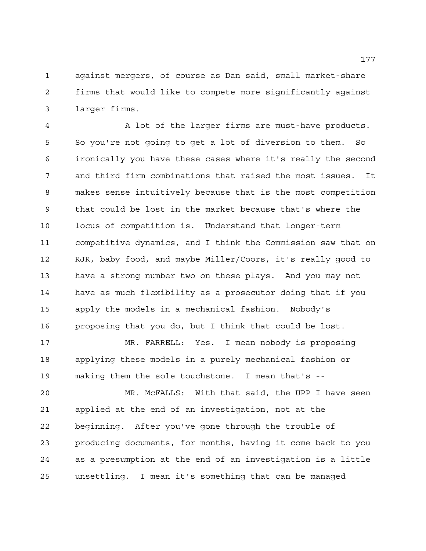against mergers, of course as Dan said, small market-share firms that would like to compete more significantly against larger firms.

 A lot of the larger firms are must-have products. So you're not going to get a lot of diversion to them. So ironically you have these cases where it's really the second and third firm combinations that raised the most issues. It makes sense intuitively because that is the most competition that could be lost in the market because that's where the locus of competition is. Understand that longer-term competitive dynamics, and I think the Commission saw that on RJR, baby food, and maybe Miller/Coors, it's really good to have a strong number two on these plays. And you may not have as much flexibility as a prosecutor doing that if you apply the models in a mechanical fashion. Nobody's proposing that you do, but I think that could be lost.

 MR. FARRELL: Yes. I mean nobody is proposing applying these models in a purely mechanical fashion or making them the sole touchstone. I mean that's --

 MR. McFALLS: With that said, the UPP I have seen applied at the end of an investigation, not at the beginning. After you've gone through the trouble of producing documents, for months, having it come back to you as a presumption at the end of an investigation is a little unsettling. I mean it's something that can be managed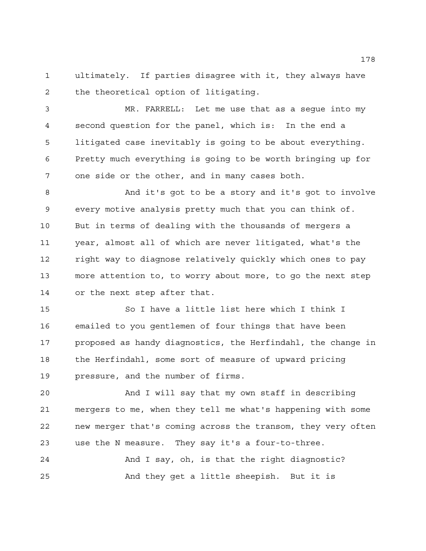ultimately. If parties disagree with it, they always have the theoretical option of litigating.

 MR. FARRELL: Let me use that as a segue into my second question for the panel, which is: In the end a litigated case inevitably is going to be about everything. Pretty much everything is going to be worth bringing up for one side or the other, and in many cases both.

 And it's got to be a story and it's got to involve every motive analysis pretty much that you can think of. But in terms of dealing with the thousands of mergers a year, almost all of which are never litigated, what's the right way to diagnose relatively quickly which ones to pay more attention to, to worry about more, to go the next step or the next step after that.

 So I have a little list here which I think I emailed to you gentlemen of four things that have been proposed as handy diagnostics, the Herfindahl, the change in the Herfindahl, some sort of measure of upward pricing pressure, and the number of firms.

 And I will say that my own staff in describing mergers to me, when they tell me what's happening with some new merger that's coming across the transom, they very often use the N measure. They say it's a four-to-three.

 And I say, oh, is that the right diagnostic? And they get a little sheepish. But it is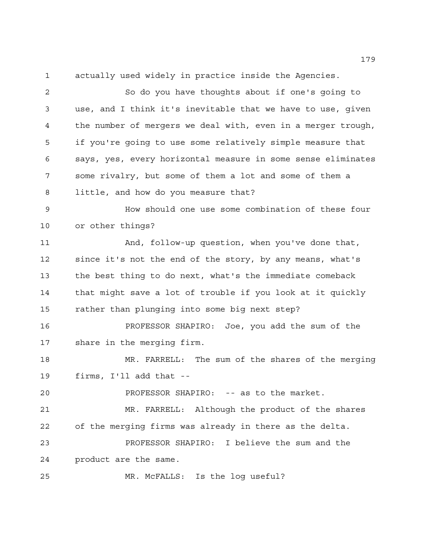actually used widely in practice inside the Agencies.

 So do you have thoughts about if one's going to use, and I think it's inevitable that we have to use, given the number of mergers we deal with, even in a merger trough, if you're going to use some relatively simple measure that says, yes, every horizontal measure in some sense eliminates some rivalry, but some of them a lot and some of them a little, and how do you measure that?

 How should one use some combination of these four or other things?

 And, follow-up question, when you've done that, since it's not the end of the story, by any means, what's the best thing to do next, what's the immediate comeback that might save a lot of trouble if you look at it quickly rather than plunging into some big next step?

 PROFESSOR SHAPIRO: Joe, you add the sum of the share in the merging firm.

 MR. FARRELL: The sum of the shares of the merging firms, I'll add that --

PROFESSOR SHAPIRO: -- as to the market.

 MR. FARRELL: Although the product of the shares of the merging firms was already in there as the delta. PROFESSOR SHAPIRO: I believe the sum and the

product are the same.

MR. McFALLS: Is the log useful?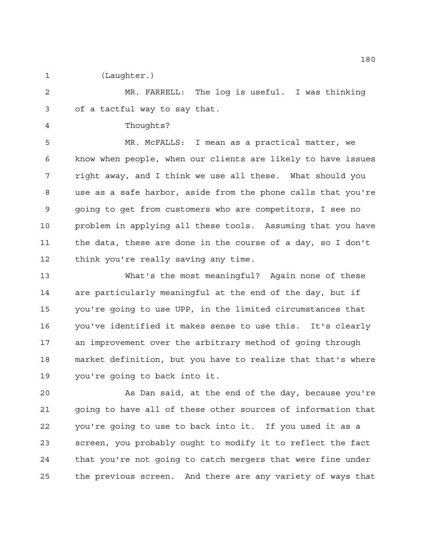(Laughter.)

 MR. FARRELL: The log is useful. I was thinking of a tactful way to say that.

Thoughts?

 MR. McFALLS: I mean as a practical matter, we know when people, when our clients are likely to have issues right away, and I think we use all these. What should you use as a safe harbor, aside from the phone calls that you're going to get from customers who are competitors, I see no problem in applying all these tools. Assuming that you have the data, these are done in the course of a day, so I don't think you're really saving any time.

 What's the most meaningful? Again none of these are particularly meaningful at the end of the day, but if you're going to use UPP, in the limited circumstances that you've identified it makes sense to use this. It's clearly an improvement over the arbitrary method of going through market definition, but you have to realize that that's where you're going to back into it.

 As Dan said, at the end of the day, because you're going to have all of these other sources of information that you're going to use to back into it. If you used it as a screen, you probably ought to modify it to reflect the fact that you're not going to catch mergers that were fine under the previous screen. And there are any variety of ways that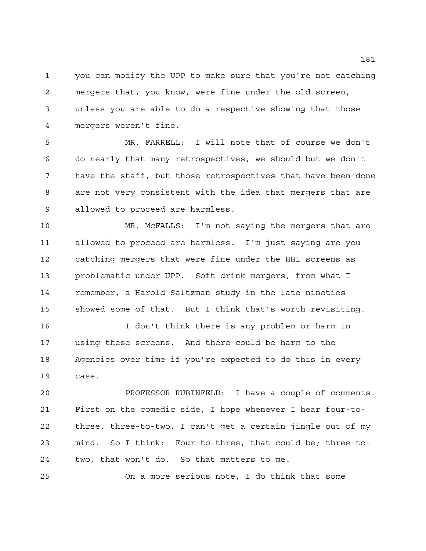you can modify the UPP to make sure that you're not catching mergers that, you know, were fine under the old screen, unless you are able to do a respective showing that those mergers weren't fine.

 MR. FARRELL: I will note that of course we don't do nearly that many retrospectives, we should but we don't have the staff, but those retrospectives that have been done are not very consistent with the idea that mergers that are allowed to proceed are harmless.

 MR. McFALLS: I'm not saying the mergers that are allowed to proceed are harmless. I'm just saying are you catching mergers that were fine under the HHI screens as problematic under UPP. Soft drink mergers, from what I remember, a Harold Saltzman study in the late nineties showed some of that. But I think that's worth revisiting.

 I don't think there is any problem or harm in using these screens. And there could be harm to the Agencies over time if you're expected to do this in every case.

 PROFESSOR RUBINFELD: I have a couple of comments. First on the comedic side, I hope whenever I hear four-to- three, three-to-two, I can't get a certain jingle out of my mind. So I think: Four-to-three, that could be; three-to-two, that won't do. So that matters to me.

On a more serious note, I do think that some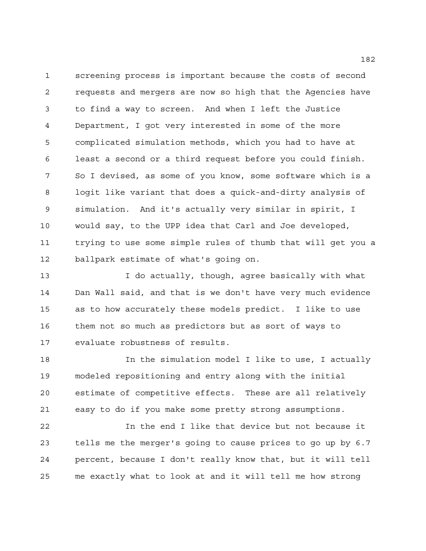screening process is important because the costs of second requests and mergers are now so high that the Agencies have to find a way to screen. And when I left the Justice Department, I got very interested in some of the more complicated simulation methods, which you had to have at least a second or a third request before you could finish. So I devised, as some of you know, some software which is a logit like variant that does a quick-and-dirty analysis of simulation. And it's actually very similar in spirit, I would say, to the UPP idea that Carl and Joe developed, trying to use some simple rules of thumb that will get you a ballpark estimate of what's going on.

 I do actually, though, agree basically with what Dan Wall said, and that is we don't have very much evidence as to how accurately these models predict. I like to use them not so much as predictors but as sort of ways to evaluate robustness of results.

**In the simulation model I like to use, I actually**  modeled repositioning and entry along with the initial estimate of competitive effects. These are all relatively easy to do if you make some pretty strong assumptions.

 In the end I like that device but not because it tells me the merger's going to cause prices to go up by 6.7 percent, because I don't really know that, but it will tell me exactly what to look at and it will tell me how strong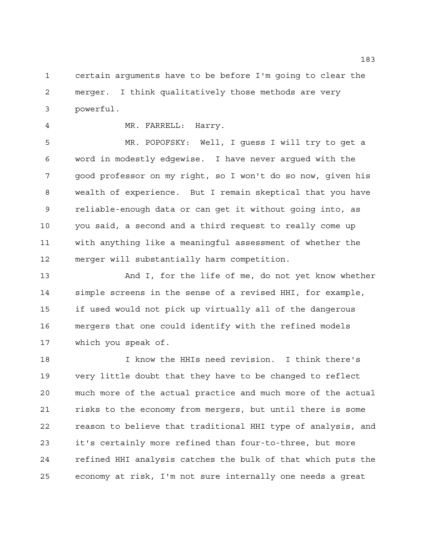certain arguments have to be before I'm going to clear the merger. I think qualitatively those methods are very powerful.

## MR. FARRELL: Harry.

 MR. POPOFSKY: Well, I guess I will try to get a word in modestly edgewise. I have never argued with the good professor on my right, so I won't do so now, given his wealth of experience. But I remain skeptical that you have reliable-enough data or can get it without going into, as you said, a second and a third request to really come up with anything like a meaningful assessment of whether the merger will substantially harm competition.

 And I, for the life of me, do not yet know whether simple screens in the sense of a revised HHI, for example, if used would not pick up virtually all of the dangerous mergers that one could identify with the refined models which you speak of.

 I know the HHIs need revision. I think there's very little doubt that they have to be changed to reflect much more of the actual practice and much more of the actual risks to the economy from mergers, but until there is some reason to believe that traditional HHI type of analysis, and it's certainly more refined than four-to-three, but more refined HHI analysis catches the bulk of that which puts the economy at risk, I'm not sure internally one needs a great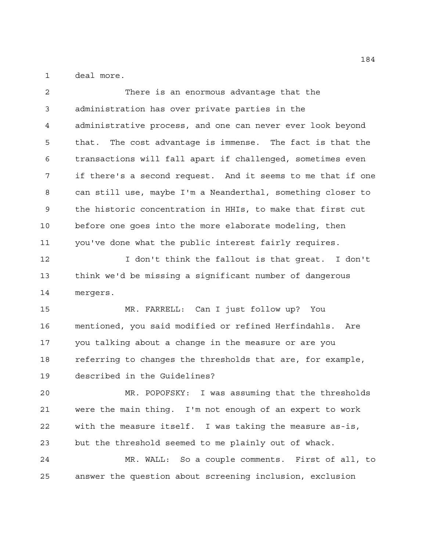deal more.

 There is an enormous advantage that the administration has over private parties in the administrative process, and one can never ever look beyond that. The cost advantage is immense. The fact is that the transactions will fall apart if challenged, sometimes even if there's a second request. And it seems to me that if one can still use, maybe I'm a Neanderthal, something closer to the historic concentration in HHIs, to make that first cut before one goes into the more elaborate modeling, then you've done what the public interest fairly requires. I don't think the fallout is that great. I don't

 think we'd be missing a significant number of dangerous mergers.

 MR. FARRELL: Can I just follow up? You mentioned, you said modified or refined Herfindahls. Are you talking about a change in the measure or are you referring to changes the thresholds that are, for example, described in the Guidelines?

 MR. POPOFSKY: I was assuming that the thresholds were the main thing. I'm not enough of an expert to work with the measure itself. I was taking the measure as-is, but the threshold seemed to me plainly out of whack.

 MR. WALL: So a couple comments. First of all, to answer the question about screening inclusion, exclusion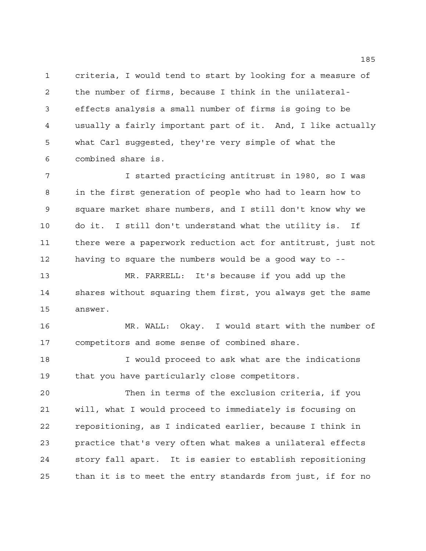criteria, I would tend to start by looking for a measure of the number of firms, because I think in the unilateral- effects analysis a small number of firms is going to be usually a fairly important part of it. And, I like actually what Carl suggested, they're very simple of what the combined share is.

 I started practicing antitrust in 1980, so I was in the first generation of people who had to learn how to square market share numbers, and I still don't know why we do it. I still don't understand what the utility is. If there were a paperwork reduction act for antitrust, just not having to square the numbers would be a good way to -- MR. FARRELL: It's because if you add up the

 shares without squaring them first, you always get the same answer.

 MR. WALL: Okay. I would start with the number of competitors and some sense of combined share.

18 I would proceed to ask what are the indications that you have particularly close competitors.

 Then in terms of the exclusion criteria, if you will, what I would proceed to immediately is focusing on repositioning, as I indicated earlier, because I think in practice that's very often what makes a unilateral effects story fall apart. It is easier to establish repositioning than it is to meet the entry standards from just, if for no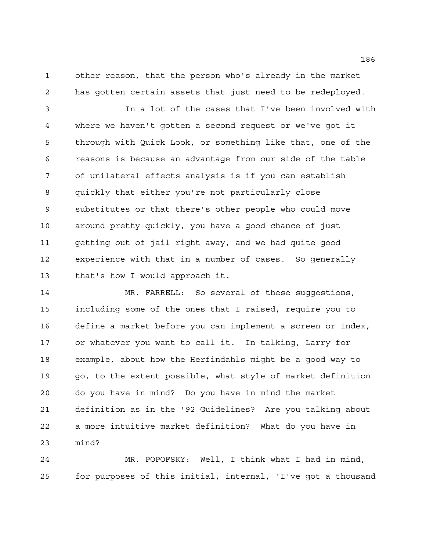other reason, that the person who's already in the market has gotten certain assets that just need to be redeployed.

 In a lot of the cases that I've been involved with where we haven't gotten a second request or we've got it through with Quick Look, or something like that, one of the reasons is because an advantage from our side of the table of unilateral effects analysis is if you can establish quickly that either you're not particularly close substitutes or that there's other people who could move around pretty quickly, you have a good chance of just getting out of jail right away, and we had quite good experience with that in a number of cases. So generally that's how I would approach it.

 MR. FARRELL: So several of these suggestions, including some of the ones that I raised, require you to define a market before you can implement a screen or index, or whatever you want to call it. In talking, Larry for example, about how the Herfindahls might be a good way to 19 go, to the extent possible, what style of market definition do you have in mind? Do you have in mind the market definition as in the '92 Guidelines? Are you talking about a more intuitive market definition? What do you have in mind?

 MR. POPOFSKY: Well, I think what I had in mind, for purposes of this initial, internal, 'I've got a thousand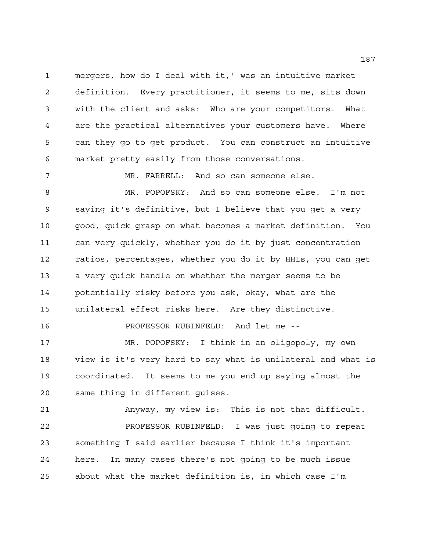mergers, how do I deal with it,' was an intuitive market definition. Every practitioner, it seems to me, sits down with the client and asks: Who are your competitors. What are the practical alternatives your customers have. Where can they go to get product. You can construct an intuitive market pretty easily from those conversations.

 MR. FARRELL: And so can someone else. MR. POPOFSKY: And so can someone else. I'm not saying it's definitive, but I believe that you get a very good, quick grasp on what becomes a market definition. You can very quickly, whether you do it by just concentration ratios, percentages, whether you do it by HHIs, you can get a very quick handle on whether the merger seems to be potentially risky before you ask, okay, what are the unilateral effect risks here. Are they distinctive.

 MR. POPOFSKY: I think in an oligopoly, my own view is it's very hard to say what is unilateral and what is coordinated. It seems to me you end up saying almost the same thing in different guises.

PROFESSOR RUBINFELD: And let me --

 Anyway, my view is: This is not that difficult. PROFESSOR RUBINFELD: I was just going to repeat something I said earlier because I think it's important here. In many cases there's not going to be much issue about what the market definition is, in which case I'm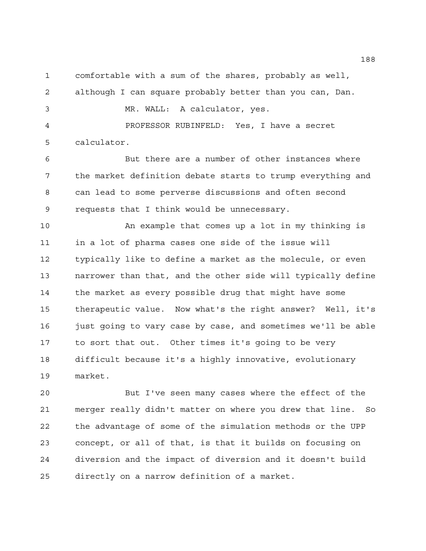comfortable with a sum of the shares, probably as well,

although I can square probably better than you can, Dan.

MR. WALL: A calculator, yes.

 PROFESSOR RUBINFELD: Yes, I have a secret calculator.

 But there are a number of other instances where the market definition debate starts to trump everything and can lead to some perverse discussions and often second requests that I think would be unnecessary.

 An example that comes up a lot in my thinking is in a lot of pharma cases one side of the issue will typically like to define a market as the molecule, or even narrower than that, and the other side will typically define the market as every possible drug that might have some therapeutic value. Now what's the right answer? Well, it's just going to vary case by case, and sometimes we'll be able to sort that out. Other times it's going to be very difficult because it's a highly innovative, evolutionary market.

 But I've seen many cases where the effect of the merger really didn't matter on where you drew that line. So the advantage of some of the simulation methods or the UPP concept, or all of that, is that it builds on focusing on diversion and the impact of diversion and it doesn't build directly on a narrow definition of a market.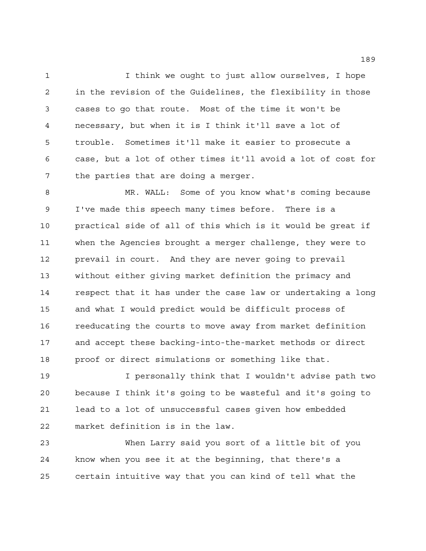I think we ought to just allow ourselves, I hope in the revision of the Guidelines, the flexibility in those cases to go that route. Most of the time it won't be necessary, but when it is I think it'll save a lot of trouble. Sometimes it'll make it easier to prosecute a case, but a lot of other times it'll avoid a lot of cost for the parties that are doing a merger.

 MR. WALL: Some of you know what's coming because I've made this speech many times before. There is a practical side of all of this which is it would be great if when the Agencies brought a merger challenge, they were to prevail in court. And they are never going to prevail without either giving market definition the primacy and respect that it has under the case law or undertaking a long and what I would predict would be difficult process of reeducating the courts to move away from market definition and accept these backing-into-the-market methods or direct proof or direct simulations or something like that.

 I personally think that I wouldn't advise path two because I think it's going to be wasteful and it's going to lead to a lot of unsuccessful cases given how embedded market definition is in the law.

 When Larry said you sort of a little bit of you know when you see it at the beginning, that there's a certain intuitive way that you can kind of tell what the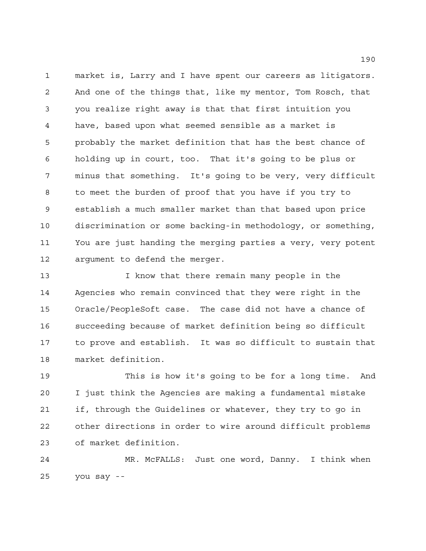market is, Larry and I have spent our careers as litigators. And one of the things that, like my mentor, Tom Rosch, that you realize right away is that that first intuition you have, based upon what seemed sensible as a market is probably the market definition that has the best chance of holding up in court, too. That it's going to be plus or minus that something. It's going to be very, very difficult to meet the burden of proof that you have if you try to establish a much smaller market than that based upon price discrimination or some backing-in methodology, or something, You are just handing the merging parties a very, very potent argument to defend the merger.

 I know that there remain many people in the Agencies who remain convinced that they were right in the Oracle/PeopleSoft case. The case did not have a chance of succeeding because of market definition being so difficult to prove and establish. It was so difficult to sustain that market definition.

 This is how it's going to be for a long time. And I just think the Agencies are making a fundamental mistake if, through the Guidelines or whatever, they try to go in other directions in order to wire around difficult problems of market definition.

 MR. McFALLS: Just one word, Danny. I think when you say --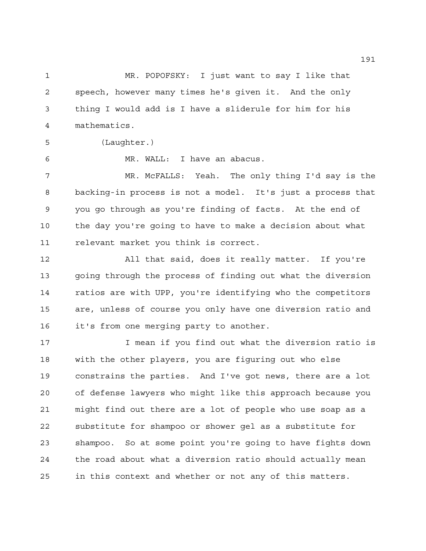MR. POPOFSKY: I just want to say I like that speech, however many times he's given it. And the only thing I would add is I have a sliderule for him for his mathematics.

(Laughter.)

MR. WALL: I have an abacus.

 MR. McFALLS: Yeah. The only thing I'd say is the backing-in process is not a model. It's just a process that you go through as you're finding of facts. At the end of the day you're going to have to make a decision about what relevant market you think is correct.

 All that said, does it really matter. If you're going through the process of finding out what the diversion ratios are with UPP, you're identifying who the competitors are, unless of course you only have one diversion ratio and it's from one merging party to another.

17 17 I mean if you find out what the diversion ratio is with the other players, you are figuring out who else constrains the parties. And I've got news, there are a lot of defense lawyers who might like this approach because you might find out there are a lot of people who use soap as a substitute for shampoo or shower gel as a substitute for shampoo. So at some point you're going to have fights down the road about what a diversion ratio should actually mean in this context and whether or not any of this matters.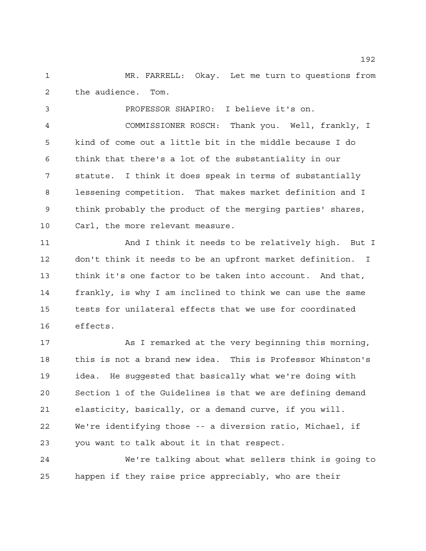MR. FARRELL: Okay. Let me turn to questions from the audience. Tom.

 PROFESSOR SHAPIRO: I believe it's on. COMMISSIONER ROSCH: Thank you. Well, frankly, I kind of come out a little bit in the middle because I do think that there's a lot of the substantiality in our statute. I think it does speak in terms of substantially lessening competition. That makes market definition and I think probably the product of the merging parties' shares, Carl, the more relevant measure.

 And I think it needs to be relatively high. But I don't think it needs to be an upfront market definition. I think it's one factor to be taken into account. And that, frankly, is why I am inclined to think we can use the same tests for unilateral effects that we use for coordinated effects.

 As I remarked at the very beginning this morning, this is not a brand new idea. This is Professor Whinston's idea. He suggested that basically what we're doing with Section 1 of the Guidelines is that we are defining demand elasticity, basically, or a demand curve, if you will. We're identifying those -- a diversion ratio, Michael, if you want to talk about it in that respect.

 We're talking about what sellers think is going to happen if they raise price appreciably, who are their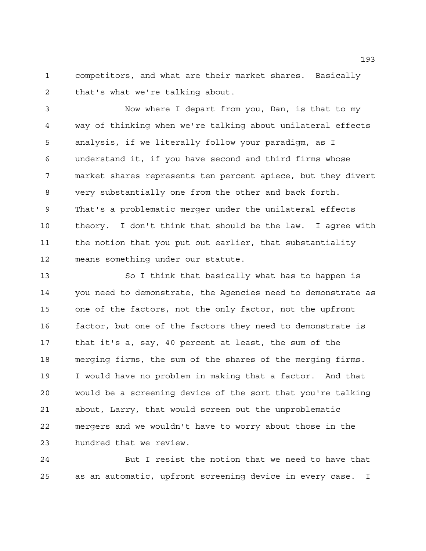competitors, and what are their market shares. Basically that's what we're talking about.

 Now where I depart from you, Dan, is that to my way of thinking when we're talking about unilateral effects analysis, if we literally follow your paradigm, as I understand it, if you have second and third firms whose market shares represents ten percent apiece, but they divert very substantially one from the other and back forth. That's a problematic merger under the unilateral effects theory. I don't think that should be the law. I agree with the notion that you put out earlier, that substantiality means something under our statute.

 So I think that basically what has to happen is you need to demonstrate, the Agencies need to demonstrate as one of the factors, not the only factor, not the upfront factor, but one of the factors they need to demonstrate is that it's a, say, 40 percent at least, the sum of the merging firms, the sum of the shares of the merging firms. I would have no problem in making that a factor. And that would be a screening device of the sort that you're talking about, Larry, that would screen out the unproblematic mergers and we wouldn't have to worry about those in the hundred that we review.

 But I resist the notion that we need to have that as an automatic, upfront screening device in every case. I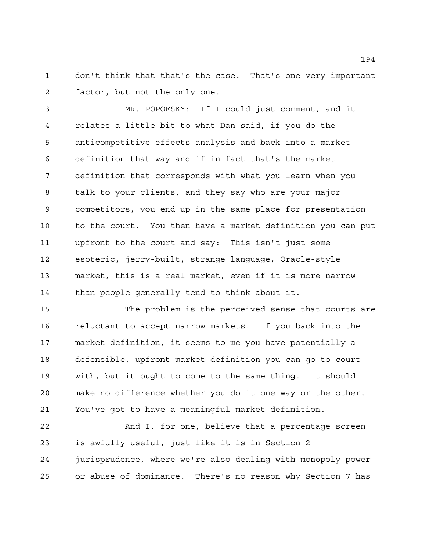don't think that that's the case. That's one very important factor, but not the only one.

 MR. POPOFSKY: If I could just comment, and it relates a little bit to what Dan said, if you do the anticompetitive effects analysis and back into a market definition that way and if in fact that's the market definition that corresponds with what you learn when you talk to your clients, and they say who are your major competitors, you end up in the same place for presentation to the court. You then have a market definition you can put upfront to the court and say: This isn't just some esoteric, jerry-built, strange language, Oracle-style market, this is a real market, even if it is more narrow than people generally tend to think about it.

 The problem is the perceived sense that courts are reluctant to accept narrow markets. If you back into the market definition, it seems to me you have potentially a defensible, upfront market definition you can go to court with, but it ought to come to the same thing. It should make no difference whether you do it one way or the other. You've got to have a meaningful market definition.

 And I, for one, believe that a percentage screen is awfully useful, just like it is in Section 2 jurisprudence, where we're also dealing with monopoly power or abuse of dominance. There's no reason why Section 7 has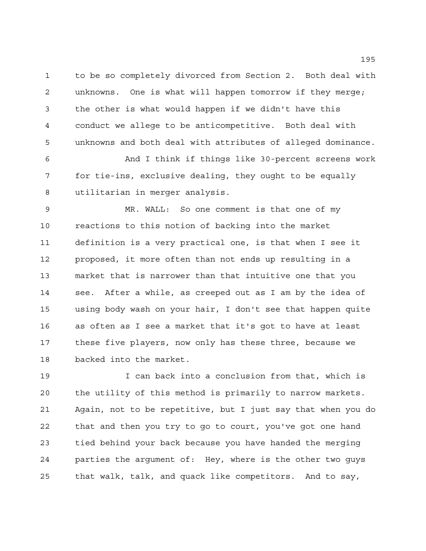to be so completely divorced from Section 2. Both deal with unknowns. One is what will happen tomorrow if they merge; the other is what would happen if we didn't have this conduct we allege to be anticompetitive. Both deal with unknowns and both deal with attributes of alleged dominance.

 And I think if things like 30-percent screens work for tie-ins, exclusive dealing, they ought to be equally utilitarian in merger analysis.

 MR. WALL: So one comment is that one of my reactions to this notion of backing into the market definition is a very practical one, is that when I see it proposed, it more often than not ends up resulting in a market that is narrower than that intuitive one that you see. After a while, as creeped out as I am by the idea of using body wash on your hair, I don't see that happen quite as often as I see a market that it's got to have at least these five players, now only has these three, because we backed into the market.

 I can back into a conclusion from that, which is the utility of this method is primarily to narrow markets. Again, not to be repetitive, but I just say that when you do that and then you try to go to court, you've got one hand tied behind your back because you have handed the merging parties the argument of: Hey, where is the other two guys that walk, talk, and quack like competitors. And to say,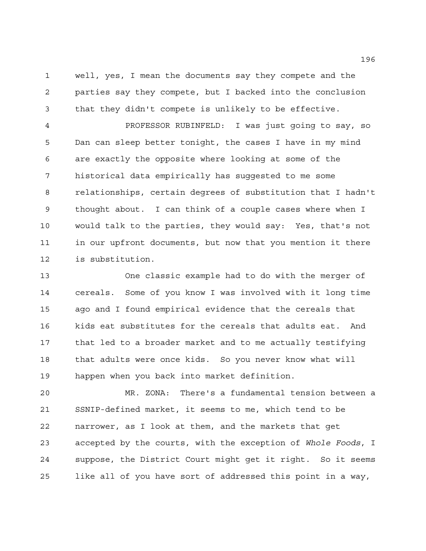well, yes, I mean the documents say they compete and the parties say they compete, but I backed into the conclusion that they didn't compete is unlikely to be effective.

 PROFESSOR RUBINFELD: I was just going to say, so Dan can sleep better tonight, the cases I have in my mind are exactly the opposite where looking at some of the historical data empirically has suggested to me some relationships, certain degrees of substitution that I hadn't thought about. I can think of a couple cases where when I would talk to the parties, they would say: Yes, that's not in our upfront documents, but now that you mention it there is substitution.

 One classic example had to do with the merger of cereals. Some of you know I was involved with it long time ago and I found empirical evidence that the cereals that kids eat substitutes for the cereals that adults eat. And that led to a broader market and to me actually testifying that adults were once kids. So you never know what will happen when you back into market definition.

 MR. ZONA: There's a fundamental tension between a SSNIP-defined market, it seems to me, which tend to be narrower, as I look at them, and the markets that get accepted by the courts, with the exception of *Whole Foods*, I suppose, the District Court might get it right. So it seems like all of you have sort of addressed this point in a way,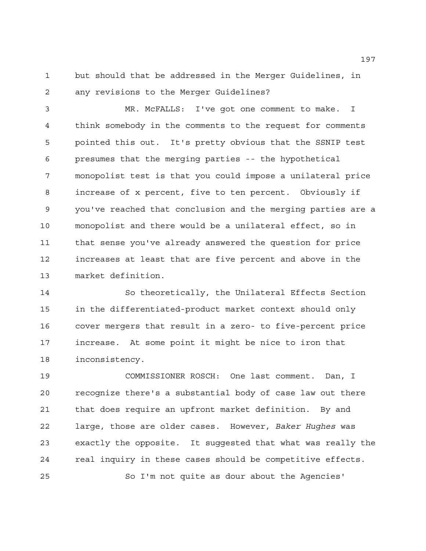but should that be addressed in the Merger Guidelines, in any revisions to the Merger Guidelines?

 MR. McFALLS: I've got one comment to make. I think somebody in the comments to the request for comments pointed this out. It's pretty obvious that the SSNIP test presumes that the merging parties -- the hypothetical monopolist test is that you could impose a unilateral price increase of x percent, five to ten percent. Obviously if you've reached that conclusion and the merging parties are a monopolist and there would be a unilateral effect, so in that sense you've already answered the question for price increases at least that are five percent and above in the market definition.

 So theoretically, the Unilateral Effects Section in the differentiated-product market context should only cover mergers that result in a zero- to five-percent price increase. At some point it might be nice to iron that inconsistency.

 COMMISSIONER ROSCH: One last comment. Dan, I recognize there's a substantial body of case law out there that does require an upfront market definition. By and large, those are older cases. However, *Baker Hughes* was exactly the opposite. It suggested that what was really the real inquiry in these cases should be competitive effects. So I'm not quite as dour about the Agencies'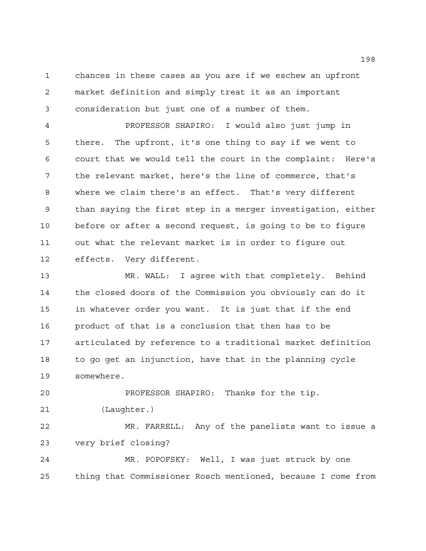chances in these cases as you are if we eschew an upfront market definition and simply treat it as an important consideration but just one of a number of them.

 PROFESSOR SHAPIRO: I would also just jump in there. The upfront, it's one thing to say if we went to court that we would tell the court in the complaint: Here's the relevant market, here's the line of commerce, that's where we claim there's an effect. That's very different than saying the first step in a merger investigation, either before or after a second request, is going to be to figure out what the relevant market is in order to figure out effects. Very different.

 MR. WALL: I agree with that completely. Behind the closed doors of the Commission you obviously can do it in whatever order you want. It is just that if the end product of that is a conclusion that then has to be articulated by reference to a traditional market definition to go get an injunction, have that in the planning cycle somewhere.

 PROFESSOR SHAPIRO: Thanks for the tip. (Laughter.)

 MR. FARRELL: Any of the panelists want to issue a very brief closing?

 MR. POPOFSKY: Well, I was just struck by one thing that Commissioner Rosch mentioned, because I come from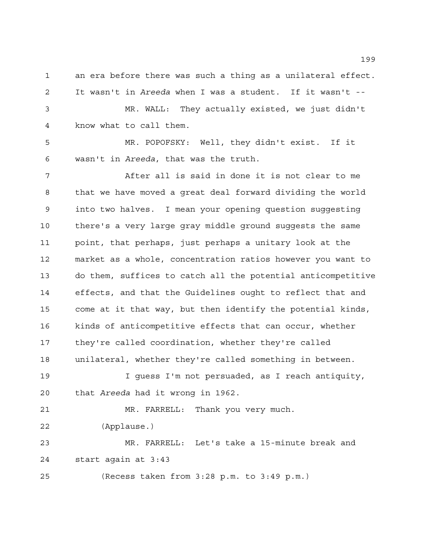an era before there was such a thing as a unilateral effect. It wasn't in *Areeda* when I was a student. If it wasn't --

 MR. WALL: They actually existed, we just didn't know what to call them.

 MR. POPOFSKY: Well, they didn't exist. If it wasn't in *Areeda*, that was the truth.

 After all is said in done it is not clear to me that we have moved a great deal forward dividing the world into two halves. I mean your opening question suggesting there's a very large gray middle ground suggests the same point, that perhaps, just perhaps a unitary look at the market as a whole, concentration ratios however you want to do them, suffices to catch all the potential anticompetitive effects, and that the Guidelines ought to reflect that and come at it that way, but then identify the potential kinds, kinds of anticompetitive effects that can occur, whether they're called coordination, whether they're called unilateral, whether they're called something in between. I guess I'm not persuaded, as I reach antiquity, that *Areeda* had it wrong in 1962.

 MR. FARRELL: Thank you very much. (Applause.) MR. FARRELL: Let's take a 15-minute break and

start again at 3:43

(Recess taken from 3:28 p.m. to 3:49 p.m.)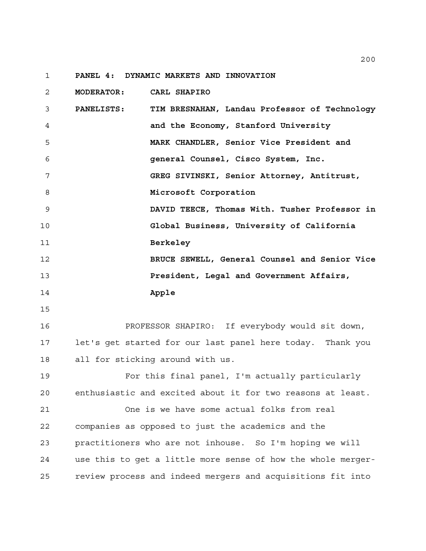**PANEL 4: DYNAMIC MARKETS AND INNOVATION**

 **MODERATOR: CARL SHAPIRO PANELISTS: TIM BRESNAHAN, Landau Professor of Technology and the Economy, Stanford University MARK CHANDLER, Senior Vice President and general Counsel, Cisco System, Inc. GREG SIVINSKI, Senior Attorney, Antitrust, Microsoft Corporation DAVID TEECE, Thomas With. Tusher Professor in Global Business, University of California Berkeley BRUCE SEWELL, General Counsel and Senior Vice President, Legal and Government Affairs, Apple** PROFESSOR SHAPIRO: If everybody would sit down, let's get started for our last panel here today. Thank you all for sticking around with us. For this final panel, I'm actually particularly enthusiastic and excited about it for two reasons at least. One is we have some actual folks from real

 companies as opposed to just the academics and the practitioners who are not inhouse. So I'm hoping we will use this to get a little more sense of how the whole merger-review process and indeed mergers and acquisitions fit into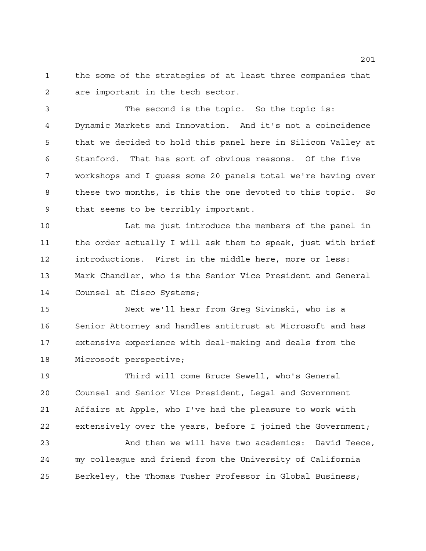the some of the strategies of at least three companies that are important in the tech sector.

 The second is the topic. So the topic is: Dynamic Markets and Innovation. And it's not a coincidence that we decided to hold this panel here in Silicon Valley at Stanford. That has sort of obvious reasons. Of the five workshops and I guess some 20 panels total we're having over these two months, is this the one devoted to this topic. So that seems to be terribly important.

 Let me just introduce the members of the panel in the order actually I will ask them to speak, just with brief introductions. First in the middle here, more or less: Mark Chandler, who is the Senior Vice President and General Counsel at Cisco Systems;

 Next we'll hear from Greg Sivinski, who is a Senior Attorney and handles antitrust at Microsoft and has extensive experience with deal-making and deals from the Microsoft perspective;

 Third will come Bruce Sewell, who's General Counsel and Senior Vice President, Legal and Government Affairs at Apple, who I've had the pleasure to work with extensively over the years, before I joined the Government;

 And then we will have two academics: David Teece, my colleague and friend from the University of California Berkeley, the Thomas Tusher Professor in Global Business;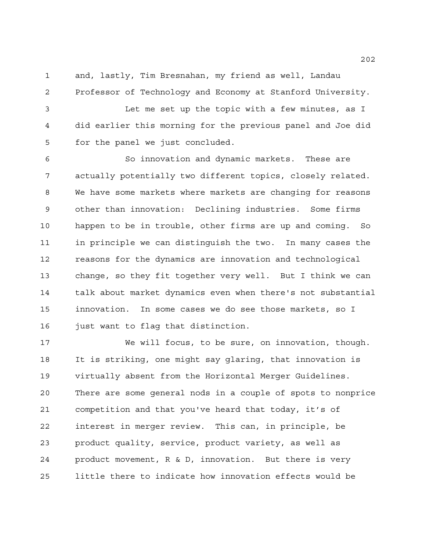and, lastly, Tim Bresnahan, my friend as well, Landau Professor of Technology and Economy at Stanford University.

 Let me set up the topic with a few minutes, as I did earlier this morning for the previous panel and Joe did for the panel we just concluded.

 So innovation and dynamic markets. These are actually potentially two different topics, closely related. We have some markets where markets are changing for reasons other than innovation: Declining industries. Some firms happen to be in trouble, other firms are up and coming. So in principle we can distinguish the two. In many cases the reasons for the dynamics are innovation and technological change, so they fit together very well. But I think we can talk about market dynamics even when there's not substantial innovation. In some cases we do see those markets, so I 16 just want to flag that distinction.

 We will focus, to be sure, on innovation, though. It is striking, one might say glaring, that innovation is virtually absent from the Horizontal Merger Guidelines. There are some general nods in a couple of spots to nonprice competition and that you've heard that today, it's of interest in merger review. This can, in principle, be product quality, service, product variety, as well as product movement, R & D, innovation. But there is very little there to indicate how innovation effects would be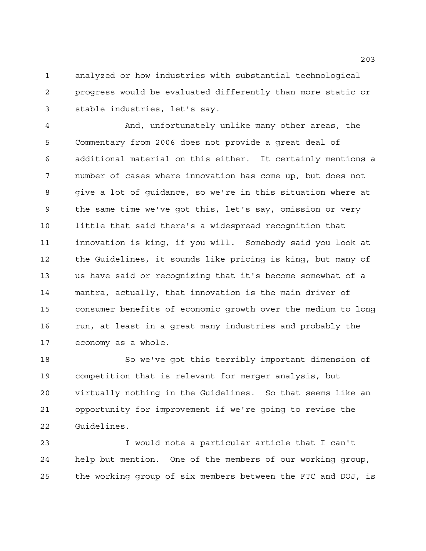analyzed or how industries with substantial technological progress would be evaluated differently than more static or stable industries, let's say.

 And, unfortunately unlike many other areas, the Commentary from 2006 does not provide a great deal of additional material on this either. It certainly mentions a number of cases where innovation has come up, but does not give a lot of guidance, so we're in this situation where at the same time we've got this, let's say, omission or very little that said there's a widespread recognition that innovation is king, if you will. Somebody said you look at the Guidelines, it sounds like pricing is king, but many of us have said or recognizing that it's become somewhat of a mantra, actually, that innovation is the main driver of consumer benefits of economic growth over the medium to long run, at least in a great many industries and probably the economy as a whole.

 So we've got this terribly important dimension of competition that is relevant for merger analysis, but virtually nothing in the Guidelines. So that seems like an opportunity for improvement if we're going to revise the Guidelines.

 I would note a particular article that I can't help but mention. One of the members of our working group, the working group of six members between the FTC and DOJ, is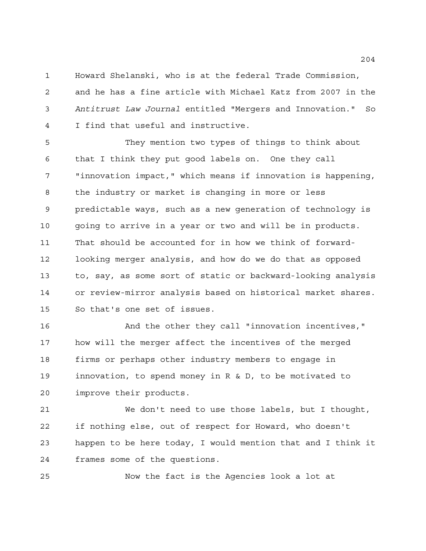Howard Shelanski, who is at the federal Trade Commission, and he has a fine article with Michael Katz from 2007 in the *Antitrust Law Journal* entitled "Mergers and Innovation." So I find that useful and instructive.

 They mention two types of things to think about that I think they put good labels on. One they call "innovation impact," which means if innovation is happening, the industry or market is changing in more or less predictable ways, such as a new generation of technology is going to arrive in a year or two and will be in products. That should be accounted for in how we think of forward- looking merger analysis, and how do we do that as opposed to, say, as some sort of static or backward-looking analysis or review-mirror analysis based on historical market shares. So that's one set of issues.

 And the other they call "innovation incentives," how will the merger affect the incentives of the merged firms or perhaps other industry members to engage in innovation, to spend money in R & D, to be motivated to improve their products.

 We don't need to use those labels, but I thought, if nothing else, out of respect for Howard, who doesn't happen to be here today, I would mention that and I think it frames some of the questions.

Now the fact is the Agencies look a lot at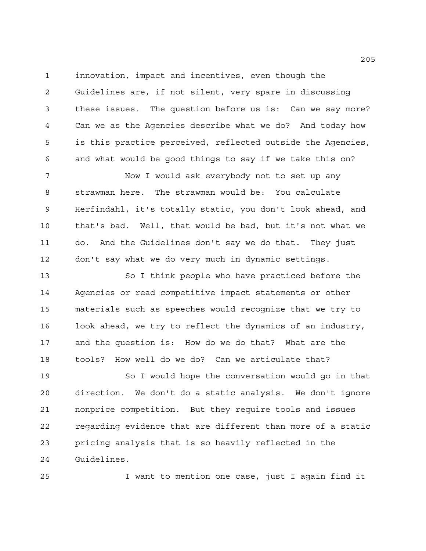innovation, impact and incentives, even though the Guidelines are, if not silent, very spare in discussing these issues. The question before us is: Can we say more? Can we as the Agencies describe what we do? And today how is this practice perceived, reflected outside the Agencies, and what would be good things to say if we take this on?

 Now I would ask everybody not to set up any strawman here. The strawman would be: You calculate Herfindahl, it's totally static, you don't look ahead, and that's bad. Well, that would be bad, but it's not what we do. And the Guidelines don't say we do that. They just don't say what we do very much in dynamic settings.

 So I think people who have practiced before the Agencies or read competitive impact statements or other materials such as speeches would recognize that we try to look ahead, we try to reflect the dynamics of an industry, and the question is: How do we do that? What are the tools? How well do we do? Can we articulate that?

 So I would hope the conversation would go in that direction. We don't do a static analysis. We don't ignore nonprice competition. But they require tools and issues regarding evidence that are different than more of a static pricing analysis that is so heavily reflected in the Guidelines.

I want to mention one case, just I again find it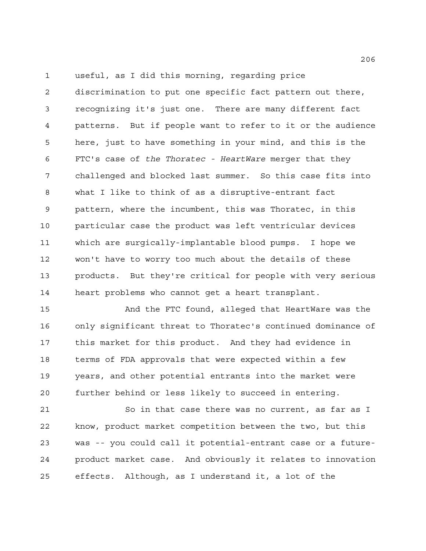useful, as I did this morning, regarding price

 discrimination to put one specific fact pattern out there, recognizing it's just one. There are many different fact patterns. But if people want to refer to it or the audience here, just to have something in your mind, and this is the FTC's case of *the Thoratec - HeartWare* merger that they challenged and blocked last summer. So this case fits into what I like to think of as a disruptive-entrant fact pattern, where the incumbent, this was Thoratec, in this particular case the product was left ventricular devices which are surgically-implantable blood pumps. I hope we won't have to worry too much about the details of these products. But they're critical for people with very serious heart problems who cannot get a heart transplant.

 And the FTC found, alleged that HeartWare was the only significant threat to Thoratec's continued dominance of this market for this product. And they had evidence in terms of FDA approvals that were expected within a few years, and other potential entrants into the market were further behind or less likely to succeed in entering.

 So in that case there was no current, as far as I know, product market competition between the two, but this was -- you could call it potential-entrant case or a future- product market case. And obviously it relates to innovation effects. Although, as I understand it, a lot of the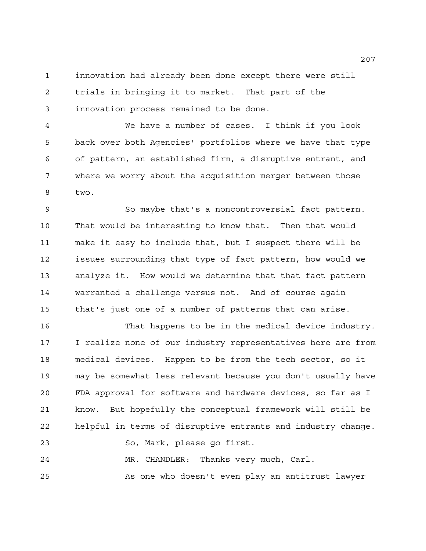innovation had already been done except there were still trials in bringing it to market. That part of the innovation process remained to be done.

 We have a number of cases. I think if you look back over both Agencies' portfolios where we have that type of pattern, an established firm, a disruptive entrant, and where we worry about the acquisition merger between those two.

 So maybe that's a noncontroversial fact pattern. That would be interesting to know that. Then that would make it easy to include that, but I suspect there will be issues surrounding that type of fact pattern, how would we analyze it. How would we determine that that fact pattern warranted a challenge versus not. And of course again that's just one of a number of patterns that can arise.

 That happens to be in the medical device industry. I realize none of our industry representatives here are from medical devices. Happen to be from the tech sector, so it may be somewhat less relevant because you don't usually have FDA approval for software and hardware devices, so far as I know. But hopefully the conceptual framework will still be helpful in terms of disruptive entrants and industry change. So, Mark, please go first. MR. CHANDLER: Thanks very much, Carl.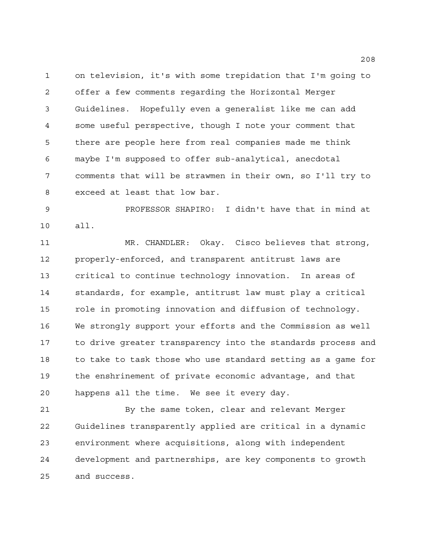on television, it's with some trepidation that I'm going to offer a few comments regarding the Horizontal Merger Guidelines. Hopefully even a generalist like me can add some useful perspective, though I note your comment that there are people here from real companies made me think maybe I'm supposed to offer sub-analytical, anecdotal comments that will be strawmen in their own, so I'll try to exceed at least that low bar.

 PROFESSOR SHAPIRO: I didn't have that in mind at all.

 MR. CHANDLER: Okay. Cisco believes that strong, properly-enforced, and transparent antitrust laws are critical to continue technology innovation. In areas of standards, for example, antitrust law must play a critical role in promoting innovation and diffusion of technology. We strongly support your efforts and the Commission as well to drive greater transparency into the standards process and to take to task those who use standard setting as a game for the enshrinement of private economic advantage, and that happens all the time. We see it every day.

 By the same token, clear and relevant Merger Guidelines transparently applied are critical in a dynamic environment where acquisitions, along with independent development and partnerships, are key components to growth and success.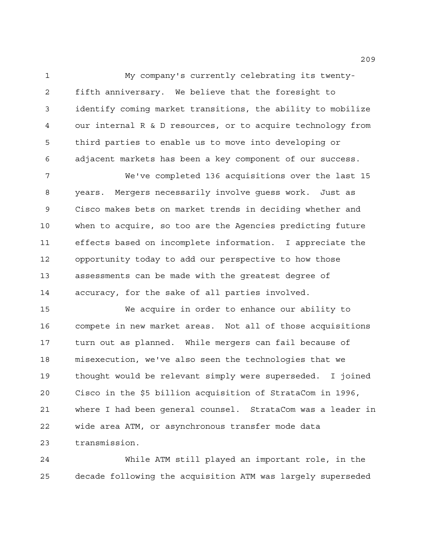My company's currently celebrating its twenty- fifth anniversary. We believe that the foresight to identify coming market transitions, the ability to mobilize our internal R & D resources, or to acquire technology from third parties to enable us to move into developing or adjacent markets has been a key component of our success.

 We've completed 136 acquisitions over the last 15 years. Mergers necessarily involve guess work. Just as Cisco makes bets on market trends in deciding whether and when to acquire, so too are the Agencies predicting future effects based on incomplete information. I appreciate the opportunity today to add our perspective to how those assessments can be made with the greatest degree of accuracy, for the sake of all parties involved.

 We acquire in order to enhance our ability to compete in new market areas. Not all of those acquisitions turn out as planned. While mergers can fail because of misexecution, we've also seen the technologies that we thought would be relevant simply were superseded. I joined Cisco in the \$5 billion acquisition of StrataCom in 1996, where I had been general counsel. StrataCom was a leader in wide area ATM, or asynchronous transfer mode data transmission.

 While ATM still played an important role, in the decade following the acquisition ATM was largely superseded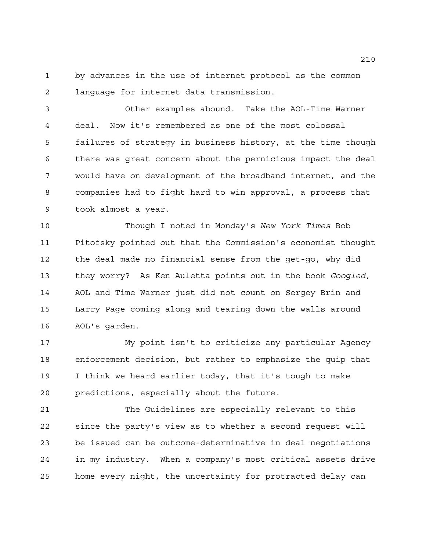by advances in the use of internet protocol as the common language for internet data transmission.

 Other examples abound. Take the AOL-Time Warner deal. Now it's remembered as one of the most colossal failures of strategy in business history, at the time though there was great concern about the pernicious impact the deal would have on development of the broadband internet, and the companies had to fight hard to win approval, a process that took almost a year.

 Though I noted in Monday's *New York Times* Bob Pitofsky pointed out that the Commission's economist thought the deal made no financial sense from the get-go, why did they worry? As Ken Auletta points out in the book *Googled*, AOL and Time Warner just did not count on Sergey Brin and Larry Page coming along and tearing down the walls around AOL's garden.

 My point isn't to criticize any particular Agency enforcement decision, but rather to emphasize the quip that I think we heard earlier today, that it's tough to make predictions, especially about the future.

 The Guidelines are especially relevant to this since the party's view as to whether a second request will be issued can be outcome-determinative in deal negotiations in my industry. When a company's most critical assets drive home every night, the uncertainty for protracted delay can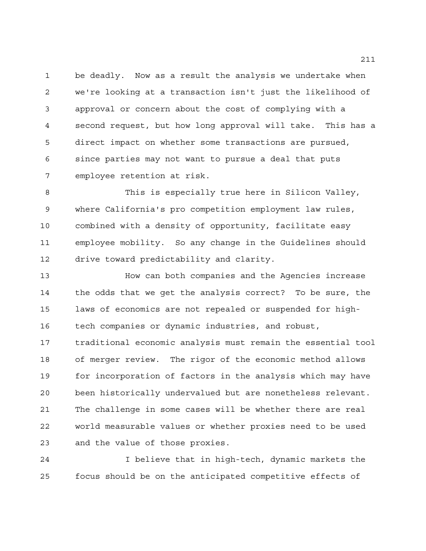be deadly. Now as a result the analysis we undertake when we're looking at a transaction isn't just the likelihood of approval or concern about the cost of complying with a second request, but how long approval will take. This has a direct impact on whether some transactions are pursued, since parties may not want to pursue a deal that puts employee retention at risk.

 This is especially true here in Silicon Valley, where California's pro competition employment law rules, combined with a density of opportunity, facilitate easy employee mobility. So any change in the Guidelines should drive toward predictability and clarity.

 How can both companies and the Agencies increase the odds that we get the analysis correct? To be sure, the laws of economics are not repealed or suspended for high- tech companies or dynamic industries, and robust, traditional economic analysis must remain the essential tool of merger review. The rigor of the economic method allows for incorporation of factors in the analysis which may have been historically undervalued but are nonetheless relevant. The challenge in some cases will be whether there are real world measurable values or whether proxies need to be used and the value of those proxies.

 I believe that in high-tech, dynamic markets the focus should be on the anticipated competitive effects of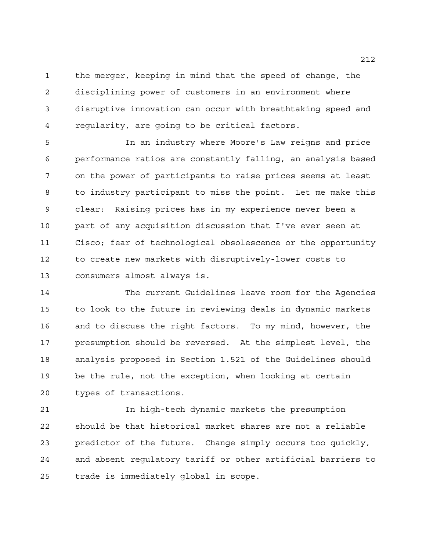the merger, keeping in mind that the speed of change, the disciplining power of customers in an environment where disruptive innovation can occur with breathtaking speed and regularity, are going to be critical factors.

 In an industry where Moore's Law reigns and price performance ratios are constantly falling, an analysis based on the power of participants to raise prices seems at least to industry participant to miss the point. Let me make this clear: Raising prices has in my experience never been a part of any acquisition discussion that I've ever seen at Cisco; fear of technological obsolescence or the opportunity to create new markets with disruptively-lower costs to consumers almost always is.

 The current Guidelines leave room for the Agencies to look to the future in reviewing deals in dynamic markets and to discuss the right factors. To my mind, however, the presumption should be reversed. At the simplest level, the analysis proposed in Section 1.521 of the Guidelines should be the rule, not the exception, when looking at certain types of transactions.

 In high-tech dynamic markets the presumption should be that historical market shares are not a reliable predictor of the future. Change simply occurs too quickly, and absent regulatory tariff or other artificial barriers to trade is immediately global in scope.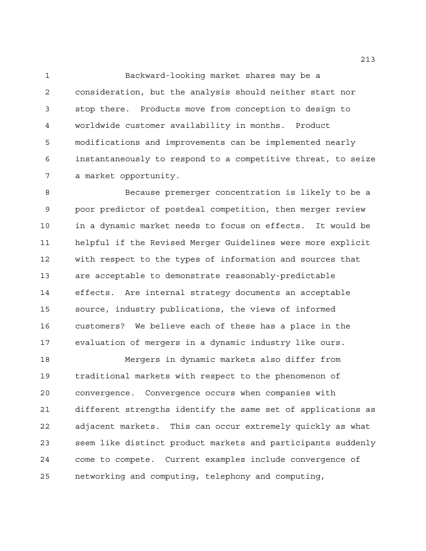Backward-looking market shares may be a consideration, but the analysis should neither start nor stop there. Products move from conception to design to worldwide customer availability in months. Product modifications and improvements can be implemented nearly instantaneously to respond to a competitive threat, to seize a market opportunity.

 Because premerger concentration is likely to be a poor predictor of postdeal competition, then merger review in a dynamic market needs to focus on effects. It would be helpful if the Revised Merger Guidelines were more explicit with respect to the types of information and sources that are acceptable to demonstrate reasonably-predictable effects. Are internal strategy documents an acceptable source, industry publications, the views of informed customers? We believe each of these has a place in the evaluation of mergers in a dynamic industry like ours.

 Mergers in dynamic markets also differ from traditional markets with respect to the phenomenon of convergence. Convergence occurs when companies with different strengths identify the same set of applications as adjacent markets. This can occur extremely quickly as what seem like distinct product markets and participants suddenly come to compete. Current examples include convergence of networking and computing, telephony and computing,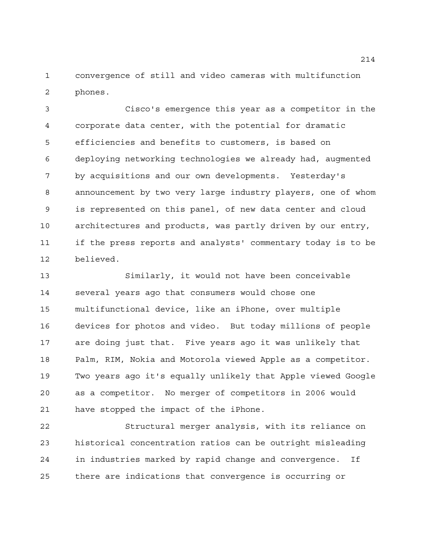convergence of still and video cameras with multifunction phones.

 Cisco's emergence this year as a competitor in the corporate data center, with the potential for dramatic efficiencies and benefits to customers, is based on deploying networking technologies we already had, augmented by acquisitions and our own developments. Yesterday's announcement by two very large industry players, one of whom is represented on this panel, of new data center and cloud architectures and products, was partly driven by our entry, if the press reports and analysts' commentary today is to be believed.

 Similarly, it would not have been conceivable several years ago that consumers would chose one multifunctional device, like an iPhone, over multiple devices for photos and video. But today millions of people are doing just that. Five years ago it was unlikely that Palm, RIM, Nokia and Motorola viewed Apple as a competitor. Two years ago it's equally unlikely that Apple viewed Google as a competitor. No merger of competitors in 2006 would have stopped the impact of the iPhone.

 Structural merger analysis, with its reliance on historical concentration ratios can be outright misleading in industries marked by rapid change and convergence. If there are indications that convergence is occurring or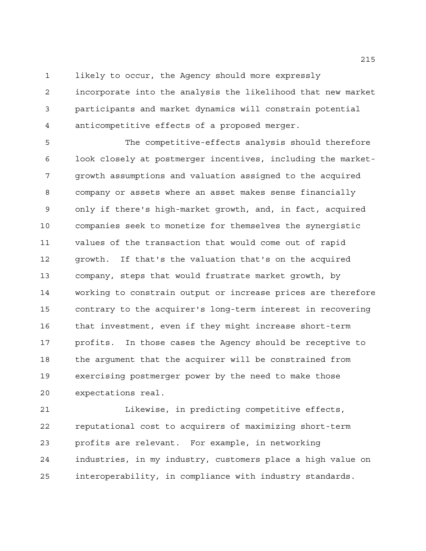likely to occur, the Agency should more expressly

 incorporate into the analysis the likelihood that new market participants and market dynamics will constrain potential anticompetitive effects of a proposed merger.

 The competitive-effects analysis should therefore look closely at postmerger incentives, including the market- growth assumptions and valuation assigned to the acquired company or assets where an asset makes sense financially only if there's high-market growth, and, in fact, acquired companies seek to monetize for themselves the synergistic values of the transaction that would come out of rapid growth. If that's the valuation that's on the acquired company, steps that would frustrate market growth, by working to constrain output or increase prices are therefore contrary to the acquirer's long-term interest in recovering that investment, even if they might increase short-term profits. In those cases the Agency should be receptive to the argument that the acquirer will be constrained from exercising postmerger power by the need to make those expectations real.

 Likewise, in predicting competitive effects, reputational cost to acquirers of maximizing short-term profits are relevant. For example, in networking industries, in my industry, customers place a high value on interoperability, in compliance with industry standards.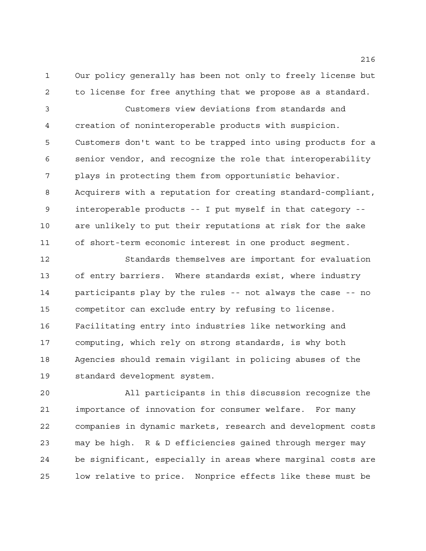Our policy generally has been not only to freely license but to license for free anything that we propose as a standard.

 Customers view deviations from standards and creation of noninteroperable products with suspicion. Customers don't want to be trapped into using products for a senior vendor, and recognize the role that interoperability plays in protecting them from opportunistic behavior. Acquirers with a reputation for creating standard-compliant, interoperable products -- I put myself in that category -- are unlikely to put their reputations at risk for the sake of short-term economic interest in one product segment.

 Standards themselves are important for evaluation of entry barriers. Where standards exist, where industry participants play by the rules -- not always the case -- no competitor can exclude entry by refusing to license. Facilitating entry into industries like networking and computing, which rely on strong standards, is why both Agencies should remain vigilant in policing abuses of the standard development system.

 All participants in this discussion recognize the importance of innovation for consumer welfare. For many companies in dynamic markets, research and development costs may be high. R & D efficiencies gained through merger may be significant, especially in areas where marginal costs are low relative to price. Nonprice effects like these must be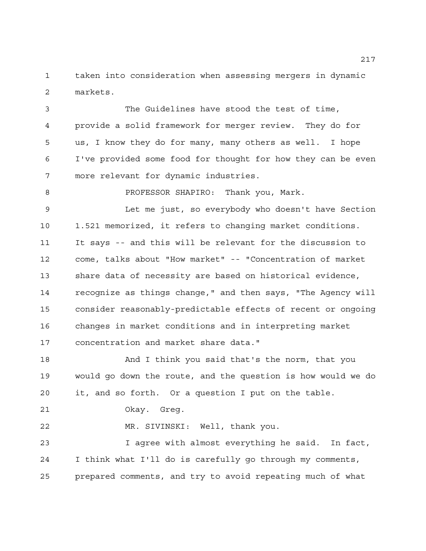taken into consideration when assessing mergers in dynamic markets.

 The Guidelines have stood the test of time, provide a solid framework for merger review. They do for us, I know they do for many, many others as well. I hope I've provided some food for thought for how they can be even more relevant for dynamic industries.

PROFESSOR SHAPIRO: Thank you, Mark.

 Let me just, so everybody who doesn't have Section 1.521 memorized, it refers to changing market conditions. It says -- and this will be relevant for the discussion to come, talks about "How market" -- "Concentration of market share data of necessity are based on historical evidence, recognize as things change," and then says, "The Agency will consider reasonably-predictable effects of recent or ongoing changes in market conditions and in interpreting market concentration and market share data."

 And I think you said that's the norm, that you would go down the route, and the question is how would we do it, and so forth. Or a question I put on the table.

Okay. Greg.

MR. SIVINSKI: Well, thank you.

 I agree with almost everything he said. In fact, I think what I'll do is carefully go through my comments, prepared comments, and try to avoid repeating much of what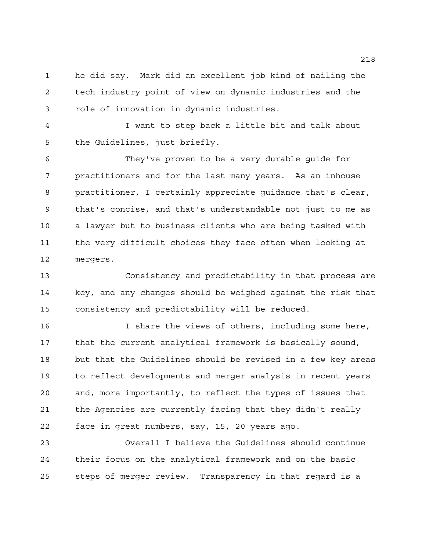he did say. Mark did an excellent job kind of nailing the tech industry point of view on dynamic industries and the role of innovation in dynamic industries.

 I want to step back a little bit and talk about the Guidelines, just briefly.

 They've proven to be a very durable guide for practitioners and for the last many years. As an inhouse practitioner, I certainly appreciate guidance that's clear, that's concise, and that's understandable not just to me as a lawyer but to business clients who are being tasked with the very difficult choices they face often when looking at mergers.

 Consistency and predictability in that process are key, and any changes should be weighed against the risk that consistency and predictability will be reduced.

 I share the views of others, including some here, that the current analytical framework is basically sound, but that the Guidelines should be revised in a few key areas to reflect developments and merger analysis in recent years and, more importantly, to reflect the types of issues that the Agencies are currently facing that they didn't really face in great numbers, say, 15, 20 years ago.

 Overall I believe the Guidelines should continue their focus on the analytical framework and on the basic steps of merger review. Transparency in that regard is a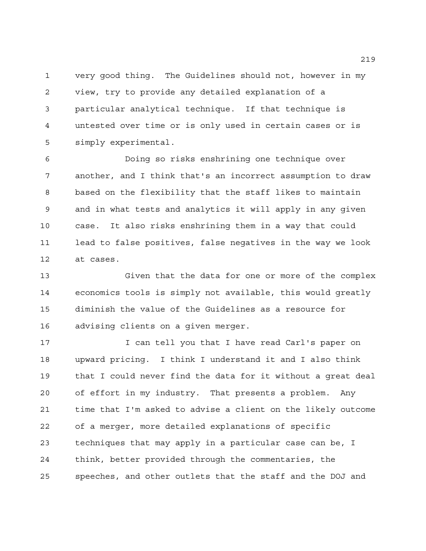very good thing. The Guidelines should not, however in my view, try to provide any detailed explanation of a particular analytical technique. If that technique is untested over time or is only used in certain cases or is simply experimental.

 Doing so risks enshrining one technique over another, and I think that's an incorrect assumption to draw based on the flexibility that the staff likes to maintain and in what tests and analytics it will apply in any given case. It also risks enshrining them in a way that could lead to false positives, false negatives in the way we look at cases.

 Given that the data for one or more of the complex economics tools is simply not available, this would greatly diminish the value of the Guidelines as a resource for advising clients on a given merger.

 I can tell you that I have read Carl's paper on upward pricing. I think I understand it and I also think that I could never find the data for it without a great deal of effort in my industry. That presents a problem. Any time that I'm asked to advise a client on the likely outcome of a merger, more detailed explanations of specific techniques that may apply in a particular case can be, I think, better provided through the commentaries, the speeches, and other outlets that the staff and the DOJ and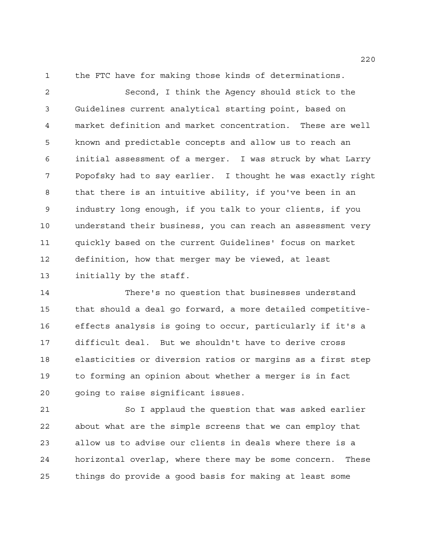the FTC have for making those kinds of determinations.

 Second, I think the Agency should stick to the Guidelines current analytical starting point, based on market definition and market concentration. These are well known and predictable concepts and allow us to reach an initial assessment of a merger. I was struck by what Larry Popofsky had to say earlier. I thought he was exactly right that there is an intuitive ability, if you've been in an industry long enough, if you talk to your clients, if you understand their business, you can reach an assessment very quickly based on the current Guidelines' focus on market definition, how that merger may be viewed, at least initially by the staff.

 There's no question that businesses understand that should a deal go forward, a more detailed competitive- effects analysis is going to occur, particularly if it's a difficult deal. But we shouldn't have to derive cross elasticities or diversion ratios or margins as a first step to forming an opinion about whether a merger is in fact going to raise significant issues.

 So I applaud the question that was asked earlier about what are the simple screens that we can employ that allow us to advise our clients in deals where there is a horizontal overlap, where there may be some concern. These things do provide a good basis for making at least some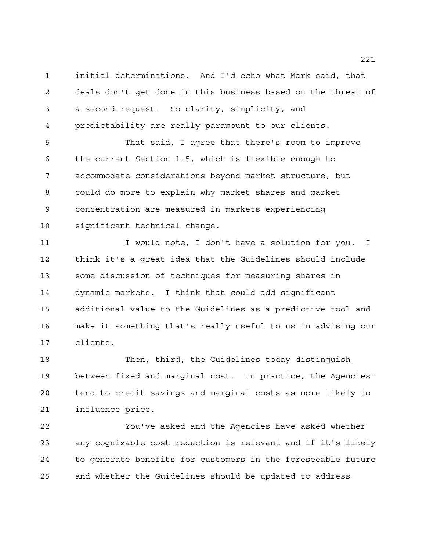initial determinations. And I'd echo what Mark said, that deals don't get done in this business based on the threat of a second request. So clarity, simplicity, and predictability are really paramount to our clients.

 That said, I agree that there's room to improve the current Section 1.5, which is flexible enough to accommodate considerations beyond market structure, but could do more to explain why market shares and market concentration are measured in markets experiencing significant technical change.

11 I would note, I don't have a solution for you. I think it's a great idea that the Guidelines should include some discussion of techniques for measuring shares in dynamic markets. I think that could add significant additional value to the Guidelines as a predictive tool and make it something that's really useful to us in advising our clients.

 Then, third, the Guidelines today distinguish between fixed and marginal cost. In practice, the Agencies' tend to credit savings and marginal costs as more likely to influence price.

 You've asked and the Agencies have asked whether any cognizable cost reduction is relevant and if it's likely to generate benefits for customers in the foreseeable future and whether the Guidelines should be updated to address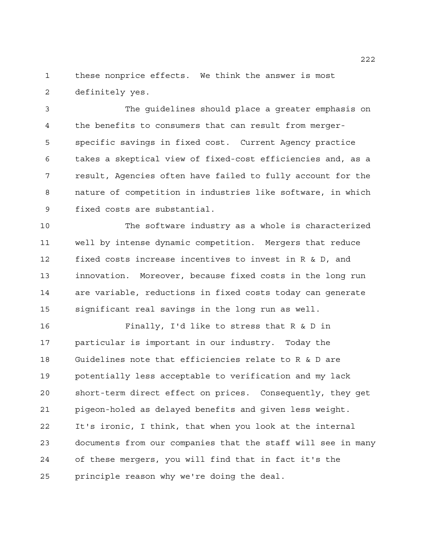these nonprice effects. We think the answer is most definitely yes.

 The guidelines should place a greater emphasis on the benefits to consumers that can result from merger- specific savings in fixed cost. Current Agency practice takes a skeptical view of fixed-cost efficiencies and, as a result, Agencies often have failed to fully account for the nature of competition in industries like software, in which fixed costs are substantial.

 The software industry as a whole is characterized well by intense dynamic competition. Mergers that reduce fixed costs increase incentives to invest in R & D, and innovation. Moreover, because fixed costs in the long run are variable, reductions in fixed costs today can generate significant real savings in the long run as well.

 Finally, I'd like to stress that R & D in particular is important in our industry. Today the Guidelines note that efficiencies relate to R & D are potentially less acceptable to verification and my lack short-term direct effect on prices. Consequently, they get pigeon-holed as delayed benefits and given less weight. It's ironic, I think, that when you look at the internal documents from our companies that the staff will see in many of these mergers, you will find that in fact it's the principle reason why we're doing the deal.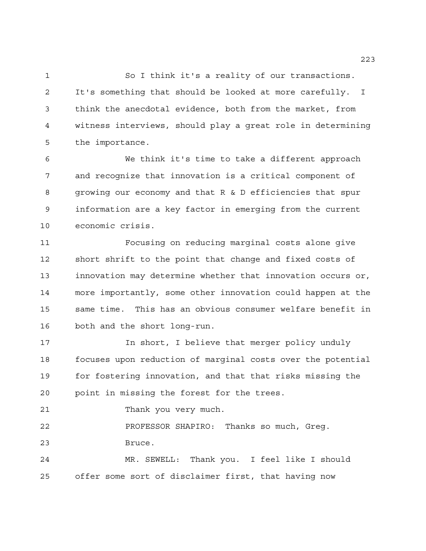So I think it's a reality of our transactions. It's something that should be looked at more carefully. I think the anecdotal evidence, both from the market, from witness interviews, should play a great role in determining the importance.

 We think it's time to take a different approach and recognize that innovation is a critical component of growing our economy and that R & D efficiencies that spur information are a key factor in emerging from the current economic crisis.

 Focusing on reducing marginal costs alone give short shrift to the point that change and fixed costs of innovation may determine whether that innovation occurs or, more importantly, some other innovation could happen at the same time. This has an obvious consumer welfare benefit in both and the short long-run.

**In short, I believe that merger policy unduly**  focuses upon reduction of marginal costs over the potential for fostering innovation, and that that risks missing the point in missing the forest for the trees.

Thank you very much.

 PROFESSOR SHAPIRO: Thanks so much, Greg. Bruce.

 MR. SEWELL: Thank you. I feel like I should offer some sort of disclaimer first, that having now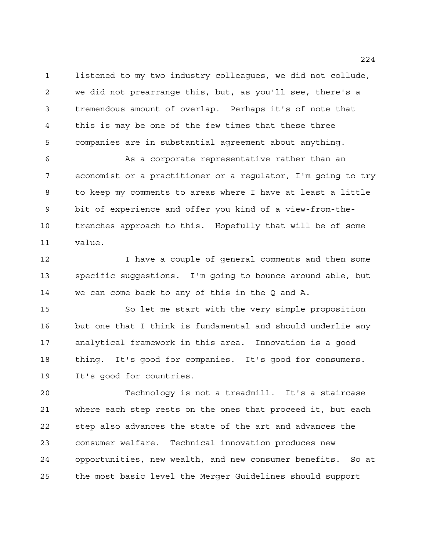listened to my two industry colleagues, we did not collude, we did not prearrange this, but, as you'll see, there's a tremendous amount of overlap. Perhaps it's of note that this is may be one of the few times that these three companies are in substantial agreement about anything.

 As a corporate representative rather than an economist or a practitioner or a regulator, I'm going to try to keep my comments to areas where I have at least a little bit of experience and offer you kind of a view-from-the- trenches approach to this. Hopefully that will be of some value.

 I have a couple of general comments and then some specific suggestions. I'm going to bounce around able, but we can come back to any of this in the Q and A.

 So let me start with the very simple proposition but one that I think is fundamental and should underlie any analytical framework in this area. Innovation is a good thing. It's good for companies. It's good for consumers. It's good for countries.

 Technology is not a treadmill. It's a staircase where each step rests on the ones that proceed it, but each step also advances the state of the art and advances the consumer welfare. Technical innovation produces new opportunities, new wealth, and new consumer benefits. So at the most basic level the Merger Guidelines should support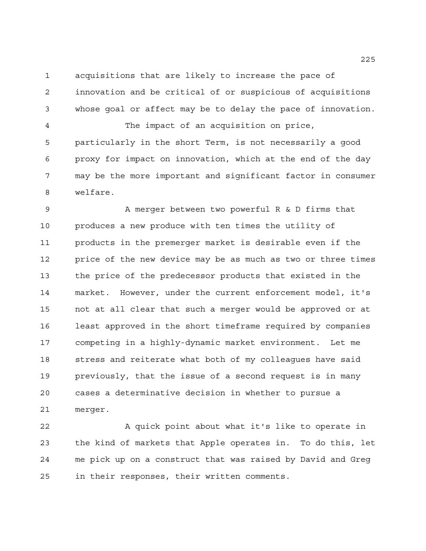acquisitions that are likely to increase the pace of innovation and be critical of or suspicious of acquisitions whose goal or affect may be to delay the pace of innovation.

 The impact of an acquisition on price, particularly in the short Term, is not necessarily a good proxy for impact on innovation, which at the end of the day may be the more important and significant factor in consumer welfare.

 A merger between two powerful R & D firms that produces a new produce with ten times the utility of products in the premerger market is desirable even if the price of the new device may be as much as two or three times the price of the predecessor products that existed in the market. However, under the current enforcement model, it's not at all clear that such a merger would be approved or at least approved in the short timeframe required by companies competing in a highly-dynamic market environment. Let me stress and reiterate what both of my colleagues have said previously, that the issue of a second request is in many cases a determinative decision in whether to pursue a merger.

22 A quick point about what it's like to operate in the kind of markets that Apple operates in. To do this, let me pick up on a construct that was raised by David and Greg in their responses, their written comments.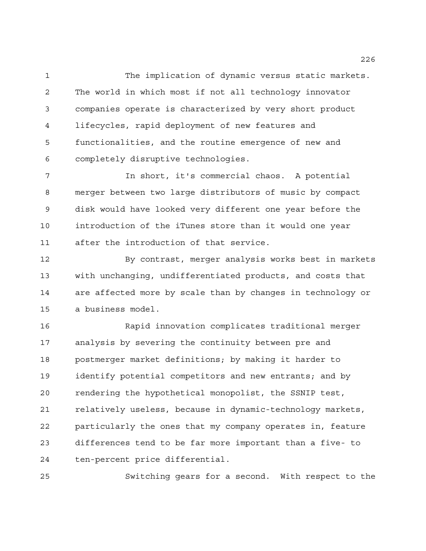The implication of dynamic versus static markets. The world in which most if not all technology innovator companies operate is characterized by very short product lifecycles, rapid deployment of new features and functionalities, and the routine emergence of new and completely disruptive technologies.

 In short, it's commercial chaos. A potential merger between two large distributors of music by compact disk would have looked very different one year before the introduction of the iTunes store than it would one year after the introduction of that service.

 By contrast, merger analysis works best in markets with unchanging, undifferentiated products, and costs that are affected more by scale than by changes in technology or a business model.

 Rapid innovation complicates traditional merger analysis by severing the continuity between pre and postmerger market definitions; by making it harder to identify potential competitors and new entrants; and by rendering the hypothetical monopolist, the SSNIP test, relatively useless, because in dynamic-technology markets, particularly the ones that my company operates in, feature differences tend to be far more important than a five- to ten-percent price differential.

Switching gears for a second. With respect to the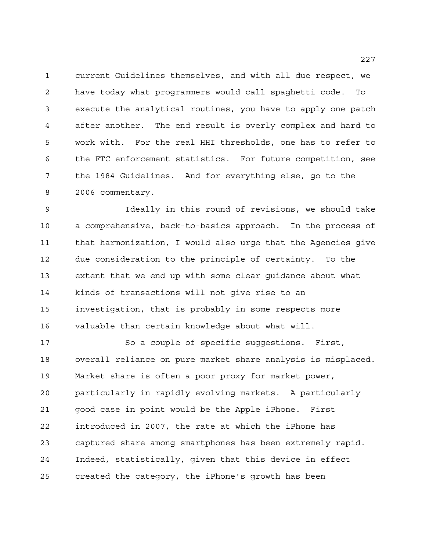current Guidelines themselves, and with all due respect, we have today what programmers would call spaghetti code. To execute the analytical routines, you have to apply one patch after another. The end result is overly complex and hard to work with. For the real HHI thresholds, one has to refer to the FTC enforcement statistics. For future competition, see the 1984 Guidelines. And for everything else, go to the 2006 commentary.

 Ideally in this round of revisions, we should take a comprehensive, back-to-basics approach. In the process of that harmonization, I would also urge that the Agencies give due consideration to the principle of certainty. To the extent that we end up with some clear guidance about what kinds of transactions will not give rise to an investigation, that is probably in some respects more valuable than certain knowledge about what will.

 So a couple of specific suggestions. First, overall reliance on pure market share analysis is misplaced. Market share is often a poor proxy for market power, particularly in rapidly evolving markets. A particularly good case in point would be the Apple iPhone. First introduced in 2007, the rate at which the iPhone has captured share among smartphones has been extremely rapid. Indeed, statistically, given that this device in effect created the category, the iPhone's growth has been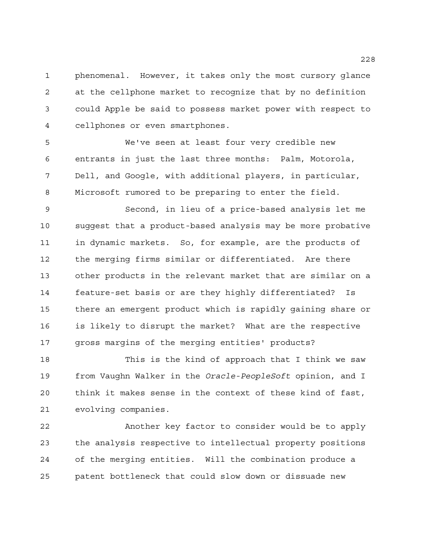phenomenal. However, it takes only the most cursory glance at the cellphone market to recognize that by no definition could Apple be said to possess market power with respect to cellphones or even smartphones.

 We've seen at least four very credible new entrants in just the last three months: Palm, Motorola, Dell, and Google, with additional players, in particular, Microsoft rumored to be preparing to enter the field.

 Second, in lieu of a price-based analysis let me suggest that a product-based analysis may be more probative in dynamic markets. So, for example, are the products of the merging firms similar or differentiated. Are there other products in the relevant market that are similar on a feature-set basis or are they highly differentiated? Is there an emergent product which is rapidly gaining share or is likely to disrupt the market? What are the respective gross margins of the merging entities' products?

 This is the kind of approach that I think we saw from Vaughn Walker in the *Oracle-PeopleSoft* opinion, and I think it makes sense in the context of these kind of fast, evolving companies.

 Another key factor to consider would be to apply the analysis respective to intellectual property positions of the merging entities. Will the combination produce a patent bottleneck that could slow down or dissuade new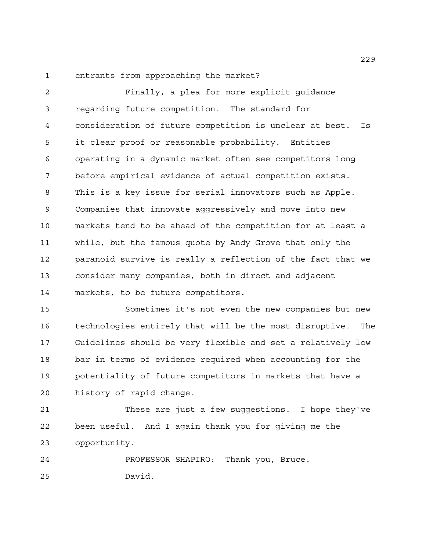entrants from approaching the market?

 Finally, a plea for more explicit guidance regarding future competition. The standard for consideration of future competition is unclear at best. Is it clear proof or reasonable probability. Entities operating in a dynamic market often see competitors long before empirical evidence of actual competition exists. This is a key issue for serial innovators such as Apple. Companies that innovate aggressively and move into new markets tend to be ahead of the competition for at least a while, but the famous quote by Andy Grove that only the paranoid survive is really a reflection of the fact that we consider many companies, both in direct and adjacent markets, to be future competitors.

 Sometimes it's not even the new companies but new technologies entirely that will be the most disruptive. The Guidelines should be very flexible and set a relatively low bar in terms of evidence required when accounting for the potentiality of future competitors in markets that have a history of rapid change.

 These are just a few suggestions. I hope they've been useful. And I again thank you for giving me the opportunity.

 PROFESSOR SHAPIRO: Thank you, Bruce. David.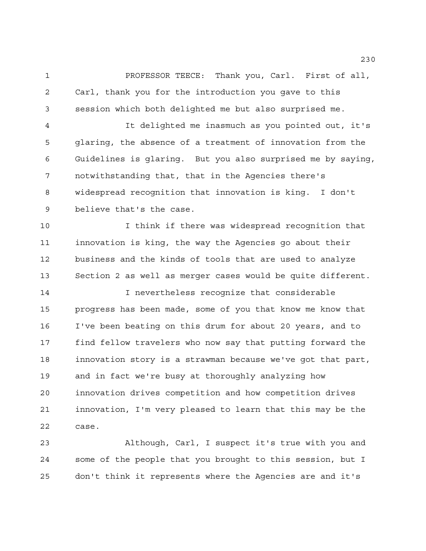PROFESSOR TEECE: Thank you, Carl. First of all, Carl, thank you for the introduction you gave to this session which both delighted me but also surprised me.

 It delighted me inasmuch as you pointed out, it's glaring, the absence of a treatment of innovation from the Guidelines is glaring. But you also surprised me by saying, notwithstanding that, that in the Agencies there's widespread recognition that innovation is king. I don't believe that's the case.

 I think if there was widespread recognition that innovation is king, the way the Agencies go about their business and the kinds of tools that are used to analyze Section 2 as well as merger cases would be quite different.

 I nevertheless recognize that considerable progress has been made, some of you that know me know that I've been beating on this drum for about 20 years, and to find fellow travelers who now say that putting forward the innovation story is a strawman because we've got that part, and in fact we're busy at thoroughly analyzing how innovation drives competition and how competition drives innovation, I'm very pleased to learn that this may be the case.

 Although, Carl, I suspect it's true with you and some of the people that you brought to this session, but I don't think it represents where the Agencies are and it's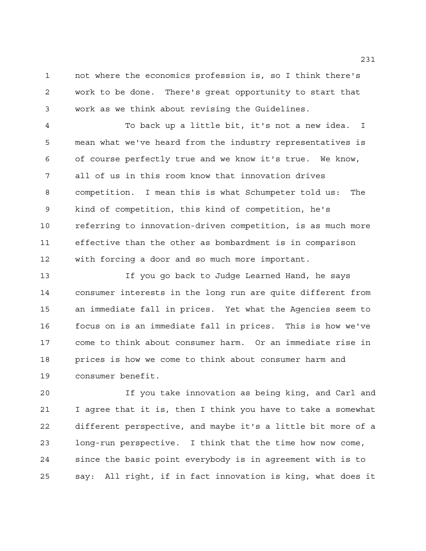not where the economics profession is, so I think there's work to be done. There's great opportunity to start that work as we think about revising the Guidelines.

 To back up a little bit, it's not a new idea. I mean what we've heard from the industry representatives is of course perfectly true and we know it's true. We know, all of us in this room know that innovation drives competition. I mean this is what Schumpeter told us: The kind of competition, this kind of competition, he's referring to innovation-driven competition, is as much more effective than the other as bombardment is in comparison with forcing a door and so much more important.

 If you go back to Judge Learned Hand, he says consumer interests in the long run are quite different from an immediate fall in prices. Yet what the Agencies seem to focus on is an immediate fall in prices. This is how we've come to think about consumer harm. Or an immediate rise in prices is how we come to think about consumer harm and consumer benefit.

 If you take innovation as being king, and Carl and I agree that it is, then I think you have to take a somewhat different perspective, and maybe it's a little bit more of a long-run perspective. I think that the time how now come, since the basic point everybody is in agreement with is to say: All right, if in fact innovation is king, what does it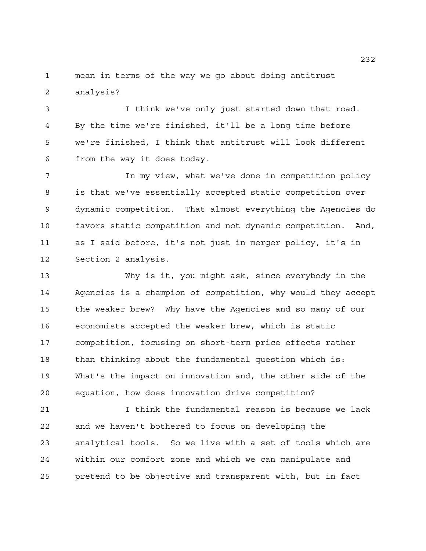mean in terms of the way we go about doing antitrust analysis?

 I think we've only just started down that road. By the time we're finished, it'll be a long time before we're finished, I think that antitrust will look different from the way it does today.

7 12 In my view, what we've done in competition policy is that we've essentially accepted static competition over dynamic competition. That almost everything the Agencies do favors static competition and not dynamic competition. And, as I said before, it's not just in merger policy, it's in Section 2 analysis.

 Why is it, you might ask, since everybody in the Agencies is a champion of competition, why would they accept the weaker brew? Why have the Agencies and so many of our economists accepted the weaker brew, which is static competition, focusing on short-term price effects rather than thinking about the fundamental question which is: What's the impact on innovation and, the other side of the equation, how does innovation drive competition?

 I think the fundamental reason is because we lack and we haven't bothered to focus on developing the analytical tools. So we live with a set of tools which are within our comfort zone and which we can manipulate and pretend to be objective and transparent with, but in fact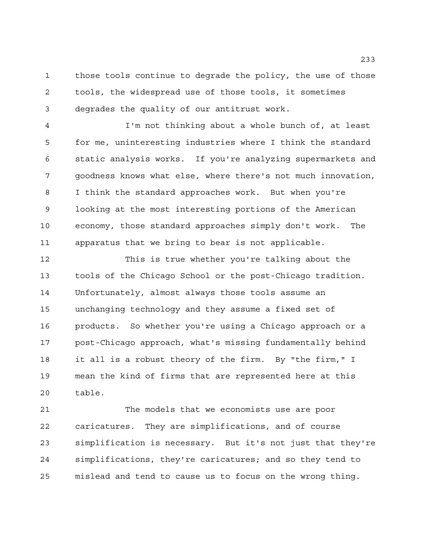those tools continue to degrade the policy, the use of those tools, the widespread use of those tools, it sometimes degrades the quality of our antitrust work.

 I'm not thinking about a whole bunch of, at least for me, uninteresting industries where I think the standard static analysis works. If you're analyzing supermarkets and goodness knows what else, where there's not much innovation, I think the standard approaches work. But when you're looking at the most interesting portions of the American economy, those standard approaches simply don't work. The apparatus that we bring to bear is not applicable.

 This is true whether you're talking about the tools of the Chicago School or the post-Chicago tradition. Unfortunately, almost always those tools assume an unchanging technology and they assume a fixed set of products. So whether you're using a Chicago approach or a post-Chicago approach, what's missing fundamentally behind it all is a robust theory of the firm. By "the firm," I mean the kind of firms that are represented here at this table.

 The models that we economists use are poor caricatures. They are simplifications, and of course simplification is necessary. But it's not just that they're simplifications, they're caricatures; and so they tend to mislead and tend to cause us to focus on the wrong thing.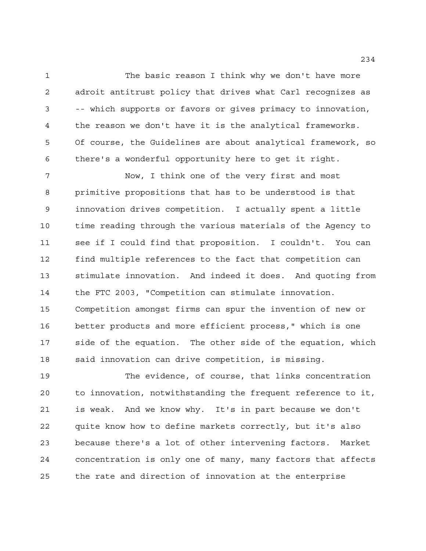The basic reason I think why we don't have more adroit antitrust policy that drives what Carl recognizes as -- which supports or favors or gives primacy to innovation, the reason we don't have it is the analytical frameworks. Of course, the Guidelines are about analytical framework, so there's a wonderful opportunity here to get it right.

 Now, I think one of the very first and most primitive propositions that has to be understood is that innovation drives competition. I actually spent a little time reading through the various materials of the Agency to see if I could find that proposition. I couldn't. You can find multiple references to the fact that competition can stimulate innovation. And indeed it does. And quoting from the FTC 2003, "Competition can stimulate innovation. Competition amongst firms can spur the invention of new or better products and more efficient process," which is one side of the equation. The other side of the equation, which said innovation can drive competition, is missing.

 The evidence, of course, that links concentration to innovation, notwithstanding the frequent reference to it, is weak. And we know why. It's in part because we don't quite know how to define markets correctly, but it's also because there's a lot of other intervening factors. Market concentration is only one of many, many factors that affects the rate and direction of innovation at the enterprise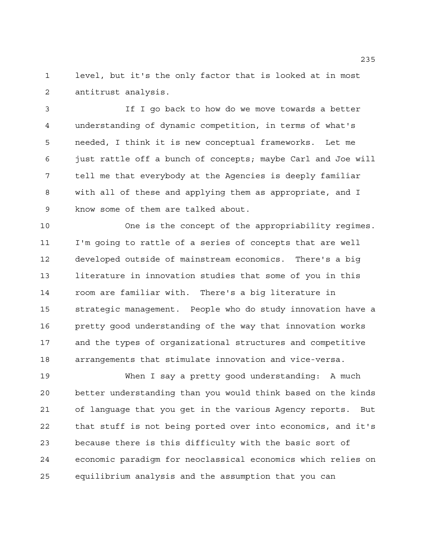level, but it's the only factor that is looked at in most antitrust analysis.

 If I go back to how do we move towards a better understanding of dynamic competition, in terms of what's needed, I think it is new conceptual frameworks. Let me just rattle off a bunch of concepts; maybe Carl and Joe will tell me that everybody at the Agencies is deeply familiar with all of these and applying them as appropriate, and I know some of them are talked about.

 One is the concept of the appropriability regimes. I'm going to rattle of a series of concepts that are well developed outside of mainstream economics. There's a big literature in innovation studies that some of you in this room are familiar with. There's a big literature in strategic management. People who do study innovation have a pretty good understanding of the way that innovation works and the types of organizational structures and competitive arrangements that stimulate innovation and vice-versa.

 When I say a pretty good understanding: A much better understanding than you would think based on the kinds of language that you get in the various Agency reports. But that stuff is not being ported over into economics, and it's because there is this difficulty with the basic sort of economic paradigm for neoclassical economics which relies on equilibrium analysis and the assumption that you can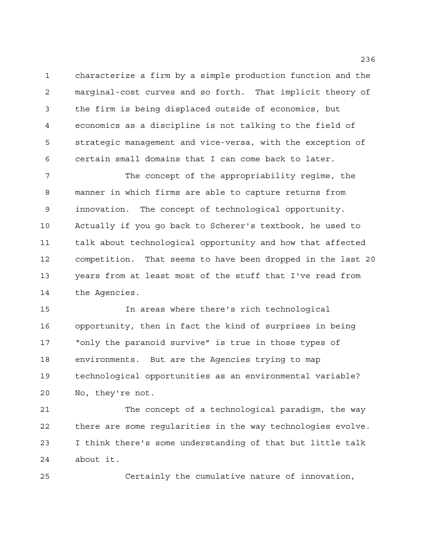characterize a firm by a simple production function and the marginal-cost curves and so forth. That implicit theory of the firm is being displaced outside of economics, but economics as a discipline is not talking to the field of strategic management and vice-versa, with the exception of certain small domains that I can come back to later.

 The concept of the appropriability regime, the manner in which firms are able to capture returns from innovation. The concept of technological opportunity. Actually if you go back to Scherer's textbook, he used to talk about technological opportunity and how that affected competition. That seems to have been dropped in the last 20 years from at least most of the stuff that I've read from the Agencies.

 In areas where there's rich technological opportunity, then in fact the kind of surprises in being "only the paranoid survive" is true in those types of environments. But are the Agencies trying to map technological opportunities as an environmental variable? No, they're not.

 The concept of a technological paradigm, the way there are some regularities in the way technologies evolve. I think there's some understanding of that but little talk about it.

Certainly the cumulative nature of innovation,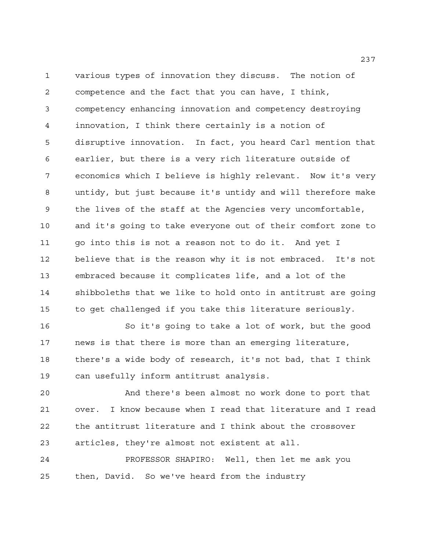various types of innovation they discuss. The notion of competence and the fact that you can have, I think, competency enhancing innovation and competency destroying innovation, I think there certainly is a notion of disruptive innovation. In fact, you heard Carl mention that earlier, but there is a very rich literature outside of economics which I believe is highly relevant. Now it's very untidy, but just because it's untidy and will therefore make the lives of the staff at the Agencies very uncomfortable, and it's going to take everyone out of their comfort zone to go into this is not a reason not to do it. And yet I believe that is the reason why it is not embraced. It's not embraced because it complicates life, and a lot of the shibboleths that we like to hold onto in antitrust are going to get challenged if you take this literature seriously.

 So it's going to take a lot of work, but the good news is that there is more than an emerging literature, there's a wide body of research, it's not bad, that I think can usefully inform antitrust analysis.

 And there's been almost no work done to port that over. I know because when I read that literature and I read the antitrust literature and I think about the crossover articles, they're almost not existent at all.

 PROFESSOR SHAPIRO: Well, then let me ask you then, David. So we've heard from the industry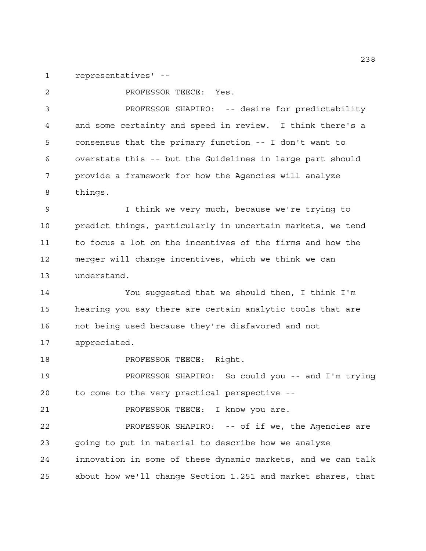representatives' --

 PROFESSOR TEECE: Yes. PROFESSOR SHAPIRO: -- desire for predictability and some certainty and speed in review. I think there's a consensus that the primary function -- I don't want to overstate this -- but the Guidelines in large part should provide a framework for how the Agencies will analyze things.

 I think we very much, because we're trying to predict things, particularly in uncertain markets, we tend to focus a lot on the incentives of the firms and how the merger will change incentives, which we think we can understand.

 You suggested that we should then, I think I'm hearing you say there are certain analytic tools that are not being used because they're disfavored and not appreciated.

**PROFESSOR TEECE:** Right.

 PROFESSOR SHAPIRO: So could you -- and I'm trying to come to the very practical perspective --

21 PROFESSOR TEECE: I know you are.

 PROFESSOR SHAPIRO: -- of if we, the Agencies are going to put in material to describe how we analyze innovation in some of these dynamic markets, and we can talk about how we'll change Section 1.251 and market shares, that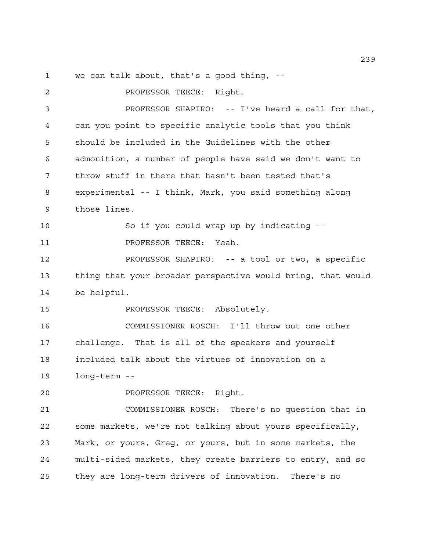we can talk about, that's a good thing, --

**PROFESSOR TEECE:** Right. PROFESSOR SHAPIRO: -- I've heard a call for that, can you point to specific analytic tools that you think should be included in the Guidelines with the other admonition, a number of people have said we don't want to throw stuff in there that hasn't been tested that's experimental -- I think, Mark, you said something along those lines. So if you could wrap up by indicating -- PROFESSOR TEECE: Yeah. PROFESSOR SHAPIRO: -- a tool or two, a specific thing that your broader perspective would bring, that would be helpful. 15 PROFESSOR TEECE: Absolutely. COMMISSIONER ROSCH: I'll throw out one other challenge. That is all of the speakers and yourself included talk about the virtues of innovation on a long-term -- PROFESSOR TEECE: Right. COMMISSIONER ROSCH: There's no question that in some markets, we're not talking about yours specifically, Mark, or yours, Greg, or yours, but in some markets, the multi-sided markets, they create barriers to entry, and so they are long-term drivers of innovation. There's no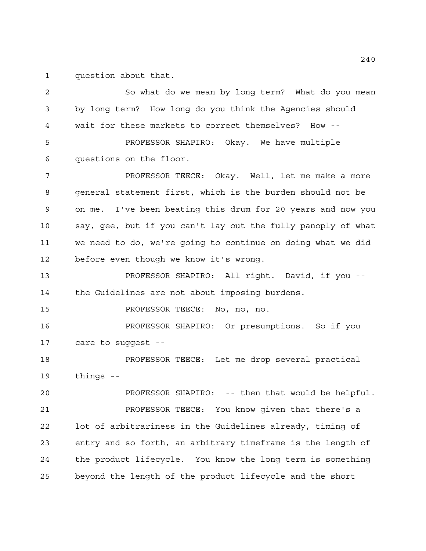question about that.

 So what do we mean by long term? What do you mean by long term? How long do you think the Agencies should wait for these markets to correct themselves? How -- PROFESSOR SHAPIRO: Okay. We have multiple questions on the floor. PROFESSOR TEECE: Okay. Well, let me make a more general statement first, which is the burden should not be on me. I've been beating this drum for 20 years and now you say, gee, but if you can't lay out the fully panoply of what we need to do, we're going to continue on doing what we did before even though we know it's wrong. PROFESSOR SHAPIRO: All right. David, if you -- the Guidelines are not about imposing burdens. PROFESSOR TEECE: No, no, no. PROFESSOR SHAPIRO: Or presumptions. So if you care to suggest -- PROFESSOR TEECE: Let me drop several practical things -- PROFESSOR SHAPIRO: -- then that would be helpful. PROFESSOR TEECE: You know given that there's a lot of arbitrariness in the Guidelines already, timing of entry and so forth, an arbitrary timeframe is the length of the product lifecycle. You know the long term is something beyond the length of the product lifecycle and the short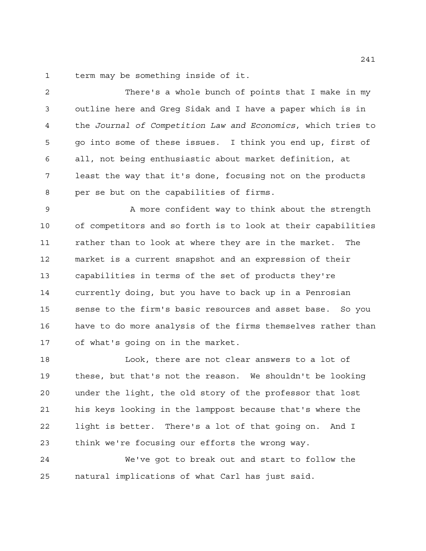term may be something inside of it.

 There's a whole bunch of points that I make in my outline here and Greg Sidak and I have a paper which is in the *Journal of Competition Law and Economics*, which tries to go into some of these issues. I think you end up, first of all, not being enthusiastic about market definition, at least the way that it's done, focusing not on the products per se but on the capabilities of firms.

9 A more confident way to think about the strength of competitors and so forth is to look at their capabilities rather than to look at where they are in the market. The market is a current snapshot and an expression of their capabilities in terms of the set of products they're currently doing, but you have to back up in a Penrosian sense to the firm's basic resources and asset base. So you have to do more analysis of the firms themselves rather than of what's going on in the market.

 Look, there are not clear answers to a lot of these, but that's not the reason. We shouldn't be looking under the light, the old story of the professor that lost his keys looking in the lamppost because that's where the light is better. There's a lot of that going on. And I think we're focusing our efforts the wrong way.

 We've got to break out and start to follow the natural implications of what Carl has just said.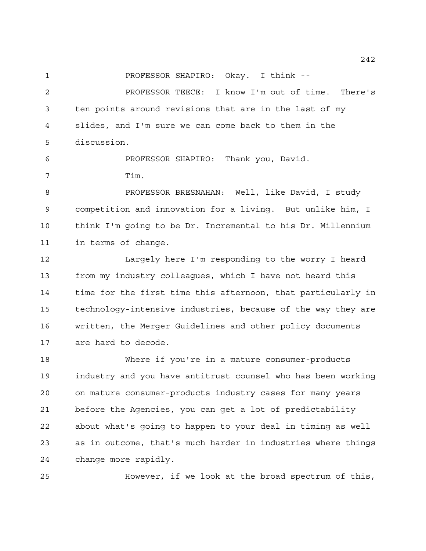PROFESSOR SHAPIRO: Okay. I think --

 PROFESSOR TEECE: I know I'm out of time. There's ten points around revisions that are in the last of my slides, and I'm sure we can come back to them in the discussion.

 PROFESSOR SHAPIRO: Thank you, David. Tim.

 PROFESSOR BRESNAHAN: Well, like David, I study competition and innovation for a living. But unlike him, I think I'm going to be Dr. Incremental to his Dr. Millennium in terms of change.

 Largely here I'm responding to the worry I heard from my industry colleagues, which I have not heard this time for the first time this afternoon, that particularly in technology-intensive industries, because of the way they are written, the Merger Guidelines and other policy documents are hard to decode.

 Where if you're in a mature consumer-products industry and you have antitrust counsel who has been working on mature consumer-products industry cases for many years before the Agencies, you can get a lot of predictability about what's going to happen to your deal in timing as well as in outcome, that's much harder in industries where things change more rapidly.

However, if we look at the broad spectrum of this,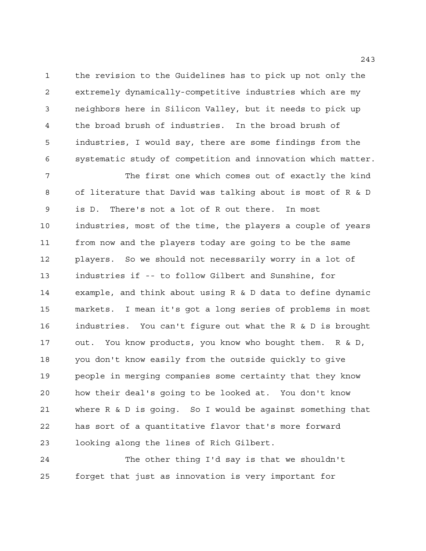the revision to the Guidelines has to pick up not only the extremely dynamically-competitive industries which are my neighbors here in Silicon Valley, but it needs to pick up the broad brush of industries. In the broad brush of industries, I would say, there are some findings from the systematic study of competition and innovation which matter.

 The first one which comes out of exactly the kind of literature that David was talking about is most of R & D is D. There's not a lot of R out there. In most industries, most of the time, the players a couple of years from now and the players today are going to be the same players. So we should not necessarily worry in a lot of industries if -- to follow Gilbert and Sunshine, for example, and think about using R & D data to define dynamic markets. I mean it's got a long series of problems in most industries. You can't figure out what the R & D is brought out. You know products, you know who bought them. R & D, you don't know easily from the outside quickly to give people in merging companies some certainty that they know how their deal's going to be looked at. You don't know where R & D is going. So I would be against something that has sort of a quantitative flavor that's more forward looking along the lines of Rich Gilbert.

 The other thing I'd say is that we shouldn't forget that just as innovation is very important for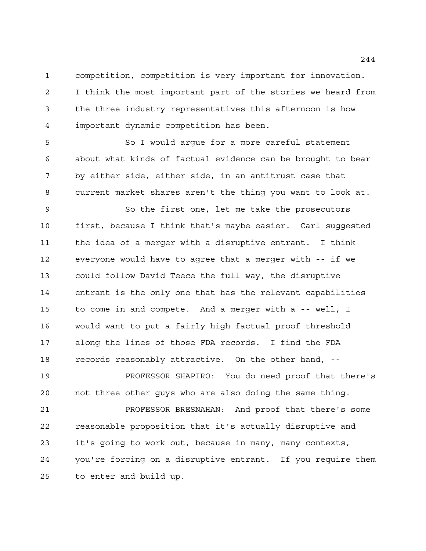competition, competition is very important for innovation. I think the most important part of the stories we heard from the three industry representatives this afternoon is how important dynamic competition has been.

 So I would argue for a more careful statement about what kinds of factual evidence can be brought to bear by either side, either side, in an antitrust case that current market shares aren't the thing you want to look at.

 So the first one, let me take the prosecutors first, because I think that's maybe easier. Carl suggested the idea of a merger with a disruptive entrant. I think everyone would have to agree that a merger with -- if we could follow David Teece the full way, the disruptive entrant is the only one that has the relevant capabilities to come in and compete. And a merger with a -- well, I would want to put a fairly high factual proof threshold along the lines of those FDA records. I find the FDA records reasonably attractive. On the other hand, --

 PROFESSOR SHAPIRO: You do need proof that there's not three other guys who are also doing the same thing.

 PROFESSOR BRESNAHAN: And proof that there's some reasonable proposition that it's actually disruptive and it's going to work out, because in many, many contexts, you're forcing on a disruptive entrant. If you require them to enter and build up.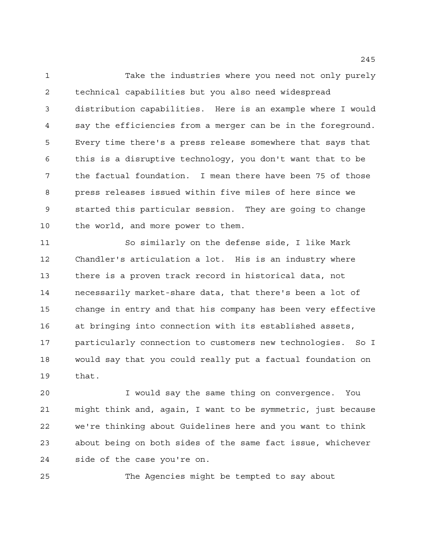Take the industries where you need not only purely technical capabilities but you also need widespread distribution capabilities. Here is an example where I would say the efficiencies from a merger can be in the foreground. Every time there's a press release somewhere that says that this is a disruptive technology, you don't want that to be the factual foundation. I mean there have been 75 of those press releases issued within five miles of here since we started this particular session. They are going to change the world, and more power to them.

 So similarly on the defense side, I like Mark Chandler's articulation a lot. His is an industry where there is a proven track record in historical data, not necessarily market-share data, that there's been a lot of change in entry and that his company has been very effective at bringing into connection with its established assets, particularly connection to customers new technologies. So I would say that you could really put a factual foundation on that.

 I would say the same thing on convergence. You might think and, again, I want to be symmetric, just because we're thinking about Guidelines here and you want to think about being on both sides of the same fact issue, whichever side of the case you're on.

The Agencies might be tempted to say about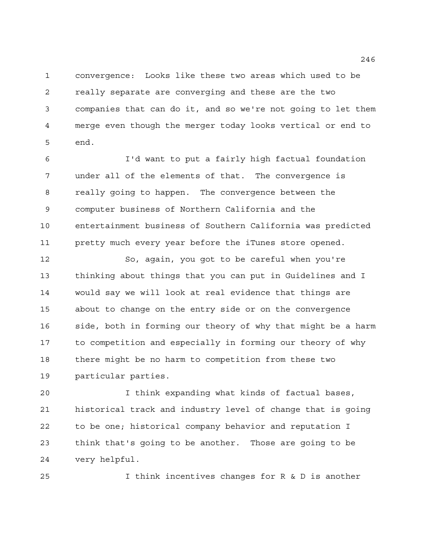convergence: Looks like these two areas which used to be really separate are converging and these are the two companies that can do it, and so we're not going to let them merge even though the merger today looks vertical or end to end.

 I'd want to put a fairly high factual foundation under all of the elements of that. The convergence is really going to happen. The convergence between the computer business of Northern California and the entertainment business of Southern California was predicted pretty much every year before the iTunes store opened.

 So, again, you got to be careful when you're thinking about things that you can put in Guidelines and I would say we will look at real evidence that things are about to change on the entry side or on the convergence side, both in forming our theory of why that might be a harm to competition and especially in forming our theory of why there might be no harm to competition from these two particular parties.

 I think expanding what kinds of factual bases, historical track and industry level of change that is going to be one; historical company behavior and reputation I think that's going to be another. Those are going to be very helpful.

I think incentives changes for R & D is another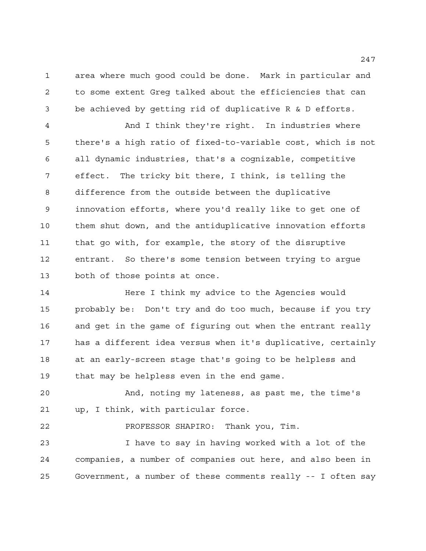area where much good could be done. Mark in particular and to some extent Greg talked about the efficiencies that can be achieved by getting rid of duplicative R & D efforts.

 And I think they're right. In industries where there's a high ratio of fixed-to-variable cost, which is not all dynamic industries, that's a cognizable, competitive effect. The tricky bit there, I think, is telling the difference from the outside between the duplicative innovation efforts, where you'd really like to get one of them shut down, and the antiduplicative innovation efforts that go with, for example, the story of the disruptive entrant. So there's some tension between trying to argue both of those points at once.

 Here I think my advice to the Agencies would probably be: Don't try and do too much, because if you try and get in the game of figuring out when the entrant really has a different idea versus when it's duplicative, certainly at an early-screen stage that's going to be helpless and that may be helpless even in the end game.

 And, noting my lateness, as past me, the time's up, I think, with particular force.

PROFESSOR SHAPIRO: Thank you, Tim.

 I have to say in having worked with a lot of the companies, a number of companies out here, and also been in Government, a number of these comments really -- I often say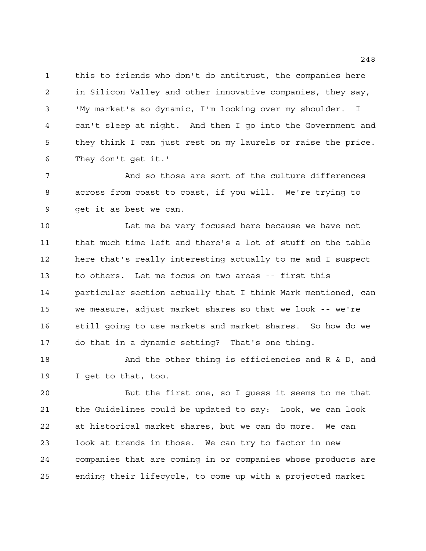this to friends who don't do antitrust, the companies here in Silicon Valley and other innovative companies, they say, 'My market's so dynamic, I'm looking over my shoulder. I can't sleep at night. And then I go into the Government and they think I can just rest on my laurels or raise the price. They don't get it.'

 And so those are sort of the culture differences across from coast to coast, if you will. We're trying to get it as best we can.

 Let me be very focused here because we have not that much time left and there's a lot of stuff on the table here that's really interesting actually to me and I suspect to others. Let me focus on two areas -- first this particular section actually that I think Mark mentioned, can we measure, adjust market shares so that we look -- we're still going to use markets and market shares. So how do we do that in a dynamic setting? That's one thing.

18 And the other thing is efficiencies and R & D, and I get to that, too.

 But the first one, so I guess it seems to me that the Guidelines could be updated to say: Look, we can look at historical market shares, but we can do more. We can look at trends in those. We can try to factor in new companies that are coming in or companies whose products are ending their lifecycle, to come up with a projected market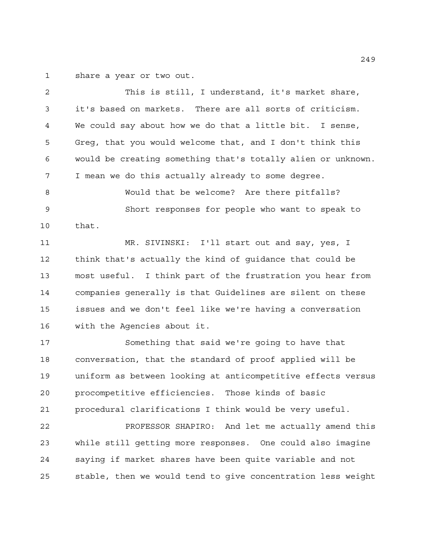share a year or two out.

 This is still, I understand, it's market share, it's based on markets. There are all sorts of criticism. We could say about how we do that a little bit. I sense, Greg, that you would welcome that, and I don't think this would be creating something that's totally alien or unknown. I mean we do this actually already to some degree. Would that be welcome? Are there pitfalls? Short responses for people who want to speak to that. MR. SIVINSKI: I'll start out and say, yes, I think that's actually the kind of guidance that could be most useful. I think part of the frustration you hear from companies generally is that Guidelines are silent on these issues and we don't feel like we're having a conversation with the Agencies about it. Something that said we're going to have that conversation, that the standard of proof applied will be uniform as between looking at anticompetitive effects versus procompetitive efficiencies. Those kinds of basic procedural clarifications I think would be very useful. PROFESSOR SHAPIRO: And let me actually amend this while still getting more responses. One could also imagine saying if market shares have been quite variable and not

stable, then we would tend to give concentration less weight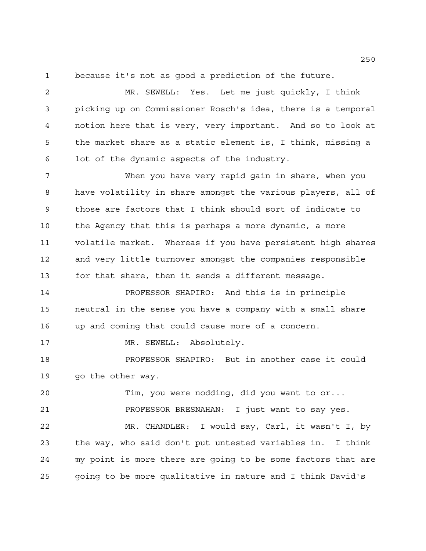because it's not as good a prediction of the future.

 MR. SEWELL: Yes. Let me just quickly, I think picking up on Commissioner Rosch's idea, there is a temporal notion here that is very, very important. And so to look at the market share as a static element is, I think, missing a lot of the dynamic aspects of the industry.

 When you have very rapid gain in share, when you have volatility in share amongst the various players, all of those are factors that I think should sort of indicate to the Agency that this is perhaps a more dynamic, a more volatile market. Whereas if you have persistent high shares and very little turnover amongst the companies responsible for that share, then it sends a different message.

 PROFESSOR SHAPIRO: And this is in principle neutral in the sense you have a company with a small share up and coming that could cause more of a concern.

17 MR. SEWELL: Absolutely.

 PROFESSOR SHAPIRO: But in another case it could 19 go the other way.

 Tim, you were nodding, did you want to or... PROFESSOR BRESNAHAN: I just want to say yes.

 MR. CHANDLER: I would say, Carl, it wasn't I, by the way, who said don't put untested variables in. I think my point is more there are going to be some factors that are going to be more qualitative in nature and I think David's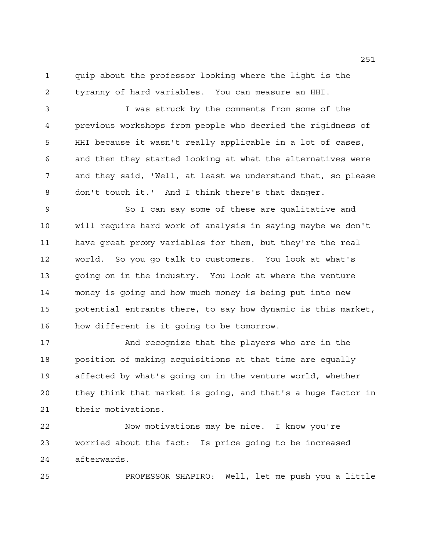quip about the professor looking where the light is the tyranny of hard variables. You can measure an HHI.

 I was struck by the comments from some of the previous workshops from people who decried the rigidness of HHI because it wasn't really applicable in a lot of cases, and then they started looking at what the alternatives were and they said, 'Well, at least we understand that, so please don't touch it.' And I think there's that danger.

 So I can say some of these are qualitative and will require hard work of analysis in saying maybe we don't have great proxy variables for them, but they're the real world. So you go talk to customers. You look at what's going on in the industry. You look at where the venture money is going and how much money is being put into new potential entrants there, to say how dynamic is this market, how different is it going to be tomorrow.

 And recognize that the players who are in the position of making acquisitions at that time are equally affected by what's going on in the venture world, whether they think that market is going, and that's a huge factor in their motivations.

 Now motivations may be nice. I know you're worried about the fact: Is price going to be increased afterwards.

PROFESSOR SHAPIRO: Well, let me push you a little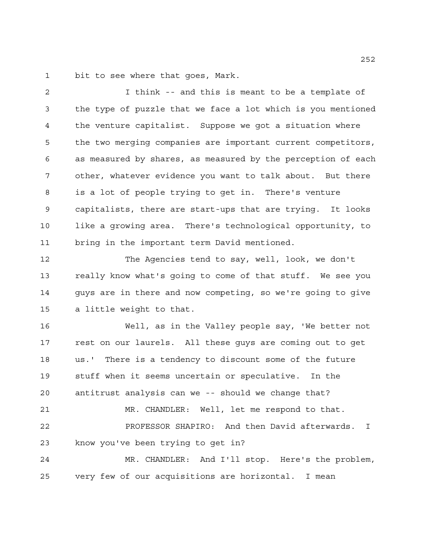bit to see where that goes, Mark.

 I think -- and this is meant to be a template of the type of puzzle that we face a lot which is you mentioned the venture capitalist. Suppose we got a situation where the two merging companies are important current competitors, as measured by shares, as measured by the perception of each other, whatever evidence you want to talk about. But there is a lot of people trying to get in. There's venture capitalists, there are start-ups that are trying. It looks like a growing area. There's technological opportunity, to bring in the important term David mentioned.

 The Agencies tend to say, well, look, we don't really know what's going to come of that stuff. We see you guys are in there and now competing, so we're going to give a little weight to that.

 Well, as in the Valley people say, 'We better not rest on our laurels. All these guys are coming out to get us.' There is a tendency to discount some of the future stuff when it seems uncertain or speculative. In the antitrust analysis can we -- should we change that? MR. CHANDLER: Well, let me respond to that. PROFESSOR SHAPIRO: And then David afterwards. I know you've been trying to get in? MR. CHANDLER: And I'll stop. Here's the problem,

very few of our acquisitions are horizontal. I mean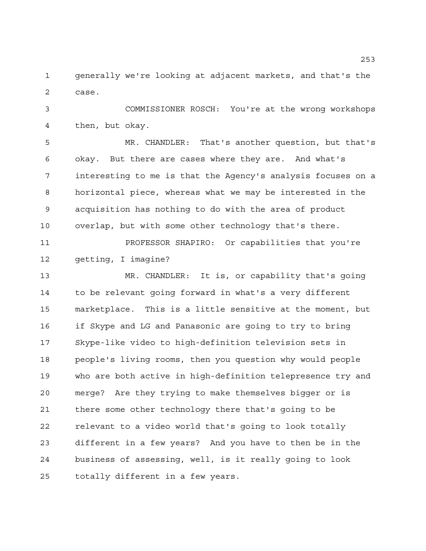generally we're looking at adjacent markets, and that's the case.

 COMMISSIONER ROSCH: You're at the wrong workshops then, but okay.

 MR. CHANDLER: That's another question, but that's okay. But there are cases where they are. And what's interesting to me is that the Agency's analysis focuses on a horizontal piece, whereas what we may be interested in the acquisition has nothing to do with the area of product overlap, but with some other technology that's there.

 PROFESSOR SHAPIRO: Or capabilities that you're getting, I imagine?

 MR. CHANDLER: It is, or capability that's going to be relevant going forward in what's a very different marketplace. This is a little sensitive at the moment, but if Skype and LG and Panasonic are going to try to bring Skype-like video to high-definition television sets in people's living rooms, then you question why would people who are both active in high-definition telepresence try and merge? Are they trying to make themselves bigger or is there some other technology there that's going to be relevant to a video world that's going to look totally different in a few years? And you have to then be in the business of assessing, well, is it really going to look totally different in a few years.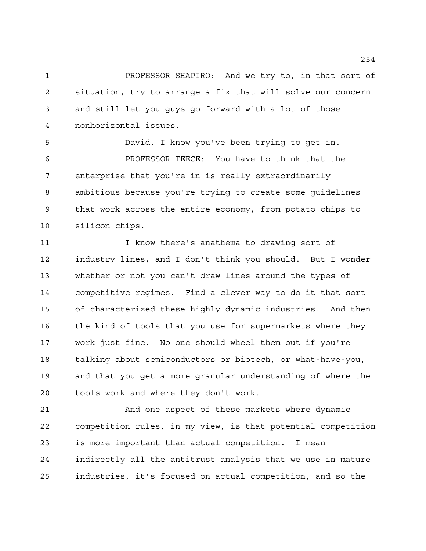PROFESSOR SHAPIRO: And we try to, in that sort of situation, try to arrange a fix that will solve our concern and still let you guys go forward with a lot of those nonhorizontal issues.

 David, I know you've been trying to get in. PROFESSOR TEECE: You have to think that the enterprise that you're in is really extraordinarily ambitious because you're trying to create some guidelines that work across the entire economy, from potato chips to silicon chips.

11 11 I know there's anathema to drawing sort of industry lines, and I don't think you should. But I wonder whether or not you can't draw lines around the types of competitive regimes. Find a clever way to do it that sort of characterized these highly dynamic industries. And then 16 the kind of tools that you use for supermarkets where they work just fine. No one should wheel them out if you're talking about semiconductors or biotech, or what-have-you, and that you get a more granular understanding of where the tools work and where they don't work.

 And one aspect of these markets where dynamic competition rules, in my view, is that potential competition is more important than actual competition. I mean indirectly all the antitrust analysis that we use in mature industries, it's focused on actual competition, and so the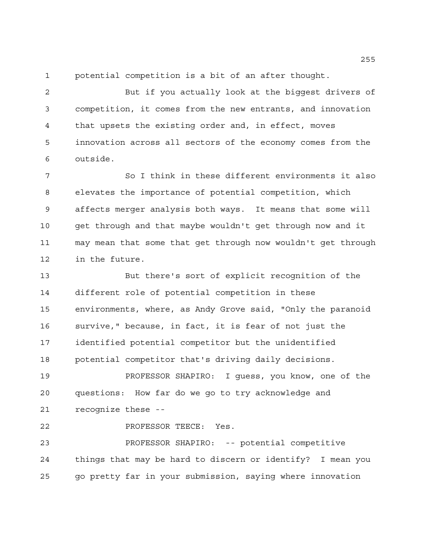potential competition is a bit of an after thought.

 But if you actually look at the biggest drivers of competition, it comes from the new entrants, and innovation that upsets the existing order and, in effect, moves innovation across all sectors of the economy comes from the outside.

 So I think in these different environments it also elevates the importance of potential competition, which affects merger analysis both ways. It means that some will get through and that maybe wouldn't get through now and it may mean that some that get through now wouldn't get through in the future.

 But there's sort of explicit recognition of the different role of potential competition in these environments, where, as Andy Grove said, "Only the paranoid survive," because, in fact, it is fear of not just the identified potential competitor but the unidentified potential competitor that's driving daily decisions.

 PROFESSOR SHAPIRO: I guess, you know, one of the questions: How far do we go to try acknowledge and recognize these --

PROFESSOR TEECE: Yes.

 PROFESSOR SHAPIRO: -- potential competitive things that may be hard to discern or identify? I mean you go pretty far in your submission, saying where innovation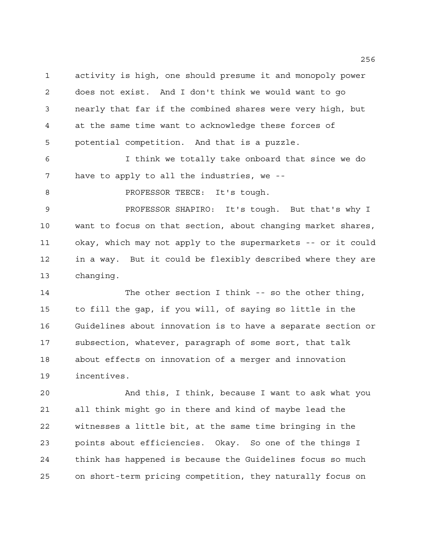activity is high, one should presume it and monopoly power does not exist. And I don't think we would want to go nearly that far if the combined shares were very high, but at the same time want to acknowledge these forces of potential competition. And that is a puzzle.

 I think we totally take onboard that since we do have to apply to all the industries, we --

8 PROFESSOR TEECE: It's tough.

 PROFESSOR SHAPIRO: It's tough. But that's why I want to focus on that section, about changing market shares, okay, which may not apply to the supermarkets -- or it could in a way. But it could be flexibly described where they are changing.

 The other section I think -- so the other thing, to fill the gap, if you will, of saying so little in the Guidelines about innovation is to have a separate section or subsection, whatever, paragraph of some sort, that talk about effects on innovation of a merger and innovation incentives.

 And this, I think, because I want to ask what you all think might go in there and kind of maybe lead the witnesses a little bit, at the same time bringing in the points about efficiencies. Okay. So one of the things I think has happened is because the Guidelines focus so much on short-term pricing competition, they naturally focus on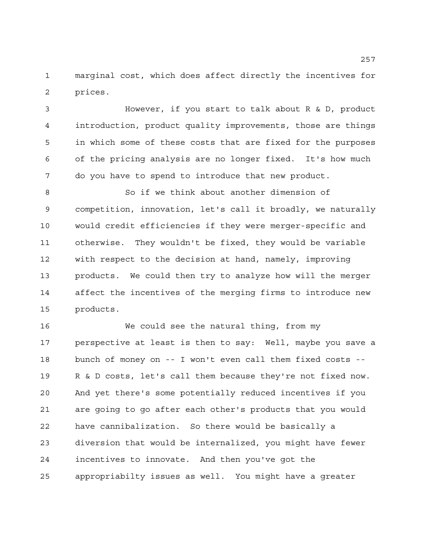marginal cost, which does affect directly the incentives for prices.

 However, if you start to talk about R & D, product introduction, product quality improvements, those are things in which some of these costs that are fixed for the purposes of the pricing analysis are no longer fixed. It's how much do you have to spend to introduce that new product.

 So if we think about another dimension of competition, innovation, let's call it broadly, we naturally would credit efficiencies if they were merger-specific and otherwise. They wouldn't be fixed, they would be variable with respect to the decision at hand, namely, improving products. We could then try to analyze how will the merger affect the incentives of the merging firms to introduce new products.

 We could see the natural thing, from my perspective at least is then to say: Well, maybe you save a bunch of money on -- I won't even call them fixed costs -- R & D costs, let's call them because they're not fixed now. And yet there's some potentially reduced incentives if you are going to go after each other's products that you would have cannibalization. So there would be basically a diversion that would be internalized, you might have fewer incentives to innovate. And then you've got the appropriabilty issues as well. You might have a greater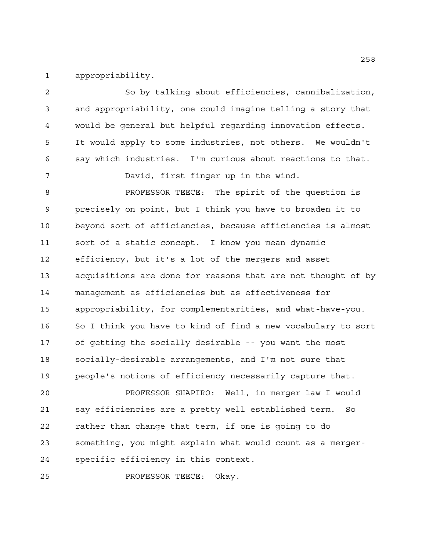appropriability.

 So by talking about efficiencies, cannibalization, and appropriability, one could imagine telling a story that would be general but helpful regarding innovation effects. It would apply to some industries, not others. We wouldn't say which industries. I'm curious about reactions to that. David, first finger up in the wind. PROFESSOR TEECE: The spirit of the question is precisely on point, but I think you have to broaden it to beyond sort of efficiencies, because efficiencies is almost sort of a static concept. I know you mean dynamic efficiency, but it's a lot of the mergers and asset acquisitions are done for reasons that are not thought of by management as efficiencies but as effectiveness for appropriability, for complementarities, and what-have-you. So I think you have to kind of find a new vocabulary to sort of getting the socially desirable -- you want the most socially-desirable arrangements, and I'm not sure that people's notions of efficiency necessarily capture that. PROFESSOR SHAPIRO: Well, in merger law I would say efficiencies are a pretty well established term. So rather than change that term, if one is going to do something, you might explain what would count as a merger-specific efficiency in this context.

PROFESSOR TEECE: Okay.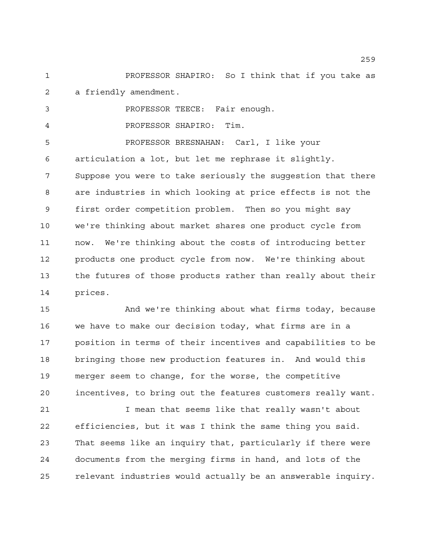PROFESSOR SHAPIRO: So I think that if you take as a friendly amendment.

 PROFESSOR TEECE: Fair enough. PROFESSOR SHAPIRO: Tim. PROFESSOR BRESNAHAN: Carl, I like your articulation a lot, but let me rephrase it slightly. Suppose you were to take seriously the suggestion that there are industries in which looking at price effects is not the first order competition problem. Then so you might say we're thinking about market shares one product cycle from now. We're thinking about the costs of introducing better products one product cycle from now. We're thinking about the futures of those products rather than really about their prices.

 And we're thinking about what firms today, because we have to make our decision today, what firms are in a position in terms of their incentives and capabilities to be bringing those new production features in. And would this merger seem to change, for the worse, the competitive incentives, to bring out the features customers really want.

 I mean that seems like that really wasn't about efficiencies, but it was I think the same thing you said. That seems like an inquiry that, particularly if there were documents from the merging firms in hand, and lots of the relevant industries would actually be an answerable inquiry.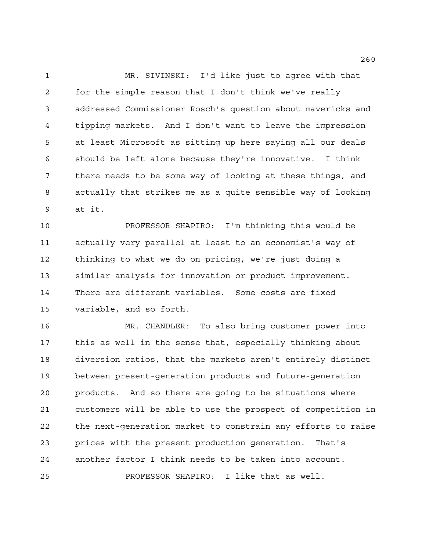MR. SIVINSKI: I'd like just to agree with that for the simple reason that I don't think we've really addressed Commissioner Rosch's question about mavericks and tipping markets. And I don't want to leave the impression at least Microsoft as sitting up here saying all our deals should be left alone because they're innovative. I think there needs to be some way of looking at these things, and actually that strikes me as a quite sensible way of looking at it.

 PROFESSOR SHAPIRO: I'm thinking this would be actually very parallel at least to an economist's way of thinking to what we do on pricing, we're just doing a similar analysis for innovation or product improvement. There are different variables. Some costs are fixed variable, and so forth.

 MR. CHANDLER: To also bring customer power into this as well in the sense that, especially thinking about diversion ratios, that the markets aren't entirely distinct between present-generation products and future-generation products. And so there are going to be situations where customers will be able to use the prospect of competition in the next-generation market to constrain any efforts to raise prices with the present production generation. That's another factor I think needs to be taken into account. PROFESSOR SHAPIRO: I like that as well.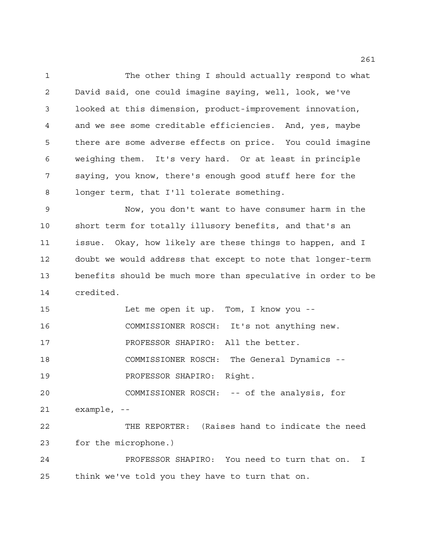The other thing I should actually respond to what David said, one could imagine saying, well, look, we've looked at this dimension, product-improvement innovation, and we see some creditable efficiencies. And, yes, maybe there are some adverse effects on price. You could imagine weighing them. It's very hard. Or at least in principle saying, you know, there's enough good stuff here for the longer term, that I'll tolerate something.

 Now, you don't want to have consumer harm in the short term for totally illusory benefits, and that's an issue. Okay, how likely are these things to happen, and I doubt we would address that except to note that longer-term benefits should be much more than speculative in order to be credited.

 Let me open it up. Tom, I know you -- COMMISSIONER ROSCH: It's not anything new. **PROFESSOR SHAPIRO:** All the better. COMMISSIONER ROSCH: The General Dynamics -- PROFESSOR SHAPIRO: Right. COMMISSIONER ROSCH: -- of the analysis, for example, -- THE REPORTER: (Raises hand to indicate the need for the microphone.) PROFESSOR SHAPIRO: You need to turn that on. I think we've told you they have to turn that on.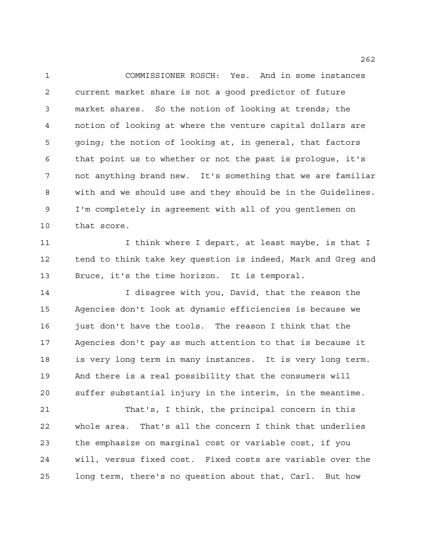COMMISSIONER ROSCH: Yes. And in some instances current market share is not a good predictor of future market shares. So the notion of looking at trends; the notion of looking at where the venture capital dollars are going; the notion of looking at, in general, that factors that point us to whether or not the past is prologue, it's not anything brand new. It's something that we are familiar with and we should use and they should be in the Guidelines. I'm completely in agreement with all of you gentlemen on that score.

11 11 I think where I depart, at least maybe, is that I tend to think take key question is indeed, Mark and Greg and Bruce, it's the time horizon. It is temporal.

14 I disagree with you, David, that the reason the Agencies don't look at dynamic efficiencies is because we just don't have the tools. The reason I think that the Agencies don't pay as much attention to that is because it is very long term in many instances. It is very long term. And there is a real possibility that the consumers will suffer substantial injury in the interim, in the meantime.

 That's, I think, the principal concern in this whole area. That's all the concern I think that underlies the emphasize on marginal cost or variable cost, if you will, versus fixed cost. Fixed costs are variable over the long term, there's no question about that, Carl. But how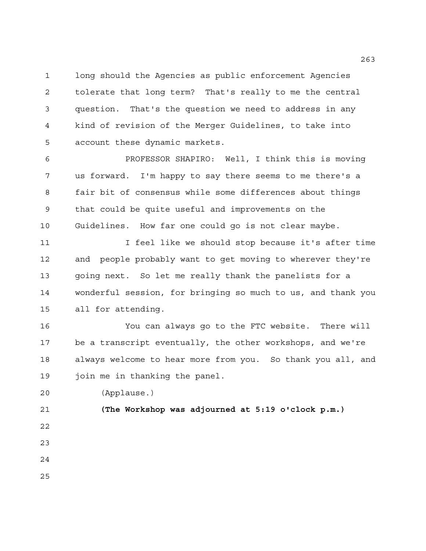long should the Agencies as public enforcement Agencies tolerate that long term? That's really to me the central question. That's the question we need to address in any kind of revision of the Merger Guidelines, to take into account these dynamic markets.

 PROFESSOR SHAPIRO: Well, I think this is moving us forward. I'm happy to say there seems to me there's a fair bit of consensus while some differences about things that could be quite useful and improvements on the Guidelines. How far one could go is not clear maybe.

11 11 I feel like we should stop because it's after time and people probably want to get moving to wherever they're going next. So let me really thank the panelists for a wonderful session, for bringing so much to us, and thank you all for attending.

 You can always go to the FTC website. There will be a transcript eventually, the other workshops, and we're always welcome to hear more from you. So thank you all, and join me in thanking the panel.

(Applause.)

 **(The Workshop was adjourned at 5:19 o'clock p.m.)**